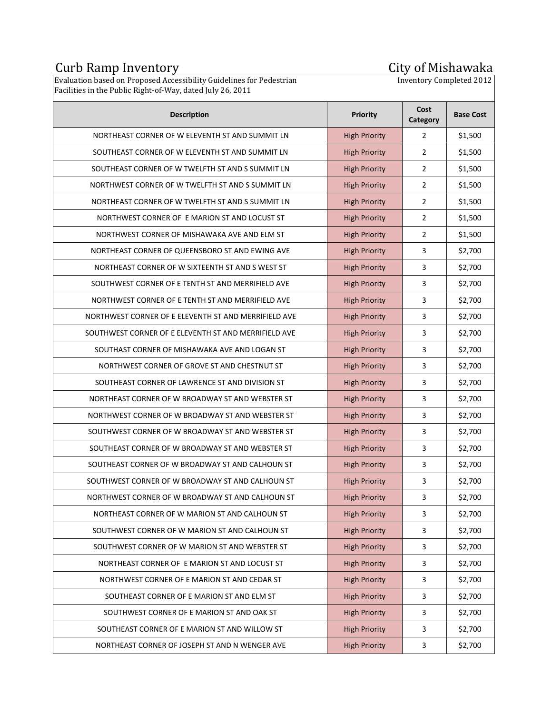## Curb Ramp Inventory City of Mishawaka

## **City of Mishawaka**<br>Inventory Completed 2012

Evaluation based on Proposed Accessibility Guidelines for Pedestrian Facilities in the Public Right-of-Way, dated July 26, 2011

| <b>Description</b>                                   | <b>Priority</b>      | Cost<br>Category | <b>Base Cost</b> |
|------------------------------------------------------|----------------------|------------------|------------------|
| NORTHEAST CORNER OF W ELEVENTH ST AND SUMMIT LN      | <b>High Priority</b> | 2                | \$1,500          |
| SOUTHEAST CORNER OF W ELEVENTH ST AND SUMMIT LN      | <b>High Priority</b> | $\overline{2}$   | \$1,500          |
| SOUTHEAST CORNER OF W TWELFTH ST AND S SUMMIT LN     | <b>High Priority</b> | $\overline{2}$   | \$1,500          |
| NORTHWEST CORNER OF W TWELFTH ST AND S SUMMIT LN     | <b>High Priority</b> | $\overline{2}$   | \$1,500          |
| NORTHEAST CORNER OF W TWELFTH ST AND S SUMMIT LN     | <b>High Priority</b> | $\overline{2}$   | \$1,500          |
| NORTHWEST CORNER OF E MARION ST AND LOCUST ST        | <b>High Priority</b> | $\overline{2}$   | \$1,500          |
| NORTHWEST CORNER OF MISHAWAKA AVE AND ELM ST         | <b>High Priority</b> | $\overline{2}$   | \$1,500          |
| NORTHEAST CORNER OF QUEENSBORO ST AND EWING AVE      | <b>High Priority</b> | 3                | \$2,700          |
| NORTHEAST CORNER OF W SIXTEENTH ST AND S WEST ST     | <b>High Priority</b> | 3                | \$2,700          |
| SOUTHWEST CORNER OF E TENTH ST AND MERRIFIELD AVE    | <b>High Priority</b> | 3                | \$2,700          |
| NORTHWEST CORNER OF E TENTH ST AND MERRIFIELD AVE    | <b>High Priority</b> | 3                | \$2,700          |
| NORTHWEST CORNER OF E ELEVENTH ST AND MERRIFIELD AVE | <b>High Priority</b> | 3                | \$2,700          |
| SOUTHWEST CORNER OF E ELEVENTH ST AND MERRIFIELD AVE | <b>High Priority</b> | 3                | \$2,700          |
| SOUTHAST CORNER OF MISHAWAKA AVE AND LOGAN ST        | <b>High Priority</b> | 3                | \$2,700          |
| NORTHWEST CORNER OF GROVE ST AND CHESTNUT ST         | <b>High Priority</b> | 3                | \$2,700          |
| SOUTHEAST CORNER OF LAWRENCE ST AND DIVISION ST      | <b>High Priority</b> | 3                | \$2,700          |
| NORTHEAST CORNER OF W BROADWAY ST AND WEBSTER ST     | <b>High Priority</b> | 3                | \$2,700          |
| NORTHWEST CORNER OF W BROADWAY ST AND WEBSTER ST     | <b>High Priority</b> | 3                | \$2,700          |
| SOUTHWEST CORNER OF W BROADWAY ST AND WEBSTER ST     | <b>High Priority</b> | 3                | \$2,700          |
| SOUTHEAST CORNER OF W BROADWAY ST AND WEBSTER ST     | <b>High Priority</b> | 3                | \$2,700          |
| SOUTHEAST CORNER OF W BROADWAY ST AND CALHOUN ST     | <b>High Priority</b> | 3                | \$2,700          |
| SOUTHWEST CORNER OF W BROADWAY ST AND CALHOUN ST     | <b>High Priority</b> | 3                | \$2,700          |
| NORTHWEST CORNER OF W BROADWAY ST AND CALHOUN ST     | High Priority        | 3                | \$2,700          |
| NORTHEAST CORNER OF W MARION ST AND CALHOUN ST       | <b>High Priority</b> | 3                | \$2,700          |
| SOUTHWEST CORNER OF W MARION ST AND CALHOUN ST       | <b>High Priority</b> | 3                | \$2,700          |
| SOUTHWEST CORNER OF W MARION ST AND WEBSTER ST       | <b>High Priority</b> | 3                | \$2,700          |
| NORTHEAST CORNER OF E MARION ST AND LOCUST ST        | <b>High Priority</b> | 3                | \$2,700          |
| NORTHWEST CORNER OF E MARION ST AND CEDAR ST         | <b>High Priority</b> | 3                | \$2,700          |
| SOUTHEAST CORNER OF E MARION ST AND ELM ST           | <b>High Priority</b> | 3                | \$2,700          |
| SOUTHWEST CORNER OF E MARION ST AND OAK ST           | <b>High Priority</b> | 3                | \$2,700          |
| SOUTHEAST CORNER OF E MARION ST AND WILLOW ST        | <b>High Priority</b> | 3                | \$2,700          |
| NORTHEAST CORNER OF JOSEPH ST AND N WENGER AVE       | <b>High Priority</b> | 3                | \$2,700          |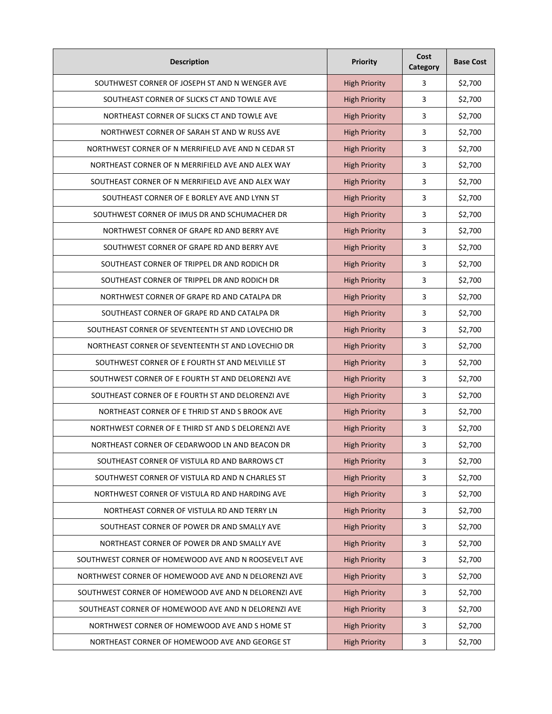| <b>Description</b>                                   | <b>Priority</b>      | Cost<br>Category        | <b>Base Cost</b> |
|------------------------------------------------------|----------------------|-------------------------|------------------|
| SOUTHWEST CORNER OF JOSEPH ST AND N WENGER AVE       | <b>High Priority</b> | 3                       | \$2,700          |
| SOUTHEAST CORNER OF SLICKS CT AND TOWLE AVE          | <b>High Priority</b> | 3                       | \$2,700          |
| NORTHEAST CORNER OF SLICKS CT AND TOWLE AVE          | <b>High Priority</b> | 3                       | \$2,700          |
| NORTHWEST CORNER OF SARAH ST AND W RUSS AVE          | <b>High Priority</b> | 3                       | \$2,700          |
| NORTHWEST CORNER OF N MERRIFIELD AVE AND N CEDAR ST  | <b>High Priority</b> | 3                       | \$2,700          |
| NORTHEAST CORNER OF N MERRIFIELD AVE AND ALEX WAY    | <b>High Priority</b> | 3                       | \$2,700          |
| SOUTHEAST CORNER OF N MERRIFIELD AVE AND ALEX WAY    | <b>High Priority</b> | 3                       | \$2,700          |
| SOUTHEAST CORNER OF E BORLEY AVE AND LYNN ST         | <b>High Priority</b> | 3                       | \$2,700          |
| SOUTHWEST CORNER OF IMUS DR AND SCHUMACHER DR        | <b>High Priority</b> | 3                       | \$2,700          |
| NORTHWEST CORNER OF GRAPE RD AND BERRY AVE           | <b>High Priority</b> | 3                       | \$2,700          |
| SOUTHWEST CORNER OF GRAPE RD AND BERRY AVE           | <b>High Priority</b> | 3                       | \$2,700          |
| SOUTHEAST CORNER OF TRIPPEL DR AND RODICH DR         | <b>High Priority</b> | 3                       | \$2,700          |
| SOUTHEAST CORNER OF TRIPPEL DR AND RODICH DR         | <b>High Priority</b> | 3                       | \$2,700          |
| NORTHWEST CORNER OF GRAPE RD AND CATALPA DR          | <b>High Priority</b> | 3                       | \$2,700          |
| SOUTHEAST CORNER OF GRAPE RD AND CATALPA DR          | <b>High Priority</b> | 3                       | \$2,700          |
| SOUTHEAST CORNER OF SEVENTEENTH ST AND LOVECHIO DR   | <b>High Priority</b> | 3                       | \$2,700          |
| NORTHEAST CORNER OF SEVENTEENTH ST AND LOVECHIO DR   | <b>High Priority</b> | 3                       | \$2,700          |
| SOUTHWEST CORNER OF E FOURTH ST AND MELVILLE ST      | <b>High Priority</b> | 3                       | \$2,700          |
| SOUTHWEST CORNER OF E FOURTH ST AND DELORENZI AVE    | <b>High Priority</b> | 3                       | \$2,700          |
| SOUTHEAST CORNER OF E FOURTH ST AND DELORENZI AVE    | <b>High Priority</b> | 3                       | \$2,700          |
| NORTHEAST CORNER OF E THRID ST AND S BROOK AVE       | <b>High Priority</b> | 3                       | \$2,700          |
| NORTHWEST CORNER OF E THIRD ST AND S DELORENZI AVE   | <b>High Priority</b> | 3                       | \$2,700          |
| NORTHEAST CORNER OF CEDARWOOD LN AND BEACON DR       | <b>High Priority</b> | 3                       | \$2,700          |
| SOUTHEAST CORNER OF VISTULA RD AND BARROWS CT        | <b>High Priority</b> | 3                       | \$2,700          |
| SOUTHWEST CORNER OF VISTULA RD AND N CHARLES ST      | <b>High Priority</b> | $\overline{\mathbf{3}}$ | \$2,700          |
| NORTHWEST CORNER OF VISTULA RD AND HARDING AVE       | <b>High Priority</b> | 3                       | \$2,700          |
| NORTHEAST CORNER OF VISTULA RD AND TERRY LN          | <b>High Priority</b> | $\overline{3}$          | \$2,700          |
| SOUTHEAST CORNER OF POWER DR AND SMALLY AVE          | <b>High Priority</b> | $\overline{\mathbf{3}}$ | \$2,700          |
| NORTHEAST CORNER OF POWER DR AND SMALLY AVE          | <b>High Priority</b> | $\overline{\mathbf{3}}$ | \$2,700          |
| SOUTHWEST CORNER OF HOMEWOOD AVE AND N ROOSEVELT AVE | <b>High Priority</b> | 3                       | \$2,700          |
| NORTHWEST CORNER OF HOMEWOOD AVE AND N DELORENZI AVE | <b>High Priority</b> | 3                       | \$2,700          |
| SOUTHWEST CORNER OF HOMEWOOD AVE AND N DELORENZI AVE | <b>High Priority</b> | 3                       | \$2,700          |
| SOUTHEAST CORNER OF HOMEWOOD AVE AND N DELORENZI AVE | <b>High Priority</b> | 3                       | \$2,700          |
| NORTHWEST CORNER OF HOMEWOOD AVE AND SHOME ST        | <b>High Priority</b> | 3                       | \$2,700          |
| NORTHEAST CORNER OF HOMEWOOD AVE AND GEORGE ST       | <b>High Priority</b> | 3                       | \$2,700          |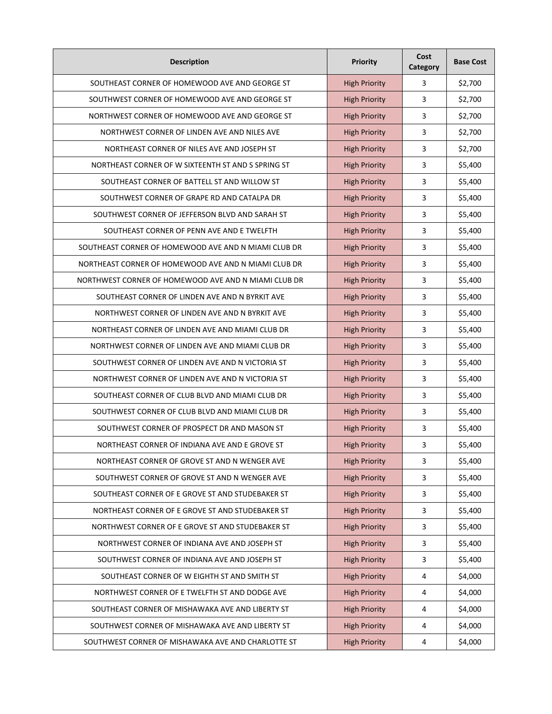| <b>Description</b>                                   | Priority             | Cost<br>Category | <b>Base Cost</b> |
|------------------------------------------------------|----------------------|------------------|------------------|
| SOUTHEAST CORNER OF HOMEWOOD AVE AND GEORGE ST       | <b>High Priority</b> | 3                | \$2,700          |
| SOUTHWEST CORNER OF HOMEWOOD AVE AND GEORGE ST       | <b>High Priority</b> | 3                | \$2,700          |
| NORTHWEST CORNER OF HOMEWOOD AVE AND GEORGE ST       | <b>High Priority</b> | 3                | \$2,700          |
| NORTHWEST CORNER OF LINDEN AVE AND NILES AVE         | <b>High Priority</b> | 3                | \$2,700          |
| NORTHEAST CORNER OF NILES AVE AND JOSEPH ST          | <b>High Priority</b> | 3                | \$2,700          |
| NORTHEAST CORNER OF W SIXTEENTH ST AND S SPRING ST   | <b>High Priority</b> | 3                | \$5,400          |
| SOUTHEAST CORNER OF BATTELL ST AND WILLOW ST         | <b>High Priority</b> | 3                | \$5,400          |
| SOUTHWEST CORNER OF GRAPE RD AND CATALPA DR          | <b>High Priority</b> | 3                | \$5,400          |
| SOUTHWEST CORNER OF JEFFERSON BLVD AND SARAH ST      | <b>High Priority</b> | 3                | \$5,400          |
| SOUTHEAST CORNER OF PENN AVE AND E TWELFTH           | <b>High Priority</b> | 3                | \$5,400          |
| SOUTHEAST CORNER OF HOMEWOOD AVE AND N MIAMI CLUB DR | <b>High Priority</b> | 3                | \$5,400          |
| NORTHEAST CORNER OF HOMEWOOD AVE AND N MIAMI CLUB DR | <b>High Priority</b> | 3                | \$5,400          |
| NORTHWEST CORNER OF HOMEWOOD AVE AND N MIAMI CLUB DR | <b>High Priority</b> | 3                | \$5,400          |
| SOUTHEAST CORNER OF LINDEN AVE AND N BYRKIT AVE      | <b>High Priority</b> | 3                | \$5,400          |
| NORTHWEST CORNER OF LINDEN AVE AND N BYRKIT AVE      | <b>High Priority</b> | 3                | \$5,400          |
| NORTHEAST CORNER OF LINDEN AVE AND MIAMI CLUB DR     | <b>High Priority</b> | 3                | \$5,400          |
| NORTHWEST CORNER OF LINDEN AVE AND MIAMI CLUB DR     | <b>High Priority</b> | 3                | \$5,400          |
| SOUTHWEST CORNER OF LINDEN AVE AND N VICTORIA ST     | <b>High Priority</b> | 3                | \$5,400          |
| NORTHWEST CORNER OF LINDEN AVE AND N VICTORIA ST     | <b>High Priority</b> | 3                | \$5,400          |
| SOUTHEAST CORNER OF CLUB BLVD AND MIAMI CLUB DR      | <b>High Priority</b> | 3                | \$5,400          |
| SOUTHWEST CORNER OF CLUB BLVD AND MIAMI CLUB DR      | <b>High Priority</b> | 3                | \$5,400          |
| SOUTHWEST CORNER OF PROSPECT DR AND MASON ST         | <b>High Priority</b> | 3                | \$5,400          |
| NORTHEAST CORNER OF INDIANA AVE AND E GROVE ST       | <b>High Priority</b> | 3                | \$5,400          |
| NORTHEAST CORNER OF GROVE ST AND N WENGER AVE        | <b>High Priority</b> | 3                | \$5,400          |
| SOUTHWEST CORNER OF GROVE ST AND N WENGER AVE        | <b>High Priority</b> | 3                | \$5,400          |
| SOUTHEAST CORNER OF E GROVE ST AND STUDEBAKER ST     | <b>High Priority</b> | 3                | \$5,400          |
| NORTHEAST CORNER OF E GROVE ST AND STUDEBAKER ST     | <b>High Priority</b> | 3                | \$5,400          |
| NORTHWEST CORNER OF E GROVE ST AND STUDEBAKER ST     | <b>High Priority</b> | 3                | \$5,400          |
| NORTHWEST CORNER OF INDIANA AVE AND JOSEPH ST        | <b>High Priority</b> | 3                | \$5,400          |
| SOUTHWEST CORNER OF INDIANA AVE AND JOSEPH ST        | <b>High Priority</b> | 3                | \$5,400          |
| SOUTHEAST CORNER OF W EIGHTH ST AND SMITH ST         | <b>High Priority</b> | 4                | \$4,000          |
| NORTHWEST CORNER OF E TWELFTH ST AND DODGE AVE       | <b>High Priority</b> | 4                | \$4,000          |
| SOUTHEAST CORNER OF MISHAWAKA AVE AND LIBERTY ST     | <b>High Priority</b> | 4                | \$4,000          |
| SOUTHWEST CORNER OF MISHAWAKA AVE AND LIBERTY ST     | <b>High Priority</b> | 4                | \$4,000          |
| SOUTHWEST CORNER OF MISHAWAKA AVE AND CHARLOTTE ST   | <b>High Priority</b> | 4                | \$4,000          |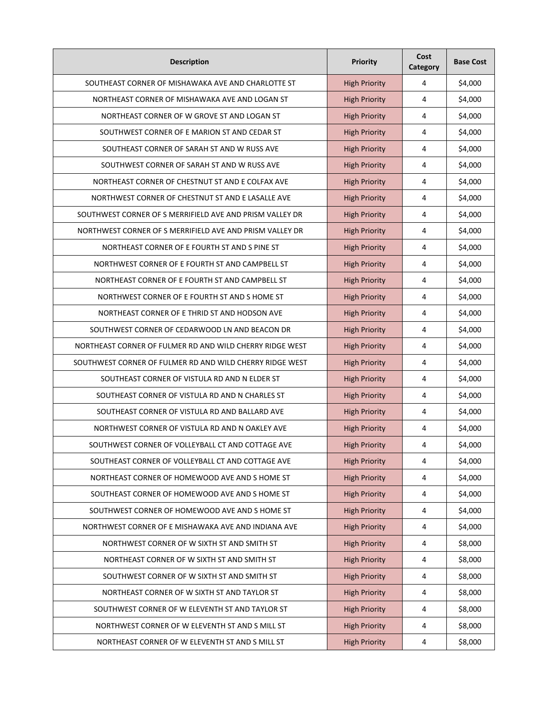| <b>Description</b>                                       | <b>Priority</b>      | Cost<br>Category | <b>Base Cost</b> |
|----------------------------------------------------------|----------------------|------------------|------------------|
| SOUTHEAST CORNER OF MISHAWAKA AVE AND CHARLOTTE ST       | <b>High Priority</b> | 4                | \$4,000          |
| NORTHEAST CORNER OF MISHAWAKA AVE AND LOGAN ST           | <b>High Priority</b> | 4                | \$4,000          |
| NORTHEAST CORNER OF W GROVE ST AND LOGAN ST              | <b>High Priority</b> | 4                | \$4,000          |
| SOUTHWEST CORNER OF E MARION ST AND CEDAR ST             | <b>High Priority</b> | 4                | \$4,000          |
| SOUTHEAST CORNER OF SARAH ST AND W RUSS AVE              | <b>High Priority</b> | 4                | \$4,000          |
| SOUTHWEST CORNER OF SARAH ST AND W RUSS AVE              | <b>High Priority</b> | 4                | \$4,000          |
| NORTHEAST CORNER OF CHESTNUT ST AND E COLFAX AVE         | <b>High Priority</b> | 4                | \$4,000          |
| NORTHWEST CORNER OF CHESTNUT ST AND E LASALLE AVE        | <b>High Priority</b> | 4                | \$4,000          |
| SOUTHWEST CORNER OF S MERRIFIELD AVE AND PRISM VALLEY DR | <b>High Priority</b> | 4                | \$4,000          |
| NORTHWEST CORNER OF S MERRIFIELD AVE AND PRISM VALLEY DR | <b>High Priority</b> | 4                | \$4,000          |
| NORTHEAST CORNER OF E FOURTH ST AND S PINE ST            | <b>High Priority</b> | 4                | \$4,000          |
| NORTHWEST CORNER OF E FOURTH ST AND CAMPBELL ST          | <b>High Priority</b> | 4                | \$4,000          |
| NORTHEAST CORNER OF E FOURTH ST AND CAMPBELL ST          | <b>High Priority</b> | 4                | \$4,000          |
| NORTHWEST CORNER OF E FOURTH ST AND S HOME ST            | <b>High Priority</b> | 4                | \$4,000          |
| NORTHEAST CORNER OF E THRID ST AND HODSON AVE            | <b>High Priority</b> | 4                | \$4,000          |
| SOUTHWEST CORNER OF CEDARWOOD LN AND BEACON DR           | <b>High Priority</b> | 4                | \$4,000          |
| NORTHEAST CORNER OF FULMER RD AND WILD CHERRY RIDGE WEST | <b>High Priority</b> | 4                | \$4,000          |
| SOUTHWEST CORNER OF FULMER RD AND WILD CHERRY RIDGE WEST | <b>High Priority</b> | 4                | \$4,000          |
| SOUTHEAST CORNER OF VISTULA RD AND N ELDER ST            | <b>High Priority</b> | 4                | \$4,000          |
| SOUTHEAST CORNER OF VISTULA RD AND N CHARLES ST          | <b>High Priority</b> | 4                | \$4,000          |
| SOUTHEAST CORNER OF VISTULA RD AND BALLARD AVE           | <b>High Priority</b> | 4                | \$4,000          |
| NORTHWEST CORNER OF VISTULA RD AND N OAKLEY AVE          | <b>High Priority</b> | 4                | \$4,000          |
| SOUTHWEST CORNER OF VOLLEYBALL CT AND COTTAGE AVE        | <b>High Priority</b> | 4                | \$4,000          |
| SOUTHEAST CORNER OF VOLLEYBALL CT AND COTTAGE AVE        | <b>High Priority</b> | 4                | \$4,000          |
| NORTHEAST CORNER OF HOMEWOOD AVE AND S HOME ST           | <b>High Priority</b> | 4                | \$4,000          |
| SOUTHEAST CORNER OF HOMEWOOD AVE AND SHOME ST            | <b>High Priority</b> | 4                | \$4,000          |
| SOUTHWEST CORNER OF HOMEWOOD AVE AND SHOME ST            | <b>High Priority</b> | 4                | \$4,000          |
| NORTHWEST CORNER OF E MISHAWAKA AVE AND INDIANA AVE      | <b>High Priority</b> | 4                | \$4,000          |
| NORTHWEST CORNER OF W SIXTH ST AND SMITH ST              | <b>High Priority</b> | 4                | \$8,000          |
| NORTHEAST CORNER OF W SIXTH ST AND SMITH ST              | <b>High Priority</b> | 4                | \$8,000          |
| SOUTHWEST CORNER OF W SIXTH ST AND SMITH ST              | <b>High Priority</b> | 4                | \$8,000          |
| NORTHEAST CORNER OF W SIXTH ST AND TAYLOR ST             | <b>High Priority</b> | 4                | \$8,000          |
| SOUTHWEST CORNER OF W ELEVENTH ST AND TAYLOR ST          | <b>High Priority</b> | 4                | \$8,000          |
| NORTHWEST CORNER OF W ELEVENTH ST AND S MILL ST          | <b>High Priority</b> | 4                | \$8,000          |
| NORTHEAST CORNER OF W ELEVENTH ST AND S MILL ST          | <b>High Priority</b> | 4                | \$8,000          |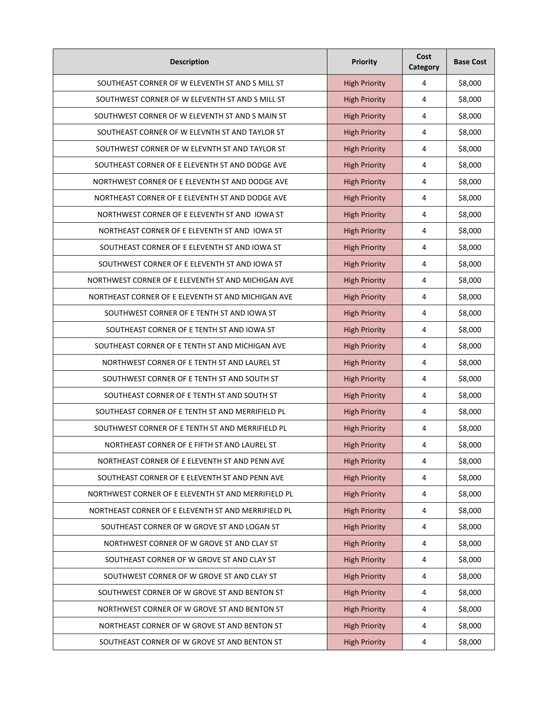| <b>Description</b>                                  | <b>Priority</b>      | Cost<br>Category | <b>Base Cost</b> |
|-----------------------------------------------------|----------------------|------------------|------------------|
| SOUTHEAST CORNER OF W ELEVENTH ST AND S MILL ST     | <b>High Priority</b> | 4                | \$8,000          |
| SOUTHWEST CORNER OF W ELEVENTH ST AND S MILL ST     | <b>High Priority</b> | 4                | \$8,000          |
| SOUTHWEST CORNER OF W ELEVENTH ST AND S MAIN ST     | <b>High Priority</b> | 4                | \$8,000          |
| SOUTHEAST CORNER OF W ELEVNTH ST AND TAYLOR ST      | <b>High Priority</b> | 4                | \$8,000          |
| SOUTHWEST CORNER OF W ELEVNTH ST AND TAYLOR ST      | <b>High Priority</b> | 4                | \$8,000          |
| SOUTHEAST CORNER OF E ELEVENTH ST AND DODGE AVE     | <b>High Priority</b> | 4                | \$8,000          |
| NORTHWEST CORNER OF E ELEVENTH ST AND DODGE AVE     | <b>High Priority</b> | 4                | \$8,000          |
| NORTHEAST CORNER OF E ELEVENTH ST AND DODGE AVE     | <b>High Priority</b> | 4                | \$8,000          |
| NORTHWEST CORNER OF E ELEVENTH ST AND IOWA ST       | <b>High Priority</b> | 4                | \$8,000          |
| NORTHEAST CORNER OF E ELEVENTH ST AND IOWA ST       | <b>High Priority</b> | 4                | \$8,000          |
| SOUTHEAST CORNER OF E ELEVENTH ST AND IOWA ST       | <b>High Priority</b> | 4                | \$8,000          |
| SOUTHWEST CORNER OF E ELEVENTH ST AND IOWA ST       | <b>High Priority</b> | 4                | \$8,000          |
| NORTHWEST CORNER OF E ELEVENTH ST AND MICHIGAN AVE  | <b>High Priority</b> | 4                | \$8,000          |
| NORTHEAST CORNER OF E ELEVENTH ST AND MICHIGAN AVE  | <b>High Priority</b> | 4                | \$8,000          |
| SOUTHWEST CORNER OF E TENTH ST AND IOWA ST          | <b>High Priority</b> | 4                | \$8,000          |
| SOUTHEAST CORNER OF E TENTH ST AND IOWA ST          | <b>High Priority</b> | 4                | \$8,000          |
| SOUTHEAST CORNER OF E TENTH ST AND MICHIGAN AVE     | <b>High Priority</b> | 4                | \$8,000          |
| NORTHWEST CORNER OF E TENTH ST AND LAUREL ST        | <b>High Priority</b> | 4                | \$8,000          |
| SOUTHWEST CORNER OF E TENTH ST AND SOUTH ST         | <b>High Priority</b> | 4                | \$8,000          |
| SOUTHEAST CORNER OF E TENTH ST AND SOUTH ST         | <b>High Priority</b> | 4                | \$8,000          |
| SOUTHEAST CORNER OF E TENTH ST AND MERRIFIELD PL    | <b>High Priority</b> | 4                | \$8,000          |
| SOUTHWEST CORNER OF E TENTH ST AND MERRIFIELD PL    | <b>High Priority</b> | 4                | \$8,000          |
| NORTHEAST CORNER OF E FIFTH ST AND LAUREL ST        | <b>High Priority</b> | 4                | \$8,000          |
| NORTHEAST CORNER OF E ELEVENTH ST AND PENN AVE      | <b>High Priority</b> | 4                | \$8,000          |
| SOUTHEAST CORNER OF E ELEVENTH ST AND PENN AVE      | <b>High Priority</b> | $\overline{4}$   | \$8,000          |
| NORTHWEST CORNER OF E ELEVENTH ST AND MERRIFIELD PL | <b>High Priority</b> | $\sqrt{4}$       | \$8,000          |
| NORTHEAST CORNER OF E ELEVENTH ST AND MERRIFIELD PL | <b>High Priority</b> | $\overline{4}$   | \$8,000          |
| SOUTHEAST CORNER OF W GROVE ST AND LOGAN ST         | <b>High Priority</b> | $\sqrt{4}$       | \$8,000          |
| NORTHWEST CORNER OF W GROVE ST AND CLAY ST          | <b>High Priority</b> | $\sqrt{4}$       | \$8,000          |
| SOUTHEAST CORNER OF W GROVE ST AND CLAY ST          | <b>High Priority</b> | $\overline{4}$   | \$8,000          |
| SOUTHWEST CORNER OF W GROVE ST AND CLAY ST          | <b>High Priority</b> | $\sqrt{4}$       | \$8,000          |
| SOUTHWEST CORNER OF W GROVE ST AND BENTON ST        | <b>High Priority</b> | $\overline{4}$   | \$8,000          |
| NORTHWEST CORNER OF W GROVE ST AND BENTON ST        | <b>High Priority</b> | $\overline{4}$   | \$8,000          |
| NORTHEAST CORNER OF W GROVE ST AND BENTON ST        | <b>High Priority</b> | $\sqrt{4}$       | \$8,000          |
| SOUTHEAST CORNER OF W GROVE ST AND BENTON ST        | <b>High Priority</b> | 4                | \$8,000          |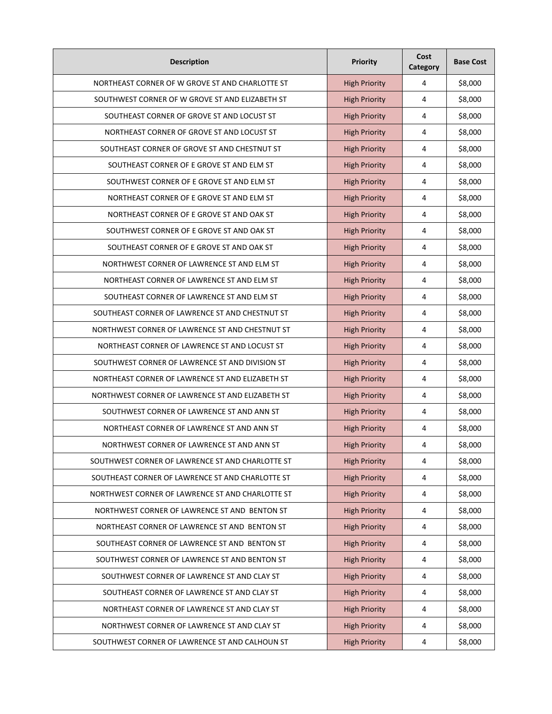| <b>Description</b>                               | <b>Priority</b>      | Cost<br>Category | <b>Base Cost</b> |
|--------------------------------------------------|----------------------|------------------|------------------|
| NORTHEAST CORNER OF W GROVE ST AND CHARLOTTE ST  | <b>High Priority</b> | 4                | \$8,000          |
| SOUTHWEST CORNER OF W GROVE ST AND ELIZABETH ST  | <b>High Priority</b> | 4                | \$8,000          |
| SOUTHEAST CORNER OF GROVE ST AND LOCUST ST       | <b>High Priority</b> | 4                | \$8,000          |
| NORTHEAST CORNER OF GROVE ST AND LOCUST ST       | <b>High Priority</b> | 4                | \$8,000          |
| SOUTHEAST CORNER OF GROVE ST AND CHESTNUT ST     | <b>High Priority</b> | 4                | \$8,000          |
| SOUTHEAST CORNER OF E GROVE ST AND ELM ST        | <b>High Priority</b> | 4                | \$8,000          |
| SOUTHWEST CORNER OF E GROVE ST AND ELM ST        | <b>High Priority</b> | 4                | \$8,000          |
| NORTHEAST CORNER OF E GROVE ST AND ELM ST        | <b>High Priority</b> | 4                | \$8,000          |
| NORTHEAST CORNER OF E GROVE ST AND OAK ST        | <b>High Priority</b> | 4                | \$8,000          |
| SOUTHWEST CORNER OF E GROVE ST AND OAK ST        | <b>High Priority</b> | 4                | \$8,000          |
| SOUTHEAST CORNER OF E GROVE ST AND OAK ST        | <b>High Priority</b> | 4                | \$8,000          |
| NORTHWEST CORNER OF LAWRENCE ST AND ELM ST       | <b>High Priority</b> | 4                | \$8,000          |
| NORTHEAST CORNER OF LAWRENCE ST AND ELM ST       | <b>High Priority</b> | 4                | \$8,000          |
| SOUTHEAST CORNER OF LAWRENCE ST AND ELM ST       | <b>High Priority</b> | 4                | \$8,000          |
| SOUTHEAST CORNER OF LAWRENCE ST AND CHESTNUT ST  | <b>High Priority</b> | 4                | \$8,000          |
| NORTHWEST CORNER OF LAWRENCE ST AND CHESTNUT ST  | <b>High Priority</b> | 4                | \$8,000          |
| NORTHEAST CORNER OF LAWRENCE ST AND LOCUST ST    | <b>High Priority</b> | 4                | \$8,000          |
| SOUTHWEST CORNER OF LAWRENCE ST AND DIVISION ST  | <b>High Priority</b> | 4                | \$8,000          |
| NORTHEAST CORNER OF LAWRENCE ST AND ELIZABETH ST | <b>High Priority</b> | 4                | \$8,000          |
| NORTHWEST CORNER OF LAWRENCE ST AND ELIZABETH ST | <b>High Priority</b> | 4                | \$8,000          |
| SOUTHWEST CORNER OF LAWRENCE ST AND ANN ST       | <b>High Priority</b> | 4                | \$8,000          |
| NORTHEAST CORNER OF LAWRENCE ST AND ANN ST       | <b>High Priority</b> | 4                | \$8,000          |
| NORTHWEST CORNER OF LAWRENCE ST AND ANN ST       | <b>High Priority</b> | 4                | \$8,000          |
| SOUTHWEST CORNER OF LAWRENCE ST AND CHARLOTTE ST | <b>High Priority</b> | 4                | \$8,000          |
| SOUTHEAST CORNER OF LAWRENCE ST AND CHARLOTTE ST | <b>High Priority</b> | $\overline{4}$   | \$8,000          |
| NORTHWEST CORNER OF LAWRENCE ST AND CHARLOTTE ST | <b>High Priority</b> | $\sqrt{4}$       | \$8,000          |
| NORTHWEST CORNER OF LAWRENCE ST AND BENTON ST    | <b>High Priority</b> | $\overline{4}$   | \$8,000          |
| NORTHEAST CORNER OF LAWRENCE ST AND BENTON ST    | <b>High Priority</b> | $\sqrt{4}$       | \$8,000          |
| SOUTHEAST CORNER OF LAWRENCE ST AND BENTON ST    | <b>High Priority</b> | $\sqrt{4}$       | \$8,000          |
| SOUTHWEST CORNER OF LAWRENCE ST AND BENTON ST    | <b>High Priority</b> | $\overline{4}$   | \$8,000          |
| SOUTHWEST CORNER OF LAWRENCE ST AND CLAY ST      | <b>High Priority</b> | $\sqrt{4}$       | \$8,000          |
| SOUTHEAST CORNER OF LAWRENCE ST AND CLAY ST      | <b>High Priority</b> | $\overline{4}$   | \$8,000          |
| NORTHEAST CORNER OF LAWRENCE ST AND CLAY ST      | <b>High Priority</b> | $\overline{4}$   | \$8,000          |
| NORTHWEST CORNER OF LAWRENCE ST AND CLAY ST      | <b>High Priority</b> | $\sqrt{4}$       | \$8,000          |
| SOUTHWEST CORNER OF LAWRENCE ST AND CALHOUN ST   | <b>High Priority</b> | $\overline{a}$   | \$8,000          |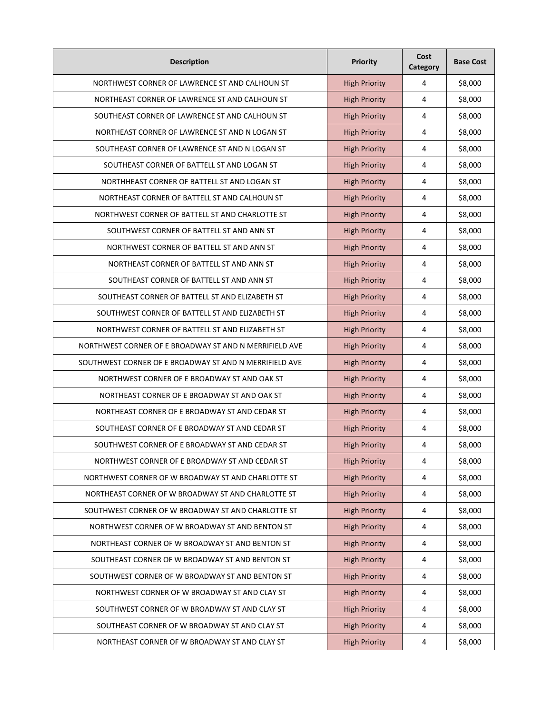| <b>Description</b>                                     | <b>Priority</b>      | Cost<br>Category | <b>Base Cost</b> |
|--------------------------------------------------------|----------------------|------------------|------------------|
| NORTHWEST CORNER OF LAWRENCE ST AND CALHOUN ST         | <b>High Priority</b> | 4                | \$8,000          |
| NORTHEAST CORNER OF LAWRENCE ST AND CALHOUN ST         | <b>High Priority</b> | 4                | \$8,000          |
| SOUTHEAST CORNER OF LAWRENCE ST AND CALHOUN ST         | <b>High Priority</b> | 4                | \$8,000          |
| NORTHEAST CORNER OF LAWRENCE ST AND N LOGAN ST         | <b>High Priority</b> | 4                | \$8,000          |
| SOUTHEAST CORNER OF LAWRENCE ST AND N LOGAN ST         | <b>High Priority</b> | 4                | \$8,000          |
| SOUTHEAST CORNER OF BATTELL ST AND LOGAN ST            | <b>High Priority</b> | 4                | \$8,000          |
| NORTHHEAST CORNER OF BATTELL ST AND LOGAN ST           | <b>High Priority</b> | 4                | \$8,000          |
| NORTHEAST CORNER OF BATTELL ST AND CALHOUN ST          | <b>High Priority</b> | 4                | \$8,000          |
| NORTHWEST CORNER OF BATTELL ST AND CHARLOTTE ST        | <b>High Priority</b> | 4                | \$8,000          |
| SOUTHWEST CORNER OF BATTELL ST AND ANN ST              | <b>High Priority</b> | 4                | \$8,000          |
| NORTHWEST CORNER OF BATTELL ST AND ANN ST              | <b>High Priority</b> | 4                | \$8,000          |
| NORTHEAST CORNER OF BATTELL ST AND ANN ST              | <b>High Priority</b> | 4                | \$8,000          |
| SOUTHEAST CORNER OF BATTELL ST AND ANN ST              | <b>High Priority</b> | 4                | \$8,000          |
| SOUTHEAST CORNER OF BATTELL ST AND ELIZABETH ST        | <b>High Priority</b> | 4                | \$8,000          |
| SOUTHWEST CORNER OF BATTELL ST AND ELIZABETH ST        | <b>High Priority</b> | 4                | \$8,000          |
| NORTHWEST CORNER OF BATTELL ST AND ELIZABETH ST        | <b>High Priority</b> | 4                | \$8,000          |
| NORTHWEST CORNER OF E BROADWAY ST AND N MERRIFIELD AVE | <b>High Priority</b> | 4                | \$8,000          |
| SOUTHWEST CORNER OF E BROADWAY ST AND N MERRIFIELD AVE | <b>High Priority</b> | 4                | \$8,000          |
| NORTHWEST CORNER OF E BROADWAY ST AND OAK ST           | <b>High Priority</b> | 4                | \$8,000          |
| NORTHEAST CORNER OF E BROADWAY ST AND OAK ST           | <b>High Priority</b> | 4                | \$8,000          |
| NORTHEAST CORNER OF E BROADWAY ST AND CEDAR ST         | <b>High Priority</b> | 4                | \$8,000          |
| SOUTHEAST CORNER OF E BROADWAY ST AND CEDAR ST         | <b>High Priority</b> | 4                | \$8,000          |
| SOUTHWEST CORNER OF E BROADWAY ST AND CEDAR ST         | <b>High Priority</b> | 4                | \$8,000          |
| NORTHWEST CORNER OF E BROADWAY ST AND CEDAR ST         | <b>High Priority</b> | 4                | \$8,000          |
| NORTHWEST CORNER OF W BROADWAY ST AND CHARLOTTE ST     | <b>High Priority</b> | 4                | \$8,000          |
| NORTHEAST CORNER OF W BROADWAY ST AND CHARLOTTE ST     | <b>High Priority</b> | 4                | \$8,000          |
| SOUTHWEST CORNER OF W BROADWAY ST AND CHARLOTTE ST     | <b>High Priority</b> | 4                | \$8,000          |
| NORTHWEST CORNER OF W BROADWAY ST AND BENTON ST        | <b>High Priority</b> | 4                | \$8,000          |
| NORTHEAST CORNER OF W BROADWAY ST AND BENTON ST        | <b>High Priority</b> | 4                | \$8,000          |
| SOUTHEAST CORNER OF W BROADWAY ST AND BENTON ST        | <b>High Priority</b> | 4                | \$8,000          |
| SOUTHWEST CORNER OF W BROADWAY ST AND BENTON ST        | <b>High Priority</b> | 4                | \$8,000          |
| NORTHWEST CORNER OF W BROADWAY ST AND CLAY ST          | <b>High Priority</b> | 4                | \$8,000          |
| SOUTHWEST CORNER OF W BROADWAY ST AND CLAY ST          | <b>High Priority</b> | 4                | \$8,000          |
| SOUTHEAST CORNER OF W BROADWAY ST AND CLAY ST          | <b>High Priority</b> | 4                | \$8,000          |
| NORTHEAST CORNER OF W BROADWAY ST AND CLAY ST          | <b>High Priority</b> | 4                | \$8,000          |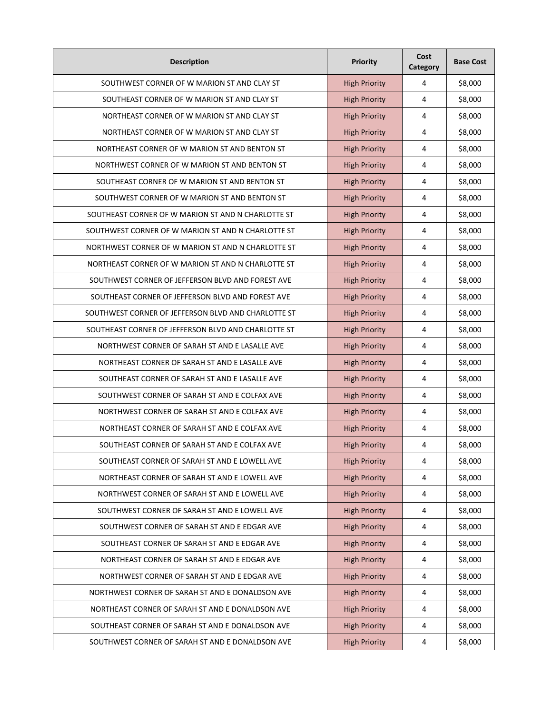| <b>Description</b>                                  | <b>Priority</b>      | Cost<br><b>Category</b> | <b>Base Cost</b> |
|-----------------------------------------------------|----------------------|-------------------------|------------------|
| SOUTHWEST CORNER OF W MARION ST AND CLAY ST         | <b>High Priority</b> | 4                       | \$8,000          |
| SOUTHEAST CORNER OF W MARION ST AND CLAY ST         | <b>High Priority</b> | 4                       | \$8,000          |
| NORTHEAST CORNER OF W MARION ST AND CLAY ST         | <b>High Priority</b> | 4                       | \$8,000          |
| NORTHEAST CORNER OF W MARION ST AND CLAY ST         | <b>High Priority</b> | 4                       | \$8,000          |
| NORTHEAST CORNER OF W MARION ST AND BENTON ST       | <b>High Priority</b> | 4                       | \$8,000          |
| NORTHWEST CORNER OF W MARION ST AND BENTON ST       | <b>High Priority</b> | 4                       | \$8,000          |
| SOUTHEAST CORNER OF W MARION ST AND BENTON ST       | <b>High Priority</b> | 4                       | \$8,000          |
| SOUTHWEST CORNER OF W MARION ST AND BENTON ST       | <b>High Priority</b> | 4                       | \$8,000          |
| SOUTHEAST CORNER OF W MARION ST AND N CHARLOTTE ST  | <b>High Priority</b> | 4                       | \$8,000          |
| SOUTHWEST CORNER OF W MARION ST AND N CHARLOTTE ST  | <b>High Priority</b> | 4                       | \$8,000          |
| NORTHWEST CORNER OF W MARION ST AND N CHARLOTTE ST  | <b>High Priority</b> | 4                       | \$8,000          |
| NORTHEAST CORNER OF W MARION ST AND N CHARLOTTE ST  | <b>High Priority</b> | 4                       | \$8,000          |
| SOUTHWEST CORNER OF JEFFERSON BLVD AND FOREST AVE   | <b>High Priority</b> | 4                       | \$8,000          |
| SOUTHEAST CORNER OF JEFFERSON BLVD AND FOREST AVE   | <b>High Priority</b> | 4                       | \$8,000          |
| SOUTHWEST CORNER OF JEFFERSON BLVD AND CHARLOTTE ST | <b>High Priority</b> | 4                       | \$8,000          |
| SOUTHEAST CORNER OF JEFFERSON BLVD AND CHARLOTTE ST | <b>High Priority</b> | 4                       | \$8,000          |
| NORTHWEST CORNER OF SARAH ST AND E LASALLE AVE      | <b>High Priority</b> | 4                       | \$8,000          |
| NORTHEAST CORNER OF SARAH ST AND E LASALLE AVE      | <b>High Priority</b> | 4                       | \$8,000          |
| SOUTHEAST CORNER OF SARAH ST AND E LASALLE AVE      | <b>High Priority</b> | 4                       | \$8,000          |
| SOUTHWEST CORNER OF SARAH ST AND E COLFAX AVE       | <b>High Priority</b> | 4                       | \$8,000          |
| NORTHWEST CORNER OF SARAH ST AND E COLFAX AVE       | <b>High Priority</b> | 4                       | \$8,000          |
| NORTHEAST CORNER OF SARAH ST AND E COLFAX AVE       | <b>High Priority</b> | 4                       | \$8,000          |
| SOUTHEAST CORNER OF SARAH ST AND E COLFAX AVE       | <b>High Priority</b> | 4                       | \$8,000          |
| SOUTHEAST CORNER OF SARAH ST AND E LOWELL AVE       | <b>High Priority</b> | 4                       | \$8,000          |
| NORTHEAST CORNER OF SARAH ST AND E LOWELL AVE       | <b>High Priority</b> | $\overline{4}$          | \$8,000          |
| NORTHWEST CORNER OF SARAH ST AND E LOWELL AVE       | <b>High Priority</b> | $\sqrt{4}$              | \$8,000          |
| SOUTHWEST CORNER OF SARAH ST AND E LOWELL AVE       | <b>High Priority</b> | $\sqrt{4}$              | \$8,000          |
| SOUTHWEST CORNER OF SARAH ST AND E EDGAR AVE        | <b>High Priority</b> | 4                       | \$8,000          |
| SOUTHEAST CORNER OF SARAH ST AND E EDGAR AVE        | <b>High Priority</b> | $\sqrt{4}$              | \$8,000          |
| NORTHEAST CORNER OF SARAH ST AND E EDGAR AVE        | <b>High Priority</b> | $\sqrt{4}$              | \$8,000          |
| NORTHWEST CORNER OF SARAH ST AND E EDGAR AVE        | <b>High Priority</b> | $\sqrt{4}$              | \$8,000          |
| NORTHWEST CORNER OF SARAH ST AND E DONALDSON AVE    | <b>High Priority</b> | 4                       | \$8,000          |
| NORTHEAST CORNER OF SARAH ST AND E DONALDSON AVE    | <b>High Priority</b> | $\overline{4}$          | \$8,000          |
| SOUTHEAST CORNER OF SARAH ST AND E DONALDSON AVE    | <b>High Priority</b> | 4                       | \$8,000          |
| SOUTHWEST CORNER OF SARAH ST AND E DONALDSON AVE    | <b>High Priority</b> | $\overline{a}$          | \$8,000          |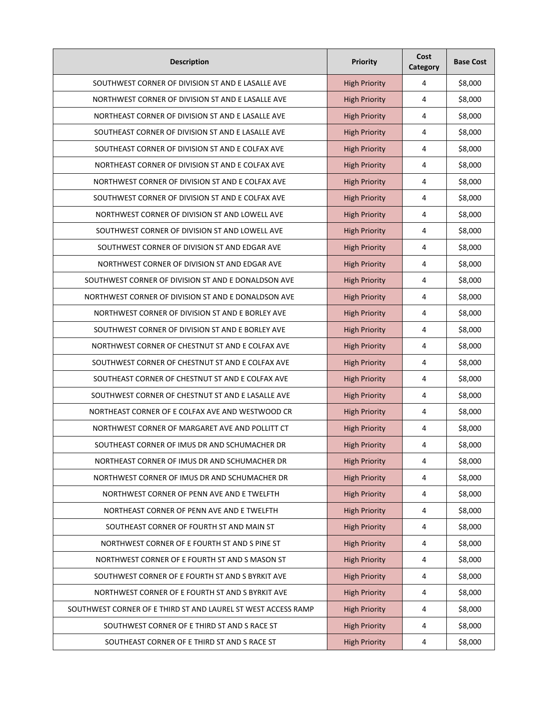| <b>Description</b>                                            | <b>Priority</b>      | Cost<br>Category | <b>Base Cost</b> |
|---------------------------------------------------------------|----------------------|------------------|------------------|
| SOUTHWEST CORNER OF DIVISION ST AND E LASALLE AVE             | <b>High Priority</b> | 4                | \$8,000          |
| NORTHWEST CORNER OF DIVISION ST AND E LASALLE AVE             | <b>High Priority</b> | 4                | \$8,000          |
| NORTHEAST CORNER OF DIVISION ST AND E LASALLE AVE             | <b>High Priority</b> | 4                | \$8,000          |
| SOUTHEAST CORNER OF DIVISION ST AND E LASALLE AVE             | <b>High Priority</b> | 4                | \$8,000          |
| SOUTHEAST CORNER OF DIVISION ST AND E COLFAX AVE              | <b>High Priority</b> | 4                | \$8,000          |
| NORTHEAST CORNER OF DIVISION ST AND E COLFAX AVE              | <b>High Priority</b> | 4                | \$8,000          |
| NORTHWEST CORNER OF DIVISION ST AND E COLFAX AVE              | <b>High Priority</b> | 4                | \$8,000          |
| SOUTHWEST CORNER OF DIVISION ST AND E COLFAX AVE              | <b>High Priority</b> | 4                | \$8,000          |
| NORTHWEST CORNER OF DIVISION ST AND LOWELL AVE                | <b>High Priority</b> | 4                | \$8,000          |
| SOUTHWEST CORNER OF DIVISION ST AND LOWELL AVE                | <b>High Priority</b> | 4                | \$8,000          |
| SOUTHWEST CORNER OF DIVISION ST AND EDGAR AVE                 | <b>High Priority</b> | 4                | \$8,000          |
| NORTHWEST CORNER OF DIVISION ST AND EDGAR AVE                 | <b>High Priority</b> | 4                | \$8,000          |
| SOUTHWEST CORNER OF DIVISION ST AND E DONALDSON AVE           | <b>High Priority</b> | 4                | \$8,000          |
| NORTHWEST CORNER OF DIVISION ST AND E DONALDSON AVE           | <b>High Priority</b> | 4                | \$8,000          |
| NORTHWEST CORNER OF DIVISION ST AND E BORLEY AVE              | <b>High Priority</b> | 4                | \$8,000          |
| SOUTHWEST CORNER OF DIVISION ST AND E BORLEY AVE              | <b>High Priority</b> | 4                | \$8,000          |
| NORTHWEST CORNER OF CHESTNUT ST AND E COLFAX AVE              | <b>High Priority</b> | 4                | \$8,000          |
| SOUTHWEST CORNER OF CHESTNUT ST AND E COLFAX AVE              | <b>High Priority</b> | 4                | \$8,000          |
| SOUTHEAST CORNER OF CHESTNUT ST AND E COLFAX AVE              | <b>High Priority</b> | 4                | \$8,000          |
| SOUTHWEST CORNER OF CHESTNUT ST AND E LASALLE AVE             | <b>High Priority</b> | 4                | \$8,000          |
| NORTHEAST CORNER OF E COLFAX AVE AND WESTWOOD CR              | <b>High Priority</b> | 4                | \$8,000          |
| NORTHWEST CORNER OF MARGARET AVE AND POLLITT CT               | <b>High Priority</b> | 4                | \$8,000          |
| SOUTHEAST CORNER OF IMUS DR AND SCHUMACHER DR                 | <b>High Priority</b> | 4                | \$8,000          |
| NORTHEAST CORNER OF IMUS DR AND SCHUMACHER DR                 | <b>High Priority</b> | 4                | \$8,000          |
| NORTHWEST CORNER OF IMUS DR AND SCHUMACHER DR                 | <b>High Priority</b> | $\overline{4}$   | \$8,000          |
| NORTHWEST CORNER OF PENN AVE AND E TWELFTH                    | <b>High Priority</b> | $\overline{4}$   | \$8,000          |
| NORTHEAST CORNER OF PENN AVE AND E TWELFTH                    | <b>High Priority</b> | $\overline{4}$   | \$8,000          |
| SOUTHEAST CORNER OF FOURTH ST AND MAIN ST                     | <b>High Priority</b> | $\overline{4}$   | \$8,000          |
| NORTHWEST CORNER OF E FOURTH ST AND S PINE ST                 | <b>High Priority</b> | $\sqrt{4}$       | \$8,000          |
| NORTHWEST CORNER OF E FOURTH ST AND S MASON ST                | <b>High Priority</b> | $\overline{4}$   | \$8,000          |
| SOUTHWEST CORNER OF E FOURTH ST AND S BYRKIT AVE              | <b>High Priority</b> | $\sqrt{4}$       | \$8,000          |
| NORTHWEST CORNER OF E FOURTH ST AND S BYRKIT AVE              | <b>High Priority</b> | $\overline{4}$   | \$8,000          |
| SOUTHWEST CORNER OF E THIRD ST AND LAUREL ST WEST ACCESS RAMP | <b>High Priority</b> | $\overline{4}$   | \$8,000          |
| SOUTHWEST CORNER OF E THIRD ST AND S RACE ST                  | <b>High Priority</b> | $\sqrt{4}$       | \$8,000          |
| SOUTHEAST CORNER OF E THIRD ST AND S RACE ST                  | <b>High Priority</b> | 4                | \$8,000          |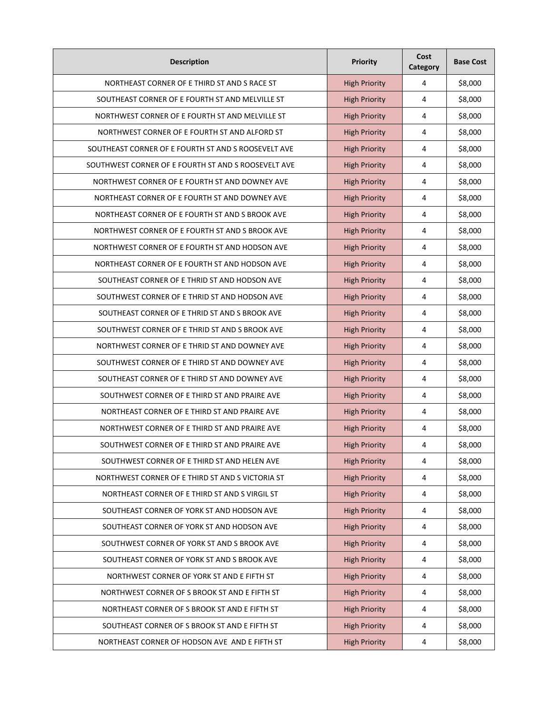| <b>Description</b>                                  | <b>Priority</b>      | Cost<br>Category | <b>Base Cost</b> |
|-----------------------------------------------------|----------------------|------------------|------------------|
| NORTHEAST CORNER OF E THIRD ST AND S RACE ST        | <b>High Priority</b> | 4                | \$8,000          |
| SOUTHEAST CORNER OF E FOURTH ST AND MELVILLE ST     | <b>High Priority</b> | 4                | \$8,000          |
| NORTHWEST CORNER OF E FOURTH ST AND MELVILLE ST     | <b>High Priority</b> | 4                | \$8,000          |
| NORTHWEST CORNER OF E FOURTH ST AND ALFORD ST       | <b>High Priority</b> | 4                | \$8,000          |
| SOUTHEAST CORNER OF E FOURTH ST AND S ROOSEVELT AVE | <b>High Priority</b> | 4                | \$8,000          |
| SOUTHWEST CORNER OF E FOURTH ST AND S ROOSEVELT AVE | <b>High Priority</b> | 4                | \$8,000          |
| NORTHWEST CORNER OF E FOURTH ST AND DOWNEY AVE      | <b>High Priority</b> | 4                | \$8,000          |
| NORTHEAST CORNER OF E FOURTH ST AND DOWNEY AVE      | <b>High Priority</b> | 4                | \$8,000          |
| NORTHEAST CORNER OF E FOURTH ST AND S BROOK AVE     | <b>High Priority</b> | 4                | \$8,000          |
| NORTHWEST CORNER OF E FOURTH ST AND S BROOK AVE     | <b>High Priority</b> | 4                | \$8,000          |
| NORTHWEST CORNER OF E FOURTH ST AND HODSON AVE      | <b>High Priority</b> | 4                | \$8,000          |
| NORTHEAST CORNER OF E FOURTH ST AND HODSON AVE      | <b>High Priority</b> | 4                | \$8,000          |
| SOUTHEAST CORNER OF E THRID ST AND HODSON AVE       | <b>High Priority</b> | 4                | \$8,000          |
| SOUTHWEST CORNER OF E THRID ST AND HODSON AVE       | <b>High Priority</b> | 4                | \$8,000          |
| SOUTHEAST CORNER OF E THRID ST AND S BROOK AVE      | <b>High Priority</b> | 4                | \$8,000          |
| SOUTHWEST CORNER OF E THRID ST AND S BROOK AVE      | <b>High Priority</b> | 4                | \$8,000          |
| NORTHWEST CORNER OF E THRID ST AND DOWNEY AVE       | <b>High Priority</b> | 4                | \$8,000          |
| SOUTHWEST CORNER OF E THIRD ST AND DOWNEY AVE       | <b>High Priority</b> | 4                | \$8,000          |
| SOUTHEAST CORNER OF E THIRD ST AND DOWNEY AVE       | <b>High Priority</b> | 4                | \$8,000          |
| SOUTHWEST CORNER OF E THIRD ST AND PRAIRE AVE       | <b>High Priority</b> | 4                | \$8,000          |
| NORTHEAST CORNER OF E THIRD ST AND PRAIRE AVE       | <b>High Priority</b> | 4                | \$8,000          |
| NORTHWEST CORNER OF E THIRD ST AND PRAIRE AVE       | <b>High Priority</b> | 4                | \$8,000          |
| SOUTHWEST CORNER OF E THIRD ST AND PRAIRE AVE       | <b>High Priority</b> | 4                | \$8,000          |
| SOUTHWEST CORNER OF E THIRD ST AND HELEN AVE        | <b>High Priority</b> | 4                | \$8,000          |
| NORTHWEST CORNER OF E THIRD ST AND S VICTORIA ST    | <b>High Priority</b> | $\overline{4}$   | \$8,000          |
| NORTHEAST CORNER OF E THIRD ST AND S VIRGIL ST      | <b>High Priority</b> | $\sqrt{4}$       | \$8,000          |
| SOUTHEAST CORNER OF YORK ST AND HODSON AVE          | <b>High Priority</b> | $\overline{4}$   | \$8,000          |
| SOUTHEAST CORNER OF YORK ST AND HODSON AVE          | <b>High Priority</b> | 4                | \$8,000          |
| SOUTHWEST CORNER OF YORK ST AND S BROOK AVE         | <b>High Priority</b> | $\sqrt{4}$       | \$8,000          |
| SOUTHEAST CORNER OF YORK ST AND S BROOK AVE         | <b>High Priority</b> | $\overline{4}$   | \$8,000          |
| NORTHWEST CORNER OF YORK ST AND E FIFTH ST          | <b>High Priority</b> | $\sqrt{4}$       | \$8,000          |
| NORTHWEST CORNER OF S BROOK ST AND E FIFTH ST       | <b>High Priority</b> | $\overline{4}$   | \$8,000          |
| NORTHEAST CORNER OF S BROOK ST AND E FIFTH ST       | <b>High Priority</b> | $\overline{4}$   | \$8,000          |
| SOUTHEAST CORNER OF S BROOK ST AND E FIFTH ST       | <b>High Priority</b> | $\sqrt{4}$       | \$8,000          |
| NORTHEAST CORNER OF HODSON AVE AND E FIFTH ST       | <b>High Priority</b> | 4                | \$8,000          |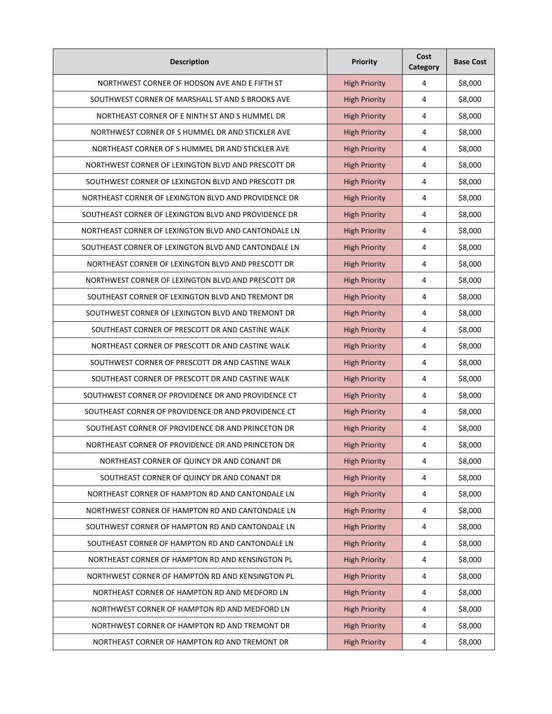| <b>Description</b>                                   | <b>Priority</b>      | Cost<br>Category | <b>Base Cost</b> |
|------------------------------------------------------|----------------------|------------------|------------------|
| NORTHWEST CORNER OF HODSON AVE AND E FIFTH ST        | <b>High Priority</b> | 4                | \$8,000          |
| SOUTHWEST CORNER OF MARSHALL ST AND S BROOKS AVE     | <b>High Priority</b> | 4                | \$8,000          |
| NORTHEAST CORNER OF E NINTH ST AND S HUMMEL DR       | <b>High Priority</b> | 4                | \$8,000          |
| NORTHWEST CORNER OF S HUMMEL DR AND STICKLER AVE     | <b>High Priority</b> | 4                | \$8,000          |
| NORTHEAST CORNER OF S HUMMEL DR AND STICKLER AVE     | <b>High Priority</b> | 4                | \$8,000          |
| NORTHWEST CORNER OF LEXINGTON BLVD AND PRESCOTT DR   | <b>High Priority</b> | 4                | \$8,000          |
| SOUTHWEST CORNER OF LEXINGTON BLVD AND PRESCOTT DR   | <b>High Priority</b> | 4                | \$8,000          |
| NORTHEAST CORNER OF LEXINGTON BLVD AND PROVIDENCE DR | <b>High Priority</b> | 4                | \$8,000          |
| SOUTHEAST CORNER OF LEXINGTON BLVD AND PROVIDENCE DR | <b>High Priority</b> | 4                | \$8,000          |
| NORTHEAST CORNER OF LEXINGTON BLVD AND CANTONDALE LN | <b>High Priority</b> | 4                | \$8,000          |
| SOUTHEAST CORNER OF LEXINGTON BLVD AND CANTONDALE LN | <b>High Priority</b> | 4                | \$8,000          |
| NORTHEAST CORNER OF LEXINGTON BLVD AND PRESCOTT DR   | <b>High Priority</b> | 4                | \$8,000          |
| NORTHWEST CORNER OF LEXINGTON BLVD AND PRESCOTT DR   | <b>High Priority</b> | 4                | \$8,000          |
| SOUTHEAST CORNER OF LEXINGTON BLVD AND TREMONT DR    | <b>High Priority</b> | 4                | \$8,000          |
| SOUTHWEST CORNER OF LEXINGTON BLVD AND TREMONT DR    | <b>High Priority</b> | 4                | \$8,000          |
| SOUTHEAST CORNER OF PRESCOTT DR AND CASTINE WALK     | <b>High Priority</b> | 4                | \$8,000          |
| NORTHEAST CORNER OF PRESCOTT DR AND CASTINE WALK     | <b>High Priority</b> | 4                | \$8,000          |
| SOUTHWEST CORNER OF PRESCOTT DR AND CASTINE WALK     | <b>High Priority</b> | 4                | \$8,000          |
| SOUTHEAST CORNER OF PRESCOTT DR AND CASTINE WALK     | <b>High Priority</b> | 4                | \$8,000          |
| SOUTHWEST CORNER OF PROVIDENCE DR AND PROVIDENCE CT  | <b>High Priority</b> | 4                | \$8,000          |
| SOUTHEAST CORNER OF PROVIDENCE DR AND PROVIDENCE CT  | <b>High Priority</b> | 4                | \$8,000          |
| SOUTHEAST CORNER OF PROVIDENCE DR AND PRINCETON DR   | <b>High Priority</b> | 4                | \$8,000          |
| NORTHEAST CORNER OF PROVIDENCE DR AND PRINCETON DR   | <b>High Priority</b> | 4                | \$8,000          |
| NORTHEAST CORNER OF QUINCY DR AND CONANT DR          | <b>High Priority</b> | 4                | \$8,000          |
| SOUTHEAST CORNER OF QUINCY DR AND CONANT DR          | <b>High Priority</b> | 4                | \$8,000          |
| NORTHEAST CORNER OF HAMPTON RD AND CANTONDALE LN     | <b>High Priority</b> | 4                | \$8,000          |
| NORTHWEST CORNER OF HAMPTON RD AND CANTONDALE LN     | <b>High Priority</b> | 4                | \$8,000          |
| SOUTHWEST CORNER OF HAMPTON RD AND CANTONDALE LN     | <b>High Priority</b> | 4                | \$8,000          |
| SOUTHEAST CORNER OF HAMPTON RD AND CANTONDALE LN     | <b>High Priority</b> | 4                | \$8,000          |
| NORTHEAST CORNER OF HAMPTON RD AND KENSINGTON PL     | <b>High Priority</b> | 4                | \$8,000          |
| NORTHWEST CORNER OF HAMPTON RD AND KENSINGTON PL     | <b>High Priority</b> | 4                | \$8,000          |
| NORTHEAST CORNER OF HAMPTON RD AND MEDFORD LN        | <b>High Priority</b> | 4                | \$8,000          |
| NORTHWEST CORNER OF HAMPTON RD AND MEDFORD LN        | <b>High Priority</b> | 4                | \$8,000          |
| NORTHWEST CORNER OF HAMPTON RD AND TREMONT DR        | <b>High Priority</b> | 4                | \$8,000          |
| NORTHEAST CORNER OF HAMPTON RD AND TREMONT DR        | <b>High Priority</b> | 4                | \$8,000          |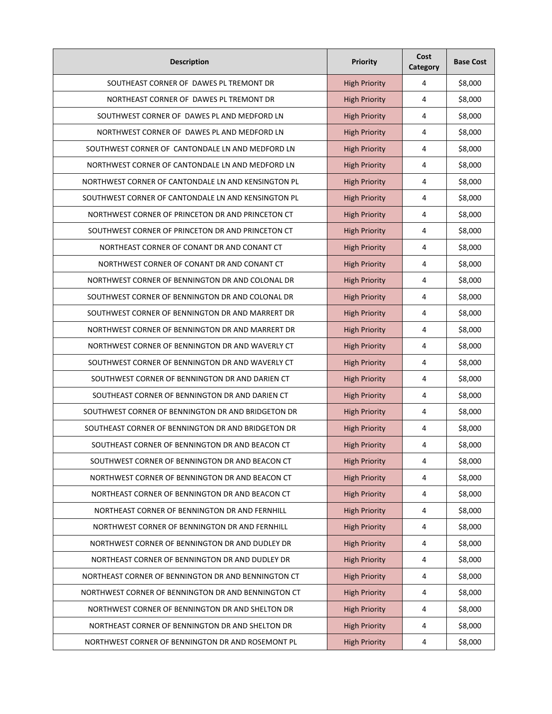| <b>Description</b>                                  | Priority             | Cost<br>Category | <b>Base Cost</b> |
|-----------------------------------------------------|----------------------|------------------|------------------|
| SOUTHEAST CORNER OF DAWES PL TREMONT DR             | <b>High Priority</b> | 4                | \$8,000          |
| NORTHEAST CORNER OF DAWES PL TREMONT DR             | <b>High Priority</b> | 4                | \$8,000          |
| SOUTHWEST CORNER OF DAWES PL AND MEDFORD LN         | <b>High Priority</b> | 4                | \$8,000          |
| NORTHWEST CORNER OF DAWES PL AND MEDFORD LN         | <b>High Priority</b> | 4                | \$8,000          |
| SOUTHWEST CORNER OF CANTONDALE LN AND MEDFORD LN    | <b>High Priority</b> | 4                | \$8,000          |
| NORTHWEST CORNER OF CANTONDALE LN AND MEDFORD LN    | <b>High Priority</b> | 4                | \$8,000          |
| NORTHWEST CORNER OF CANTONDALE LN AND KENSINGTON PL | <b>High Priority</b> | 4                | \$8,000          |
| SOUTHWEST CORNER OF CANTONDALE LN AND KENSINGTON PL | <b>High Priority</b> | 4                | \$8,000          |
| NORTHWEST CORNER OF PRINCETON DR AND PRINCETON CT   | <b>High Priority</b> | 4                | \$8,000          |
| SOUTHWEST CORNER OF PRINCETON DR AND PRINCETON CT   | <b>High Priority</b> | 4                | \$8,000          |
| NORTHEAST CORNER OF CONANT DR AND CONANT CT         | <b>High Priority</b> | 4                | \$8,000          |
| NORTHWEST CORNER OF CONANT DR AND CONANT CT         | <b>High Priority</b> | 4                | \$8,000          |
| NORTHWEST CORNER OF BENNINGTON DR AND COLONAL DR    | <b>High Priority</b> | 4                | \$8,000          |
| SOUTHWEST CORNER OF BENNINGTON DR AND COLONAL DR    | <b>High Priority</b> | 4                | \$8,000          |
| SOUTHWEST CORNER OF BENNINGTON DR AND MARRERT DR    | <b>High Priority</b> | 4                | \$8,000          |
| NORTHWEST CORNER OF BENNINGTON DR AND MARRERT DR    | <b>High Priority</b> | 4                | \$8,000          |
| NORTHWEST CORNER OF BENNINGTON DR AND WAVERLY CT    | <b>High Priority</b> | 4                | \$8,000          |
| SOUTHWEST CORNER OF BENNINGTON DR AND WAVERLY CT    | <b>High Priority</b> | 4                | \$8,000          |
| SOUTHWEST CORNER OF BENNINGTON DR AND DARIEN CT     | <b>High Priority</b> | 4                | \$8,000          |
| SOUTHEAST CORNER OF BENNINGTON DR AND DARIEN CT     | <b>High Priority</b> | 4                | \$8,000          |
| SOUTHWEST CORNER OF BENNINGTON DR AND BRIDGETON DR  | <b>High Priority</b> | 4                | \$8,000          |
| SOUTHEAST CORNER OF BENNINGTON DR AND BRIDGETON DR  | <b>High Priority</b> | 4                | \$8,000          |
| SOUTHEAST CORNER OF BENNINGTON DR AND BEACON CT     | <b>High Priority</b> | 4                | \$8,000          |
| SOUTHWEST CORNER OF BENNINGTON DR AND BEACON CT     | <b>High Priority</b> | $\overline{4}$   | \$8,000          |
| NORTHWEST CORNER OF BENNINGTON DR AND BEACON CT     | <b>High Priority</b> | $\sqrt{4}$       | \$8,000          |
| NORTHEAST CORNER OF BENNINGTON DR AND BEACON CT     | <b>High Priority</b> | 4                | \$8,000          |
| NORTHEAST CORNER OF BENNINGTON DR AND FERNHILL      | <b>High Priority</b> | $\overline{4}$   | \$8,000          |
| NORTHWEST CORNER OF BENNINGTON DR AND FERNHILL      | <b>High Priority</b> | $\overline{4}$   | \$8,000          |
| NORTHWEST CORNER OF BENNINGTON DR AND DUDLEY DR     | <b>High Priority</b> | $\sqrt{4}$       | \$8,000          |
| NORTHEAST CORNER OF BENNINGTON DR AND DUDLEY DR     | <b>High Priority</b> | 4                | \$8,000          |
| NORTHEAST CORNER OF BENNINGTON DR AND BENNINGTON CT | <b>High Priority</b> | $\sqrt{4}$       | \$8,000          |
| NORTHWEST CORNER OF BENNINGTON DR AND BENNINGTON CT | <b>High Priority</b> | 4                | \$8,000          |
| NORTHWEST CORNER OF BENNINGTON DR AND SHELTON DR    | <b>High Priority</b> | 4                | \$8,000          |
| NORTHEAST CORNER OF BENNINGTON DR AND SHELTON DR    | <b>High Priority</b> | $\overline{4}$   | \$8,000          |
| NORTHWEST CORNER OF BENNINGTON DR AND ROSEMONT PL   | <b>High Priority</b> | 4                | \$8,000          |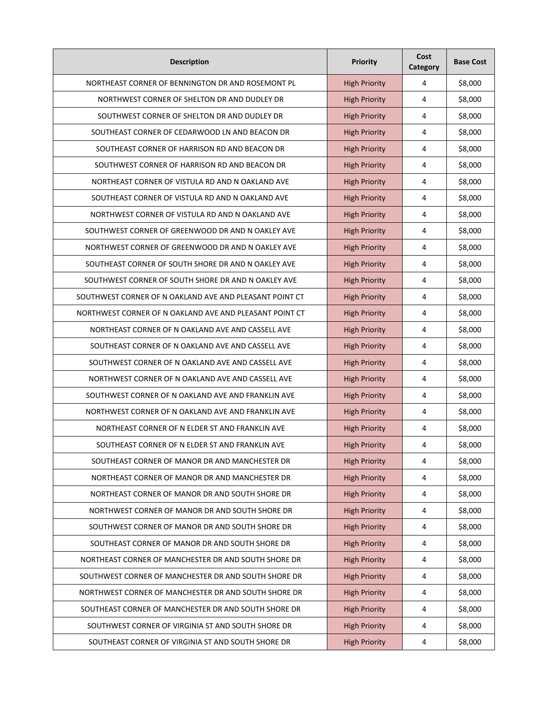| <b>Description</b>                                      | <b>Priority</b>      | Cost<br>Category | <b>Base Cost</b> |
|---------------------------------------------------------|----------------------|------------------|------------------|
| NORTHEAST CORNER OF BENNINGTON DR AND ROSEMONT PL       | <b>High Priority</b> | 4                | \$8,000          |
| NORTHWEST CORNER OF SHELTON DR AND DUDLEY DR            | <b>High Priority</b> | 4                | \$8,000          |
| SOUTHWEST CORNER OF SHELTON DR AND DUDLEY DR            | <b>High Priority</b> | 4                | \$8,000          |
| SOUTHEAST CORNER OF CEDARWOOD LN AND BEACON DR          | <b>High Priority</b> | 4                | \$8,000          |
| SOUTHEAST CORNER OF HARRISON RD AND BEACON DR           | <b>High Priority</b> | 4                | \$8,000          |
| SOUTHWEST CORNER OF HARRISON RD AND BEACON DR           | <b>High Priority</b> | 4                | \$8,000          |
| NORTHEAST CORNER OF VISTULA RD AND N OAKLAND AVE        | <b>High Priority</b> | 4                | \$8,000          |
| SOUTHEAST CORNER OF VISTULA RD AND N OAKLAND AVE        | <b>High Priority</b> | 4                | \$8,000          |
| NORTHWEST CORNER OF VISTULA RD AND N OAKLAND AVE        | <b>High Priority</b> | 4                | \$8,000          |
| SOUTHWEST CORNER OF GREENWOOD DR AND N OAKLEY AVE       | <b>High Priority</b> | 4                | \$8,000          |
| NORTHWEST CORNER OF GREENWOOD DR AND N OAKLEY AVE       | <b>High Priority</b> | 4                | \$8,000          |
| SOUTHEAST CORNER OF SOUTH SHORE DR AND N OAKLEY AVE     | <b>High Priority</b> | 4                | \$8,000          |
| SOUTHWEST CORNER OF SOUTH SHORE DR AND N OAKLEY AVE     | <b>High Priority</b> | 4                | \$8,000          |
| SOUTHWEST CORNER OF N OAKLAND AVE AND PLEASANT POINT CT | <b>High Priority</b> | 4                | \$8,000          |
| NORTHWEST CORNER OF N OAKLAND AVE AND PLEASANT POINT CT | <b>High Priority</b> | 4                | \$8,000          |
| NORTHEAST CORNER OF N OAKLAND AVE AND CASSELL AVE       | <b>High Priority</b> | 4                | \$8,000          |
| SOUTHEAST CORNER OF N OAKLAND AVE AND CASSELL AVE       | <b>High Priority</b> | 4                | \$8,000          |
| SOUTHWEST CORNER OF N OAKLAND AVE AND CASSELL AVE       | <b>High Priority</b> | 4                | \$8,000          |
| NORTHWEST CORNER OF N OAKLAND AVE AND CASSELL AVE       | <b>High Priority</b> | 4                | \$8,000          |
| SOUTHWEST CORNER OF N OAKLAND AVE AND FRANKLIN AVE      | <b>High Priority</b> | 4                | \$8,000          |
| NORTHWEST CORNER OF N OAKLAND AVE AND FRANKLIN AVE      | <b>High Priority</b> | 4                | \$8,000          |
| NORTHEAST CORNER OF N ELDER ST AND FRANKLIN AVE         | <b>High Priority</b> | 4                | \$8,000          |
| SOUTHEAST CORNER OF N ELDER ST AND FRANKLIN AVE         | <b>High Priority</b> | 4                | \$8,000          |
| SOUTHEAST CORNER OF MANOR DR AND MANCHESTER DR          | <b>High Priority</b> | 4                | \$8,000          |
| NORTHEAST CORNER OF MANOR DR AND MANCHESTER DR          | <b>High Priority</b> | $\overline{4}$   | \$8,000          |
| NORTHEAST CORNER OF MANOR DR AND SOUTH SHORE DR         | <b>High Priority</b> | $\sqrt{4}$       | \$8,000          |
| NORTHWEST CORNER OF MANOR DR AND SOUTH SHORE DR         | <b>High Priority</b> | $\sqrt{4}$       | \$8,000          |
| SOUTHWEST CORNER OF MANOR DR AND SOUTH SHORE DR         | <b>High Priority</b> | 4                | \$8,000          |
| SOUTHEAST CORNER OF MANOR DR AND SOUTH SHORE DR         | <b>High Priority</b> | $\sqrt{4}$       | \$8,000          |
| NORTHEAST CORNER OF MANCHESTER DR AND SOUTH SHORE DR    | <b>High Priority</b> | $\sqrt{4}$       | \$8,000          |
| SOUTHWEST CORNER OF MANCHESTER DR AND SOUTH SHORE DR    | <b>High Priority</b> | $\sqrt{4}$       | \$8,000          |
| NORTHWEST CORNER OF MANCHESTER DR AND SOUTH SHORE DR    | <b>High Priority</b> | $\overline{4}$   | \$8,000          |
| SOUTHEAST CORNER OF MANCHESTER DR AND SOUTH SHORE DR    | <b>High Priority</b> | $\overline{4}$   | \$8,000          |
| SOUTHWEST CORNER OF VIRGINIA ST AND SOUTH SHORE DR      | <b>High Priority</b> | $\sqrt{4}$       | \$8,000          |
| SOUTHEAST CORNER OF VIRGINIA ST AND SOUTH SHORE DR      | <b>High Priority</b> | 4                | \$8,000          |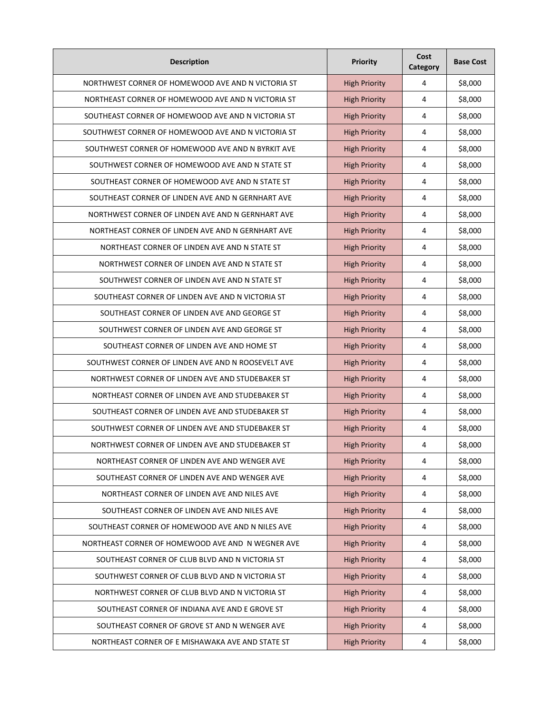| <b>Description</b>                                 | <b>Priority</b>      | Cost<br>Category | <b>Base Cost</b> |
|----------------------------------------------------|----------------------|------------------|------------------|
| NORTHWEST CORNER OF HOMEWOOD AVE AND N VICTORIA ST | <b>High Priority</b> | 4                | \$8,000          |
| NORTHEAST CORNER OF HOMEWOOD AVE AND N VICTORIA ST | <b>High Priority</b> | 4                | \$8,000          |
| SOUTHEAST CORNER OF HOMEWOOD AVE AND N VICTORIA ST | <b>High Priority</b> | 4                | \$8,000          |
| SOUTHWEST CORNER OF HOMEWOOD AVE AND N VICTORIA ST | <b>High Priority</b> | 4                | \$8,000          |
| SOUTHWEST CORNER OF HOMEWOOD AVE AND N BYRKIT AVE  | <b>High Priority</b> | 4                | \$8,000          |
| SOUTHWEST CORNER OF HOMEWOOD AVE AND N STATE ST    | <b>High Priority</b> | 4                | \$8,000          |
| SOUTHEAST CORNER OF HOMEWOOD AVE AND N STATE ST    | <b>High Priority</b> | 4                | \$8,000          |
| SOUTHEAST CORNER OF LINDEN AVE AND N GERNHART AVE  | <b>High Priority</b> | 4                | \$8,000          |
| NORTHWEST CORNER OF LINDEN AVE AND N GERNHART AVE  | <b>High Priority</b> | 4                | \$8,000          |
| NORTHEAST CORNER OF LINDEN AVE AND N GERNHART AVE  | <b>High Priority</b> | 4                | \$8,000          |
| NORTHEAST CORNER OF LINDEN AVE AND N STATE ST      | <b>High Priority</b> | 4                | \$8,000          |
| NORTHWEST CORNER OF LINDEN AVE AND N STATE ST      | <b>High Priority</b> | 4                | \$8,000          |
| SOUTHWEST CORNER OF LINDEN AVE AND N STATE ST      | <b>High Priority</b> | 4                | \$8,000          |
| SOUTHEAST CORNER OF LINDEN AVE AND N VICTORIA ST   | <b>High Priority</b> | 4                | \$8,000          |
| SOUTHEAST CORNER OF LINDEN AVE AND GEORGE ST       | <b>High Priority</b> | 4                | \$8,000          |
| SOUTHWEST CORNER OF LINDEN AVE AND GEORGE ST       | <b>High Priority</b> | 4                | \$8,000          |
| SOUTHEAST CORNER OF LINDEN AVE AND HOME ST         | <b>High Priority</b> | 4                | \$8,000          |
| SOUTHWEST CORNER OF LINDEN AVE AND N ROOSEVELT AVE | <b>High Priority</b> | 4                | \$8,000          |
| NORTHWEST CORNER OF LINDEN AVE AND STUDEBAKER ST   | <b>High Priority</b> | 4                | \$8,000          |
| NORTHEAST CORNER OF LINDEN AVE AND STUDEBAKER ST   | <b>High Priority</b> | 4                | \$8,000          |
| SOUTHEAST CORNER OF LINDEN AVE AND STUDEBAKER ST   | <b>High Priority</b> | 4                | \$8,000          |
| SOUTHWEST CORNER OF LINDEN AVE AND STUDEBAKER ST   | <b>High Priority</b> | 4                | \$8,000          |
| NORTHWEST CORNER OF LINDEN AVE AND STUDEBAKER ST   | <b>High Priority</b> | 4                | \$8,000          |
| NORTHEAST CORNER OF LINDEN AVE AND WENGER AVE      | <b>High Priority</b> | 4                | \$8,000          |
| SOUTHEAST CORNER OF LINDEN AVE AND WENGER AVE      | <b>High Priority</b> | $\overline{4}$   | \$8,000          |
| NORTHEAST CORNER OF LINDEN AVE AND NILES AVE       | <b>High Priority</b> | $\sqrt{4}$       | \$8,000          |
| SOUTHEAST CORNER OF LINDEN AVE AND NILES AVE       | <b>High Priority</b> | $\sqrt{4}$       | \$8,000          |
| SOUTHEAST CORNER OF HOMEWOOD AVE AND N NILES AVE   | <b>High Priority</b> | 4                | \$8,000          |
| NORTHEAST CORNER OF HOMEWOOD AVE AND N WEGNER AVE  | <b>High Priority</b> | $\sqrt{4}$       | \$8,000          |
| SOUTHEAST CORNER OF CLUB BLVD AND N VICTORIA ST    | <b>High Priority</b> | $\overline{4}$   | \$8,000          |
| SOUTHWEST CORNER OF CLUB BLVD AND N VICTORIA ST    | <b>High Priority</b> | $\sqrt{4}$       | \$8,000          |
| NORTHWEST CORNER OF CLUB BLVD AND N VICTORIA ST    | <b>High Priority</b> | $\overline{4}$   | \$8,000          |
| SOUTHEAST CORNER OF INDIANA AVE AND E GROVE ST     | <b>High Priority</b> | $\overline{4}$   | \$8,000          |
| SOUTHEAST CORNER OF GROVE ST AND N WENGER AVE      | <b>High Priority</b> | $\sqrt{4}$       | \$8,000          |
| NORTHEAST CORNER OF E MISHAWAKA AVE AND STATE ST   | <b>High Priority</b> | 4                | \$8,000          |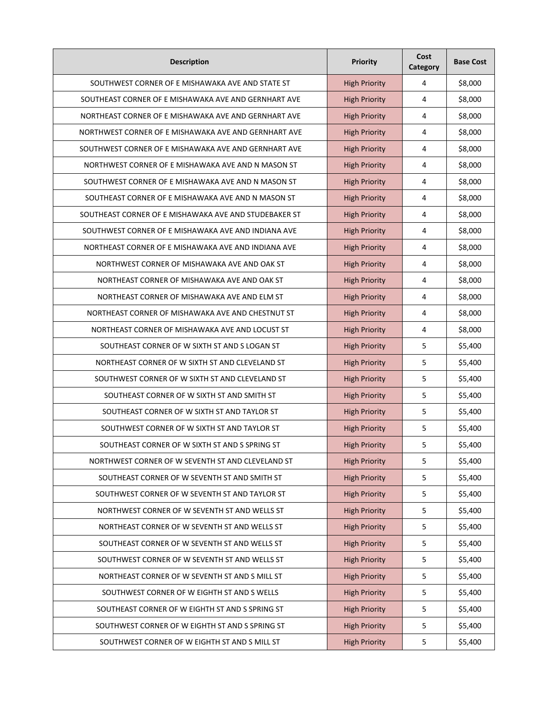| <b>Description</b>                                    | <b>Priority</b>      | Cost<br>Category | <b>Base Cost</b> |
|-------------------------------------------------------|----------------------|------------------|------------------|
| SOUTHWEST CORNER OF E MISHAWAKA AVE AND STATE ST      | <b>High Priority</b> | 4                | \$8,000          |
| SOUTHEAST CORNER OF E MISHAWAKA AVE AND GERNHART AVE  | <b>High Priority</b> | 4                | \$8,000          |
| NORTHEAST CORNER OF E MISHAWAKA AVE AND GERNHART AVE  | <b>High Priority</b> | 4                | \$8,000          |
| NORTHWEST CORNER OF E MISHAWAKA AVE AND GERNHART AVE  | <b>High Priority</b> | 4                | \$8,000          |
| SOUTHWEST CORNER OF E MISHAWAKA AVE AND GERNHART AVE  | <b>High Priority</b> | 4                | \$8,000          |
| NORTHWEST CORNER OF E MISHAWAKA AVE AND N MASON ST    | <b>High Priority</b> | 4                | \$8,000          |
| SOUTHWEST CORNER OF E MISHAWAKA AVE AND N MASON ST    | <b>High Priority</b> | 4                | \$8,000          |
| SOUTHEAST CORNER OF E MISHAWAKA AVE AND N MASON ST    | <b>High Priority</b> | 4                | \$8,000          |
| SOUTHEAST CORNER OF E MISHAWAKA AVE AND STUDEBAKER ST | <b>High Priority</b> | 4                | \$8,000          |
| SOUTHWEST CORNER OF E MISHAWAKA AVE AND INDIANA AVE   | <b>High Priority</b> | 4                | \$8,000          |
| NORTHEAST CORNER OF E MISHAWAKA AVE AND INDIANA AVE   | <b>High Priority</b> | 4                | \$8,000          |
| NORTHWEST CORNER OF MISHAWAKA AVE AND OAK ST          | <b>High Priority</b> | 4                | \$8,000          |
| NORTHEAST CORNER OF MISHAWAKA AVE AND OAK ST          | <b>High Priority</b> | 4                | \$8,000          |
| NORTHEAST CORNER OF MISHAWAKA AVE AND ELM ST          | <b>High Priority</b> | 4                | \$8,000          |
| NORTHEAST CORNER OF MISHAWAKA AVE AND CHESTNUT ST     | <b>High Priority</b> | 4                | \$8,000          |
| NORTHEAST CORNER OF MISHAWAKA AVE AND LOCUST ST       | <b>High Priority</b> | 4                | \$8,000          |
| SOUTHEAST CORNER OF W SIXTH ST AND S LOGAN ST         | <b>High Priority</b> | 5                | \$5,400          |
| NORTHEAST CORNER OF W SIXTH ST AND CLEVELAND ST       | <b>High Priority</b> | 5                | \$5,400          |
| SOUTHWEST CORNER OF W SIXTH ST AND CLEVELAND ST       | <b>High Priority</b> | 5                | \$5,400          |
| SOUTHEAST CORNER OF W SIXTH ST AND SMITH ST           | <b>High Priority</b> | 5                | \$5,400          |
| SOUTHEAST CORNER OF W SIXTH ST AND TAYLOR ST          | <b>High Priority</b> | 5                | \$5,400          |
| SOUTHWEST CORNER OF W SIXTH ST AND TAYLOR ST          | <b>High Priority</b> | 5                | \$5,400          |
| SOUTHEAST CORNER OF W SIXTH ST AND S SPRING ST        | <b>High Priority</b> | 5                | \$5,400          |
| NORTHWEST CORNER OF W SEVENTH ST AND CLEVELAND ST     | <b>High Priority</b> | 5                | \$5,400          |
| SOUTHEAST CORNER OF W SEVENTH ST AND SMITH ST         | <b>High Priority</b> | 5                | \$5,400          |
| SOUTHWEST CORNER OF W SEVENTH ST AND TAYLOR ST        | <b>High Priority</b> | 5                | \$5,400          |
| NORTHWEST CORNER OF W SEVENTH ST AND WELLS ST         | <b>High Priority</b> | 5                | \$5,400          |
| NORTHEAST CORNER OF W SEVENTH ST AND WELLS ST         | <b>High Priority</b> | 5                | \$5,400          |
| SOUTHEAST CORNER OF W SEVENTH ST AND WELLS ST         | <b>High Priority</b> | 5                | \$5,400          |
| SOUTHWEST CORNER OF W SEVENTH ST AND WELLS ST         | <b>High Priority</b> | 5                | \$5,400          |
| NORTHEAST CORNER OF W SEVENTH ST AND S MILL ST        | <b>High Priority</b> | 5                | \$5,400          |
| SOUTHWEST CORNER OF W EIGHTH ST AND S WELLS           | <b>High Priority</b> | 5                | \$5,400          |
| SOUTHEAST CORNER OF W EIGHTH ST AND S SPRING ST       | <b>High Priority</b> | 5                | \$5,400          |
| SOUTHWEST CORNER OF W EIGHTH ST AND S SPRING ST       | <b>High Priority</b> | 5                | \$5,400          |
| SOUTHWEST CORNER OF W EIGHTH ST AND S MILL ST         | <b>High Priority</b> | 5                | \$5,400          |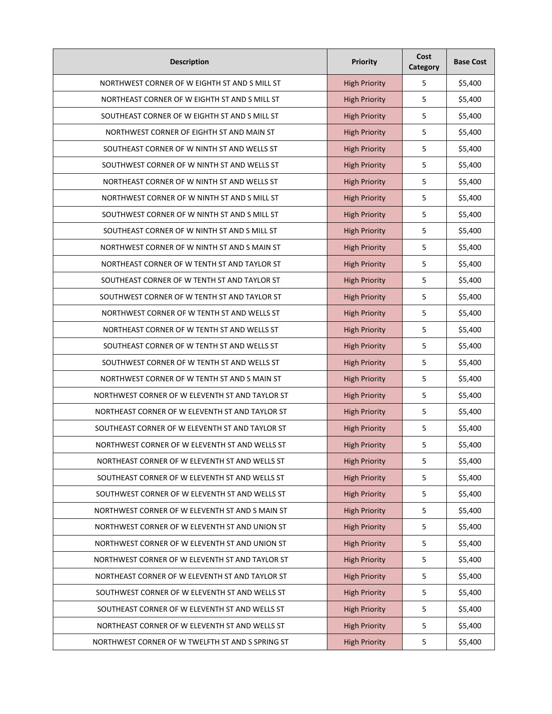| <b>Description</b>                               | Priority             | Cost<br>Category | <b>Base Cost</b> |
|--------------------------------------------------|----------------------|------------------|------------------|
| NORTHWEST CORNER OF W EIGHTH ST AND S MILL ST    | <b>High Priority</b> | 5                | \$5,400          |
| NORTHEAST CORNER OF W EIGHTH ST AND S MILL ST    | <b>High Priority</b> | 5                | \$5,400          |
| SOUTHEAST CORNER OF W EIGHTH ST AND S MILL ST    | <b>High Priority</b> | 5                | \$5,400          |
| NORTHWEST CORNER OF EIGHTH ST AND MAIN ST        | <b>High Priority</b> | 5                | \$5,400          |
| SOUTHEAST CORNER OF W NINTH ST AND WELLS ST      | <b>High Priority</b> | 5                | \$5,400          |
| SOUTHWEST CORNER OF W NINTH ST AND WELLS ST      | <b>High Priority</b> | 5                | \$5,400          |
| NORTHEAST CORNER OF W NINTH ST AND WELLS ST      | <b>High Priority</b> | 5                | \$5,400          |
| NORTHWEST CORNER OF W NINTH ST AND S MILL ST     | <b>High Priority</b> | 5                | \$5,400          |
| SOUTHWEST CORNER OF W NINTH ST AND S MILL ST     | <b>High Priority</b> | 5                | \$5,400          |
| SOUTHEAST CORNER OF W NINTH ST AND S MILL ST     | <b>High Priority</b> | 5                | \$5,400          |
| NORTHWEST CORNER OF W NINTH ST AND S MAIN ST     | <b>High Priority</b> | 5                | \$5,400          |
| NORTHEAST CORNER OF W TENTH ST AND TAYLOR ST     | <b>High Priority</b> | 5                | \$5,400          |
| SOUTHEAST CORNER OF W TENTH ST AND TAYLOR ST     | <b>High Priority</b> | 5                | \$5,400          |
| SOUTHWEST CORNER OF W TENTH ST AND TAYLOR ST     | <b>High Priority</b> | 5                | \$5,400          |
| NORTHWEST CORNER OF W TENTH ST AND WELLS ST      | <b>High Priority</b> | 5                | \$5,400          |
| NORTHEAST CORNER OF W TENTH ST AND WELLS ST      | <b>High Priority</b> | 5                | \$5,400          |
| SOUTHEAST CORNER OF W TENTH ST AND WELLS ST      | <b>High Priority</b> | 5                | \$5,400          |
| SOUTHWEST CORNER OF W TENTH ST AND WELLS ST      | <b>High Priority</b> | 5                | \$5,400          |
| NORTHWEST CORNER OF W TENTH ST AND S MAIN ST     | <b>High Priority</b> | 5                | \$5,400          |
| NORTHWEST CORNER OF W ELEVENTH ST AND TAYLOR ST  | <b>High Priority</b> | 5                | \$5,400          |
| NORTHEAST CORNER OF W ELEVENTH ST AND TAYLOR ST  | <b>High Priority</b> | 5                | \$5,400          |
| SOUTHEAST CORNER OF W ELEVENTH ST AND TAYLOR ST  | <b>High Priority</b> | 5                | \$5,400          |
| NORTHWEST CORNER OF W ELEVENTH ST AND WELLS ST   | <b>High Priority</b> | 5                | \$5,400          |
| NORTHEAST CORNER OF W ELEVENTH ST AND WELLS ST   | <b>High Priority</b> | 5                | \$5,400          |
| SOUTHEAST CORNER OF W ELEVENTH ST AND WELLS ST   | <b>High Priority</b> | 5                | \$5,400          |
| SOUTHWEST CORNER OF W ELEVENTH ST AND WELLS ST   | <b>High Priority</b> | 5                | \$5,400          |
| NORTHWEST CORNER OF W ELEVENTH ST AND S MAIN ST  | <b>High Priority</b> | 5                | \$5,400          |
| NORTHWEST CORNER OF W ELEVENTH ST AND UNION ST   | <b>High Priority</b> | 5                | \$5,400          |
| NORTHWEST CORNER OF W ELEVENTH ST AND UNION ST   | <b>High Priority</b> | 5                | \$5,400          |
| NORTHWEST CORNER OF W ELEVENTH ST AND TAYLOR ST  | <b>High Priority</b> | 5                | \$5,400          |
| NORTHEAST CORNER OF W ELEVENTH ST AND TAYLOR ST  | <b>High Priority</b> | 5                | \$5,400          |
| SOUTHWEST CORNER OF W ELEVENTH ST AND WELLS ST   | <b>High Priority</b> | 5                | \$5,400          |
| SOUTHEAST CORNER OF W ELEVENTH ST AND WELLS ST   | <b>High Priority</b> | 5                | \$5,400          |
| NORTHEAST CORNER OF W ELEVENTH ST AND WELLS ST   | <b>High Priority</b> | 5                | \$5,400          |
| NORTHWEST CORNER OF W TWELFTH ST AND S SPRING ST | <b>High Priority</b> | 5                | \$5,400          |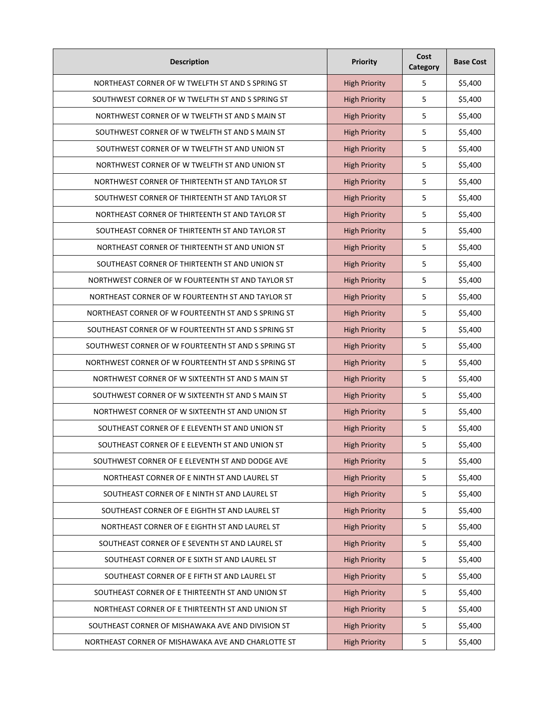| <b>Description</b>                                  | Priority             | Cost<br>Category | <b>Base Cost</b> |
|-----------------------------------------------------|----------------------|------------------|------------------|
| NORTHEAST CORNER OF W TWELFTH ST AND S SPRING ST    | <b>High Priority</b> | 5                | \$5,400          |
| SOUTHWEST CORNER OF W TWELFTH ST AND S SPRING ST    | <b>High Priority</b> | 5                | \$5,400          |
| NORTHWEST CORNER OF W TWELFTH ST AND S MAIN ST      | <b>High Priority</b> | 5                | \$5,400          |
| SOUTHWEST CORNER OF W TWELFTH ST AND S MAIN ST      | <b>High Priority</b> | 5                | \$5,400          |
| SOUTHWEST CORNER OF W TWELFTH ST AND UNION ST       | <b>High Priority</b> | 5                | \$5,400          |
| NORTHWEST CORNER OF W TWELFTH ST AND UNION ST       | <b>High Priority</b> | 5                | \$5,400          |
| NORTHWEST CORNER OF THIRTEENTH ST AND TAYLOR ST     | <b>High Priority</b> | 5                | \$5,400          |
| SOUTHWEST CORNER OF THIRTEENTH ST AND TAYLOR ST     | <b>High Priority</b> | 5                | \$5,400          |
| NORTHEAST CORNER OF THIRTEENTH ST AND TAYLOR ST     | <b>High Priority</b> | 5                | \$5,400          |
| SOUTHEAST CORNER OF THIRTEENTH ST AND TAYLOR ST     | <b>High Priority</b> | 5                | \$5,400          |
| NORTHEAST CORNER OF THIRTEENTH ST AND UNION ST      | <b>High Priority</b> | 5                | \$5,400          |
| SOUTHEAST CORNER OF THIRTEENTH ST AND UNION ST      | <b>High Priority</b> | 5                | \$5,400          |
| NORTHWEST CORNER OF W FOURTEENTH ST AND TAYLOR ST   | <b>High Priority</b> | 5                | \$5,400          |
| NORTHEAST CORNER OF W FOURTEENTH ST AND TAYLOR ST   | <b>High Priority</b> | 5                | \$5,400          |
| NORTHEAST CORNER OF W FOURTEENTH ST AND S SPRING ST | <b>High Priority</b> | 5                | \$5,400          |
| SOUTHEAST CORNER OF W FOURTEENTH ST AND S SPRING ST | <b>High Priority</b> | 5                | \$5,400          |
| SOUTHWEST CORNER OF W FOURTEENTH ST AND S SPRING ST | <b>High Priority</b> | 5                | \$5,400          |
| NORTHWEST CORNER OF W FOURTEENTH ST AND S SPRING ST | <b>High Priority</b> | 5                | \$5,400          |
| NORTHWEST CORNER OF W SIXTEENTH ST AND S MAIN ST    | <b>High Priority</b> | 5                | \$5,400          |
| SOUTHWEST CORNER OF W SIXTEENTH ST AND S MAIN ST    | <b>High Priority</b> | 5                | \$5,400          |
| NORTHWEST CORNER OF W SIXTEENTH ST AND UNION ST     | <b>High Priority</b> | 5                | \$5,400          |
| SOUTHEAST CORNER OF E ELEVENTH ST AND UNION ST      | <b>High Priority</b> | 5                | \$5,400          |
| SOUTHEAST CORNER OF E ELEVENTH ST AND UNION ST      | <b>High Priority</b> | 5                | \$5,400          |
| SOUTHWEST CORNER OF E ELEVENTH ST AND DODGE AVE     | <b>High Priority</b> | 5                | \$5,400          |
| NORTHEAST CORNER OF E NINTH ST AND LAUREL ST        | <b>High Priority</b> | 5                | \$5,400          |
| SOUTHEAST CORNER OF E NINTH ST AND LAUREL ST        | <b>High Priority</b> | 5                | \$5,400          |
| SOUTHEAST CORNER OF E EIGHTH ST AND LAUREL ST       | <b>High Priority</b> | 5                | \$5,400          |
| NORTHEAST CORNER OF E EIGHTH ST AND LAUREL ST       | <b>High Priority</b> | 5                | \$5,400          |
| SOUTHEAST CORNER OF E SEVENTH ST AND LAUREL ST      | <b>High Priority</b> | 5                | \$5,400          |
| SOUTHEAST CORNER OF E SIXTH ST AND LAUREL ST        | <b>High Priority</b> | 5                | \$5,400          |
| SOUTHEAST CORNER OF E FIFTH ST AND LAUREL ST        | <b>High Priority</b> | 5                | \$5,400          |
| SOUTHEAST CORNER OF E THIRTEENTH ST AND UNION ST    | <b>High Priority</b> | 5                | \$5,400          |
| NORTHEAST CORNER OF E THIRTEENTH ST AND UNION ST    | <b>High Priority</b> | 5                | \$5,400          |
| SOUTHEAST CORNER OF MISHAWAKA AVE AND DIVISION ST   | <b>High Priority</b> | 5                | \$5,400          |
| NORTHEAST CORNER OF MISHAWAKA AVE AND CHARLOTTE ST  | <b>High Priority</b> | 5                | \$5,400          |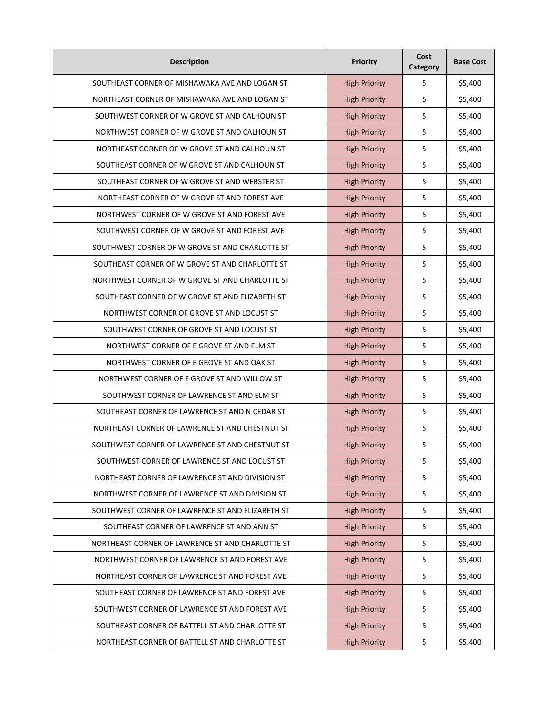| <b>Description</b>                               | Priority             | Cost<br>Category | <b>Base Cost</b> |
|--------------------------------------------------|----------------------|------------------|------------------|
| SOUTHEAST CORNER OF MISHAWAKA AVE AND LOGAN ST   | <b>High Priority</b> | 5                | \$5,400          |
| NORTHEAST CORNER OF MISHAWAKA AVE AND LOGAN ST   | <b>High Priority</b> | 5                | \$5,400          |
| SOUTHWEST CORNER OF W GROVE ST AND CALHOUN ST    | <b>High Priority</b> | 5                | \$5,400          |
| NORTHWEST CORNER OF W GROVE ST AND CALHOUN ST    | <b>High Priority</b> | 5                | \$5,400          |
| NORTHEAST CORNER OF W GROVE ST AND CALHOUN ST    | <b>High Priority</b> | 5                | \$5,400          |
| SOUTHEAST CORNER OF W GROVE ST AND CALHOUN ST    | <b>High Priority</b> | 5                | \$5,400          |
| SOUTHEAST CORNER OF W GROVE ST AND WEBSTER ST    | <b>High Priority</b> | 5                | \$5,400          |
| NORTHEAST CORNER OF W GROVE ST AND FOREST AVE    | <b>High Priority</b> | 5                | \$5,400          |
| NORTHWEST CORNER OF W GROVE ST AND FOREST AVE    | <b>High Priority</b> | 5                | \$5,400          |
| SOUTHWEST CORNER OF W GROVE ST AND FOREST AVE    | <b>High Priority</b> | 5                | \$5,400          |
| SOUTHWEST CORNER OF W GROVE ST AND CHARLOTTE ST  | <b>High Priority</b> | 5                | \$5,400          |
| SOUTHEAST CORNER OF W GROVE ST AND CHARLOTTE ST  | <b>High Priority</b> | 5                | \$5,400          |
| NORTHWEST CORNER OF W GROVE ST AND CHARLOTTE ST  | <b>High Priority</b> | 5                | \$5,400          |
| SOUTHEAST CORNER OF W GROVE ST AND ELIZABETH ST  | <b>High Priority</b> | 5                | \$5,400          |
| NORTHWEST CORNER OF GROVE ST AND LOCUST ST       | <b>High Priority</b> | 5                | \$5,400          |
| SOUTHWEST CORNER OF GROVE ST AND LOCUST ST       | <b>High Priority</b> | 5                | \$5,400          |
| NORTHWEST CORNER OF E GROVE ST AND ELM ST        | <b>High Priority</b> | 5                | \$5,400          |
| NORTHWEST CORNER OF E GROVE ST AND OAK ST        | <b>High Priority</b> | 5                | \$5,400          |
| NORTHWEST CORNER OF E GROVE ST AND WILLOW ST     | <b>High Priority</b> | 5                | \$5,400          |
| SOUTHWEST CORNER OF LAWRENCE ST AND ELM ST       | <b>High Priority</b> | 5                | \$5,400          |
| SOUTHEAST CORNER OF LAWRENCE ST AND N CEDAR ST   | <b>High Priority</b> | 5                | \$5,400          |
| NORTHEAST CORNER OF LAWRENCE ST AND CHESTNUT ST  | <b>High Priority</b> | 5                | \$5,400          |
| SOUTHWEST CORNER OF LAWRENCE ST AND CHESTNUT ST  | <b>High Priority</b> | 5                | \$5,400          |
| SOUTHWEST CORNER OF LAWRENCE ST AND LOCUST ST    | <b>High Priority</b> | 5                | \$5,400          |
| NORTHEAST CORNER OF LAWRENCE ST AND DIVISION ST  | <b>High Priority</b> | 5                | \$5,400          |
| NORTHWEST CORNER OF LAWRENCE ST AND DIVISION ST  | <b>High Priority</b> | 5                | \$5,400          |
| SOUTHWEST CORNER OF LAWRENCE ST AND ELIZABETH ST | <b>High Priority</b> | 5                | \$5,400          |
| SOUTHEAST CORNER OF LAWRENCE ST AND ANN ST       | <b>High Priority</b> | 5                | \$5,400          |
| NORTHEAST CORNER OF LAWRENCE ST AND CHARLOTTE ST | <b>High Priority</b> | 5                | \$5,400          |
| NORTHWEST CORNER OF LAWRENCE ST AND FOREST AVE   | <b>High Priority</b> | 5                | \$5,400          |
| NORTHEAST CORNER OF LAWRENCE ST AND FOREST AVE   | <b>High Priority</b> | 5                | \$5,400          |
| SOUTHEAST CORNER OF LAWRENCE ST AND FOREST AVE   | <b>High Priority</b> | 5                | \$5,400          |
| SOUTHWEST CORNER OF LAWRENCE ST AND FOREST AVE   | <b>High Priority</b> | 5                | \$5,400          |
| SOUTHEAST CORNER OF BATTELL ST AND CHARLOTTE ST  | <b>High Priority</b> | 5                | \$5,400          |
| NORTHEAST CORNER OF BATTELL ST AND CHARLOTTE ST  | <b>High Priority</b> | 5                | \$5,400          |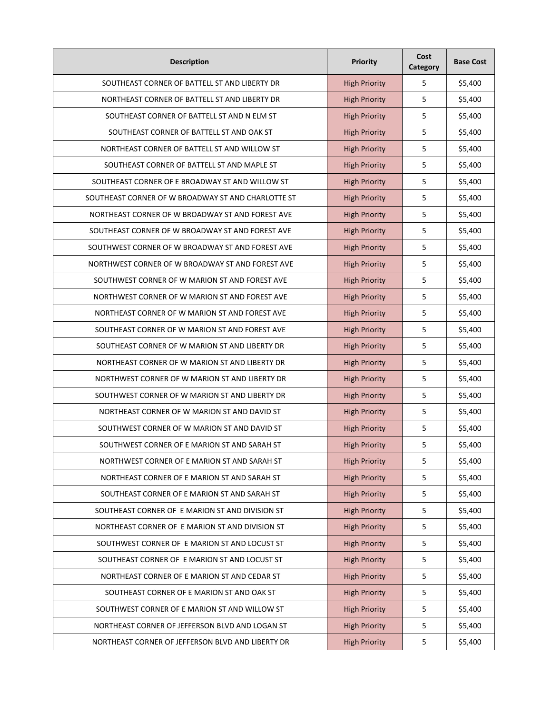| <b>Description</b>                                 | Priority             | Cost<br>Category | <b>Base Cost</b> |
|----------------------------------------------------|----------------------|------------------|------------------|
| SOUTHEAST CORNER OF BATTELL ST AND LIBERTY DR      | <b>High Priority</b> | 5                | \$5,400          |
| NORTHEAST CORNER OF BATTELL ST AND LIBERTY DR      | <b>High Priority</b> | 5                | \$5,400          |
| SOUTHEAST CORNER OF BATTELL ST AND N ELM ST        | <b>High Priority</b> | 5                | \$5,400          |
| SOUTHEAST CORNER OF BATTELL ST AND OAK ST          | <b>High Priority</b> | 5                | \$5,400          |
| NORTHEAST CORNER OF BATTELL ST AND WILLOW ST       | <b>High Priority</b> | 5                | \$5,400          |
| SOUTHEAST CORNER OF BATTELL ST AND MAPLE ST        | <b>High Priority</b> | 5                | \$5,400          |
| SOUTHEAST CORNER OF E BROADWAY ST AND WILLOW ST    | <b>High Priority</b> | 5                | \$5,400          |
| SOUTHEAST CORNER OF W BROADWAY ST AND CHARLOTTE ST | <b>High Priority</b> | 5                | \$5,400          |
| NORTHEAST CORNER OF W BROADWAY ST AND FOREST AVE   | <b>High Priority</b> | 5                | \$5,400          |
| SOUTHEAST CORNER OF W BROADWAY ST AND FOREST AVE   | <b>High Priority</b> | 5                | \$5,400          |
| SOUTHWEST CORNER OF W BROADWAY ST AND FOREST AVE   | <b>High Priority</b> | 5                | \$5,400          |
| NORTHWEST CORNER OF W BROADWAY ST AND FOREST AVE   | <b>High Priority</b> | 5                | \$5,400          |
| SOUTHWEST CORNER OF W MARION ST AND FOREST AVE     | <b>High Priority</b> | 5                | \$5,400          |
| NORTHWEST CORNER OF W MARION ST AND FOREST AVE     | <b>High Priority</b> | 5                | \$5,400          |
| NORTHEAST CORNER OF W MARION ST AND FOREST AVE     | <b>High Priority</b> | 5                | \$5,400          |
| SOUTHEAST CORNER OF W MARION ST AND FOREST AVE     | <b>High Priority</b> | 5                | \$5,400          |
| SOUTHEAST CORNER OF W MARION ST AND LIBERTY DR     | <b>High Priority</b> | 5                | \$5,400          |
| NORTHEAST CORNER OF W MARION ST AND LIBERTY DR     | <b>High Priority</b> | 5                | \$5,400          |
| NORTHWEST CORNER OF W MARION ST AND LIBERTY DR     | <b>High Priority</b> | 5                | \$5,400          |
| SOUTHWEST CORNER OF W MARION ST AND LIBERTY DR     | <b>High Priority</b> | 5                | \$5,400          |
| NORTHEAST CORNER OF W MARION ST AND DAVID ST       | <b>High Priority</b> | 5                | \$5,400          |
| SOUTHWEST CORNER OF W MARION ST AND DAVID ST       | <b>High Priority</b> | 5                | \$5,400          |
| SOUTHWEST CORNER OF E MARION ST AND SARAH ST       | <b>High Priority</b> | 5                | \$5,400          |
| NORTHWEST CORNER OF E MARION ST AND SARAH ST       | <b>High Priority</b> | 5                | \$5,400          |
| NORTHEAST CORNER OF E MARION ST AND SARAH ST       | <b>High Priority</b> | 5                | \$5,400          |
| SOUTHEAST CORNER OF E MARION ST AND SARAH ST       | <b>High Priority</b> | 5                | \$5,400          |
| SOUTHEAST CORNER OF E MARION ST AND DIVISION ST    | <b>High Priority</b> | 5                | \$5,400          |
| NORTHEAST CORNER OF E MARION ST AND DIVISION ST    | <b>High Priority</b> | 5                | \$5,400          |
| SOUTHWEST CORNER OF E MARION ST AND LOCUST ST      | <b>High Priority</b> | 5                | \$5,400          |
| SOUTHEAST CORNER OF E MARION ST AND LOCUST ST      | <b>High Priority</b> | 5                | \$5,400          |
| NORTHEAST CORNER OF E MARION ST AND CEDAR ST       | <b>High Priority</b> | 5                | \$5,400          |
| SOUTHEAST CORNER OF E MARION ST AND OAK ST         | <b>High Priority</b> | 5                | \$5,400          |
| SOUTHWEST CORNER OF E MARION ST AND WILLOW ST      | <b>High Priority</b> | 5                | \$5,400          |
| NORTHEAST CORNER OF JEFFERSON BLVD AND LOGAN ST    | <b>High Priority</b> | 5                | \$5,400          |
| NORTHEAST CORNER OF JEFFERSON BLVD AND LIBERTY DR  | <b>High Priority</b> | 5                | \$5,400          |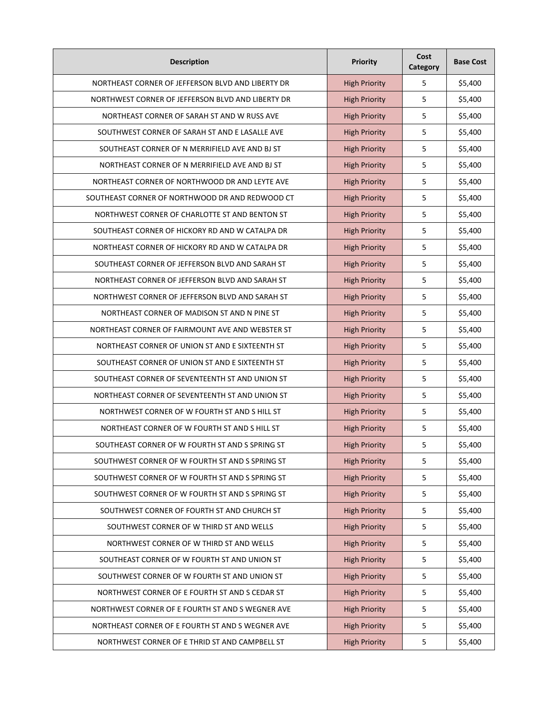| <b>Description</b>                                | Priority             | Cost<br>Category | <b>Base Cost</b> |
|---------------------------------------------------|----------------------|------------------|------------------|
| NORTHEAST CORNER OF JEFFERSON BLVD AND LIBERTY DR | <b>High Priority</b> | 5                | \$5,400          |
| NORTHWEST CORNER OF JEFFERSON BLVD AND LIBERTY DR | <b>High Priority</b> | 5                | \$5,400          |
| NORTHEAST CORNER OF SARAH ST AND W RUSS AVE       | <b>High Priority</b> | 5                | \$5,400          |
| SOUTHWEST CORNER OF SARAH ST AND E LASALLE AVE    | <b>High Priority</b> | 5                | \$5,400          |
| SOUTHEAST CORNER OF N MERRIFIELD AVE AND BJ ST    | <b>High Priority</b> | 5                | \$5,400          |
| NORTHEAST CORNER OF N MERRIFIELD AVE AND BJ ST    | <b>High Priority</b> | 5                | \$5,400          |
| NORTHEAST CORNER OF NORTHWOOD DR AND LEYTE AVE    | <b>High Priority</b> | 5                | \$5,400          |
| SOUTHEAST CORNER OF NORTHWOOD DR AND REDWOOD CT   | <b>High Priority</b> | 5                | \$5,400          |
| NORTHWEST CORNER OF CHARLOTTE ST AND BENTON ST    | <b>High Priority</b> | 5                | \$5,400          |
| SOUTHEAST CORNER OF HICKORY RD AND W CATALPA DR   | <b>High Priority</b> | 5                | \$5,400          |
| NORTHEAST CORNER OF HICKORY RD AND W CATALPA DR   | <b>High Priority</b> | 5                | \$5,400          |
| SOUTHEAST CORNER OF JEFFERSON BLVD AND SARAH ST   | <b>High Priority</b> | 5                | \$5,400          |
| NORTHEAST CORNER OF JEFFERSON BLVD AND SARAH ST   | <b>High Priority</b> | 5                | \$5,400          |
| NORTHWEST CORNER OF JEFFERSON BLVD AND SARAH ST   | <b>High Priority</b> | 5                | \$5,400          |
| NORTHEAST CORNER OF MADISON ST AND N PINE ST      | <b>High Priority</b> | 5                | \$5,400          |
| NORTHEAST CORNER OF FAIRMOUNT AVE AND WEBSTER ST  | <b>High Priority</b> | 5                | \$5,400          |
| NORTHEAST CORNER OF UNION ST AND E SIXTEENTH ST   | <b>High Priority</b> | 5                | \$5,400          |
| SOUTHEAST CORNER OF UNION ST AND E SIXTEENTH ST   | <b>High Priority</b> | 5                | \$5,400          |
| SOUTHEAST CORNER OF SEVENTEENTH ST AND UNION ST   | <b>High Priority</b> | 5                | \$5,400          |
| NORTHEAST CORNER OF SEVENTEENTH ST AND UNION ST   | <b>High Priority</b> | 5                | \$5,400          |
| NORTHWEST CORNER OF W FOURTH ST AND S HILL ST     | <b>High Priority</b> | 5                | \$5,400          |
| NORTHEAST CORNER OF W FOURTH ST AND S HILL ST     | <b>High Priority</b> | 5                | \$5,400          |
| SOUTHEAST CORNER OF W FOURTH ST AND S SPRING ST   | <b>High Priority</b> | 5                | \$5,400          |
| SOUTHWEST CORNER OF W FOURTH ST AND S SPRING ST   | <b>High Priority</b> | 5                | \$5,400          |
| SOUTHWEST CORNER OF W FOURTH ST AND S SPRING ST   | <b>High Priority</b> | 5                | \$5,400          |
| SOUTHWEST CORNER OF W FOURTH ST AND S SPRING ST   | <b>High Priority</b> | 5                | \$5,400          |
| SOUTHWEST CORNER OF FOURTH ST AND CHURCH ST       | <b>High Priority</b> | 5                | \$5,400          |
| SOUTHWEST CORNER OF W THIRD ST AND WELLS          | <b>High Priority</b> | 5                | \$5,400          |
| NORTHWEST CORNER OF W THIRD ST AND WELLS          | <b>High Priority</b> | 5                | \$5,400          |
| SOUTHEAST CORNER OF W FOURTH ST AND UNION ST      | <b>High Priority</b> | 5                | \$5,400          |
| SOUTHWEST CORNER OF W FOURTH ST AND UNION ST      | <b>High Priority</b> | 5                | \$5,400          |
| NORTHWEST CORNER OF E FOURTH ST AND S CEDAR ST    | <b>High Priority</b> | 5                | \$5,400          |
| NORTHWEST CORNER OF E FOURTH ST AND S WEGNER AVE  | <b>High Priority</b> | 5                | \$5,400          |
| NORTHEAST CORNER OF E FOURTH ST AND S WEGNER AVE  | <b>High Priority</b> | 5                | \$5,400          |
| NORTHWEST CORNER OF E THRID ST AND CAMPBELL ST    | <b>High Priority</b> | 5                | \$5,400          |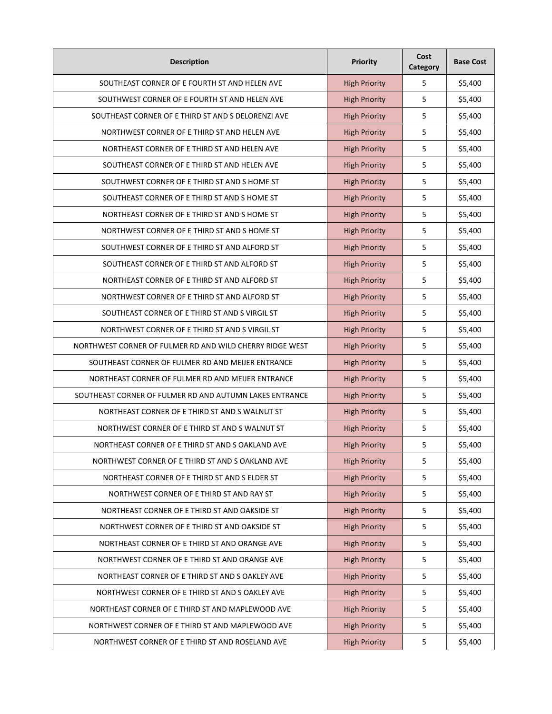| <b>Description</b>                                       | Priority             | Cost<br>Category | <b>Base Cost</b> |
|----------------------------------------------------------|----------------------|------------------|------------------|
| SOUTHEAST CORNER OF E FOURTH ST AND HELEN AVE            | <b>High Priority</b> | 5                | \$5,400          |
| SOUTHWEST CORNER OF E FOURTH ST AND HELEN AVE            | <b>High Priority</b> | 5                | \$5,400          |
| SOUTHEAST CORNER OF E THIRD ST AND S DELORENZI AVE       | <b>High Priority</b> | 5                | \$5,400          |
| NORTHWEST CORNER OF E THIRD ST AND HELEN AVE             | <b>High Priority</b> | 5                | \$5,400          |
| NORTHEAST CORNER OF E THIRD ST AND HELEN AVE             | <b>High Priority</b> | 5                | \$5,400          |
| SOUTHEAST CORNER OF E THIRD ST AND HELEN AVE             | <b>High Priority</b> | 5                | \$5,400          |
| SOUTHWEST CORNER OF E THIRD ST AND S HOME ST             | <b>High Priority</b> | 5                | \$5,400          |
| SOUTHEAST CORNER OF E THIRD ST AND SHOME ST              | <b>High Priority</b> | 5                | \$5,400          |
| NORTHEAST CORNER OF E THIRD ST AND SHOME ST              | <b>High Priority</b> | 5                | \$5,400          |
| NORTHWEST CORNER OF E THIRD ST AND S HOME ST             | <b>High Priority</b> | 5                | \$5,400          |
| SOUTHWEST CORNER OF E THIRD ST AND ALFORD ST             | <b>High Priority</b> | 5                | \$5,400          |
| SOUTHEAST CORNER OF E THIRD ST AND ALFORD ST             | <b>High Priority</b> | 5                | \$5,400          |
| NORTHEAST CORNER OF E THIRD ST AND ALFORD ST             | <b>High Priority</b> | 5                | \$5,400          |
| NORTHWEST CORNER OF E THIRD ST AND ALFORD ST             | <b>High Priority</b> | 5                | \$5,400          |
| SOUTHEAST CORNER OF E THIRD ST AND S VIRGIL ST           | <b>High Priority</b> | 5                | \$5,400          |
| NORTHWEST CORNER OF E THIRD ST AND S VIRGIL ST           | <b>High Priority</b> | 5                | \$5,400          |
| NORTHWEST CORNER OF FULMER RD AND WILD CHERRY RIDGE WEST | <b>High Priority</b> | 5                | \$5,400          |
| SOUTHEAST CORNER OF FULMER RD AND MEIJER ENTRANCE        | <b>High Priority</b> | 5                | \$5,400          |
| NORTHEAST CORNER OF FULMER RD AND MEIJER ENTRANCE        | <b>High Priority</b> | 5                | \$5,400          |
| SOUTHEAST CORNER OF FULMER RD AND AUTUMN LAKES ENTRANCE  | <b>High Priority</b> | 5                | \$5,400          |
| NORTHEAST CORNER OF E THIRD ST AND S WALNUT ST           | <b>High Priority</b> | 5                | \$5,400          |
| NORTHWEST CORNER OF E THIRD ST AND S WALNUT ST           | <b>High Priority</b> | 5                | \$5,400          |
| NORTHEAST CORNER OF E THIRD ST AND S OAKLAND AVE         | <b>High Priority</b> | 5                | \$5,400          |
| NORTHWEST CORNER OF E THIRD ST AND S OAKLAND AVE         | <b>High Priority</b> | 5                | \$5,400          |
| NORTHEAST CORNER OF E THIRD ST AND S ELDER ST            | <b>High Priority</b> | 5                | \$5,400          |
| NORTHWEST CORNER OF E THIRD ST AND RAY ST                | <b>High Priority</b> | 5                | \$5,400          |
| NORTHEAST CORNER OF E THIRD ST AND OAKSIDE ST            | <b>High Priority</b> | 5                | \$5,400          |
| NORTHWEST CORNER OF E THIRD ST AND OAKSIDE ST            | <b>High Priority</b> | 5                | \$5,400          |
| NORTHEAST CORNER OF E THIRD ST AND ORANGE AVE            | <b>High Priority</b> | 5                | \$5,400          |
| NORTHWEST CORNER OF E THIRD ST AND ORANGE AVE            | <b>High Priority</b> | 5                | \$5,400          |
| NORTHEAST CORNER OF E THIRD ST AND S OAKLEY AVE          | <b>High Priority</b> | 5                | \$5,400          |
| NORTHWEST CORNER OF E THIRD ST AND S OAKLEY AVE          | <b>High Priority</b> | 5                | \$5,400          |
| NORTHEAST CORNER OF E THIRD ST AND MAPLEWOOD AVE         | <b>High Priority</b> | 5                | \$5,400          |
| NORTHWEST CORNER OF E THIRD ST AND MAPLEWOOD AVE         | <b>High Priority</b> | 5                | \$5,400          |
| NORTHWEST CORNER OF E THIRD ST AND ROSELAND AVE          | <b>High Priority</b> | 5                | \$5,400          |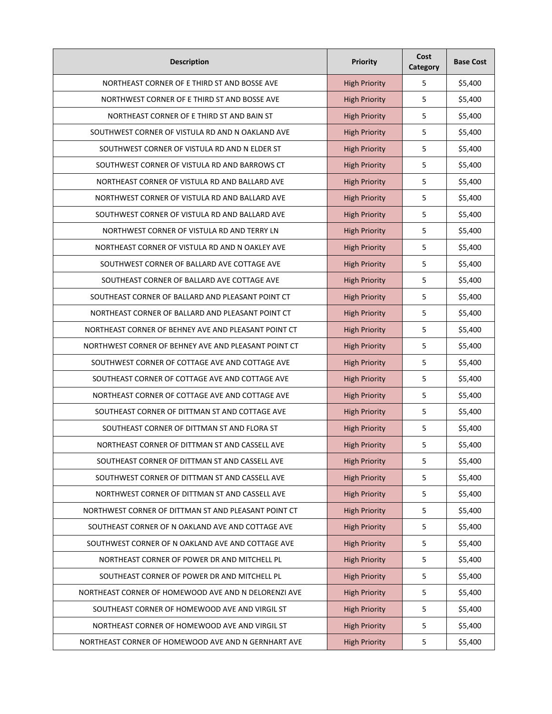| <b>Description</b>                                   | <b>Priority</b>      | Cost<br>Category | <b>Base Cost</b> |
|------------------------------------------------------|----------------------|------------------|------------------|
| NORTHEAST CORNER OF E THIRD ST AND BOSSE AVE         | <b>High Priority</b> | 5                | \$5,400          |
| NORTHWEST CORNER OF E THIRD ST AND BOSSE AVE         | <b>High Priority</b> | 5                | \$5,400          |
| NORTHEAST CORNER OF E THIRD ST AND BAIN ST           | <b>High Priority</b> | 5                | \$5,400          |
| SOUTHWEST CORNER OF VISTULA RD AND N OAKLAND AVE     | <b>High Priority</b> | 5                | \$5,400          |
| SOUTHWEST CORNER OF VISTULA RD AND N ELDER ST        | <b>High Priority</b> | 5                | \$5,400          |
| SOUTHWEST CORNER OF VISTULA RD AND BARROWS CT        | <b>High Priority</b> | 5                | \$5,400          |
| NORTHEAST CORNER OF VISTULA RD AND BALLARD AVE       | <b>High Priority</b> | 5                | \$5,400          |
| NORTHWEST CORNER OF VISTULA RD AND BALLARD AVE       | <b>High Priority</b> | 5                | \$5,400          |
| SOUTHWEST CORNER OF VISTULA RD AND BALLARD AVE       | <b>High Priority</b> | 5                | \$5,400          |
| NORTHWEST CORNER OF VISTULA RD AND TERRY LN          | <b>High Priority</b> | 5                | \$5,400          |
| NORTHEAST CORNER OF VISTULA RD AND N OAKLEY AVE      | <b>High Priority</b> | 5                | \$5,400          |
| SOUTHWEST CORNER OF BALLARD AVE COTTAGE AVE          | <b>High Priority</b> | 5                | \$5,400          |
| SOUTHEAST CORNER OF BALLARD AVE COTTAGE AVE          | <b>High Priority</b> | 5                | \$5,400          |
| SOUTHEAST CORNER OF BALLARD AND PLEASANT POINT CT    | <b>High Priority</b> | 5                | \$5,400          |
| NORTHEAST CORNER OF BALLARD AND PLEASANT POINT CT    | <b>High Priority</b> | 5                | \$5,400          |
| NORTHEAST CORNER OF BEHNEY AVE AND PLEASANT POINT CT | <b>High Priority</b> | 5                | \$5,400          |
| NORTHWEST CORNER OF BEHNEY AVE AND PLEASANT POINT CT | <b>High Priority</b> | 5                | \$5,400          |
| SOUTHWEST CORNER OF COTTAGE AVE AND COTTAGE AVE      | <b>High Priority</b> | 5                | \$5,400          |
| SOUTHEAST CORNER OF COTTAGE AVE AND COTTAGE AVE      | <b>High Priority</b> | 5                | \$5,400          |
| NORTHEAST CORNER OF COTTAGE AVE AND COTTAGE AVE      | <b>High Priority</b> | 5                | \$5,400          |
| SOUTHEAST CORNER OF DITTMAN ST AND COTTAGE AVE       | <b>High Priority</b> | 5                | \$5,400          |
| SOUTHEAST CORNER OF DITTMAN ST AND FLORA ST          | <b>High Priority</b> | 5                | \$5,400          |
| NORTHEAST CORNER OF DITTMAN ST AND CASSELL AVE       | <b>High Priority</b> | 5                | \$5,400          |
| SOUTHEAST CORNER OF DITTMAN ST AND CASSELL AVE       | <b>High Priority</b> | 5                | \$5,400          |
| SOUTHWEST CORNER OF DITTMAN ST AND CASSELL AVE       | <b>High Priority</b> | 5                | \$5,400          |
| NORTHWEST CORNER OF DITTMAN ST AND CASSELL AVE       | <b>High Priority</b> | 5                | \$5,400          |
| NORTHWEST CORNER OF DITTMAN ST AND PLEASANT POINT CT | <b>High Priority</b> | 5                | \$5,400          |
| SOUTHEAST CORNER OF N OAKLAND AVE AND COTTAGE AVE    | <b>High Priority</b> | 5                | \$5,400          |
| SOUTHWEST CORNER OF N OAKLAND AVE AND COTTAGE AVE    | <b>High Priority</b> | 5                | \$5,400          |
| NORTHEAST CORNER OF POWER DR AND MITCHELL PL         | <b>High Priority</b> | 5                | \$5,400          |
| SOUTHEAST CORNER OF POWER DR AND MITCHELL PL         | <b>High Priority</b> | 5                | \$5,400          |
| NORTHEAST CORNER OF HOMEWOOD AVE AND N DELORENZI AVE | <b>High Priority</b> | 5                | \$5,400          |
| SOUTHEAST CORNER OF HOMEWOOD AVE AND VIRGIL ST       | <b>High Priority</b> | 5                | \$5,400          |
| NORTHEAST CORNER OF HOMEWOOD AVE AND VIRGIL ST       | <b>High Priority</b> | 5                | \$5,400          |
| NORTHEAST CORNER OF HOMEWOOD AVE AND N GERNHART AVE  | <b>High Priority</b> | 5                | \$5,400          |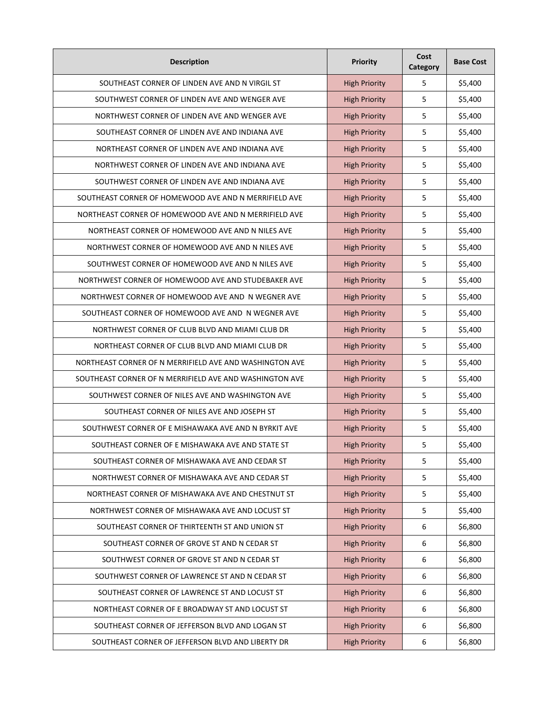| <b>Description</b>                                      | Priority             | Cost<br>Category | <b>Base Cost</b> |
|---------------------------------------------------------|----------------------|------------------|------------------|
| SOUTHEAST CORNER OF LINDEN AVE AND N VIRGIL ST          | <b>High Priority</b> | 5                | \$5,400          |
| SOUTHWEST CORNER OF LINDEN AVE AND WENGER AVE           | <b>High Priority</b> | 5                | \$5,400          |
| NORTHWEST CORNER OF LINDEN AVE AND WENGER AVE           | <b>High Priority</b> | 5                | \$5,400          |
| SOUTHEAST CORNER OF LINDEN AVE AND INDIANA AVE          | <b>High Priority</b> | 5                | \$5,400          |
| NORTHEAST CORNER OF LINDEN AVE AND INDIANA AVE          | <b>High Priority</b> | 5                | \$5,400          |
| NORTHWEST CORNER OF LINDEN AVE AND INDIANA AVE          | <b>High Priority</b> | 5                | \$5,400          |
| SOUTHWEST CORNER OF LINDEN AVE AND INDIANA AVE          | <b>High Priority</b> | 5                | \$5,400          |
| SOUTHEAST CORNER OF HOMEWOOD AVE AND N MERRIFIELD AVE   | <b>High Priority</b> | 5                | \$5,400          |
| NORTHEAST CORNER OF HOMEWOOD AVE AND N MERRIFIELD AVE   | <b>High Priority</b> | 5                | \$5,400          |
| NORTHEAST CORNER OF HOMEWOOD AVE AND N NILES AVE        | <b>High Priority</b> | 5                | \$5,400          |
| NORTHWEST CORNER OF HOMEWOOD AVE AND N NILES AVE        | <b>High Priority</b> | 5                | \$5,400          |
| SOUTHWEST CORNER OF HOMEWOOD AVE AND N NILES AVE        | <b>High Priority</b> | 5                | \$5,400          |
| NORTHWEST CORNER OF HOMEWOOD AVE AND STUDEBAKER AVE     | <b>High Priority</b> | 5                | \$5,400          |
| NORTHWEST CORNER OF HOMEWOOD AVE AND N WEGNER AVE       | <b>High Priority</b> | 5                | \$5,400          |
| SOUTHEAST CORNER OF HOMEWOOD AVE AND N WEGNER AVE       | <b>High Priority</b> | 5                | \$5,400          |
| NORTHWEST CORNER OF CLUB BLVD AND MIAMI CLUB DR         | <b>High Priority</b> | 5                | \$5,400          |
| NORTHEAST CORNER OF CLUB BLVD AND MIAMI CLUB DR         | <b>High Priority</b> | 5                | \$5,400          |
| NORTHEAST CORNER OF N MERRIFIELD AVE AND WASHINGTON AVE | <b>High Priority</b> | 5                | \$5,400          |
| SOUTHEAST CORNER OF N MERRIFIELD AVE AND WASHINGTON AVE | <b>High Priority</b> | 5                | \$5,400          |
| SOUTHWEST CORNER OF NILES AVE AND WASHINGTON AVE        | <b>High Priority</b> | 5                | \$5,400          |
| SOUTHEAST CORNER OF NILES AVE AND JOSEPH ST             | <b>High Priority</b> | 5                | \$5,400          |
| SOUTHWEST CORNER OF E MISHAWAKA AVE AND N BYRKIT AVE    | <b>High Priority</b> | 5                | \$5,400          |
| SOUTHEAST CORNER OF E MISHAWAKA AVE AND STATE ST        | <b>High Priority</b> | 5                | \$5,400          |
| SOUTHEAST CORNER OF MISHAWAKA AVE AND CEDAR ST          | <b>High Priority</b> | 5                | \$5,400          |
| NORTHWEST CORNER OF MISHAWAKA AVE AND CEDAR ST          | <b>High Priority</b> | 5                | \$5,400          |
| NORTHEAST CORNER OF MISHAWAKA AVE AND CHESTNUT ST       | <b>High Priority</b> | 5                | \$5,400          |
| NORTHWEST CORNER OF MISHAWAKA AVE AND LOCUST ST         | <b>High Priority</b> | 5                | \$5,400          |
| SOUTHEAST CORNER OF THIRTEENTH ST AND UNION ST          | <b>High Priority</b> | 6                | \$6,800          |
| SOUTHEAST CORNER OF GROVE ST AND N CEDAR ST             | <b>High Priority</b> | 6                | \$6,800          |
| SOUTHWEST CORNER OF GROVE ST AND N CEDAR ST             | <b>High Priority</b> | 6                | \$6,800          |
| SOUTHWEST CORNER OF LAWRENCE ST AND N CEDAR ST          | <b>High Priority</b> | 6                | \$6,800          |
| SOUTHEAST CORNER OF LAWRENCE ST AND LOCUST ST           | <b>High Priority</b> | 6                | \$6,800          |
| NORTHEAST CORNER OF E BROADWAY ST AND LOCUST ST         | <b>High Priority</b> | 6                | \$6,800          |
| SOUTHEAST CORNER OF JEFFERSON BLVD AND LOGAN ST         | <b>High Priority</b> | 6                | \$6,800          |
| SOUTHEAST CORNER OF JEFFERSON BLVD AND LIBERTY DR       | <b>High Priority</b> | 6                | \$6,800          |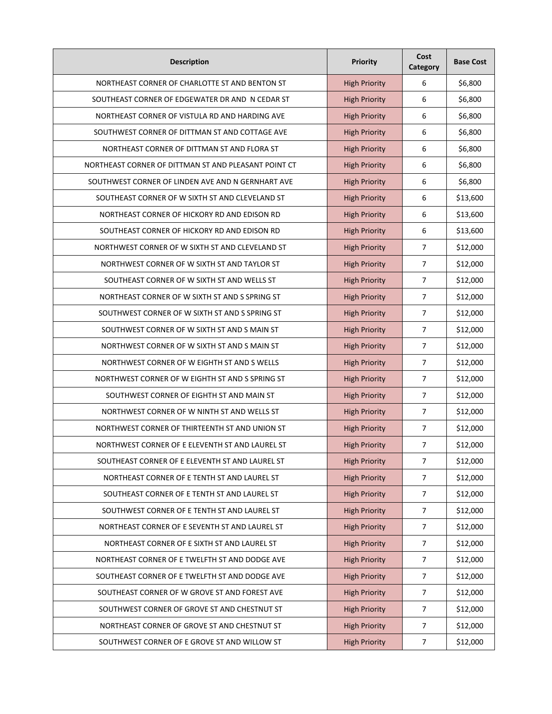| <b>Description</b>                                   | Priority             | Cost<br>Category | <b>Base Cost</b> |
|------------------------------------------------------|----------------------|------------------|------------------|
| NORTHEAST CORNER OF CHARLOTTE ST AND BENTON ST       | <b>High Priority</b> | 6                | \$6,800          |
| SOUTHEAST CORNER OF EDGEWATER DR AND N CEDAR ST      | <b>High Priority</b> | 6                | \$6,800          |
| NORTHEAST CORNER OF VISTULA RD AND HARDING AVE       | <b>High Priority</b> | 6                | \$6,800          |
| SOUTHWEST CORNER OF DITTMAN ST AND COTTAGE AVE       | <b>High Priority</b> | 6                | \$6,800          |
| NORTHEAST CORNER OF DITTMAN ST AND FLORA ST          | <b>High Priority</b> | 6                | \$6,800          |
| NORTHEAST CORNER OF DITTMAN ST AND PLEASANT POINT CT | <b>High Priority</b> | 6                | \$6,800          |
| SOUTHWEST CORNER OF LINDEN AVE AND N GERNHART AVE    | <b>High Priority</b> | 6                | \$6,800          |
| SOUTHEAST CORNER OF W SIXTH ST AND CLEVELAND ST      | <b>High Priority</b> | 6                | \$13,600         |
| NORTHEAST CORNER OF HICKORY RD AND EDISON RD         | <b>High Priority</b> | 6                | \$13,600         |
| SOUTHEAST CORNER OF HICKORY RD AND EDISON RD         | <b>High Priority</b> | 6                | \$13,600         |
| NORTHWEST CORNER OF W SIXTH ST AND CLEVELAND ST      | <b>High Priority</b> | $\overline{7}$   | \$12,000         |
| NORTHWEST CORNER OF W SIXTH ST AND TAYLOR ST         | <b>High Priority</b> | $\overline{7}$   | \$12,000         |
| SOUTHEAST CORNER OF W SIXTH ST AND WELLS ST          | <b>High Priority</b> | 7                | \$12,000         |
| NORTHEAST CORNER OF W SIXTH ST AND S SPRING ST       | <b>High Priority</b> | $\overline{7}$   | \$12,000         |
| SOUTHWEST CORNER OF W SIXTH ST AND S SPRING ST       | <b>High Priority</b> | $\overline{7}$   | \$12,000         |
| SOUTHWEST CORNER OF W SIXTH ST AND S MAIN ST         | <b>High Priority</b> | 7                | \$12,000         |
| NORTHWEST CORNER OF W SIXTH ST AND S MAIN ST         | <b>High Priority</b> | $\overline{7}$   | \$12,000         |
| NORTHWEST CORNER OF W EIGHTH ST AND S WELLS          | <b>High Priority</b> | $\overline{7}$   | \$12,000         |
| NORTHWEST CORNER OF W EIGHTH ST AND S SPRING ST      | <b>High Priority</b> | 7                | \$12,000         |
| SOUTHWEST CORNER OF EIGHTH ST AND MAIN ST            | <b>High Priority</b> | $\overline{7}$   | \$12,000         |
| NORTHWEST CORNER OF W NINTH ST AND WELLS ST          | <b>High Priority</b> | 7                | \$12,000         |
| NORTHWEST CORNER OF THIRTEENTH ST AND UNION ST       | <b>High Priority</b> | 7                | \$12,000         |
| NORTHWEST CORNER OF E ELEVENTH ST AND LAUREL ST      | <b>High Priority</b> | $\overline{7}$   | \$12,000         |
| SOUTHEAST CORNER OF E ELEVENTH ST AND LAUREL ST      | <b>High Priority</b> | $\overline{7}$   | \$12,000         |
| NORTHEAST CORNER OF E TENTH ST AND LAUREL ST         | <b>High Priority</b> | $\overline{7}$   | \$12,000         |
| SOUTHEAST CORNER OF E TENTH ST AND LAUREL ST         | <b>High Priority</b> | $\overline{7}$   | \$12,000         |
| SOUTHWEST CORNER OF E TENTH ST AND LAUREL ST         | <b>High Priority</b> | $\overline{7}$   | \$12,000         |
| NORTHEAST CORNER OF E SEVENTH ST AND LAUREL ST       | <b>High Priority</b> | $\overline{7}$   | \$12,000         |
| NORTHEAST CORNER OF E SIXTH ST AND LAUREL ST         | <b>High Priority</b> | $\overline{7}$   | \$12,000         |
| NORTHEAST CORNER OF E TWELFTH ST AND DODGE AVE       | <b>High Priority</b> | $\overline{7}$   | \$12,000         |
| SOUTHEAST CORNER OF E TWELFTH ST AND DODGE AVE       | <b>High Priority</b> | $\overline{7}$   | \$12,000         |
| SOUTHEAST CORNER OF W GROVE ST AND FOREST AVE        | <b>High Priority</b> | $\overline{7}$   | \$12,000         |
| SOUTHWEST CORNER OF GROVE ST AND CHESTNUT ST         | <b>High Priority</b> | $\overline{7}$   | \$12,000         |
| NORTHEAST CORNER OF GROVE ST AND CHESTNUT ST         | <b>High Priority</b> | 7                | \$12,000         |
| SOUTHWEST CORNER OF E GROVE ST AND WILLOW ST         | <b>High Priority</b> | $\overline{7}$   | \$12,000         |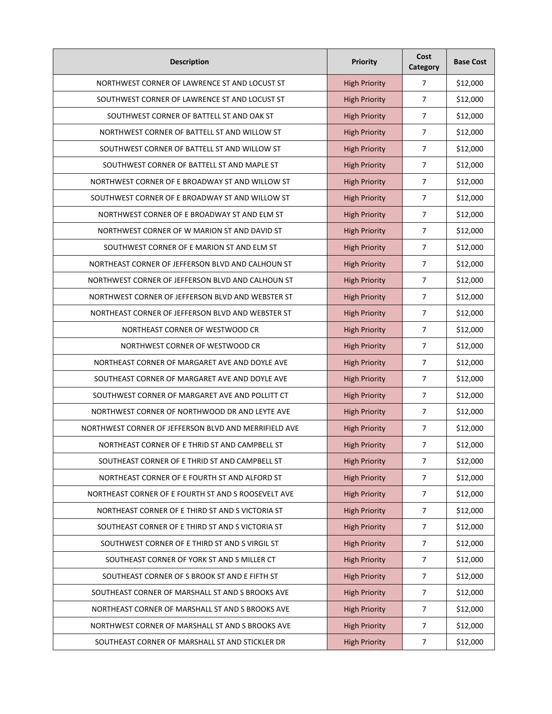| <b>Description</b>                                    | Priority             | Cost<br>Category | <b>Base Cost</b> |
|-------------------------------------------------------|----------------------|------------------|------------------|
| NORTHWEST CORNER OF LAWRENCE ST AND LOCUST ST         | <b>High Priority</b> | $\overline{7}$   | \$12,000         |
| SOUTHWEST CORNER OF LAWRENCE ST AND LOCUST ST         | <b>High Priority</b> | $\overline{7}$   | \$12,000         |
| SOUTHWEST CORNER OF BATTELL ST AND OAK ST             | <b>High Priority</b> | $\overline{7}$   | \$12,000         |
| NORTHWEST CORNER OF BATTELL ST AND WILLOW ST          | <b>High Priority</b> | $\overline{7}$   | \$12,000         |
| SOUTHWEST CORNER OF BATTELL ST AND WILLOW ST          | <b>High Priority</b> | $\overline{7}$   | \$12,000         |
| SOUTHWEST CORNER OF BATTELL ST AND MAPLE ST           | <b>High Priority</b> | $\overline{7}$   | \$12,000         |
| NORTHWEST CORNER OF E BROADWAY ST AND WILLOW ST       | <b>High Priority</b> | $\overline{7}$   | \$12,000         |
| SOUTHWEST CORNER OF E BROADWAY ST AND WILLOW ST       | <b>High Priority</b> | $\overline{7}$   | \$12,000         |
| NORTHWEST CORNER OF E BROADWAY ST AND ELM ST          | <b>High Priority</b> | $\overline{7}$   | \$12,000         |
| NORTHWEST CORNER OF W MARION ST AND DAVID ST          | <b>High Priority</b> | $\overline{7}$   | \$12,000         |
| SOUTHWEST CORNER OF E MARION ST AND ELM ST            | <b>High Priority</b> | $\overline{7}$   | \$12,000         |
| NORTHEAST CORNER OF JEFFERSON BLVD AND CALHOUN ST     | <b>High Priority</b> | $\overline{7}$   | \$12,000         |
| NORTHWEST CORNER OF JEFFERSON BLVD AND CALHOUN ST     | <b>High Priority</b> | 7                | \$12,000         |
| NORTHWEST CORNER OF JEFFERSON BLVD AND WEBSTER ST     | <b>High Priority</b> | $\overline{7}$   | \$12,000         |
| NORTHEAST CORNER OF JEFFERSON BLVD AND WEBSTER ST     | <b>High Priority</b> | $\overline{7}$   | \$12,000         |
| NORTHEAST CORNER OF WESTWOOD CR                       | <b>High Priority</b> | 7                | \$12,000         |
| NORTHWEST CORNER OF WESTWOOD CR                       | <b>High Priority</b> | $\overline{7}$   | \$12,000         |
| NORTHEAST CORNER OF MARGARET AVE AND DOYLE AVE        | <b>High Priority</b> | $\overline{7}$   | \$12,000         |
| SOUTHEAST CORNER OF MARGARET AVE AND DOYLE AVE        | <b>High Priority</b> | 7                | \$12,000         |
| SOUTHWEST CORNER OF MARGARET AVE AND POLLITT CT       | <b>High Priority</b> | $\overline{7}$   | \$12,000         |
| NORTHWEST CORNER OF NORTHWOOD DR AND LEYTE AVE        | <b>High Priority</b> | $\overline{7}$   | \$12,000         |
| NORTHWEST CORNER OF JEFFERSON BLVD AND MERRIFIELD AVE | <b>High Priority</b> | 7                | \$12,000         |
| NORTHEAST CORNER OF E THRID ST AND CAMPBELL ST        | <b>High Priority</b> | $\overline{7}$   | \$12,000         |
| SOUTHEAST CORNER OF E THRID ST AND CAMPBELL ST        | <b>High Priority</b> | $\overline{7}$   | \$12,000         |
| NORTHEAST CORNER OF E FOURTH ST AND ALFORD ST         | <b>High Priority</b> | $\overline{7}$   | \$12,000         |
| NORTHEAST CORNER OF E FOURTH ST AND S ROOSEVELT AVE   | <b>High Priority</b> | $\overline{7}$   | \$12,000         |
| NORTHEAST CORNER OF E THIRD ST AND S VICTORIA ST      | <b>High Priority</b> | $\overline{7}$   | \$12,000         |
| SOUTHEAST CORNER OF E THIRD ST AND S VICTORIA ST      | <b>High Priority</b> | $\overline{7}$   | \$12,000         |
| SOUTHWEST CORNER OF E THIRD ST AND S VIRGIL ST        | <b>High Priority</b> | $\overline{7}$   | \$12,000         |
| SOUTHEAST CORNER OF YORK ST AND S MILLER CT           | <b>High Priority</b> | $\overline{7}$   | \$12,000         |
| SOUTHEAST CORNER OF S BROOK ST AND E FIFTH ST         | <b>High Priority</b> | $\boldsymbol{7}$ | \$12,000         |
| SOUTHEAST CORNER OF MARSHALL ST AND S BROOKS AVE      | <b>High Priority</b> | $\overline{7}$   | \$12,000         |
| NORTHEAST CORNER OF MARSHALL ST AND S BROOKS AVE      | <b>High Priority</b> | $\overline{7}$   | \$12,000         |
| NORTHWEST CORNER OF MARSHALL ST AND S BROOKS AVE      | <b>High Priority</b> | 7                | \$12,000         |
| SOUTHEAST CORNER OF MARSHALL ST AND STICKLER DR       | <b>High Priority</b> | $\overline{7}$   | \$12,000         |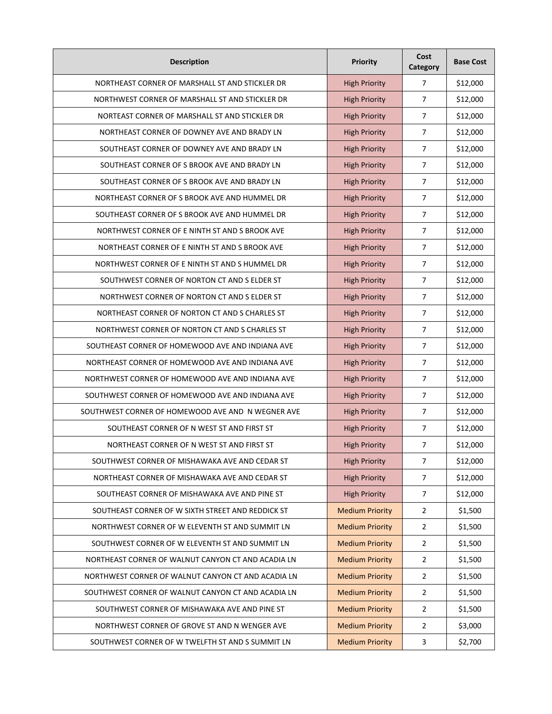| <b>Description</b>                                 | Priority               | Cost<br>Category | <b>Base Cost</b> |
|----------------------------------------------------|------------------------|------------------|------------------|
| NORTHEAST CORNER OF MARSHALL ST AND STICKLER DR    | <b>High Priority</b>   | 7                | \$12,000         |
| NORTHWEST CORNER OF MARSHALL ST AND STICKLER DR    | <b>High Priority</b>   | 7                | \$12,000         |
| NORTEAST CORNER OF MARSHALL ST AND STICKLER DR     | <b>High Priority</b>   | $\overline{7}$   | \$12,000         |
| NORTHEAST CORNER OF DOWNEY AVE AND BRADY LN        | <b>High Priority</b>   | $\overline{7}$   | \$12,000         |
| SOUTHEAST CORNER OF DOWNEY AVE AND BRADY LN        | <b>High Priority</b>   | $\overline{7}$   | \$12,000         |
| SOUTHEAST CORNER OF S BROOK AVE AND BRADY LN       | <b>High Priority</b>   | $\overline{7}$   | \$12,000         |
| SOUTHEAST CORNER OF S BROOK AVE AND BRADY LN       | <b>High Priority</b>   | $\overline{7}$   | \$12,000         |
| NORTHEAST CORNER OF S BROOK AVE AND HUMMEL DR      | <b>High Priority</b>   | 7                | \$12,000         |
| SOUTHEAST CORNER OF S BROOK AVE AND HUMMEL DR      | <b>High Priority</b>   | $\overline{7}$   | \$12,000         |
| NORTHWEST CORNER OF E NINTH ST AND S BROOK AVE     | <b>High Priority</b>   | $\overline{7}$   | \$12,000         |
| NORTHEAST CORNER OF E NINTH ST AND S BROOK AVE     | <b>High Priority</b>   | 7                | \$12,000         |
| NORTHWEST CORNER OF E NINTH ST AND S HUMMEL DR     | <b>High Priority</b>   | 7                | \$12,000         |
| SOUTHWEST CORNER OF NORTON CT AND S ELDER ST       | <b>High Priority</b>   | 7                | \$12,000         |
| NORTHWEST CORNER OF NORTON CT AND S ELDER ST       | <b>High Priority</b>   | 7                | \$12,000         |
| NORTHEAST CORNER OF NORTON CT AND S CHARLES ST     | <b>High Priority</b>   | 7                | \$12,000         |
| NORTHWEST CORNER OF NORTON CT AND S CHARLES ST     | <b>High Priority</b>   | 7                | \$12,000         |
| SOUTHEAST CORNER OF HOMEWOOD AVE AND INDIANA AVE   | <b>High Priority</b>   | $\overline{7}$   | \$12,000         |
| NORTHEAST CORNER OF HOMEWOOD AVE AND INDIANA AVE   | <b>High Priority</b>   | $\overline{7}$   | \$12,000         |
| NORTHWEST CORNER OF HOMEWOOD AVE AND INDIANA AVE   | <b>High Priority</b>   | 7                | \$12,000         |
| SOUTHWEST CORNER OF HOMEWOOD AVE AND INDIANA AVE   | <b>High Priority</b>   | $\overline{7}$   | \$12,000         |
| SOUTHWEST CORNER OF HOMEWOOD AVE AND N WEGNER AVE  | <b>High Priority</b>   | $\overline{7}$   | \$12,000         |
| SOUTHEAST CORNER OF N WEST ST AND FIRST ST         | <b>High Priority</b>   | $\overline{7}$   | \$12,000         |
| NORTHEAST CORNER OF N WEST ST AND FIRST ST         | <b>High Priority</b>   | 7                | \$12,000         |
| SOUTHWEST CORNER OF MISHAWAKA AVE AND CEDAR ST     | <b>High Priority</b>   | $\overline{7}$   | \$12,000         |
| NORTHEAST CORNER OF MISHAWAKA AVE AND CEDAR ST     | <b>High Priority</b>   | $\overline{7}$   | \$12,000         |
| SOUTHEAST CORNER OF MISHAWAKA AVE AND PINE ST      | <b>High Priority</b>   | $\overline{7}$   | \$12,000         |
| SOUTHEAST CORNER OF W SIXTH STREET AND REDDICK ST  | <b>Medium Priority</b> | $\overline{2}$   | \$1,500          |
| NORTHWEST CORNER OF W ELEVENTH ST AND SUMMIT LN    | <b>Medium Priority</b> | $\overline{2}$   | \$1,500          |
| SOUTHWEST CORNER OF W ELEVENTH ST AND SUMMIT LN    | <b>Medium Priority</b> | $\overline{2}$   | \$1,500          |
| NORTHEAST CORNER OF WALNUT CANYON CT AND ACADIA LN | <b>Medium Priority</b> | $\overline{2}$   | \$1,500          |
| NORTHWEST CORNER OF WALNUT CANYON CT AND ACADIA LN | <b>Medium Priority</b> | $\overline{2}$   | \$1,500          |
| SOUTHWEST CORNER OF WALNUT CANYON CT AND ACADIA LN | <b>Medium Priority</b> | $\overline{2}$   | \$1,500          |
| SOUTHWEST CORNER OF MISHAWAKA AVE AND PINE ST      | <b>Medium Priority</b> | $\overline{2}$   | \$1,500          |
| NORTHWEST CORNER OF GROVE ST AND N WENGER AVE      | <b>Medium Priority</b> | $\overline{2}$   | \$3,000          |
| SOUTHWEST CORNER OF W TWELFTH ST AND S SUMMIT LN   | <b>Medium Priority</b> | 3                | \$2,700          |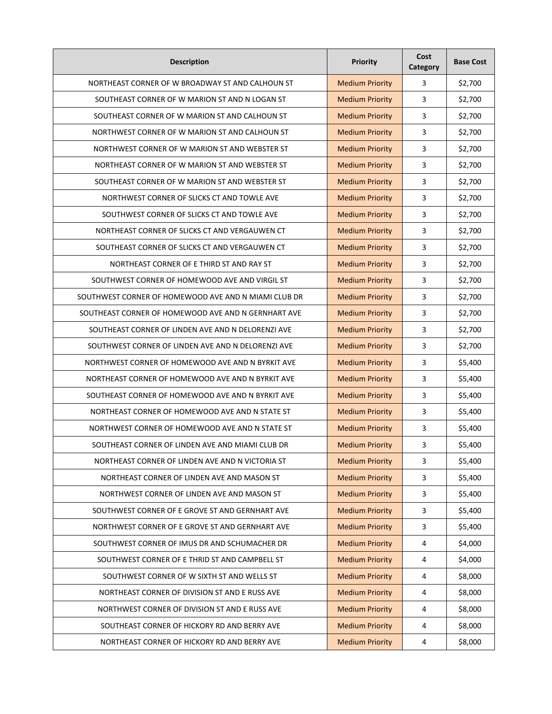| <b>Description</b>                                   | Priority               | Cost<br>Category | <b>Base Cost</b> |
|------------------------------------------------------|------------------------|------------------|------------------|
| NORTHEAST CORNER OF W BROADWAY ST AND CALHOUN ST     | <b>Medium Priority</b> | 3                | \$2,700          |
| SOUTHEAST CORNER OF W MARION ST AND N LOGAN ST       | <b>Medium Priority</b> | 3                | \$2,700          |
| SOUTHEAST CORNER OF W MARION ST AND CALHOUN ST       | <b>Medium Priority</b> | 3                | \$2,700          |
| NORTHWEST CORNER OF W MARION ST AND CALHOUN ST       | <b>Medium Priority</b> | 3                | \$2,700          |
| NORTHWEST CORNER OF W MARION ST AND WEBSTER ST       | <b>Medium Priority</b> | 3                | \$2,700          |
| NORTHEAST CORNER OF W MARION ST AND WEBSTER ST       | <b>Medium Priority</b> | 3                | \$2,700          |
| SOUTHEAST CORNER OF W MARION ST AND WEBSTER ST       | <b>Medium Priority</b> | 3                | \$2,700          |
| NORTHWEST CORNER OF SLICKS CT AND TOWLE AVE          | <b>Medium Priority</b> | 3                | \$2,700          |
| SOUTHWEST CORNER OF SLICKS CT AND TOWLE AVE          | <b>Medium Priority</b> | 3                | \$2,700          |
| NORTHEAST CORNER OF SLICKS CT AND VERGAUWEN CT       | <b>Medium Priority</b> | 3                | \$2,700          |
| SOUTHEAST CORNER OF SLICKS CT AND VERGAUWEN CT       | <b>Medium Priority</b> | 3                | \$2,700          |
| NORTHEAST CORNER OF E THIRD ST AND RAY ST            | <b>Medium Priority</b> | 3                | \$2,700          |
| SOUTHWEST CORNER OF HOMEWOOD AVE AND VIRGIL ST       | <b>Medium Priority</b> | 3                | \$2,700          |
| SOUTHWEST CORNER OF HOMEWOOD AVE AND N MIAMI CLUB DR | <b>Medium Priority</b> | 3                | \$2,700          |
| SOUTHEAST CORNER OF HOMEWOOD AVE AND N GERNHART AVE  | <b>Medium Priority</b> | 3                | \$2,700          |
| SOUTHEAST CORNER OF LINDEN AVE AND N DELORENZI AVE   | <b>Medium Priority</b> | 3                | \$2,700          |
| SOUTHWEST CORNER OF LINDEN AVE AND N DELORENZI AVE   | <b>Medium Priority</b> | 3                | \$2,700          |
| NORTHWEST CORNER OF HOMEWOOD AVE AND N BYRKIT AVE    | <b>Medium Priority</b> | 3                | \$5,400          |
| NORTHEAST CORNER OF HOMEWOOD AVE AND N BYRKIT AVE    | <b>Medium Priority</b> | 3                | \$5,400          |
| SOUTHEAST CORNER OF HOMEWOOD AVE AND N BYRKIT AVE    | <b>Medium Priority</b> | 3                | \$5,400          |
| NORTHEAST CORNER OF HOMEWOOD AVE AND N STATE ST      | <b>Medium Priority</b> | 3                | \$5,400          |
| NORTHWEST CORNER OF HOMEWOOD AVE AND N STATE ST      | <b>Medium Priority</b> | 3                | \$5,400          |
| SOUTHEAST CORNER OF LINDEN AVE AND MIAMI CLUB DR     | <b>Medium Priority</b> | 3                | \$5,400          |
| NORTHEAST CORNER OF LINDEN AVE AND N VICTORIA ST     | <b>Medium Priority</b> | 3                | \$5,400          |
| NORTHEAST CORNER OF LINDEN AVE AND MASON ST          | <b>Medium Priority</b> | 3                | \$5,400          |
| NORTHWEST CORNER OF LINDEN AVE AND MASON ST          | <b>Medium Priority</b> | 3                | \$5,400          |
| SOUTHWEST CORNER OF E GROVE ST AND GERNHART AVE      | <b>Medium Priority</b> | $\overline{3}$   | \$5,400          |
| NORTHWEST CORNER OF E GROVE ST AND GERNHART AVE      | <b>Medium Priority</b> | 3                | \$5,400          |
| SOUTHWEST CORNER OF IMUS DR AND SCHUMACHER DR        | <b>Medium Priority</b> | 4                | \$4,000          |
| SOUTHWEST CORNER OF E THRID ST AND CAMPBELL ST       | <b>Medium Priority</b> | 4                | \$4,000          |
| SOUTHWEST CORNER OF W SIXTH ST AND WELLS ST          | <b>Medium Priority</b> | 4                | \$8,000          |
| NORTHEAST CORNER OF DIVISION ST AND E RUSS AVE       | <b>Medium Priority</b> | 4                | \$8,000          |
| NORTHWEST CORNER OF DIVISION ST AND E RUSS AVE       | <b>Medium Priority</b> | 4                | \$8,000          |
| SOUTHEAST CORNER OF HICKORY RD AND BERRY AVE         | <b>Medium Priority</b> | 4                | \$8,000          |
| NORTHEAST CORNER OF HICKORY RD AND BERRY AVE         | <b>Medium Priority</b> | 4                | \$8,000          |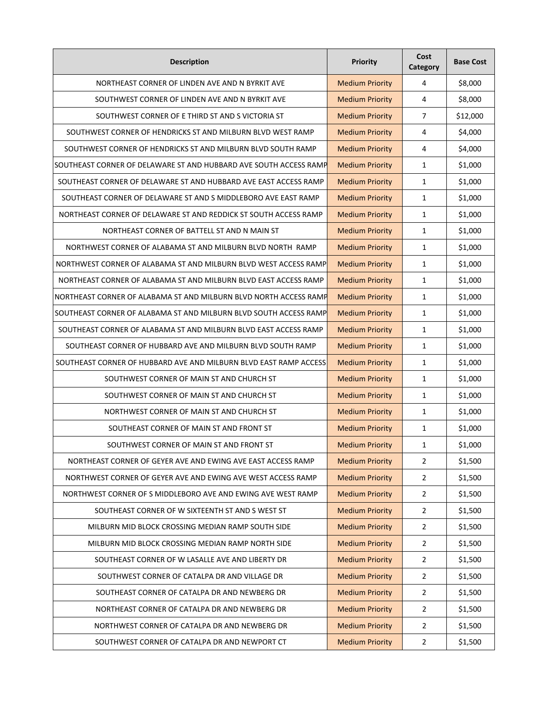| <b>Description</b>                                                | Priority               | Cost<br>Category | <b>Base Cost</b> |
|-------------------------------------------------------------------|------------------------|------------------|------------------|
| NORTHEAST CORNER OF LINDEN AVE AND N BYRKIT AVE                   | <b>Medium Priority</b> | 4                | \$8,000          |
| SOUTHWEST CORNER OF LINDEN AVE AND N BYRKIT AVE                   | <b>Medium Priority</b> | 4                | \$8,000          |
| SOUTHWEST CORNER OF E THIRD ST AND S VICTORIA ST                  | <b>Medium Priority</b> | $\overline{7}$   | \$12,000         |
| SOUTHWEST CORNER OF HENDRICKS ST AND MILBURN BLVD WEST RAMP       | <b>Medium Priority</b> | 4                | \$4,000          |
| SOUTHWEST CORNER OF HENDRICKS ST AND MILBURN BLVD SOUTH RAMP      | <b>Medium Priority</b> | 4                | \$4,000          |
| SOUTHEAST CORNER OF DELAWARE ST AND HUBBARD AVE SOUTH ACCESS RAMP | <b>Medium Priority</b> | $\mathbf{1}$     | \$1,000          |
| SOUTHEAST CORNER OF DELAWARE ST AND HUBBARD AVE EAST ACCESS RAMP  | <b>Medium Priority</b> | $\mathbf{1}$     | \$1,000          |
| SOUTHEAST CORNER OF DELAWARE ST AND S MIDDLEBORO AVE EAST RAMP    | <b>Medium Priority</b> | $\mathbf{1}$     | \$1,000          |
| NORTHEAST CORNER OF DELAWARE ST AND REDDICK ST SOUTH ACCESS RAMP  | <b>Medium Priority</b> | $\mathbf{1}$     | \$1,000          |
| NORTHEAST CORNER OF BATTELL ST AND N MAIN ST                      | <b>Medium Priority</b> | $\mathbf{1}$     | \$1,000          |
| NORTHWEST CORNER OF ALABAMA ST AND MILBURN BLVD NORTH RAMP        | <b>Medium Priority</b> | $\mathbf{1}$     | \$1,000          |
| NORTHWEST CORNER OF ALABAMA ST AND MILBURN BLVD WEST ACCESS RAMP  | <b>Medium Priority</b> | 1                | \$1,000          |
| NORTHEAST CORNER OF ALABAMA ST AND MILBURN BLVD EAST ACCESS RAMP  | <b>Medium Priority</b> | $\mathbf{1}$     | \$1,000          |
| NORTHEAST CORNER OF ALABAMA ST AND MILBURN BLVD NORTH ACCESS RAMP | <b>Medium Priority</b> | 1                | \$1,000          |
| SOUTHEAST CORNER OF ALABAMA ST AND MILBURN BLVD SOUTH ACCESS RAMP | <b>Medium Priority</b> | $\mathbf{1}$     | \$1,000          |
| SOUTHEAST CORNER OF ALABAMA ST AND MILBURN BLVD EAST ACCESS RAMP  | <b>Medium Priority</b> | $\mathbf{1}$     | \$1,000          |
| SOUTHEAST CORNER OF HUBBARD AVE AND MILBURN BLVD SOUTH RAMP       | <b>Medium Priority</b> | 1                | \$1,000          |
| SOUTHEAST CORNER OF HUBBARD AVE AND MILBURN BLVD EAST RAMP ACCESS | <b>Medium Priority</b> | 1                | \$1,000          |
| SOUTHWEST CORNER OF MAIN ST AND CHURCH ST                         | <b>Medium Priority</b> | $\mathbf{1}$     | \$1,000          |
| SOUTHWEST CORNER OF MAIN ST AND CHURCH ST                         | <b>Medium Priority</b> | $\mathbf{1}$     | \$1,000          |
| NORTHWEST CORNER OF MAIN ST AND CHURCH ST                         | <b>Medium Priority</b> | $\mathbf{1}$     | \$1,000          |
| SOUTHEAST CORNER OF MAIN ST AND FRONT ST                          | <b>Medium Priority</b> | $\mathbf{1}$     | \$1,000          |
| SOUTHWEST CORNER OF MAIN ST AND FRONT ST                          | <b>Medium Priority</b> | 1                | \$1,000          |
| NORTHEAST CORNER OF GEYER AVE AND EWING AVE EAST ACCESS RAMP      | <b>Medium Priority</b> | $\overline{2}$   | \$1,500          |
| NORTHWEST CORNER OF GEYER AVE AND EWING AVE WEST ACCESS RAMP      | <b>Medium Priority</b> | $\overline{2}$   | \$1,500          |
| NORTHWEST CORNER OF S MIDDLEBORO AVE AND EWING AVE WEST RAMP      | <b>Medium Priority</b> | $\overline{2}$   | \$1,500          |
| SOUTHEAST CORNER OF W SIXTEENTH ST AND S WEST ST                  | <b>Medium Priority</b> | $\overline{2}$   | \$1,500          |
| MILBURN MID BLOCK CROSSING MEDIAN RAMP SOUTH SIDE                 | <b>Medium Priority</b> | $\overline{2}$   | \$1,500          |
| MILBURN MID BLOCK CROSSING MEDIAN RAMP NORTH SIDE                 | <b>Medium Priority</b> | $\mathbf 2$      | \$1,500          |
| SOUTHEAST CORNER OF W LASALLE AVE AND LIBERTY DR                  | <b>Medium Priority</b> | $\overline{2}$   | \$1,500          |
| SOUTHWEST CORNER OF CATALPA DR AND VILLAGE DR                     | <b>Medium Priority</b> | $\overline{2}$   | \$1,500          |
| SOUTHEAST CORNER OF CATALPA DR AND NEWBERG DR                     | <b>Medium Priority</b> | $\overline{2}$   | \$1,500          |
| NORTHEAST CORNER OF CATALPA DR AND NEWBERG DR                     | <b>Medium Priority</b> | $\overline{2}$   | \$1,500          |
| NORTHWEST CORNER OF CATALPA DR AND NEWBERG DR                     | <b>Medium Priority</b> | $\overline{2}$   | \$1,500          |
| SOUTHWEST CORNER OF CATALPA DR AND NEWPORT CT                     | <b>Medium Priority</b> | $\overline{2}$   | \$1,500          |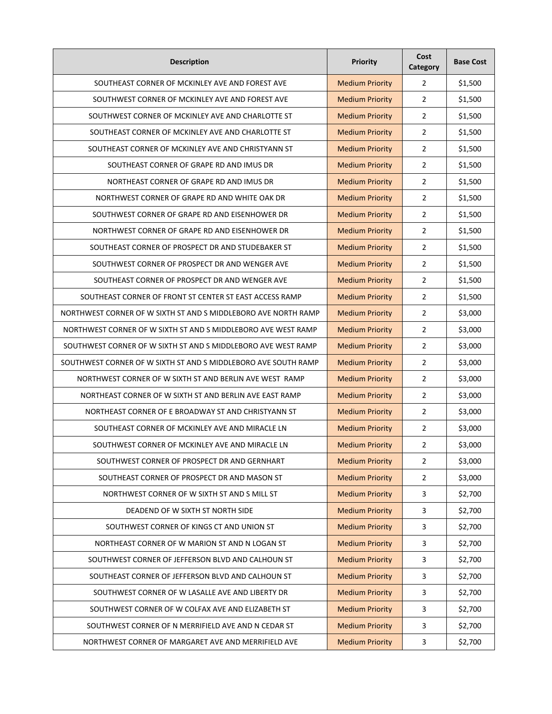| <b>Description</b>                                             | Priority               | Cost<br>Category        | <b>Base Cost</b> |
|----------------------------------------------------------------|------------------------|-------------------------|------------------|
| SOUTHEAST CORNER OF MCKINLEY AVE AND FOREST AVE                | <b>Medium Priority</b> | $\overline{2}$          | \$1,500          |
| SOUTHWEST CORNER OF MCKINLEY AVE AND FOREST AVE                | <b>Medium Priority</b> | $\overline{2}$          | \$1,500          |
| SOUTHWEST CORNER OF MCKINLEY AVE AND CHARLOTTE ST              | <b>Medium Priority</b> | $\overline{2}$          | \$1,500          |
| SOUTHEAST CORNER OF MCKINLEY AVE AND CHARLOTTE ST              | <b>Medium Priority</b> | $\overline{2}$          | \$1,500          |
| SOUTHEAST CORNER OF MCKINLEY AVE AND CHRISTYANN ST             | <b>Medium Priority</b> | $\overline{2}$          | \$1,500          |
| SOUTHEAST CORNER OF GRAPE RD AND IMUS DR                       | <b>Medium Priority</b> | $\overline{2}$          | \$1,500          |
| NORTHEAST CORNER OF GRAPE RD AND IMUS DR                       | <b>Medium Priority</b> | $\overline{2}$          | \$1,500          |
| NORTHWEST CORNER OF GRAPE RD AND WHITE OAK DR                  | <b>Medium Priority</b> | $\overline{2}$          | \$1,500          |
| SOUTHWEST CORNER OF GRAPE RD AND EISENHOWER DR                 | <b>Medium Priority</b> | $\overline{2}$          | \$1,500          |
| NORTHWEST CORNER OF GRAPE RD AND EISENHOWER DR                 | <b>Medium Priority</b> | 2                       | \$1,500          |
| SOUTHEAST CORNER OF PROSPECT DR AND STUDEBAKER ST              | <b>Medium Priority</b> | $\overline{2}$          | \$1,500          |
| SOUTHWEST CORNER OF PROSPECT DR AND WENGER AVE                 | <b>Medium Priority</b> | $\overline{2}$          | \$1,500          |
| SOUTHEAST CORNER OF PROSPECT DR AND WENGER AVE                 | <b>Medium Priority</b> | $\overline{2}$          | \$1,500          |
| SOUTHEAST CORNER OF FRONT ST CENTER ST EAST ACCESS RAMP        | <b>Medium Priority</b> | $\overline{2}$          | \$1,500          |
| NORTHWEST CORNER OF W SIXTH ST AND S MIDDLEBORO AVE NORTH RAMP | <b>Medium Priority</b> | $\overline{2}$          | \$3,000          |
| NORTHWEST CORNER OF W SIXTH ST AND S MIDDLEBORO AVE WEST RAMP  | <b>Medium Priority</b> | $\overline{2}$          | \$3,000          |
| SOUTHWEST CORNER OF W SIXTH ST AND S MIDDLEBORO AVE WEST RAMP  | <b>Medium Priority</b> | $\overline{2}$          | \$3,000          |
| SOUTHWEST CORNER OF W SIXTH ST AND S MIDDLEBORO AVE SOUTH RAMP | <b>Medium Priority</b> | $\overline{2}$          | \$3,000          |
| NORTHWEST CORNER OF W SIXTH ST AND BERLIN AVE WEST RAMP        | <b>Medium Priority</b> | $\overline{2}$          | \$3,000          |
| NORTHEAST CORNER OF W SIXTH ST AND BERLIN AVE EAST RAMP        | <b>Medium Priority</b> | $\overline{2}$          | \$3,000          |
| NORTHEAST CORNER OF E BROADWAY ST AND CHRISTYANN ST            | <b>Medium Priority</b> | $\overline{2}$          | \$3,000          |
| SOUTHEAST CORNER OF MCKINLEY AVE AND MIRACLE LN                | <b>Medium Priority</b> | $\overline{2}$          | \$3,000          |
| SOUTHWEST CORNER OF MCKINLEY AVE AND MIRACLE LN                | <b>Medium Priority</b> | $\overline{2}$          | \$3,000          |
| SOUTHWEST CORNER OF PROSPECT DR AND GERNHART                   | <b>Medium Priority</b> | $\overline{2}$          | \$3,000          |
| SOUTHEAST CORNER OF PROSPECT DR AND MASON ST                   | <b>Medium Priority</b> | $\overline{2}$          | \$3,000          |
| NORTHWEST CORNER OF W SIXTH ST AND S MILL ST                   | <b>Medium Priority</b> | 3                       | \$2,700          |
| DEADEND OF W SIXTH ST NORTH SIDE                               | <b>Medium Priority</b> | 3                       | \$2,700          |
| SOUTHWEST CORNER OF KINGS CT AND UNION ST                      | <b>Medium Priority</b> | 3                       | \$2,700          |
| NORTHEAST CORNER OF W MARION ST AND N LOGAN ST                 | <b>Medium Priority</b> | $\overline{\mathbf{3}}$ | \$2,700          |
| SOUTHWEST CORNER OF JEFFERSON BLVD AND CALHOUN ST              | <b>Medium Priority</b> | 3                       | \$2,700          |
| SOUTHEAST CORNER OF JEFFERSON BLVD AND CALHOUN ST              | <b>Medium Priority</b> | 3                       | \$2,700          |
| SOUTHWEST CORNER OF W LASALLE AVE AND LIBERTY DR               | <b>Medium Priority</b> | 3                       | \$2,700          |
| SOUTHWEST CORNER OF W COLFAX AVE AND ELIZABETH ST              | <b>Medium Priority</b> | 3                       | \$2,700          |
| SOUTHWEST CORNER OF N MERRIFIELD AVE AND N CEDAR ST            | <b>Medium Priority</b> | 3                       | \$2,700          |
| NORTHWEST CORNER OF MARGARET AVE AND MERRIFIELD AVE            | <b>Medium Priority</b> | 3                       | \$2,700          |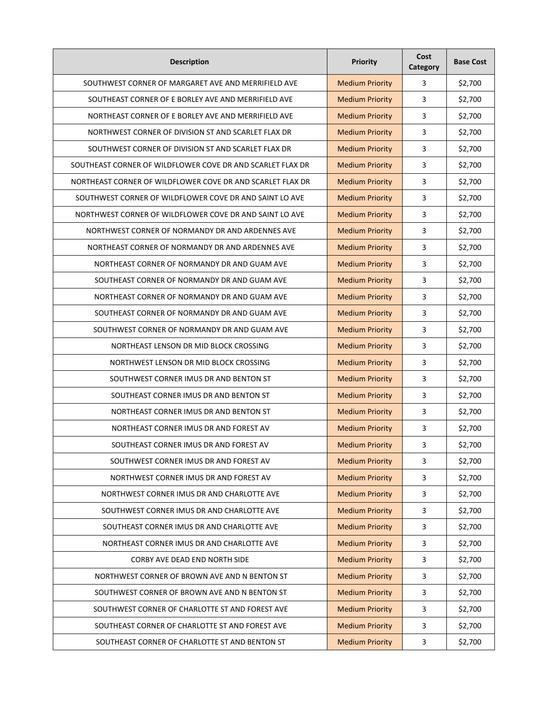| <b>Description</b>                                         | Priority               | Cost<br>Category        | <b>Base Cost</b> |
|------------------------------------------------------------|------------------------|-------------------------|------------------|
| SOUTHWEST CORNER OF MARGARET AVE AND MERRIFIELD AVE        | <b>Medium Priority</b> | 3                       | \$2,700          |
| SOUTHEAST CORNER OF E BORLEY AVE AND MERRIFIELD AVE        | <b>Medium Priority</b> | 3                       | \$2,700          |
| NORTHEAST CORNER OF E BORLEY AVE AND MERRIFIELD AVE        | <b>Medium Priority</b> | 3                       | \$2,700          |
| NORTHWEST CORNER OF DIVISION ST AND SCARLET FLAX DR        | <b>Medium Priority</b> | 3                       | \$2,700          |
| SOUTHWEST CORNER OF DIVISION ST AND SCARLET FLAX DR        | <b>Medium Priority</b> | 3                       | \$2,700          |
| SOUTHEAST CORNER OF WILDFLOWER COVE DR AND SCARLET FLAX DR | <b>Medium Priority</b> | 3                       | \$2,700          |
| NORTHEAST CORNER OF WILDFLOWER COVE DR AND SCARLET FLAX DR | <b>Medium Priority</b> | 3                       | \$2,700          |
| SOUTHWEST CORNER OF WILDFLOWER COVE DR AND SAINT LO AVE    | <b>Medium Priority</b> | 3                       | \$2,700          |
| NORTHWEST CORNER OF WILDFLOWER COVE DR AND SAINT LO AVE    | <b>Medium Priority</b> | 3                       | \$2,700          |
| NORTHWEST CORNER OF NORMANDY DR AND ARDENNES AVE           | <b>Medium Priority</b> | 3                       | \$2,700          |
| NORTHEAST CORNER OF NORMANDY DR AND ARDENNES AVE           | <b>Medium Priority</b> | 3                       | \$2,700          |
| NORTHEAST CORNER OF NORMANDY DR AND GUAM AVE               | <b>Medium Priority</b> | 3                       | \$2,700          |
| SOUTHEAST CORNER OF NORMANDY DR AND GUAM AVE               | <b>Medium Priority</b> | 3                       | \$2,700          |
| NORTHEAST CORNER OF NORMANDY DR AND GUAM AVE               | <b>Medium Priority</b> | 3                       | \$2,700          |
| SOUTHEAST CORNER OF NORMANDY DR AND GUAM AVE               | <b>Medium Priority</b> | 3                       | \$2,700          |
| SOUTHWEST CORNER OF NORMANDY DR AND GUAM AVE               | <b>Medium Priority</b> | 3                       | \$2,700          |
| NORTHEAST LENSON DR MID BLOCK CROSSING                     | <b>Medium Priority</b> | 3                       | \$2,700          |
| NORTHWEST LENSON DR MID BLOCK CROSSING                     | <b>Medium Priority</b> | 3                       | \$2,700          |
| SOUTHWEST CORNER IMUS DR AND BENTON ST                     | <b>Medium Priority</b> | 3                       | \$2,700          |
| SOUTHEAST CORNER IMUS DR AND BENTON ST                     | <b>Medium Priority</b> | 3                       | \$2,700          |
| NORTHEAST CORNER IMUS DR AND BENTON ST                     | <b>Medium Priority</b> | 3                       | \$2,700          |
| NORTHEAST CORNER IMUS DR AND FOREST AV                     | <b>Medium Priority</b> | 3                       | \$2,700          |
| SOUTHEAST CORNER IMUS DR AND FOREST AV                     | <b>Medium Priority</b> | 3                       | \$2,700          |
| SOUTHWEST CORNER IMUS DR AND FOREST AV                     | <b>Medium Priority</b> | 3                       | \$2,700          |
| NORTHWEST CORNER IMUS DR AND FOREST AV                     | <b>Medium Priority</b> | 3                       | \$2,700          |
| NORTHWEST CORNER IMUS DR AND CHARLOTTE AVE                 | <b>Medium Priority</b> | 3                       | \$2,700          |
| SOUTHWEST CORNER IMUS DR AND CHARLOTTE AVE                 | <b>Medium Priority</b> | $\overline{3}$          | \$2,700          |
| SOUTHEAST CORNER IMUS DR AND CHARLOTTE AVE                 | <b>Medium Priority</b> | 3                       | \$2,700          |
| NORTHEAST CORNER IMUS DR AND CHARLOTTE AVE                 | <b>Medium Priority</b> | $\overline{\mathbf{3}}$ | \$2,700          |
| CORBY AVE DEAD END NORTH SIDE                              | <b>Medium Priority</b> | 3                       | \$2,700          |
| NORTHWEST CORNER OF BROWN AVE AND N BENTON ST              | <b>Medium Priority</b> | $\mathbf{3}$            | \$2,700          |
| SOUTHWEST CORNER OF BROWN AVE AND N BENTON ST              | <b>Medium Priority</b> | 3                       | \$2,700          |
| SOUTHWEST CORNER OF CHARLOTTE ST AND FOREST AVE            | <b>Medium Priority</b> | $\mathbf{3}$            | \$2,700          |
| SOUTHEAST CORNER OF CHARLOTTE ST AND FOREST AVE            | <b>Medium Priority</b> | 3                       | \$2,700          |
| SOUTHEAST CORNER OF CHARLOTTE ST AND BENTON ST             | <b>Medium Priority</b> | 3                       | \$2,700          |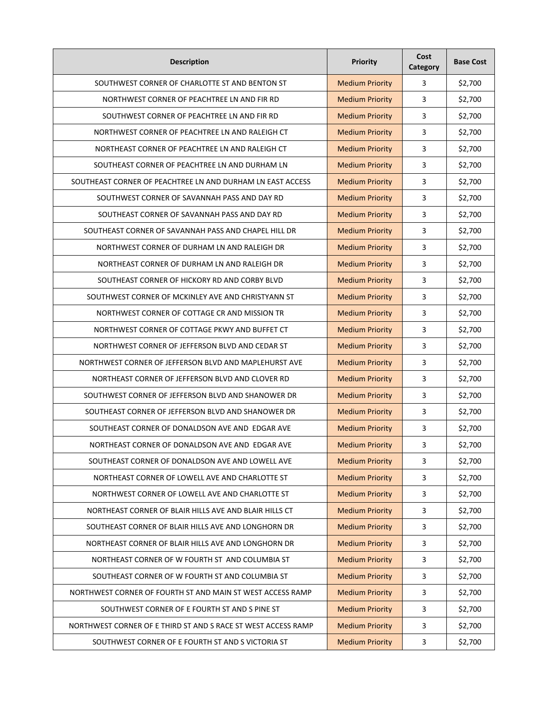| <b>Description</b>                                            | Priority               | Cost<br>Category | <b>Base Cost</b> |
|---------------------------------------------------------------|------------------------|------------------|------------------|
| SOUTHWEST CORNER OF CHARLOTTE ST AND BENTON ST                | <b>Medium Priority</b> | 3                | \$2,700          |
| NORTHWEST CORNER OF PEACHTREE LN AND FIR RD                   | <b>Medium Priority</b> | 3                | \$2,700          |
| SOUTHWEST CORNER OF PEACHTREE LN AND FIR RD                   | <b>Medium Priority</b> | 3                | \$2,700          |
| NORTHWEST CORNER OF PEACHTREE LN AND RALEIGH CT               | <b>Medium Priority</b> | 3                | \$2,700          |
| NORTHEAST CORNER OF PEACHTREE LN AND RALEIGH CT               | <b>Medium Priority</b> | 3                | \$2,700          |
| SOUTHEAST CORNER OF PEACHTREE LN AND DURHAM LN                | <b>Medium Priority</b> | 3                | \$2,700          |
| SOUTHEAST CORNER OF PEACHTREE LN AND DURHAM LN EAST ACCESS    | <b>Medium Priority</b> | 3                | \$2,700          |
| SOUTHWEST CORNER OF SAVANNAH PASS AND DAY RD                  | <b>Medium Priority</b> | 3                | \$2,700          |
| SOUTHEAST CORNER OF SAVANNAH PASS AND DAY RD                  | <b>Medium Priority</b> | 3                | \$2,700          |
| SOUTHEAST CORNER OF SAVANNAH PASS AND CHAPEL HILL DR          | <b>Medium Priority</b> | 3                | \$2,700          |
| NORTHWEST CORNER OF DURHAM LN AND RALEIGH DR                  | <b>Medium Priority</b> | 3                | \$2,700          |
| NORTHEAST CORNER OF DURHAM LN AND RALEIGH DR                  | <b>Medium Priority</b> | 3                | \$2,700          |
| SOUTHEAST CORNER OF HICKORY RD AND CORBY BLVD                 | <b>Medium Priority</b> | 3                | \$2,700          |
| SOUTHWEST CORNER OF MCKINLEY AVE AND CHRISTYANN ST            | <b>Medium Priority</b> | 3                | \$2,700          |
| NORTHWEST CORNER OF COTTAGE CR AND MISSION TR                 | <b>Medium Priority</b> | 3                | \$2,700          |
| NORTHWEST CORNER OF COTTAGE PKWY AND BUFFET CT                | <b>Medium Priority</b> | 3                | \$2,700          |
| NORTHWEST CORNER OF JEFFERSON BLVD AND CEDAR ST               | <b>Medium Priority</b> | 3                | \$2,700          |
| NORTHWEST CORNER OF JEFFERSON BLVD AND MAPLEHURST AVE         | <b>Medium Priority</b> | 3                | \$2,700          |
| NORTHEAST CORNER OF JEFFERSON BLVD AND CLOVER RD              | <b>Medium Priority</b> | 3                | \$2,700          |
| SOUTHWEST CORNER OF JEFFERSON BLVD AND SHANOWER DR            | <b>Medium Priority</b> | 3                | \$2,700          |
| SOUTHEAST CORNER OF JEFFERSON BLVD AND SHANOWER DR            | <b>Medium Priority</b> | 3                | \$2,700          |
| SOUTHEAST CORNER OF DONALDSON AVE AND EDGAR AVE               | <b>Medium Priority</b> | 3                | \$2,700          |
| NORTHEAST CORNER OF DONALDSON AVE AND EDGAR AVE               | <b>Medium Priority</b> | 3                | \$2,700          |
| SOUTHEAST CORNER OF DONALDSON AVE AND LOWELL AVE              | <b>Medium Priority</b> | 3                | \$2,700          |
| NORTHEAST CORNER OF LOWELL AVE AND CHARLOTTE ST               | <b>Medium Priority</b> | 3                | \$2,700          |
| NORTHWEST CORNER OF LOWELL AVE AND CHARLOTTE ST               | <b>Medium Priority</b> | 3                | \$2,700          |
| NORTHEAST CORNER OF BLAIR HILLS AVE AND BLAIR HILLS CT        | <b>Medium Priority</b> | $\overline{3}$   | \$2,700          |
| SOUTHEAST CORNER OF BLAIR HILLS AVE AND LONGHORN DR           | <b>Medium Priority</b> | 3                | \$2,700          |
| NORTHEAST CORNER OF BLAIR HILLS AVE AND LONGHORN DR           | <b>Medium Priority</b> | 3                | \$2,700          |
| NORTHEAST CORNER OF W FOURTH ST AND COLUMBIA ST               | <b>Medium Priority</b> | 3                | \$2,700          |
| SOUTHEAST CORNER OF W FOURTH ST AND COLUMBIA ST               | <b>Medium Priority</b> | 3                | \$2,700          |
| NORTHWEST CORNER OF FOURTH ST AND MAIN ST WEST ACCESS RAMP    | <b>Medium Priority</b> | 3                | \$2,700          |
| SOUTHWEST CORNER OF E FOURTH ST AND S PINE ST                 | <b>Medium Priority</b> | $\mathbf{3}$     | \$2,700          |
| NORTHWEST CORNER OF E THIRD ST AND S RACE ST WEST ACCESS RAMP | <b>Medium Priority</b> | 3                | \$2,700          |
| SOUTHWEST CORNER OF E FOURTH ST AND S VICTORIA ST             | <b>Medium Priority</b> | 3                | \$2,700          |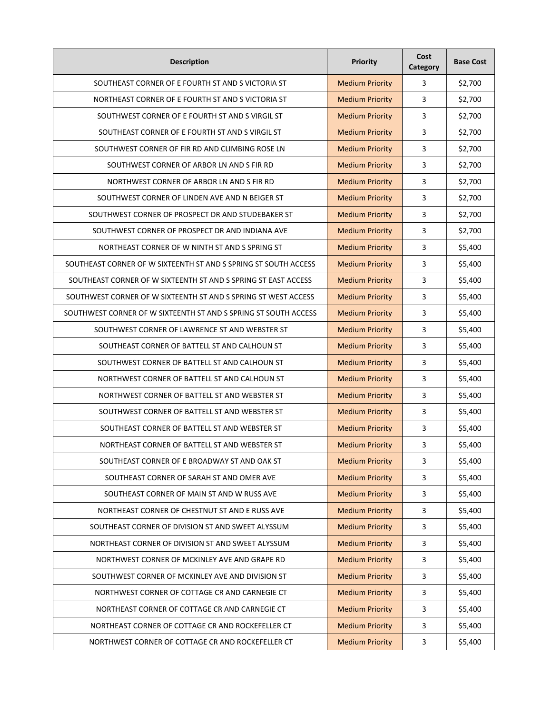| <b>Description</b>                                              | Priority               | Cost<br>Category | <b>Base Cost</b> |
|-----------------------------------------------------------------|------------------------|------------------|------------------|
| SOUTHEAST CORNER OF E FOURTH ST AND S VICTORIA ST               | <b>Medium Priority</b> | 3                | \$2,700          |
| NORTHEAST CORNER OF E FOURTH ST AND S VICTORIA ST               | <b>Medium Priority</b> | 3                | \$2,700          |
| SOUTHWEST CORNER OF E FOURTH ST AND S VIRGIL ST                 | <b>Medium Priority</b> | 3                | \$2,700          |
| SOUTHEAST CORNER OF E FOURTH ST AND S VIRGIL ST                 | <b>Medium Priority</b> | 3                | \$2,700          |
| SOUTHWEST CORNER OF FIR RD AND CLIMBING ROSE LN                 | <b>Medium Priority</b> | 3                | \$2,700          |
| SOUTHWEST CORNER OF ARBOR LN AND S FIR RD                       | <b>Medium Priority</b> | 3                | \$2,700          |
| NORTHWEST CORNER OF ARBOR LN AND S FIR RD                       | <b>Medium Priority</b> | 3                | \$2,700          |
| SOUTHWEST CORNER OF LINDEN AVE AND N BEIGER ST                  | <b>Medium Priority</b> | 3                | \$2,700          |
| SOUTHWEST CORNER OF PROSPECT DR AND STUDEBAKER ST               | <b>Medium Priority</b> | 3                | \$2,700          |
| SOUTHWEST CORNER OF PROSPECT DR AND INDIANA AVE                 | <b>Medium Priority</b> | 3                | \$2,700          |
| NORTHEAST CORNER OF W NINTH ST AND S SPRING ST                  | <b>Medium Priority</b> | 3                | \$5,400          |
| SOUTHEAST CORNER OF W SIXTEENTH ST AND S SPRING ST SOUTH ACCESS | <b>Medium Priority</b> | 3                | \$5,400          |
| SOUTHEAST CORNER OF W SIXTEENTH ST AND S SPRING ST EAST ACCESS  | <b>Medium Priority</b> | 3                | \$5,400          |
| SOUTHWEST CORNER OF W SIXTEENTH ST AND S SPRING ST WEST ACCESS  | <b>Medium Priority</b> | 3                | \$5,400          |
| SOUTHWEST CORNER OF W SIXTEENTH ST AND S SPRING ST SOUTH ACCESS | <b>Medium Priority</b> | 3                | \$5,400          |
| SOUTHWEST CORNER OF LAWRENCE ST AND WEBSTER ST                  | <b>Medium Priority</b> | 3                | \$5,400          |
| SOUTHEAST CORNER OF BATTELL ST AND CALHOUN ST                   | <b>Medium Priority</b> | 3                | \$5,400          |
| SOUTHWEST CORNER OF BATTELL ST AND CALHOUN ST                   | <b>Medium Priority</b> | 3                | \$5,400          |
| NORTHWEST CORNER OF BATTELL ST AND CALHOUN ST                   | <b>Medium Priority</b> | 3                | \$5,400          |
| NORTHWEST CORNER OF BATTELL ST AND WEBSTER ST                   | <b>Medium Priority</b> | 3                | \$5,400          |
| SOUTHWEST CORNER OF BATTELL ST AND WEBSTER ST                   | <b>Medium Priority</b> | 3                | \$5,400          |
| SOUTHEAST CORNER OF BATTELL ST AND WEBSTER ST                   | <b>Medium Priority</b> | 3                | \$5,400          |
| NORTHEAST CORNER OF BATTELL ST AND WEBSTER ST                   | <b>Medium Priority</b> | 3                | \$5,400          |
| SOUTHEAST CORNER OF E BROADWAY ST AND OAK ST                    | <b>Medium Priority</b> | 3                | \$5,400          |
| SOUTHEAST CORNER OF SARAH ST AND OMER AVE                       | <b>Medium Priority</b> | 3                | \$5,400          |
| SOUTHEAST CORNER OF MAIN ST AND W RUSS AVE                      | <b>Medium Priority</b> | 3                | \$5,400          |
| NORTHEAST CORNER OF CHESTNUT ST AND E RUSS AVE                  | <b>Medium Priority</b> | 3                | \$5,400          |
| SOUTHEAST CORNER OF DIVISION ST AND SWEET ALYSSUM               | <b>Medium Priority</b> | 3                | \$5,400          |
| NORTHEAST CORNER OF DIVISION ST AND SWEET ALYSSUM               | <b>Medium Priority</b> | 3                | \$5,400          |
| NORTHWEST CORNER OF MCKINLEY AVE AND GRAPE RD                   | <b>Medium Priority</b> | 3                | \$5,400          |
| SOUTHWEST CORNER OF MCKINLEY AVE AND DIVISION ST                | <b>Medium Priority</b> | 3                | \$5,400          |
| NORTHWEST CORNER OF COTTAGE CR AND CARNEGIE CT                  | <b>Medium Priority</b> | 3                | \$5,400          |
| NORTHEAST CORNER OF COTTAGE CR AND CARNEGIE CT                  | <b>Medium Priority</b> | 3                | \$5,400          |
| NORTHEAST CORNER OF COTTAGE CR AND ROCKEFELLER CT               | <b>Medium Priority</b> | 3                | \$5,400          |
| NORTHWEST CORNER OF COTTAGE CR AND ROCKEFELLER CT               | <b>Medium Priority</b> | 3                | \$5,400          |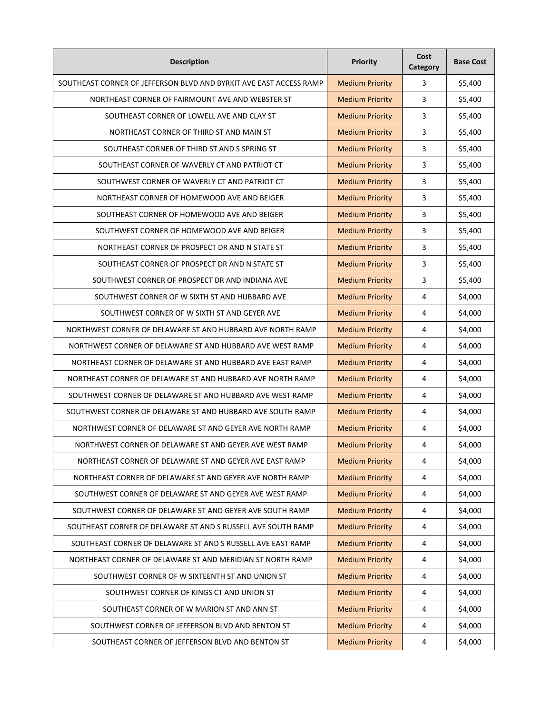| <b>Description</b>                                                 | Priority               | Cost<br>Category | <b>Base Cost</b> |
|--------------------------------------------------------------------|------------------------|------------------|------------------|
| SOUTHEAST CORNER OF JEFFERSON BLVD AND BYRKIT AVE EAST ACCESS RAMP | <b>Medium Priority</b> | 3                | \$5,400          |
| NORTHEAST CORNER OF FAIRMOUNT AVE AND WEBSTER ST                   | <b>Medium Priority</b> | 3                | \$5,400          |
| SOUTHEAST CORNER OF LOWELL AVE AND CLAY ST                         | <b>Medium Priority</b> | 3                | \$5,400          |
| NORTHEAST CORNER OF THIRD ST AND MAIN ST                           | <b>Medium Priority</b> | 3                | \$5,400          |
| SOUTHEAST CORNER OF THIRD ST AND S SPRING ST                       | <b>Medium Priority</b> | 3                | \$5,400          |
| SOUTHEAST CORNER OF WAVERLY CT AND PATRIOT CT                      | <b>Medium Priority</b> | 3                | \$5,400          |
| SOUTHWEST CORNER OF WAVERLY CT AND PATRIOT CT                      | <b>Medium Priority</b> | 3                | \$5,400          |
| NORTHEAST CORNER OF HOMEWOOD AVE AND BEIGER                        | <b>Medium Priority</b> | 3                | \$5,400          |
| SOUTHEAST CORNER OF HOMEWOOD AVE AND BEIGER                        | <b>Medium Priority</b> | 3                | \$5,400          |
| SOUTHWEST CORNER OF HOMEWOOD AVE AND BEIGER                        | <b>Medium Priority</b> | 3                | \$5,400          |
| NORTHEAST CORNER OF PROSPECT DR AND N STATE ST                     | <b>Medium Priority</b> | 3                | \$5,400          |
| SOUTHEAST CORNER OF PROSPECT DR AND N STATE ST                     | <b>Medium Priority</b> | 3                | \$5,400          |
| SOUTHWEST CORNER OF PROSPECT DR AND INDIANA AVE                    | <b>Medium Priority</b> | 3                | \$5,400          |
| SOUTHWEST CORNER OF W SIXTH ST AND HUBBARD AVE                     | <b>Medium Priority</b> | 4                | \$4,000          |
| SOUTHWEST CORNER OF W SIXTH ST AND GEYER AVE                       | <b>Medium Priority</b> | 4                | \$4,000          |
| NORTHWEST CORNER OF DELAWARE ST AND HUBBARD AVE NORTH RAMP         | <b>Medium Priority</b> | 4                | \$4,000          |
| NORTHWEST CORNER OF DELAWARE ST AND HUBBARD AVE WEST RAMP          | <b>Medium Priority</b> | 4                | \$4,000          |
| NORTHEAST CORNER OF DELAWARE ST AND HUBBARD AVE EAST RAMP          | <b>Medium Priority</b> | 4                | \$4,000          |
| NORTHEAST CORNER OF DELAWARE ST AND HUBBARD AVE NORTH RAMP         | <b>Medium Priority</b> | 4                | \$4,000          |
| SOUTHWEST CORNER OF DELAWARE ST AND HUBBARD AVE WEST RAMP          | <b>Medium Priority</b> | 4                | \$4,000          |
| SOUTHWEST CORNER OF DELAWARE ST AND HUBBARD AVE SOUTH RAMP         | <b>Medium Priority</b> | 4                | \$4,000          |
| NORTHWEST CORNER OF DELAWARE ST AND GEYER AVE NORTH RAMP           | <b>Medium Priority</b> | 4                | \$4,000          |
| NORTHWEST CORNER OF DELAWARE ST AND GEYER AVE WEST RAMP            | <b>Medium Priority</b> | 4                | \$4,000          |
| NORTHEAST CORNER OF DELAWARE ST AND GEYER AVE EAST RAMP            | <b>Medium Priority</b> | 4                | \$4,000          |
| NORTHEAST CORNER OF DELAWARE ST AND GEYER AVE NORTH RAMP           | <b>Medium Priority</b> | 4                | \$4,000          |
| SOUTHWEST CORNER OF DELAWARE ST AND GEYER AVE WEST RAMP            | <b>Medium Priority</b> | 4                | \$4,000          |
| SOUTHWEST CORNER OF DELAWARE ST AND GEYER AVE SOUTH RAMP           | <b>Medium Priority</b> | 4                | \$4,000          |
| SOUTHEAST CORNER OF DELAWARE ST AND S RUSSELL AVE SOUTH RAMP       | <b>Medium Priority</b> | 4                | \$4,000          |
| SOUTHEAST CORNER OF DELAWARE ST AND S RUSSELL AVE EAST RAMP        | <b>Medium Priority</b> | $\pmb{4}$        | \$4,000          |
| NORTHEAST CORNER OF DELAWARE ST AND MERIDIAN ST NORTH RAMP         | <b>Medium Priority</b> | 4                | \$4,000          |
| SOUTHWEST CORNER OF W SIXTEENTH ST AND UNION ST                    | <b>Medium Priority</b> | 4                | \$4,000          |
| SOUTHWEST CORNER OF KINGS CT AND UNION ST                          | <b>Medium Priority</b> | 4                | \$4,000          |
| SOUTHEAST CORNER OF W MARION ST AND ANN ST                         | <b>Medium Priority</b> | 4                | \$4,000          |
| SOUTHWEST CORNER OF JEFFERSON BLVD AND BENTON ST                   | <b>Medium Priority</b> | 4                | \$4,000          |
| SOUTHEAST CORNER OF JEFFERSON BLVD AND BENTON ST                   | <b>Medium Priority</b> | 4                | \$4,000          |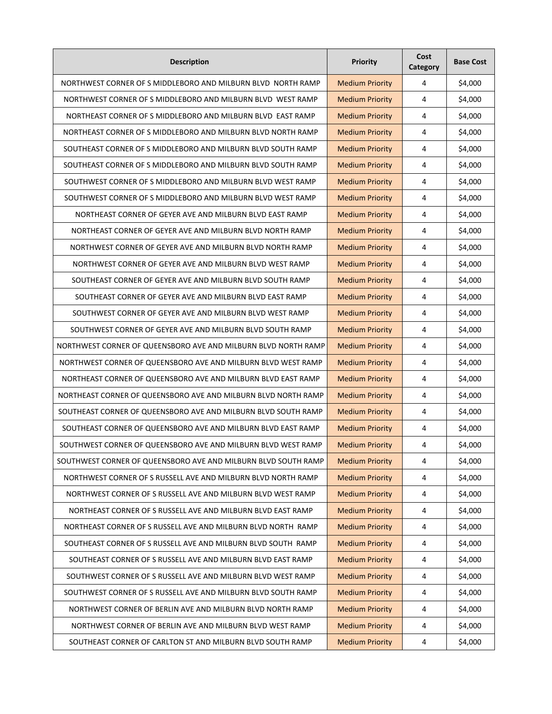| <b>Description</b>                                             | Priority               | Cost<br>Category | <b>Base Cost</b> |
|----------------------------------------------------------------|------------------------|------------------|------------------|
| NORTHWEST CORNER OF S MIDDLEBORO AND MILBURN BLVD NORTH RAMP   | <b>Medium Priority</b> | 4                | \$4,000          |
| NORTHWEST CORNER OF S MIDDLEBORO AND MILBURN BLVD WEST RAMP    | <b>Medium Priority</b> | 4                | \$4,000          |
| NORTHEAST CORNER OF S MIDDLEBORO AND MILBURN BLVD EAST RAMP    | <b>Medium Priority</b> | 4                | \$4,000          |
| NORTHEAST CORNER OF S MIDDLEBORO AND MILBURN BLVD NORTH RAMP   | <b>Medium Priority</b> | 4                | \$4,000          |
| SOUTHEAST CORNER OF S MIDDLEBORO AND MILBURN BLVD SOUTH RAMP   | <b>Medium Priority</b> | 4                | \$4,000          |
| SOUTHEAST CORNER OF S MIDDLEBORO AND MILBURN BLVD SOUTH RAMP   | <b>Medium Priority</b> | 4                | \$4,000          |
| SOUTHWEST CORNER OF S MIDDLEBORO AND MILBURN BLVD WEST RAMP    | <b>Medium Priority</b> | 4                | \$4,000          |
| SOUTHWEST CORNER OF S MIDDLEBORO AND MILBURN BLVD WEST RAMP    | <b>Medium Priority</b> | 4                | \$4,000          |
| NORTHEAST CORNER OF GEYER AVE AND MILBURN BLVD EAST RAMP       | <b>Medium Priority</b> | 4                | \$4,000          |
| NORTHEAST CORNER OF GEYER AVE AND MILBURN BLVD NORTH RAMP      | <b>Medium Priority</b> | 4                | \$4,000          |
| NORTHWEST CORNER OF GEYER AVE AND MILBURN BLVD NORTH RAMP      | <b>Medium Priority</b> | 4                | \$4,000          |
| NORTHWEST CORNER OF GEYER AVE AND MILBURN BLVD WEST RAMP       | <b>Medium Priority</b> | 4                | \$4,000          |
| SOUTHEAST CORNER OF GEYER AVE AND MILBURN BLVD SOUTH RAMP      | <b>Medium Priority</b> | 4                | \$4,000          |
| SOUTHEAST CORNER OF GEYER AVE AND MILBURN BLVD EAST RAMP       | <b>Medium Priority</b> | 4                | \$4,000          |
| SOUTHWEST CORNER OF GEYER AVE AND MILBURN BLVD WEST RAMP       | <b>Medium Priority</b> | 4                | \$4,000          |
| SOUTHWEST CORNER OF GEYER AVE AND MILBURN BLVD SOUTH RAMP      | <b>Medium Priority</b> | 4                | \$4,000          |
| NORTHWEST CORNER OF QUEENSBORO AVE AND MILBURN BLVD NORTH RAMP | <b>Medium Priority</b> | 4                | \$4,000          |
| NORTHWEST CORNER OF QUEENSBORO AVE AND MILBURN BLVD WEST RAMP  | <b>Medium Priority</b> | 4                | \$4,000          |
| NORTHEAST CORNER OF QUEENSBORO AVE AND MILBURN BLVD EAST RAMP  | <b>Medium Priority</b> | 4                | \$4,000          |
| NORTHEAST CORNER OF QUEENSBORO AVE AND MILBURN BLVD NORTH RAMP | <b>Medium Priority</b> | 4                | \$4,000          |
| SOUTHEAST CORNER OF QUEENSBORO AVE AND MILBURN BLVD SOUTH RAMP | <b>Medium Priority</b> | 4                | \$4,000          |
| SOUTHEAST CORNER OF QUEENSBORO AVE AND MILBURN BLVD EAST RAMP  | <b>Medium Priority</b> | 4                | \$4,000          |
| SOUTHWEST CORNER OF QUEENSBORO AVE AND MILBURN BLVD WEST RAMP  | <b>Medium Priority</b> | 4                | \$4,000          |
| SOUTHWEST CORNER OF QUEENSBORO AVE AND MILBURN BLVD SOUTH RAMP | <b>Medium Priority</b> | 4                | \$4,000          |
| NORTHWEST CORNER OF S RUSSELL AVE AND MILBURN BLVD NORTH RAMP  | <b>Medium Priority</b> | 4                | \$4,000          |
| NORTHWEST CORNER OF S RUSSELL AVE AND MILBURN BLVD WEST RAMP   | <b>Medium Priority</b> | 4                | \$4,000          |
| NORTHEAST CORNER OF S RUSSELL AVE AND MILBURN BLVD EAST RAMP   | <b>Medium Priority</b> | 4                | \$4,000          |
| NORTHEAST CORNER OF S RUSSELL AVE AND MILBURN BLVD NORTH RAMP  | <b>Medium Priority</b> | 4                | \$4,000          |
| SOUTHEAST CORNER OF S RUSSELL AVE AND MILBURN BLVD SOUTH RAMP  | <b>Medium Priority</b> | 4                | \$4,000          |
| SOUTHEAST CORNER OF S RUSSELL AVE AND MILBURN BLVD EAST RAMP   | <b>Medium Priority</b> | 4                | \$4,000          |
| SOUTHWEST CORNER OF S RUSSELL AVE AND MILBURN BLVD WEST RAMP   | <b>Medium Priority</b> | 4                | \$4,000          |
| SOUTHWEST CORNER OF S RUSSELL AVE AND MILBURN BLVD SOUTH RAMP  | <b>Medium Priority</b> | 4                | \$4,000          |
| NORTHWEST CORNER OF BERLIN AVE AND MILBURN BLVD NORTH RAMP     | <b>Medium Priority</b> | 4                | \$4,000          |
| NORTHWEST CORNER OF BERLIN AVE AND MILBURN BLVD WEST RAMP      | <b>Medium Priority</b> | 4                | \$4,000          |
| SOUTHEAST CORNER OF CARLTON ST AND MILBURN BLVD SOUTH RAMP     | <b>Medium Priority</b> | 4                | \$4,000          |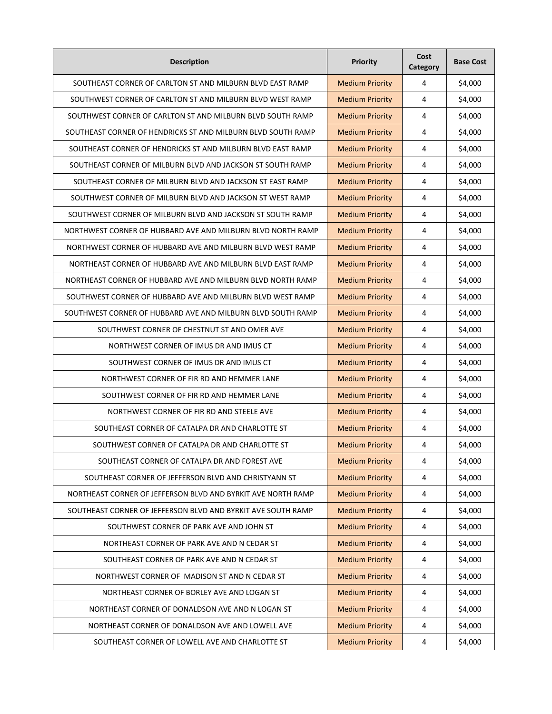| <b>Description</b>                                           | <b>Priority</b>        | Cost<br>Category        | <b>Base Cost</b> |
|--------------------------------------------------------------|------------------------|-------------------------|------------------|
| SOUTHEAST CORNER OF CARLTON ST AND MILBURN BLVD EAST RAMP    | <b>Medium Priority</b> | 4                       | \$4,000          |
| SOUTHWEST CORNER OF CARLTON ST AND MILBURN BLVD WEST RAMP    | <b>Medium Priority</b> | 4                       | \$4,000          |
| SOUTHWEST CORNER OF CARLTON ST AND MILBURN BLVD SOUTH RAMP   | <b>Medium Priority</b> | 4                       | \$4,000          |
| SOUTHEAST CORNER OF HENDRICKS ST AND MILBURN BLVD SOUTH RAMP | <b>Medium Priority</b> | 4                       | \$4,000          |
| SOUTHEAST CORNER OF HENDRICKS ST AND MILBURN BLVD EAST RAMP  | <b>Medium Priority</b> | 4                       | \$4,000          |
| SOUTHEAST CORNER OF MILBURN BLVD AND JACKSON ST SOUTH RAMP   | <b>Medium Priority</b> | 4                       | \$4,000          |
| SOUTHEAST CORNER OF MILBURN BLVD AND JACKSON ST EAST RAMP    | <b>Medium Priority</b> | 4                       | \$4,000          |
| SOUTHWEST CORNER OF MILBURN BLVD AND JACKSON ST WEST RAMP    | <b>Medium Priority</b> | 4                       | \$4,000          |
| SOUTHWEST CORNER OF MILBURN BLVD AND JACKSON ST SOUTH RAMP   | <b>Medium Priority</b> | 4                       | \$4,000          |
| NORTHWEST CORNER OF HUBBARD AVE AND MILBURN BLVD NORTH RAMP  | <b>Medium Priority</b> | 4                       | \$4,000          |
| NORTHWEST CORNER OF HUBBARD AVE AND MILBURN BLVD WEST RAMP   | <b>Medium Priority</b> | 4                       | \$4,000          |
| NORTHEAST CORNER OF HUBBARD AVE AND MILBURN BLVD EAST RAMP   | <b>Medium Priority</b> | 4                       | \$4,000          |
| NORTHEAST CORNER OF HUBBARD AVE AND MILBURN BLVD NORTH RAMP  | <b>Medium Priority</b> | 4                       | \$4,000          |
| SOUTHWEST CORNER OF HUBBARD AVE AND MILBURN BLVD WEST RAMP   | <b>Medium Priority</b> | 4                       | \$4,000          |
| SOUTHWEST CORNER OF HUBBARD AVE AND MILBURN BLVD SOUTH RAMP  | <b>Medium Priority</b> | 4                       | \$4,000          |
| SOUTHWEST CORNER OF CHESTNUT ST AND OMER AVE                 | <b>Medium Priority</b> | 4                       | \$4,000          |
| NORTHWEST CORNER OF IMUS DR AND IMUS CT                      | <b>Medium Priority</b> | 4                       | \$4,000          |
| SOUTHWEST CORNER OF IMUS DR AND IMUS CT                      | <b>Medium Priority</b> | 4                       | \$4,000          |
| NORTHWEST CORNER OF FIR RD AND HEMMER LANE                   | <b>Medium Priority</b> | 4                       | \$4,000          |
| SOUTHWEST CORNER OF FIR RD AND HEMMER LANE                   | <b>Medium Priority</b> | 4                       | \$4,000          |
| NORTHWEST CORNER OF FIR RD AND STEELE AVE                    | <b>Medium Priority</b> | 4                       | \$4,000          |
| SOUTHEAST CORNER OF CATALPA DR AND CHARLOTTE ST              | <b>Medium Priority</b> | 4                       | \$4,000          |
| SOUTHWEST CORNER OF CATALPA DR AND CHARLOTTE ST              | <b>Medium Priority</b> | 4                       | \$4,000          |
| SOUTHEAST CORNER OF CATALPA DR AND FOREST AVE                | <b>Medium Priority</b> | 4                       | \$4,000          |
| SOUTHEAST CORNER OF JEFFERSON BLVD AND CHRISTYANN ST         | <b>Medium Priority</b> | 4                       | \$4,000          |
| NORTHEAST CORNER OF JEFFERSON BLVD AND BYRKIT AVE NORTH RAMP | <b>Medium Priority</b> | 4                       | \$4,000          |
| SOUTHEAST CORNER OF JEFFERSON BLVD AND BYRKIT AVE SOUTH RAMP | <b>Medium Priority</b> | 4                       | \$4,000          |
| SOUTHWEST CORNER OF PARK AVE AND JOHN ST                     | <b>Medium Priority</b> | 4                       | \$4,000          |
| NORTHEAST CORNER OF PARK AVE AND N CEDAR ST                  | <b>Medium Priority</b> | $\overline{\mathbf{4}}$ | \$4,000          |
| SOUTHEAST CORNER OF PARK AVE AND N CEDAR ST                  | <b>Medium Priority</b> | 4                       | \$4,000          |
| NORTHWEST CORNER OF MADISON ST AND N CEDAR ST                | <b>Medium Priority</b> | 4                       | \$4,000          |
| NORTHEAST CORNER OF BORLEY AVE AND LOGAN ST                  | <b>Medium Priority</b> | 4                       | \$4,000          |
| NORTHEAST CORNER OF DONALDSON AVE AND N LOGAN ST             | <b>Medium Priority</b> | 4                       | \$4,000          |
| NORTHEAST CORNER OF DONALDSON AVE AND LOWELL AVE             | <b>Medium Priority</b> | 4                       | \$4,000          |
| SOUTHEAST CORNER OF LOWELL AVE AND CHARLOTTE ST              | <b>Medium Priority</b> | 4                       | \$4,000          |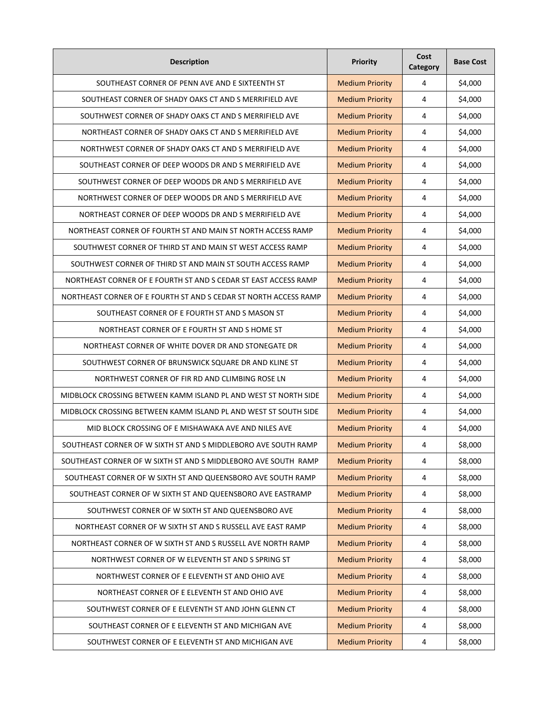| <b>Description</b>                                               | <b>Priority</b>        | Cost<br>Category | <b>Base Cost</b> |
|------------------------------------------------------------------|------------------------|------------------|------------------|
| SOUTHEAST CORNER OF PENN AVE AND E SIXTEENTH ST                  | <b>Medium Priority</b> | 4                | \$4,000          |
| SOUTHEAST CORNER OF SHADY OAKS CT AND S MERRIFIELD AVE           | <b>Medium Priority</b> | 4                | \$4,000          |
| SOUTHWEST CORNER OF SHADY OAKS CT AND S MERRIFIELD AVE           | <b>Medium Priority</b> | 4                | \$4,000          |
| NORTHEAST CORNER OF SHADY OAKS CT AND S MERRIFIELD AVE           | <b>Medium Priority</b> | 4                | \$4,000          |
| NORTHWEST CORNER OF SHADY OAKS CT AND S MERRIFIELD AVE           | <b>Medium Priority</b> | 4                | \$4,000          |
| SOUTHEAST CORNER OF DEEP WOODS DR AND S MERRIFIELD AVE           | <b>Medium Priority</b> | 4                | \$4,000          |
| SOUTHWEST CORNER OF DEEP WOODS DR AND S MERRIFIELD AVE           | <b>Medium Priority</b> | 4                | \$4,000          |
| NORTHWEST CORNER OF DEEP WOODS DR AND S MERRIFIELD AVE           | <b>Medium Priority</b> | 4                | \$4,000          |
| NORTHEAST CORNER OF DEEP WOODS DR AND S MERRIFIELD AVE           | <b>Medium Priority</b> | 4                | \$4,000          |
| NORTHEAST CORNER OF FOURTH ST AND MAIN ST NORTH ACCESS RAMP      | <b>Medium Priority</b> | 4                | \$4,000          |
| SOUTHWEST CORNER OF THIRD ST AND MAIN ST WEST ACCESS RAMP        | <b>Medium Priority</b> | 4                | \$4,000          |
| SOUTHWEST CORNER OF THIRD ST AND MAIN ST SOUTH ACCESS RAMP       | <b>Medium Priority</b> | 4                | \$4,000          |
| NORTHEAST CORNER OF E FOURTH ST AND S CEDAR ST EAST ACCESS RAMP  | <b>Medium Priority</b> | 4                | \$4,000          |
| NORTHEAST CORNER OF E FOURTH ST AND S CEDAR ST NORTH ACCESS RAMP | <b>Medium Priority</b> | 4                | \$4,000          |
| SOUTHEAST CORNER OF E FOURTH ST AND S MASON ST                   | <b>Medium Priority</b> | 4                | \$4,000          |
| NORTHEAST CORNER OF E FOURTH ST AND SHOME ST                     | <b>Medium Priority</b> | 4                | \$4,000          |
| NORTHEAST CORNER OF WHITE DOVER DR AND STONEGATE DR              | <b>Medium Priority</b> | 4                | \$4,000          |
| SOUTHWEST CORNER OF BRUNSWICK SQUARE DR AND KLINE ST             | <b>Medium Priority</b> | 4                | \$4,000          |
| NORTHWEST CORNER OF FIR RD AND CLIMBING ROSE LN                  | <b>Medium Priority</b> | 4                | \$4,000          |
| MIDBLOCK CROSSING BETWEEN KAMM ISLAND PL AND WEST ST NORTH SIDE  | <b>Medium Priority</b> | 4                | \$4,000          |
| MIDBLOCK CROSSING BETWEEN KAMM ISLAND PL AND WEST ST SOUTH SIDE  | <b>Medium Priority</b> | 4                | \$4,000          |
| MID BLOCK CROSSING OF E MISHAWAKA AVE AND NILES AVE              | <b>Medium Priority</b> | 4                | \$4,000          |
| SOUTHEAST CORNER OF W SIXTH ST AND S MIDDLEBORO AVE SOUTH RAMP   | <b>Medium Priority</b> | 4                | \$8,000          |
| SOUTHEAST CORNER OF W SIXTH ST AND S MIDDLEBORO AVE SOUTH RAMP   | <b>Medium Priority</b> | 4                | \$8,000          |
| SOUTHEAST CORNER OF W SIXTH ST AND QUEENSBORO AVE SOUTH RAMP     | <b>Medium Priority</b> | 4                | \$8,000          |
| SOUTHEAST CORNER OF W SIXTH ST AND QUEENSBORO AVE EASTRAMP       | <b>Medium Priority</b> | 4                | \$8,000          |
| SOUTHWEST CORNER OF W SIXTH ST AND QUEENSBORO AVE                | <b>Medium Priority</b> | 4                | \$8,000          |
| NORTHEAST CORNER OF W SIXTH ST AND S RUSSELL AVE EAST RAMP       | <b>Medium Priority</b> | 4                | \$8,000          |
| NORTHEAST CORNER OF W SIXTH ST AND S RUSSELL AVE NORTH RAMP      | <b>Medium Priority</b> | $\pmb{4}$        | \$8,000          |
| NORTHWEST CORNER OF W ELEVENTH ST AND S SPRING ST                | <b>Medium Priority</b> | 4                | \$8,000          |
| NORTHWEST CORNER OF E ELEVENTH ST AND OHIO AVE                   | <b>Medium Priority</b> | 4                | \$8,000          |
| NORTHEAST CORNER OF E ELEVENTH ST AND OHIO AVE                   | <b>Medium Priority</b> | 4                | \$8,000          |
| SOUTHWEST CORNER OF E ELEVENTH ST AND JOHN GLENN CT              | <b>Medium Priority</b> | 4                | \$8,000          |
| SOUTHEAST CORNER OF E ELEVENTH ST AND MICHIGAN AVE               | <b>Medium Priority</b> | 4                | \$8,000          |
| SOUTHWEST CORNER OF E ELEVENTH ST AND MICHIGAN AVE               | <b>Medium Priority</b> | 4                | \$8,000          |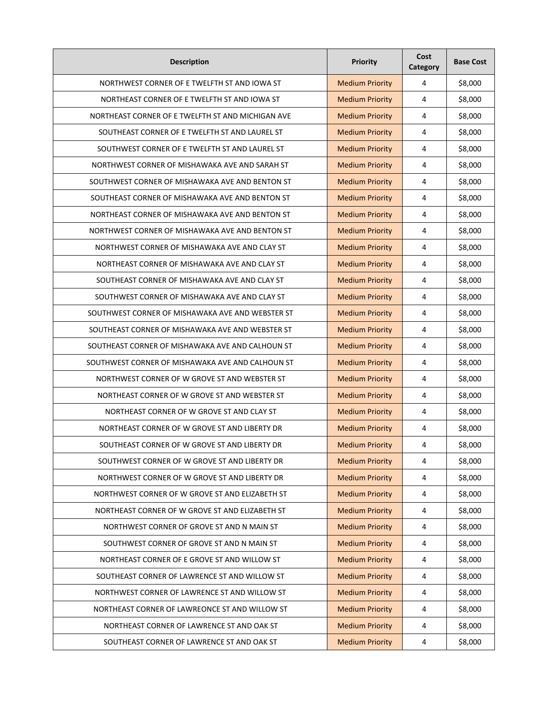| <b>Description</b>                                | <b>Priority</b>        | Cost<br>Category | <b>Base Cost</b> |
|---------------------------------------------------|------------------------|------------------|------------------|
| NORTHWEST CORNER OF E TWELFTH ST AND IOWA ST      | <b>Medium Priority</b> | 4                | \$8,000          |
| NORTHEAST CORNER OF E TWELFTH ST AND IOWA ST      | <b>Medium Priority</b> | 4                | \$8,000          |
| NORTHEAST CORNER OF E TWELFTH ST AND MICHIGAN AVE | <b>Medium Priority</b> | 4                | \$8,000          |
| SOUTHEAST CORNER OF E TWELFTH ST AND LAUREL ST    | <b>Medium Priority</b> | 4                | \$8,000          |
| SOUTHWEST CORNER OF E TWELFTH ST AND LAUREL ST    | <b>Medium Priority</b> | 4                | \$8,000          |
| NORTHWEST CORNER OF MISHAWAKA AVE AND SARAH ST    | <b>Medium Priority</b> | 4                | \$8,000          |
| SOUTHWEST CORNER OF MISHAWAKA AVE AND BENTON ST   | <b>Medium Priority</b> | 4                | \$8,000          |
| SOUTHEAST CORNER OF MISHAWAKA AVE AND BENTON ST   | <b>Medium Priority</b> | 4                | \$8,000          |
| NORTHEAST CORNER OF MISHAWAKA AVE AND BENTON ST   | <b>Medium Priority</b> | 4                | \$8,000          |
| NORTHWEST CORNER OF MISHAWAKA AVE AND BENTON ST   | <b>Medium Priority</b> | 4                | \$8,000          |
| NORTHWEST CORNER OF MISHAWAKA AVE AND CLAY ST     | <b>Medium Priority</b> | 4                | \$8,000          |
| NORTHEAST CORNER OF MISHAWAKA AVE AND CLAY ST     | <b>Medium Priority</b> | 4                | \$8,000          |
| SOUTHEAST CORNER OF MISHAWAKA AVE AND CLAY ST     | <b>Medium Priority</b> | 4                | \$8,000          |
| SOUTHWEST CORNER OF MISHAWAKA AVE AND CLAY ST     | <b>Medium Priority</b> | 4                | \$8,000          |
| SOUTHWEST CORNER OF MISHAWAKA AVE AND WEBSTER ST  | <b>Medium Priority</b> | 4                | \$8,000          |
| SOUTHEAST CORNER OF MISHAWAKA AVE AND WEBSTER ST  | <b>Medium Priority</b> | 4                | \$8,000          |
| SOUTHEAST CORNER OF MISHAWAKA AVE AND CALHOUN ST  | <b>Medium Priority</b> | 4                | \$8,000          |
| SOUTHWEST CORNER OF MISHAWAKA AVE AND CALHOUN ST  | <b>Medium Priority</b> | 4                | \$8,000          |
| NORTHWEST CORNER OF W GROVE ST AND WEBSTER ST     | <b>Medium Priority</b> | 4                | \$8,000          |
| NORTHEAST CORNER OF W GROVE ST AND WEBSTER ST     | <b>Medium Priority</b> | 4                | \$8,000          |
| NORTHEAST CORNER OF W GROVE ST AND CLAY ST        | <b>Medium Priority</b> | 4                | \$8,000          |
| NORTHEAST CORNER OF W GROVE ST AND LIBERTY DR     | <b>Medium Priority</b> | 4                | \$8,000          |
| SOUTHEAST CORNER OF W GROVE ST AND LIBERTY DR     | <b>Medium Priority</b> | 4                | \$8,000          |
| SOUTHWEST CORNER OF W GROVE ST AND LIBERTY DR     | <b>Medium Priority</b> | 4                | \$8,000          |
| NORTHWEST CORNER OF W GROVE ST AND LIBERTY DR     | <b>Medium Priority</b> | $\sqrt{4}$       | \$8,000          |
| NORTHWEST CORNER OF W GROVE ST AND ELIZABETH ST   | <b>Medium Priority</b> | $\sqrt{4}$       | \$8,000          |
| NORTHEAST CORNER OF W GROVE ST AND ELIZABETH ST   | <b>Medium Priority</b> | $\sqrt{4}$       | \$8,000          |
| NORTHWEST CORNER OF GROVE ST AND N MAIN ST        | <b>Medium Priority</b> | $\overline{4}$   | \$8,000          |
| SOUTHWEST CORNER OF GROVE ST AND N MAIN ST        | <b>Medium Priority</b> | $\pmb{4}$        | \$8,000          |
| NORTHEAST CORNER OF E GROVE ST AND WILLOW ST      | <b>Medium Priority</b> | $\overline{4}$   | \$8,000          |
| SOUTHEAST CORNER OF LAWRENCE ST AND WILLOW ST     | <b>Medium Priority</b> | $\overline{4}$   | \$8,000          |
| NORTHWEST CORNER OF LAWRENCE ST AND WILLOW ST     | <b>Medium Priority</b> | 4                | \$8,000          |
| NORTHEAST CORNER OF LAWREONCE ST AND WILLOW ST    | <b>Medium Priority</b> | $\overline{4}$   | \$8,000          |
| NORTHEAST CORNER OF LAWRENCE ST AND OAK ST        | <b>Medium Priority</b> | $\sqrt{4}$       | \$8,000          |
| SOUTHEAST CORNER OF LAWRENCE ST AND OAK ST        | <b>Medium Priority</b> | 4                | \$8,000          |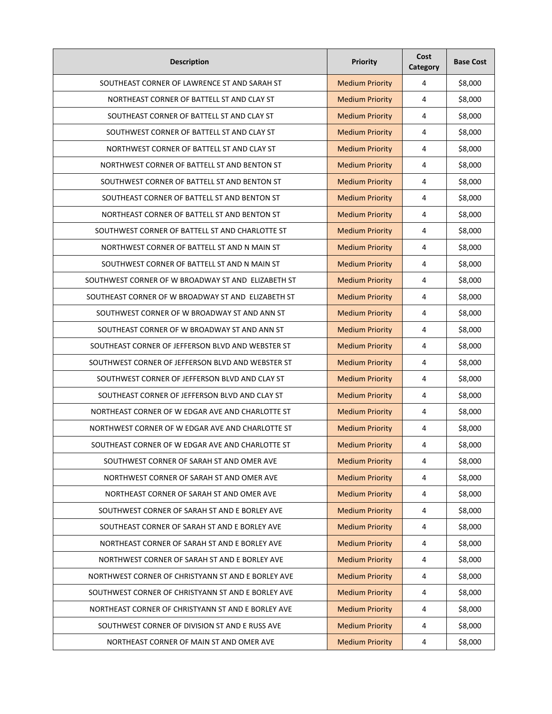| <b>Description</b>                                 | <b>Priority</b>        | Cost<br>Category        | <b>Base Cost</b> |
|----------------------------------------------------|------------------------|-------------------------|------------------|
| SOUTHEAST CORNER OF LAWRENCE ST AND SARAH ST       | <b>Medium Priority</b> | 4                       | \$8,000          |
| NORTHEAST CORNER OF BATTELL ST AND CLAY ST         | <b>Medium Priority</b> | 4                       | \$8,000          |
| SOUTHEAST CORNER OF BATTELL ST AND CLAY ST         | <b>Medium Priority</b> | 4                       | \$8,000          |
| SOUTHWEST CORNER OF BATTELL ST AND CLAY ST         | <b>Medium Priority</b> | 4                       | \$8,000          |
| NORTHWEST CORNER OF BATTELL ST AND CLAY ST         | <b>Medium Priority</b> | 4                       | \$8,000          |
| NORTHWEST CORNER OF BATTELL ST AND BENTON ST       | <b>Medium Priority</b> | 4                       | \$8,000          |
| SOUTHWEST CORNER OF BATTELL ST AND BENTON ST       | <b>Medium Priority</b> | 4                       | \$8,000          |
| SOUTHEAST CORNER OF BATTELL ST AND BENTON ST       | <b>Medium Priority</b> | 4                       | \$8,000          |
| NORTHEAST CORNER OF BATTELL ST AND BENTON ST       | <b>Medium Priority</b> | 4                       | \$8,000          |
| SOUTHWEST CORNER OF BATTELL ST AND CHARLOTTE ST    | <b>Medium Priority</b> | 4                       | \$8,000          |
| NORTHWEST CORNER OF BATTELL ST AND N MAIN ST       | <b>Medium Priority</b> | 4                       | \$8,000          |
| SOUTHWEST CORNER OF BATTELL ST AND N MAIN ST       | <b>Medium Priority</b> | 4                       | \$8,000          |
| SOUTHWEST CORNER OF W BROADWAY ST AND ELIZABETH ST | <b>Medium Priority</b> | 4                       | \$8,000          |
| SOUTHEAST CORNER OF W BROADWAY ST AND ELIZABETH ST | <b>Medium Priority</b> | 4                       | \$8,000          |
| SOUTHWEST CORNER OF W BROADWAY ST AND ANN ST       | <b>Medium Priority</b> | 4                       | \$8,000          |
| SOUTHEAST CORNER OF W BROADWAY ST AND ANN ST       | <b>Medium Priority</b> | 4                       | \$8,000          |
| SOUTHEAST CORNER OF JEFFERSON BLVD AND WEBSTER ST  | <b>Medium Priority</b> | 4                       | \$8,000          |
| SOUTHWEST CORNER OF JEFFERSON BLVD AND WEBSTER ST  | <b>Medium Priority</b> | 4                       | \$8,000          |
| SOUTHWEST CORNER OF JEFFERSON BLVD AND CLAY ST     | <b>Medium Priority</b> | 4                       | \$8,000          |
| SOUTHEAST CORNER OF JEFFERSON BLVD AND CLAY ST     | <b>Medium Priority</b> | 4                       | \$8,000          |
| NORTHEAST CORNER OF W EDGAR AVE AND CHARLOTTE ST   | <b>Medium Priority</b> | 4                       | \$8,000          |
| NORTHWEST CORNER OF W EDGAR AVE AND CHARLOTTE ST   | <b>Medium Priority</b> | 4                       | \$8,000          |
| SOUTHEAST CORNER OF W EDGAR AVE AND CHARLOTTE ST   | <b>Medium Priority</b> | 4                       | \$8,000          |
| SOUTHWEST CORNER OF SARAH ST AND OMER AVE          | <b>Medium Priority</b> | 4                       | \$8,000          |
| NORTHWEST CORNER OF SARAH ST AND OMER AVE          | <b>Medium Priority</b> | 4                       | \$8,000          |
| NORTHEAST CORNER OF SARAH ST AND OMER AVE          | <b>Medium Priority</b> | 4                       | \$8,000          |
| SOUTHWEST CORNER OF SARAH ST AND E BORLEY AVE      | <b>Medium Priority</b> | 4                       | \$8,000          |
| SOUTHEAST CORNER OF SARAH ST AND E BORLEY AVE      | <b>Medium Priority</b> | 4                       | \$8,000          |
| NORTHEAST CORNER OF SARAH ST AND E BORLEY AVE      | <b>Medium Priority</b> | $\overline{\mathbf{4}}$ | \$8,000          |
| NORTHWEST CORNER OF SARAH ST AND E BORLEY AVE      | <b>Medium Priority</b> | 4                       | \$8,000          |
| NORTHWEST CORNER OF CHRISTYANN ST AND E BORLEY AVE | <b>Medium Priority</b> | 4                       | \$8,000          |
| SOUTHWEST CORNER OF CHRISTYANN ST AND E BORLEY AVE | <b>Medium Priority</b> | 4                       | \$8,000          |
| NORTHEAST CORNER OF CHRISTYANN ST AND E BORLEY AVE | <b>Medium Priority</b> | 4                       | \$8,000          |
| SOUTHWEST CORNER OF DIVISION ST AND E RUSS AVE     | <b>Medium Priority</b> | 4                       | \$8,000          |
| NORTHEAST CORNER OF MAIN ST AND OMER AVE           | <b>Medium Priority</b> | 4                       | \$8,000          |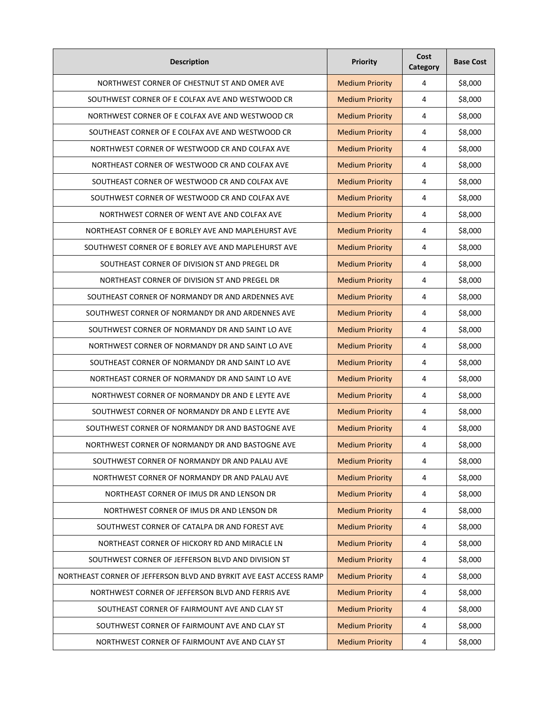| <b>Description</b>                                                 | <b>Priority</b>        | Cost<br>Category        | <b>Base Cost</b> |
|--------------------------------------------------------------------|------------------------|-------------------------|------------------|
| NORTHWEST CORNER OF CHESTNUT ST AND OMER AVE                       | <b>Medium Priority</b> | 4                       | \$8,000          |
| SOUTHWEST CORNER OF E COLFAX AVE AND WESTWOOD CR                   | <b>Medium Priority</b> | 4                       | \$8,000          |
| NORTHWEST CORNER OF E COLFAX AVE AND WESTWOOD CR                   | <b>Medium Priority</b> | 4                       | \$8,000          |
| SOUTHEAST CORNER OF E COLFAX AVE AND WESTWOOD CR                   | <b>Medium Priority</b> | 4                       | \$8,000          |
| NORTHWEST CORNER OF WESTWOOD CR AND COLFAX AVE                     | <b>Medium Priority</b> | 4                       | \$8,000          |
| NORTHEAST CORNER OF WESTWOOD CR AND COLFAX AVE                     | <b>Medium Priority</b> | 4                       | \$8,000          |
| SOUTHEAST CORNER OF WESTWOOD CR AND COLFAX AVE                     | <b>Medium Priority</b> | 4                       | \$8,000          |
| SOUTHWEST CORNER OF WESTWOOD CR AND COLFAX AVE                     | <b>Medium Priority</b> | 4                       | \$8,000          |
| NORTHWEST CORNER OF WENT AVE AND COLFAX AVE                        | <b>Medium Priority</b> | 4                       | \$8,000          |
| NORTHEAST CORNER OF E BORLEY AVE AND MAPLEHURST AVE                | <b>Medium Priority</b> | 4                       | \$8,000          |
| SOUTHWEST CORNER OF E BORLEY AVE AND MAPLEHURST AVE                | <b>Medium Priority</b> | 4                       | \$8,000          |
| SOUTHEAST CORNER OF DIVISION ST AND PREGEL DR                      | <b>Medium Priority</b> | 4                       | \$8,000          |
| NORTHEAST CORNER OF DIVISION ST AND PREGEL DR                      | <b>Medium Priority</b> | 4                       | \$8,000          |
| SOUTHEAST CORNER OF NORMANDY DR AND ARDENNES AVE                   | <b>Medium Priority</b> | 4                       | \$8,000          |
| SOUTHWEST CORNER OF NORMANDY DR AND ARDENNES AVE                   | <b>Medium Priority</b> | 4                       | \$8,000          |
| SOUTHWEST CORNER OF NORMANDY DR AND SAINT LO AVE                   | <b>Medium Priority</b> | 4                       | \$8,000          |
| NORTHWEST CORNER OF NORMANDY DR AND SAINT LO AVE                   | <b>Medium Priority</b> | 4                       | \$8,000          |
| SOUTHEAST CORNER OF NORMANDY DR AND SAINT LO AVE                   | <b>Medium Priority</b> | 4                       | \$8,000          |
| NORTHEAST CORNER OF NORMANDY DR AND SAINT LO AVE                   | <b>Medium Priority</b> | 4                       | \$8,000          |
| NORTHWEST CORNER OF NORMANDY DR AND E LEYTE AVE                    | <b>Medium Priority</b> | 4                       | \$8,000          |
| SOUTHWEST CORNER OF NORMANDY DR AND E LEYTE AVE                    | <b>Medium Priority</b> | 4                       | \$8,000          |
| SOUTHWEST CORNER OF NORMANDY DR AND BASTOGNE AVE                   | <b>Medium Priority</b> | 4                       | \$8,000          |
| NORTHWEST CORNER OF NORMANDY DR AND BASTOGNE AVE                   | <b>Medium Priority</b> | 4                       | \$8,000          |
| SOUTHWEST CORNER OF NORMANDY DR AND PALAU AVE                      | <b>Medium Priority</b> | 4                       | \$8,000          |
| NORTHWEST CORNER OF NORMANDY DR AND PALAU AVE                      | <b>Medium Priority</b> | 4                       | \$8,000          |
| NORTHEAST CORNER OF IMUS DR AND LENSON DR                          | <b>Medium Priority</b> | 4                       | \$8,000          |
| NORTHWEST CORNER OF IMUS DR AND LENSON DR                          | <b>Medium Priority</b> | 4                       | \$8,000          |
| SOUTHWEST CORNER OF CATALPA DR AND FOREST AVE                      | <b>Medium Priority</b> | 4                       | \$8,000          |
| NORTHEAST CORNER OF HICKORY RD AND MIRACLE LN                      | <b>Medium Priority</b> | $\overline{\mathbf{4}}$ | \$8,000          |
| SOUTHWEST CORNER OF JEFFERSON BLVD AND DIVISION ST                 | <b>Medium Priority</b> | 4                       | \$8,000          |
| NORTHEAST CORNER OF JEFFERSON BLVD AND BYRKIT AVE EAST ACCESS RAMP | <b>Medium Priority</b> | 4                       | \$8,000          |
| NORTHWEST CORNER OF JEFFERSON BLVD AND FERRIS AVE                  | <b>Medium Priority</b> | 4                       | \$8,000          |
| SOUTHEAST CORNER OF FAIRMOUNT AVE AND CLAY ST                      | <b>Medium Priority</b> | 4                       | \$8,000          |
| SOUTHWEST CORNER OF FAIRMOUNT AVE AND CLAY ST                      | <b>Medium Priority</b> | 4                       | \$8,000          |
| NORTHWEST CORNER OF FAIRMOUNT AVE AND CLAY ST                      | <b>Medium Priority</b> | 4                       | \$8,000          |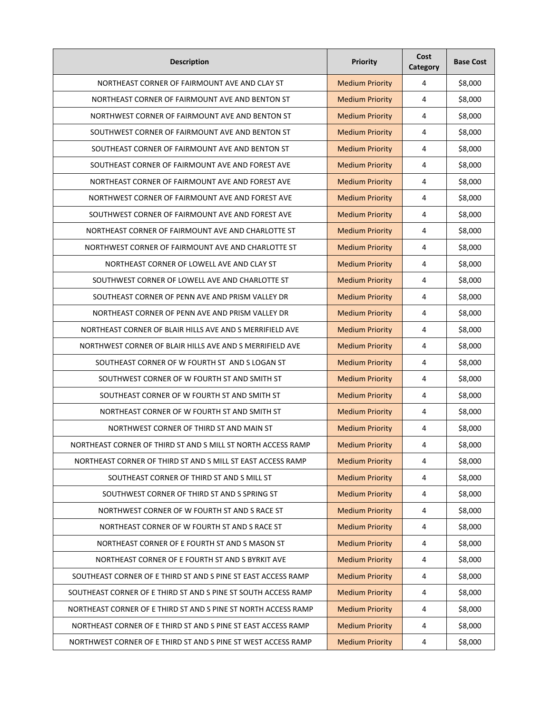| <b>Description</b>                                             | <b>Priority</b>        | Cost<br>Category | <b>Base Cost</b> |
|----------------------------------------------------------------|------------------------|------------------|------------------|
| NORTHEAST CORNER OF FAIRMOUNT AVE AND CLAY ST                  | <b>Medium Priority</b> | 4                | \$8,000          |
| NORTHEAST CORNER OF FAIRMOUNT AVE AND BENTON ST                | <b>Medium Priority</b> | 4                | \$8,000          |
| NORTHWEST CORNER OF FAIRMOUNT AVE AND BENTON ST                | <b>Medium Priority</b> | 4                | \$8,000          |
| SOUTHWEST CORNER OF FAIRMOUNT AVE AND BENTON ST                | <b>Medium Priority</b> | 4                | \$8,000          |
| SOUTHEAST CORNER OF FAIRMOUNT AVE AND BENTON ST                | <b>Medium Priority</b> | 4                | \$8,000          |
| SOUTHEAST CORNER OF FAIRMOUNT AVE AND FOREST AVE               | <b>Medium Priority</b> | 4                | \$8,000          |
| NORTHEAST CORNER OF FAIRMOUNT AVE AND FOREST AVE               | <b>Medium Priority</b> | 4                | \$8,000          |
| NORTHWEST CORNER OF FAIRMOUNT AVE AND FOREST AVE               | <b>Medium Priority</b> | 4                | \$8,000          |
| SOUTHWEST CORNER OF FAIRMOUNT AVE AND FOREST AVE               | <b>Medium Priority</b> | 4                | \$8,000          |
| NORTHEAST CORNER OF FAIRMOUNT AVE AND CHARLOTTE ST             | <b>Medium Priority</b> | 4                | \$8,000          |
| NORTHWEST CORNER OF FAIRMOUNT AVE AND CHARLOTTE ST             | <b>Medium Priority</b> | 4                | \$8,000          |
| NORTHEAST CORNER OF LOWELL AVE AND CLAY ST                     | <b>Medium Priority</b> | 4                | \$8,000          |
| SOUTHWEST CORNER OF LOWELL AVE AND CHARLOTTE ST                | <b>Medium Priority</b> | 4                | \$8,000          |
| SOUTHEAST CORNER OF PENN AVE AND PRISM VALLEY DR               | <b>Medium Priority</b> | 4                | \$8,000          |
| NORTHEAST CORNER OF PENN AVE AND PRISM VALLEY DR               | <b>Medium Priority</b> | 4                | \$8,000          |
| NORTHEAST CORNER OF BLAIR HILLS AVE AND S MERRIFIELD AVE       | <b>Medium Priority</b> | 4                | \$8,000          |
| NORTHWEST CORNER OF BLAIR HILLS AVE AND S MERRIFIELD AVE       | <b>Medium Priority</b> | 4                | \$8,000          |
| SOUTHEAST CORNER OF W FOURTH ST AND S LOGAN ST                 | <b>Medium Priority</b> | 4                | \$8,000          |
| SOUTHWEST CORNER OF W FOURTH ST AND SMITH ST                   | <b>Medium Priority</b> | 4                | \$8,000          |
| SOUTHEAST CORNER OF W FOURTH ST AND SMITH ST                   | <b>Medium Priority</b> | 4                | \$8,000          |
| NORTHEAST CORNER OF W FOURTH ST AND SMITH ST                   | <b>Medium Priority</b> | 4                | \$8,000          |
| NORTHWEST CORNER OF THIRD ST AND MAIN ST                       | <b>Medium Priority</b> | 4                | \$8,000          |
| NORTHEAST CORNER OF THIRD ST AND S MILL ST NORTH ACCESS RAMP   | <b>Medium Priority</b> | 4                | \$8,000          |
| NORTHEAST CORNER OF THIRD ST AND S MILL ST EAST ACCESS RAMP    | <b>Medium Priority</b> | 4                | \$8,000          |
| SOUTHEAST CORNER OF THIRD ST AND S MILL ST                     | <b>Medium Priority</b> | $\overline{4}$   | \$8,000          |
| SOUTHWEST CORNER OF THIRD ST AND S SPRING ST                   | <b>Medium Priority</b> | $\overline{4}$   | \$8,000          |
| NORTHWEST CORNER OF W FOURTH ST AND S RACE ST                  | <b>Medium Priority</b> | 4                | \$8,000          |
| NORTHEAST CORNER OF W FOURTH ST AND S RACE ST                  | <b>Medium Priority</b> | $\sqrt{4}$       | \$8,000          |
| NORTHEAST CORNER OF E FOURTH ST AND S MASON ST                 | <b>Medium Priority</b> | $\pmb{4}$        | \$8,000          |
| NORTHEAST CORNER OF E FOURTH ST AND S BYRKIT AVE               | <b>Medium Priority</b> | $\overline{4}$   | \$8,000          |
| SOUTHEAST CORNER OF E THIRD ST AND S PINE ST EAST ACCESS RAMP  | <b>Medium Priority</b> | $\overline{4}$   | \$8,000          |
| SOUTHEAST CORNER OF E THIRD ST AND S PINE ST SOUTH ACCESS RAMP | <b>Medium Priority</b> | $\overline{4}$   | \$8,000          |
| NORTHEAST CORNER OF E THIRD ST AND S PINE ST NORTH ACCESS RAMP | <b>Medium Priority</b> | $\overline{4}$   | \$8,000          |
| NORTHEAST CORNER OF E THIRD ST AND S PINE ST EAST ACCESS RAMP  | <b>Medium Priority</b> | $\overline{4}$   | \$8,000          |
| NORTHWEST CORNER OF E THIRD ST AND S PINE ST WEST ACCESS RAMP  | <b>Medium Priority</b> | 4                | \$8,000          |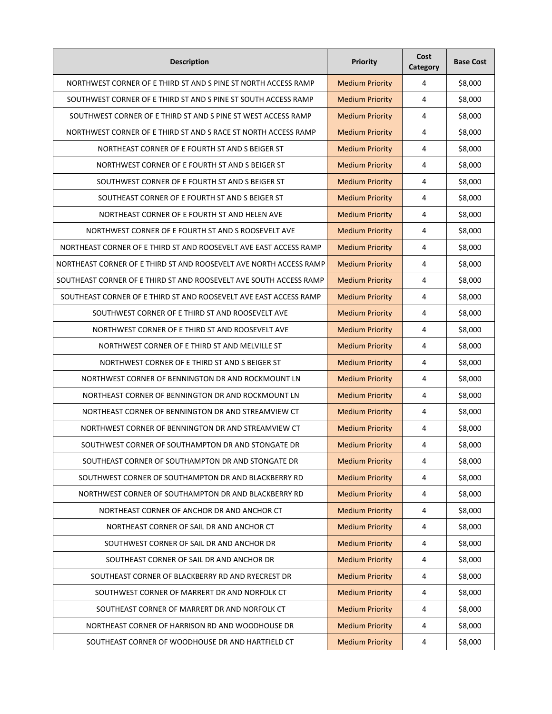| <b>Description</b>                                                 | <b>Priority</b>        | Cost<br>Category | <b>Base Cost</b> |
|--------------------------------------------------------------------|------------------------|------------------|------------------|
| NORTHWEST CORNER OF E THIRD ST AND S PINE ST NORTH ACCESS RAMP     | <b>Medium Priority</b> | 4                | \$8,000          |
| SOUTHWEST CORNER OF E THIRD ST AND S PINE ST SOUTH ACCESS RAMP     | <b>Medium Priority</b> | 4                | \$8,000          |
| SOUTHWEST CORNER OF E THIRD ST AND S PINE ST WEST ACCESS RAMP      | <b>Medium Priority</b> | 4                | \$8,000          |
| NORTHWEST CORNER OF E THIRD ST AND S RACE ST NORTH ACCESS RAMP     | <b>Medium Priority</b> | 4                | \$8,000          |
| NORTHEAST CORNER OF E FOURTH ST AND S BEIGER ST                    | <b>Medium Priority</b> | 4                | \$8,000          |
| NORTHWEST CORNER OF E FOURTH ST AND S BEIGER ST                    | <b>Medium Priority</b> | 4                | \$8,000          |
| SOUTHWEST CORNER OF E FOURTH ST AND S BEIGER ST                    | <b>Medium Priority</b> | 4                | \$8,000          |
| SOUTHEAST CORNER OF E FOURTH ST AND S BEIGER ST                    | <b>Medium Priority</b> | 4                | \$8,000          |
| NORTHEAST CORNER OF E FOURTH ST AND HELEN AVE                      | <b>Medium Priority</b> | 4                | \$8,000          |
| NORTHWEST CORNER OF E FOURTH ST AND S ROOSEVELT AVE                | <b>Medium Priority</b> | 4                | \$8,000          |
| NORTHEAST CORNER OF E THIRD ST AND ROOSEVELT AVE EAST ACCESS RAMP  | <b>Medium Priority</b> | 4                | \$8,000          |
| NORTHEAST CORNER OF E THIRD ST AND ROOSEVELT AVE NORTH ACCESS RAMP | <b>Medium Priority</b> | 4                | \$8,000          |
| SOUTHEAST CORNER OF E THIRD ST AND ROOSEVELT AVE SOUTH ACCESS RAMP | <b>Medium Priority</b> | 4                | \$8,000          |
| SOUTHEAST CORNER OF E THIRD ST AND ROOSEVELT AVE EAST ACCESS RAMP  | <b>Medium Priority</b> | 4                | \$8,000          |
| SOUTHWEST CORNER OF E THIRD ST AND ROOSEVELT AVE                   | <b>Medium Priority</b> | 4                | \$8,000          |
| NORTHWEST CORNER OF E THIRD ST AND ROOSEVELT AVE                   | <b>Medium Priority</b> | 4                | \$8,000          |
| NORTHWEST CORNER OF E THIRD ST AND MELVILLE ST                     | <b>Medium Priority</b> | 4                | \$8,000          |
| NORTHWEST CORNER OF E THIRD ST AND S BEIGER ST                     | <b>Medium Priority</b> | 4                | \$8,000          |
| NORTHWEST CORNER OF BENNINGTON DR AND ROCKMOUNT LN                 | <b>Medium Priority</b> | 4                | \$8,000          |
| NORTHEAST CORNER OF BENNINGTON DR AND ROCKMOUNT LN                 | <b>Medium Priority</b> | 4                | \$8,000          |
| NORTHEAST CORNER OF BENNINGTON DR AND STREAMVIEW CT                | <b>Medium Priority</b> | 4                | \$8,000          |
| NORTHWEST CORNER OF BENNINGTON DR AND STREAMVIEW CT                | <b>Medium Priority</b> | 4                | \$8,000          |
| SOUTHWEST CORNER OF SOUTHAMPTON DR AND STONGATE DR                 | <b>Medium Priority</b> | 4                | \$8,000          |
| SOUTHEAST CORNER OF SOUTHAMPTON DR AND STONGATE DR                 | <b>Medium Priority</b> | 4                | \$8,000          |
| SOUTHWEST CORNER OF SOUTHAMPTON DR AND BLACKBERRY RD               | <b>Medium Priority</b> | 4                | \$8,000          |
| NORTHWEST CORNER OF SOUTHAMPTON DR AND BLACKBERRY RD               | <b>Medium Priority</b> | 4                | \$8,000          |
| NORTHEAST CORNER OF ANCHOR DR AND ANCHOR CT                        | <b>Medium Priority</b> | 4                | \$8,000          |
| NORTHEAST CORNER OF SAIL DR AND ANCHOR CT                          | <b>Medium Priority</b> | 4                | \$8,000          |
| SOUTHWEST CORNER OF SAIL DR AND ANCHOR DR                          | <b>Medium Priority</b> | $\pmb{4}$        | \$8,000          |
| SOUTHEAST CORNER OF SAIL DR AND ANCHOR DR                          | <b>Medium Priority</b> | 4                | \$8,000          |
| SOUTHEAST CORNER OF BLACKBERRY RD AND RYECREST DR                  | <b>Medium Priority</b> | 4                | \$8,000          |
| SOUTHWEST CORNER OF MARRERT DR AND NORFOLK CT                      | <b>Medium Priority</b> | 4                | \$8,000          |
| SOUTHEAST CORNER OF MARRERT DR AND NORFOLK CT                      | <b>Medium Priority</b> | 4                | \$8,000          |
| NORTHEAST CORNER OF HARRISON RD AND WOODHOUSE DR                   | <b>Medium Priority</b> | 4                | \$8,000          |
| SOUTHEAST CORNER OF WOODHOUSE DR AND HARTFIELD CT                  | <b>Medium Priority</b> | 4                | \$8,000          |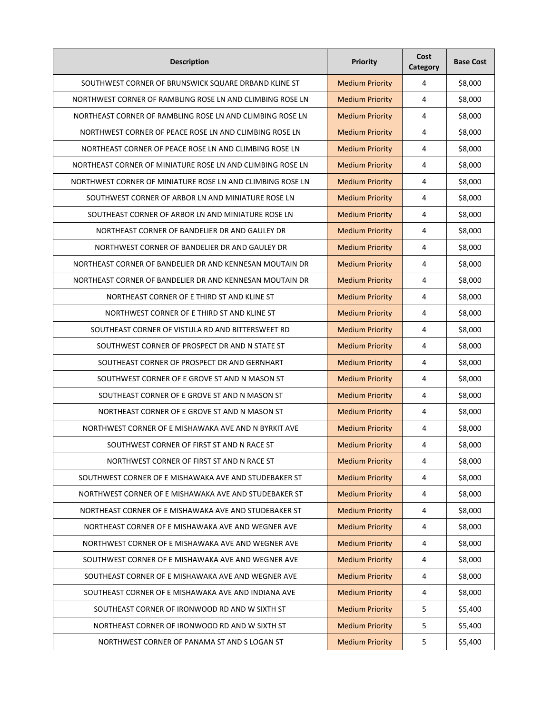| <b>Description</b>                                         | <b>Priority</b>        | Cost<br>Category | <b>Base Cost</b> |
|------------------------------------------------------------|------------------------|------------------|------------------|
| SOUTHWEST CORNER OF BRUNSWICK SQUARE DRBAND KLINE ST       | <b>Medium Priority</b> | 4                | \$8,000          |
| NORTHWEST CORNER OF RAMBLING ROSE LN AND CLIMBING ROSE LN  | <b>Medium Priority</b> | 4                | \$8,000          |
| NORTHEAST CORNER OF RAMBLING ROSE LN AND CLIMBING ROSE LN  | <b>Medium Priority</b> | 4                | \$8,000          |
| NORTHWEST CORNER OF PEACE ROSE LN AND CLIMBING ROSE LN     | <b>Medium Priority</b> | 4                | \$8,000          |
| NORTHEAST CORNER OF PEACE ROSE LN AND CLIMBING ROSE LN     | <b>Medium Priority</b> | 4                | \$8,000          |
| NORTHEAST CORNER OF MINIATURE ROSE LN AND CLIMBING ROSE LN | <b>Medium Priority</b> | 4                | \$8,000          |
| NORTHWEST CORNER OF MINIATURE ROSE LN AND CLIMBING ROSE LN | <b>Medium Priority</b> | 4                | \$8,000          |
| SOUTHWEST CORNER OF ARBOR LN AND MINIATURE ROSE LN         | <b>Medium Priority</b> | 4                | \$8,000          |
| SOUTHEAST CORNER OF ARBOR LN AND MINIATURE ROSE LN         | <b>Medium Priority</b> | 4                | \$8,000          |
| NORTHEAST CORNER OF BANDELIER DR AND GAULEY DR             | <b>Medium Priority</b> | 4                | \$8,000          |
| NORTHWEST CORNER OF BANDELIER DR AND GAULEY DR             | <b>Medium Priority</b> | 4                | \$8,000          |
| NORTHEAST CORNER OF BANDELIER DR AND KENNESAN MOUTAIN DR   | <b>Medium Priority</b> | 4                | \$8,000          |
| NORTHEAST CORNER OF BANDELIER DR AND KENNESAN MOUTAIN DR   | <b>Medium Priority</b> | 4                | \$8,000          |
| NORTHEAST CORNER OF E THIRD ST AND KLINE ST                | <b>Medium Priority</b> | 4                | \$8,000          |
| NORTHWEST CORNER OF E THIRD ST AND KLINE ST                | <b>Medium Priority</b> | 4                | \$8,000          |
| SOUTHEAST CORNER OF VISTULA RD AND BITTERSWEET RD          | <b>Medium Priority</b> | 4                | \$8,000          |
| SOUTHWEST CORNER OF PROSPECT DR AND N STATE ST             | <b>Medium Priority</b> | 4                | \$8,000          |
| SOUTHEAST CORNER OF PROSPECT DR AND GERNHART               | <b>Medium Priority</b> | 4                | \$8,000          |
| SOUTHWEST CORNER OF E GROVE ST AND N MASON ST              | <b>Medium Priority</b> | 4                | \$8,000          |
| SOUTHEAST CORNER OF E GROVE ST AND N MASON ST              | <b>Medium Priority</b> | 4                | \$8,000          |
| NORTHEAST CORNER OF E GROVE ST AND N MASON ST              | <b>Medium Priority</b> | 4                | \$8,000          |
| NORTHWEST CORNER OF E MISHAWAKA AVE AND N BYRKIT AVE       | <b>Medium Priority</b> | 4                | \$8,000          |
| SOUTHWEST CORNER OF FIRST ST AND N RACE ST                 | <b>Medium Priority</b> | 4                | \$8,000          |
| NORTHWEST CORNER OF FIRST ST AND N RACE ST                 | <b>Medium Priority</b> | 4                | \$8,000          |
| SOUTHWEST CORNER OF E MISHAWAKA AVE AND STUDEBAKER ST      | <b>Medium Priority</b> | 4                | \$8,000          |
| NORTHWEST CORNER OF E MISHAWAKA AVE AND STUDEBAKER ST      | <b>Medium Priority</b> | 4                | \$8,000          |
| NORTHEAST CORNER OF E MISHAWAKA AVE AND STUDEBAKER ST      | <b>Medium Priority</b> | 4                | \$8,000          |
| NORTHEAST CORNER OF E MISHAWAKA AVE AND WEGNER AVE         | <b>Medium Priority</b> | 4                | \$8,000          |
| NORTHWEST CORNER OF E MISHAWAKA AVE AND WEGNER AVE         | <b>Medium Priority</b> | $\pmb{4}$        | \$8,000          |
| SOUTHWEST CORNER OF E MISHAWAKA AVE AND WEGNER AVE         | <b>Medium Priority</b> | 4                | \$8,000          |
| SOUTHEAST CORNER OF E MISHAWAKA AVE AND WEGNER AVE         | <b>Medium Priority</b> | 4                | \$8,000          |
| SOUTHEAST CORNER OF E MISHAWAKA AVE AND INDIANA AVE        | <b>Medium Priority</b> | 4                | \$8,000          |
| SOUTHEAST CORNER OF IRONWOOD RD AND W SIXTH ST             | <b>Medium Priority</b> | 5                | \$5,400          |
| NORTHEAST CORNER OF IRONWOOD RD AND W SIXTH ST             | <b>Medium Priority</b> | 5                | \$5,400          |
| NORTHWEST CORNER OF PANAMA ST AND S LOGAN ST               | <b>Medium Priority</b> | 5                | \$5,400          |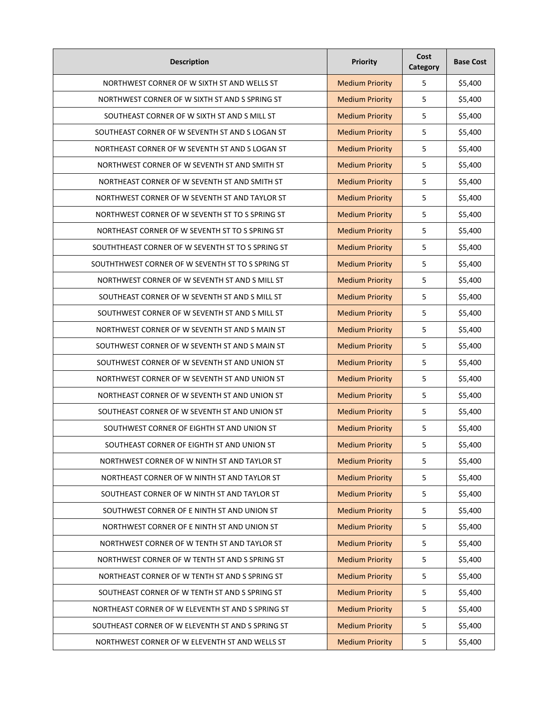| <b>Description</b>                                | Priority               | Cost<br>Category | <b>Base Cost</b> |
|---------------------------------------------------|------------------------|------------------|------------------|
| NORTHWEST CORNER OF W SIXTH ST AND WELLS ST       | <b>Medium Priority</b> | 5                | \$5,400          |
| NORTHWEST CORNER OF W SIXTH ST AND S SPRING ST    | <b>Medium Priority</b> | 5                | \$5,400          |
| SOUTHEAST CORNER OF W SIXTH ST AND S MILL ST      | <b>Medium Priority</b> | 5                | \$5,400          |
| SOUTHEAST CORNER OF W SEVENTH ST AND S LOGAN ST   | <b>Medium Priority</b> | 5                | \$5,400          |
| NORTHEAST CORNER OF W SEVENTH ST AND S LOGAN ST   | <b>Medium Priority</b> | 5                | \$5,400          |
| NORTHWEST CORNER OF W SEVENTH ST AND SMITH ST     | <b>Medium Priority</b> | 5                | \$5,400          |
| NORTHEAST CORNER OF W SEVENTH ST AND SMITH ST     | <b>Medium Priority</b> | 5                | \$5,400          |
| NORTHWEST CORNER OF W SEVENTH ST AND TAYLOR ST    | <b>Medium Priority</b> | 5                | \$5,400          |
| NORTHWEST CORNER OF W SEVENTH ST TO S SPRING ST   | <b>Medium Priority</b> | 5                | \$5,400          |
| NORTHEAST CORNER OF W SEVENTH ST TO S SPRING ST   | <b>Medium Priority</b> | 5                | \$5,400          |
| SOUTHTHEAST CORNER OF W SEVENTH ST TO S SPRING ST | <b>Medium Priority</b> | 5                | \$5,400          |
| SOUTHTHWEST CORNER OF W SEVENTH ST TO S SPRING ST | <b>Medium Priority</b> | 5                | \$5,400          |
| NORTHWEST CORNER OF W SEVENTH ST AND S MILL ST    | <b>Medium Priority</b> | 5                | \$5,400          |
| SOUTHEAST CORNER OF W SEVENTH ST AND S MILL ST    | <b>Medium Priority</b> | 5                | \$5,400          |
| SOUTHWEST CORNER OF W SEVENTH ST AND S MILL ST    | <b>Medium Priority</b> | 5                | \$5,400          |
| NORTHWEST CORNER OF W SEVENTH ST AND S MAIN ST    | <b>Medium Priority</b> | 5                | \$5,400          |
| SOUTHWEST CORNER OF W SEVENTH ST AND S MAIN ST    | <b>Medium Priority</b> | 5                | \$5,400          |
| SOUTHWEST CORNER OF W SEVENTH ST AND UNION ST     | <b>Medium Priority</b> | 5                | \$5,400          |
| NORTHWEST CORNER OF W SEVENTH ST AND UNION ST     | <b>Medium Priority</b> | 5                | \$5,400          |
| NORTHEAST CORNER OF W SEVENTH ST AND UNION ST     | <b>Medium Priority</b> | 5                | \$5,400          |
| SOUTHEAST CORNER OF W SEVENTH ST AND UNION ST     | <b>Medium Priority</b> | 5                | \$5,400          |
| SOUTHWEST CORNER OF EIGHTH ST AND UNION ST        | <b>Medium Priority</b> | 5                | \$5,400          |
| SOUTHEAST CORNER OF EIGHTH ST AND UNION ST        | <b>Medium Priority</b> | 5                | \$5,400          |
| NORTHWEST CORNER OF W NINTH ST AND TAYLOR ST      | <b>Medium Priority</b> | 5                | \$5,400          |
| NORTHEAST CORNER OF W NINTH ST AND TAYLOR ST      | <b>Medium Priority</b> | 5                | \$5,400          |
| SOUTHEAST CORNER OF W NINTH ST AND TAYLOR ST      | <b>Medium Priority</b> | 5                | \$5,400          |
| SOUTHWEST CORNER OF E NINTH ST AND UNION ST       | <b>Medium Priority</b> | 5                | \$5,400          |
| NORTHWEST CORNER OF E NINTH ST AND UNION ST       | <b>Medium Priority</b> | 5                | \$5,400          |
| NORTHWEST CORNER OF W TENTH ST AND TAYLOR ST      | <b>Medium Priority</b> | 5                | \$5,400          |
| NORTHWEST CORNER OF W TENTH ST AND S SPRING ST    | <b>Medium Priority</b> | 5                | \$5,400          |
| NORTHEAST CORNER OF W TENTH ST AND S SPRING ST    | <b>Medium Priority</b> | 5                | \$5,400          |
| SOUTHEAST CORNER OF W TENTH ST AND S SPRING ST    | <b>Medium Priority</b> | 5                | \$5,400          |
| NORTHEAST CORNER OF W ELEVENTH ST AND S SPRING ST | <b>Medium Priority</b> | 5                | \$5,400          |
| SOUTHEAST CORNER OF W ELEVENTH ST AND S SPRING ST | <b>Medium Priority</b> | 5                | \$5,400          |
| NORTHWEST CORNER OF W ELEVENTH ST AND WELLS ST    | <b>Medium Priority</b> | 5                | \$5,400          |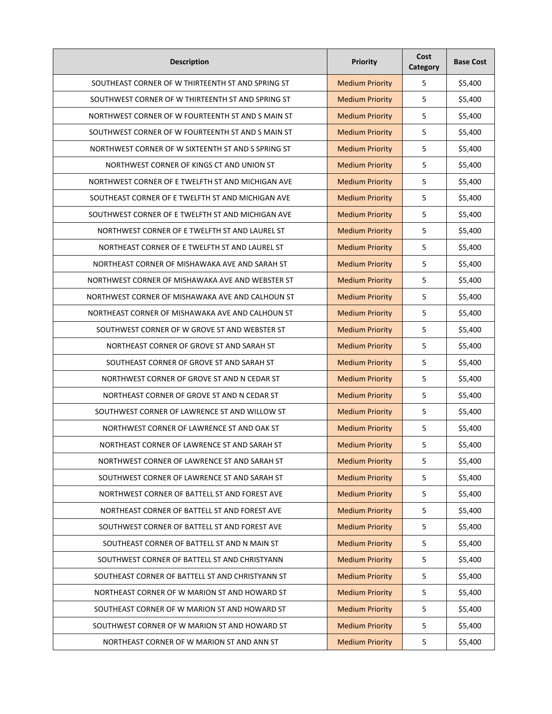| <b>Description</b>                                 | Priority               | Cost<br>Category | <b>Base Cost</b> |
|----------------------------------------------------|------------------------|------------------|------------------|
| SOUTHEAST CORNER OF W THIRTEENTH ST AND SPRING ST  | <b>Medium Priority</b> | 5                | \$5,400          |
| SOUTHWEST CORNER OF W THIRTEENTH ST AND SPRING ST  | <b>Medium Priority</b> | 5                | \$5,400          |
| NORTHWEST CORNER OF W FOURTEENTH ST AND S MAIN ST  | <b>Medium Priority</b> | 5                | \$5,400          |
| SOUTHWEST CORNER OF W FOURTEENTH ST AND S MAIN ST  | <b>Medium Priority</b> | 5                | \$5,400          |
| NORTHWEST CORNER OF W SIXTEENTH ST AND S SPRING ST | <b>Medium Priority</b> | 5                | \$5,400          |
| NORTHWEST CORNER OF KINGS CT AND UNION ST          | <b>Medium Priority</b> | 5                | \$5,400          |
| NORTHWEST CORNER OF E TWELFTH ST AND MICHIGAN AVE  | <b>Medium Priority</b> | 5                | \$5,400          |
| SOUTHEAST CORNER OF E TWELFTH ST AND MICHIGAN AVE  | <b>Medium Priority</b> | 5                | \$5,400          |
| SOUTHWEST CORNER OF E TWELFTH ST AND MICHIGAN AVE  | <b>Medium Priority</b> | 5                | \$5,400          |
| NORTHWEST CORNER OF E TWELFTH ST AND LAUREL ST     | <b>Medium Priority</b> | 5                | \$5,400          |
| NORTHEAST CORNER OF E TWELFTH ST AND LAUREL ST     | <b>Medium Priority</b> | 5                | \$5,400          |
| NORTHEAST CORNER OF MISHAWAKA AVE AND SARAH ST     | <b>Medium Priority</b> | 5                | \$5,400          |
| NORTHWEST CORNER OF MISHAWAKA AVE AND WEBSTER ST   | <b>Medium Priority</b> | 5                | \$5,400          |
| NORTHWEST CORNER OF MISHAWAKA AVE AND CALHOUN ST   | <b>Medium Priority</b> | 5                | \$5,400          |
| NORTHEAST CORNER OF MISHAWAKA AVE AND CALHOUN ST   | <b>Medium Priority</b> | 5                | \$5,400          |
| SOUTHWEST CORNER OF W GROVE ST AND WEBSTER ST      | <b>Medium Priority</b> | 5                | \$5,400          |
| NORTHEAST CORNER OF GROVE ST AND SARAH ST          | <b>Medium Priority</b> | 5                | \$5,400          |
| SOUTHEAST CORNER OF GROVE ST AND SARAH ST          | <b>Medium Priority</b> | 5                | \$5,400          |
| NORTHWEST CORNER OF GROVE ST AND N CEDAR ST        | <b>Medium Priority</b> | 5                | \$5,400          |
| NORTHEAST CORNER OF GROVE ST AND N CEDAR ST        | <b>Medium Priority</b> | 5                | \$5,400          |
| SOUTHWEST CORNER OF LAWRENCE ST AND WILLOW ST      | <b>Medium Priority</b> | 5                | \$5,400          |
| NORTHWEST CORNER OF LAWRENCE ST AND OAK ST         | <b>Medium Priority</b> | 5                | \$5,400          |
| NORTHEAST CORNER OF LAWRENCE ST AND SARAH ST       | <b>Medium Priority</b> | 5                | \$5,400          |
| NORTHWEST CORNER OF LAWRENCE ST AND SARAH ST       | <b>Medium Priority</b> | 5                | \$5,400          |
| SOUTHWEST CORNER OF LAWRENCE ST AND SARAH ST       | <b>Medium Priority</b> | 5                | \$5,400          |
| NORTHWEST CORNER OF BATTELL ST AND FOREST AVE      | <b>Medium Priority</b> | 5                | \$5,400          |
| NORTHEAST CORNER OF BATTELL ST AND FOREST AVE      | <b>Medium Priority</b> | 5                | \$5,400          |
| SOUTHWEST CORNER OF BATTELL ST AND FOREST AVE      | <b>Medium Priority</b> | 5                | \$5,400          |
| SOUTHEAST CORNER OF BATTELL ST AND N MAIN ST       | <b>Medium Priority</b> | 5                | \$5,400          |
| SOUTHWEST CORNER OF BATTELL ST AND CHRISTYANN      | <b>Medium Priority</b> | 5                | \$5,400          |
| SOUTHEAST CORNER OF BATTELL ST AND CHRISTYANN ST   | <b>Medium Priority</b> | 5                | \$5,400          |
| NORTHEAST CORNER OF W MARION ST AND HOWARD ST      | <b>Medium Priority</b> | 5                | \$5,400          |
| SOUTHEAST CORNER OF W MARION ST AND HOWARD ST      | <b>Medium Priority</b> | 5                | \$5,400          |
| SOUTHWEST CORNER OF W MARION ST AND HOWARD ST      | <b>Medium Priority</b> | 5                | \$5,400          |
| NORTHEAST CORNER OF W MARION ST AND ANN ST         | <b>Medium Priority</b> | 5                | \$5,400          |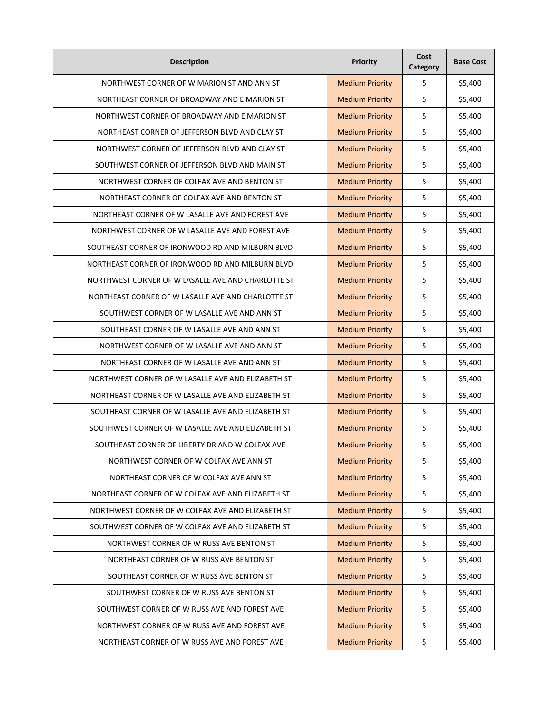| <b>Description</b>                                 | Priority               | Cost<br>Category | <b>Base Cost</b> |
|----------------------------------------------------|------------------------|------------------|------------------|
| NORTHWEST CORNER OF W MARION ST AND ANN ST         | <b>Medium Priority</b> | 5                | \$5,400          |
| NORTHEAST CORNER OF BROADWAY AND E MARION ST       | <b>Medium Priority</b> | 5                | \$5,400          |
| NORTHWEST CORNER OF BROADWAY AND E MARION ST       | <b>Medium Priority</b> | 5                | \$5,400          |
| NORTHEAST CORNER OF JEFFERSON BLVD AND CLAY ST     | <b>Medium Priority</b> | 5                | \$5,400          |
| NORTHWEST CORNER OF JEFFERSON BLVD AND CLAY ST     | <b>Medium Priority</b> | 5                | \$5,400          |
| SOUTHWEST CORNER OF JEFFERSON BLVD AND MAIN ST     | <b>Medium Priority</b> | 5                | \$5,400          |
| NORTHWEST CORNER OF COLFAX AVE AND BENTON ST       | <b>Medium Priority</b> | 5                | \$5,400          |
| NORTHEAST CORNER OF COLFAX AVE AND BENTON ST       | <b>Medium Priority</b> | 5                | \$5,400          |
| NORTHEAST CORNER OF W LASALLE AVE AND FOREST AVE   | <b>Medium Priority</b> | 5                | \$5,400          |
| NORTHWEST CORNER OF W LASALLE AVE AND FOREST AVE   | <b>Medium Priority</b> | 5                | \$5,400          |
| SOUTHEAST CORNER OF IRONWOOD RD AND MILBURN BLVD   | <b>Medium Priority</b> | 5                | \$5,400          |
| NORTHEAST CORNER OF IRONWOOD RD AND MILBURN BLVD   | <b>Medium Priority</b> | 5                | \$5,400          |
| NORTHWEST CORNER OF W LASALLE AVE AND CHARLOTTE ST | <b>Medium Priority</b> | 5                | \$5,400          |
| NORTHEAST CORNER OF W LASALLE AVE AND CHARLOTTE ST | <b>Medium Priority</b> | 5                | \$5,400          |
| SOUTHWEST CORNER OF W LASALLE AVE AND ANN ST       | <b>Medium Priority</b> | 5                | \$5,400          |
| SOUTHEAST CORNER OF W LASALLE AVE AND ANN ST       | <b>Medium Priority</b> | 5                | \$5,400          |
| NORTHWEST CORNER OF W LASALLE AVE AND ANN ST       | <b>Medium Priority</b> | 5                | \$5,400          |
| NORTHEAST CORNER OF W LASALLE AVE AND ANN ST       | <b>Medium Priority</b> | 5                | \$5,400          |
| NORTHWEST CORNER OF W LASALLE AVE AND ELIZABETH ST | <b>Medium Priority</b> | 5                | \$5,400          |
| NORTHEAST CORNER OF W LASALLE AVE AND ELIZABETH ST | <b>Medium Priority</b> | 5                | \$5,400          |
| SOUTHEAST CORNER OF W LASALLE AVE AND ELIZABETH ST | <b>Medium Priority</b> | 5                | \$5,400          |
| SOUTHWEST CORNER OF W LASALLE AVE AND ELIZABETH ST | <b>Medium Priority</b> | 5                | \$5,400          |
| SOUTHEAST CORNER OF LIBERTY DR AND W COLFAX AVE    | <b>Medium Priority</b> | 5                | \$5,400          |
| NORTHWEST CORNER OF W COLFAX AVE ANN ST            | <b>Medium Priority</b> | 5                | \$5,400          |
| NORTHEAST CORNER OF W COLFAX AVE ANN ST            | <b>Medium Priority</b> | 5                | \$5,400          |
| NORTHEAST CORNER OF W COLFAX AVE AND ELIZABETH ST  | <b>Medium Priority</b> | 5                | \$5,400          |
| NORTHWEST CORNER OF W COLFAX AVE AND ELIZABETH ST  | <b>Medium Priority</b> | 5                | \$5,400          |
| SOUTHWEST CORNER OF W COLFAX AVE AND ELIZABETH ST  | <b>Medium Priority</b> | 5                | \$5,400          |
| NORTHWEST CORNER OF W RUSS AVE BENTON ST           | <b>Medium Priority</b> | 5                | \$5,400          |
| NORTHEAST CORNER OF W RUSS AVE BENTON ST           | <b>Medium Priority</b> | 5                | \$5,400          |
| SOUTHEAST CORNER OF W RUSS AVE BENTON ST           | <b>Medium Priority</b> | 5                | \$5,400          |
| SOUTHWEST CORNER OF W RUSS AVE BENTON ST           | <b>Medium Priority</b> | 5                | \$5,400          |
| SOUTHWEST CORNER OF W RUSS AVE AND FOREST AVE      | <b>Medium Priority</b> | 5                | \$5,400          |
| NORTHWEST CORNER OF W RUSS AVE AND FOREST AVE      | <b>Medium Priority</b> | 5                | \$5,400          |
| NORTHEAST CORNER OF W RUSS AVE AND FOREST AVE      | <b>Medium Priority</b> | 5                | \$5,400          |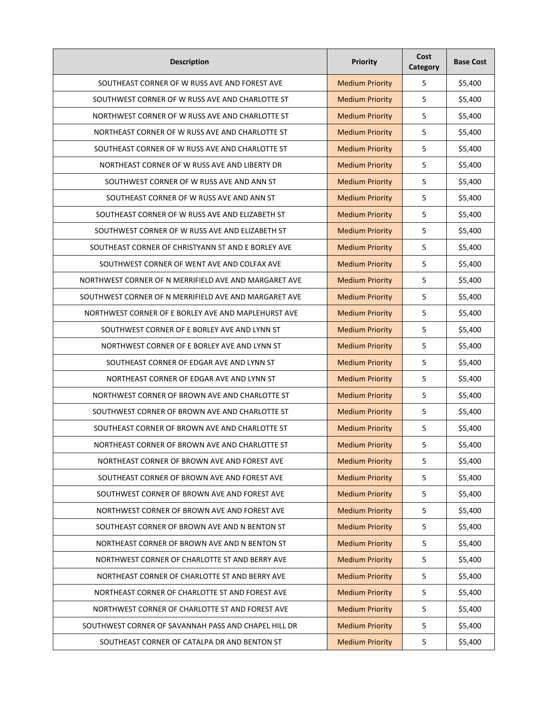| <b>Description</b>                                    | Priority               | Cost<br>Category | <b>Base Cost</b> |
|-------------------------------------------------------|------------------------|------------------|------------------|
| SOUTHEAST CORNER OF W RUSS AVE AND FOREST AVE         | <b>Medium Priority</b> | 5                | \$5,400          |
| SOUTHWEST CORNER OF W RUSS AVE AND CHARLOTTE ST       | <b>Medium Priority</b> | 5                | \$5,400          |
| NORTHWEST CORNER OF W RUSS AVE AND CHARLOTTE ST       | <b>Medium Priority</b> | 5                | \$5,400          |
| NORTHEAST CORNER OF W RUSS AVE AND CHARLOTTE ST       | <b>Medium Priority</b> | 5                | \$5,400          |
| SOUTHEAST CORNER OF W RUSS AVE AND CHARLOTTE ST       | <b>Medium Priority</b> | 5                | \$5,400          |
| NORTHEAST CORNER OF W RUSS AVE AND LIBERTY DR         | <b>Medium Priority</b> | 5                | \$5,400          |
| SOUTHWEST CORNER OF W RUSS AVE AND ANN ST             | <b>Medium Priority</b> | 5                | \$5,400          |
| SOUTHEAST CORNER OF W RUSS AVE AND ANN ST             | <b>Medium Priority</b> | 5                | \$5,400          |
| SOUTHEAST CORNER OF W RUSS AVE AND ELIZABETH ST       | <b>Medium Priority</b> | 5                | \$5,400          |
| SOUTHWEST CORNER OF W RUSS AVE AND ELIZABETH ST       | <b>Medium Priority</b> | 5                | \$5,400          |
| SOUTHEAST CORNER OF CHRISTYANN ST AND E BORLEY AVE    | <b>Medium Priority</b> | 5                | \$5,400          |
| SOUTHWEST CORNER OF WENT AVE AND COLFAX AVE           | <b>Medium Priority</b> | 5                | \$5,400          |
| NORTHWEST CORNER OF N MERRIFIELD AVE AND MARGARET AVE | <b>Medium Priority</b> | 5                | \$5,400          |
| SOUTHWEST CORNER OF N MERRIFIELD AVE AND MARGARET AVE | <b>Medium Priority</b> | 5                | \$5,400          |
| NORTHWEST CORNER OF E BORLEY AVE AND MAPLEHURST AVE   | <b>Medium Priority</b> | 5                | \$5,400          |
| SOUTHWEST CORNER OF E BORLEY AVE AND LYNN ST          | <b>Medium Priority</b> | 5                | \$5,400          |
| NORTHWEST CORNER OF E BORLEY AVE AND LYNN ST          | <b>Medium Priority</b> | 5                | \$5,400          |
| SOUTHEAST CORNER OF EDGAR AVE AND LYNN ST             | <b>Medium Priority</b> | 5                | \$5,400          |
| NORTHEAST CORNER OF EDGAR AVE AND LYNN ST             | <b>Medium Priority</b> | 5                | \$5,400          |
| NORTHWEST CORNER OF BROWN AVE AND CHARLOTTE ST        | <b>Medium Priority</b> | 5                | \$5,400          |
| SOUTHWEST CORNER OF BROWN AVE AND CHARLOTTE ST        | <b>Medium Priority</b> | 5                | \$5,400          |
| SOUTHEAST CORNER OF BROWN AVE AND CHARLOTTE ST        | <b>Medium Priority</b> | 5                | \$5,400          |
| NORTHEAST CORNER OF BROWN AVE AND CHARLOTTE ST        | <b>Medium Priority</b> | 5                | \$5,400          |
| NORTHEAST CORNER OF BROWN AVE AND FOREST AVE          | <b>Medium Priority</b> | 5                | \$5,400          |
| SOUTHEAST CORNER OF BROWN AVE AND FOREST AVE          | <b>Medium Priority</b> | 5                | \$5,400          |
| SOUTHWEST CORNER OF BROWN AVE AND FOREST AVE          | <b>Medium Priority</b> | 5                | \$5,400          |
| NORTHWEST CORNER OF BROWN AVE AND FOREST AVE          | <b>Medium Priority</b> | 5                | \$5,400          |
| SOUTHEAST CORNER OF BROWN AVE AND N BENTON ST         | <b>Medium Priority</b> | 5                | \$5,400          |
| NORTHEAST CORNER OF BROWN AVE AND N BENTON ST         | <b>Medium Priority</b> | 5                | \$5,400          |
| NORTHWEST CORNER OF CHARLOTTE ST AND BERRY AVE        | <b>Medium Priority</b> | 5                | \$5,400          |
| NORTHEAST CORNER OF CHARLOTTE ST AND BERRY AVE        | <b>Medium Priority</b> | 5                | \$5,400          |
| NORTHEAST CORNER OF CHARLOTTE ST AND FOREST AVE       | <b>Medium Priority</b> | 5                | \$5,400          |
| NORTHWEST CORNER OF CHARLOTTE ST AND FOREST AVE       | <b>Medium Priority</b> | 5                | \$5,400          |
| SOUTHWEST CORNER OF SAVANNAH PASS AND CHAPEL HILL DR  | <b>Medium Priority</b> | 5                | \$5,400          |
| SOUTHEAST CORNER OF CATALPA DR AND BENTON ST          | <b>Medium Priority</b> | 5                | \$5,400          |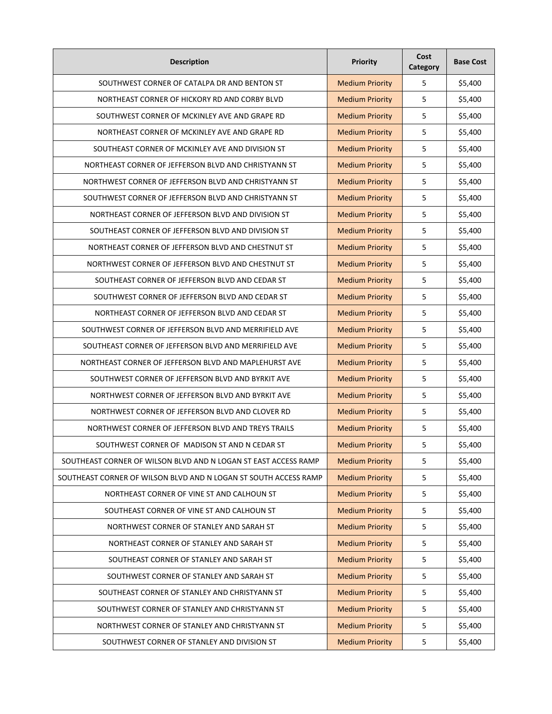| <b>Description</b>                                               | Priority               | Cost<br>Category | <b>Base Cost</b> |
|------------------------------------------------------------------|------------------------|------------------|------------------|
| SOUTHWEST CORNER OF CATALPA DR AND BENTON ST                     | <b>Medium Priority</b> | 5                | \$5,400          |
| NORTHEAST CORNER OF HICKORY RD AND CORBY BLVD                    | <b>Medium Priority</b> | 5                | \$5,400          |
| SOUTHWEST CORNER OF MCKINLEY AVE AND GRAPE RD                    | <b>Medium Priority</b> | 5                | \$5,400          |
| NORTHEAST CORNER OF MCKINLEY AVE AND GRAPE RD                    | <b>Medium Priority</b> | 5                | \$5,400          |
| SOUTHEAST CORNER OF MCKINLEY AVE AND DIVISION ST                 | <b>Medium Priority</b> | 5                | \$5,400          |
| NORTHEAST CORNER OF JEFFERSON BLVD AND CHRISTYANN ST             | <b>Medium Priority</b> | 5                | \$5,400          |
| NORTHWEST CORNER OF JEFFERSON BLVD AND CHRISTYANN ST             | <b>Medium Priority</b> | 5                | \$5,400          |
| SOUTHWEST CORNER OF JEFFERSON BLVD AND CHRISTYANN ST             | <b>Medium Priority</b> | 5                | \$5,400          |
| NORTHEAST CORNER OF JEFFERSON BLVD AND DIVISION ST               | <b>Medium Priority</b> | 5                | \$5,400          |
| SOUTHEAST CORNER OF JEFFERSON BLVD AND DIVISION ST               | <b>Medium Priority</b> | 5                | \$5,400          |
| NORTHEAST CORNER OF JEFFERSON BLVD AND CHESTNUT ST               | <b>Medium Priority</b> | 5                | \$5,400          |
| NORTHWEST CORNER OF JEFFERSON BLVD AND CHESTNUT ST               | <b>Medium Priority</b> | 5                | \$5,400          |
| SOUTHEAST CORNER OF JEFFERSON BLVD AND CEDAR ST                  | <b>Medium Priority</b> | 5                | \$5,400          |
| SOUTHWEST CORNER OF JEFFERSON BLVD AND CEDAR ST                  | <b>Medium Priority</b> | 5                | \$5,400          |
| NORTHEAST CORNER OF JEFFERSON BLVD AND CEDAR ST                  | <b>Medium Priority</b> | 5                | \$5,400          |
| SOUTHWEST CORNER OF JEFFERSON BLVD AND MERRIFIELD AVE            | <b>Medium Priority</b> | 5                | \$5,400          |
| SOUTHEAST CORNER OF JEFFERSON BLVD AND MERRIFIELD AVE            | <b>Medium Priority</b> | 5                | \$5,400          |
| NORTHEAST CORNER OF JEFFERSON BLVD AND MAPLEHURST AVE            | <b>Medium Priority</b> | 5                | \$5,400          |
| SOUTHWEST CORNER OF JEFFERSON BLVD AND BYRKIT AVE                | <b>Medium Priority</b> | 5                | \$5,400          |
| NORTHWEST CORNER OF JEFFERSON BLVD AND BYRKIT AVE                | <b>Medium Priority</b> | 5                | \$5,400          |
| NORTHWEST CORNER OF JEFFERSON BLVD AND CLOVER RD                 | <b>Medium Priority</b> | 5                | \$5,400          |
| NORTHWEST CORNER OF JEFFERSON BLVD AND TREYS TRAILS              | <b>Medium Priority</b> | 5                | \$5,400          |
| SOUTHWEST CORNER OF MADISON ST AND N CEDAR ST                    | <b>Medium Priority</b> | 5                | \$5,400          |
| SOUTHEAST CORNER OF WILSON BLVD AND N LOGAN ST EAST ACCESS RAMP  | <b>Medium Priority</b> | 5                | \$5,400          |
| SOUTHEAST CORNER OF WILSON BLVD AND N LOGAN ST SOUTH ACCESS RAMP | <b>Medium Priority</b> | 5                | \$5,400          |
| NORTHEAST CORNER OF VINE ST AND CALHOUN ST                       | <b>Medium Priority</b> | 5                | \$5,400          |
| SOUTHEAST CORNER OF VINE ST AND CALHOUN ST                       | <b>Medium Priority</b> | 5                | \$5,400          |
| NORTHWEST CORNER OF STANLEY AND SARAH ST                         | <b>Medium Priority</b> | 5                | \$5,400          |
| NORTHEAST CORNER OF STANLEY AND SARAH ST                         | <b>Medium Priority</b> | 5                | \$5,400          |
| SOUTHEAST CORNER OF STANLEY AND SARAH ST                         | <b>Medium Priority</b> | 5                | \$5,400          |
| SOUTHWEST CORNER OF STANLEY AND SARAH ST                         | <b>Medium Priority</b> | 5                | \$5,400          |
| SOUTHEAST CORNER OF STANLEY AND CHRISTYANN ST                    | <b>Medium Priority</b> | 5                | \$5,400          |
| SOUTHWEST CORNER OF STANLEY AND CHRISTYANN ST                    | <b>Medium Priority</b> | 5                | \$5,400          |
| NORTHWEST CORNER OF STANLEY AND CHRISTYANN ST                    | <b>Medium Priority</b> | 5                | \$5,400          |
| SOUTHWEST CORNER OF STANLEY AND DIVISION ST                      | <b>Medium Priority</b> | 5                | \$5,400          |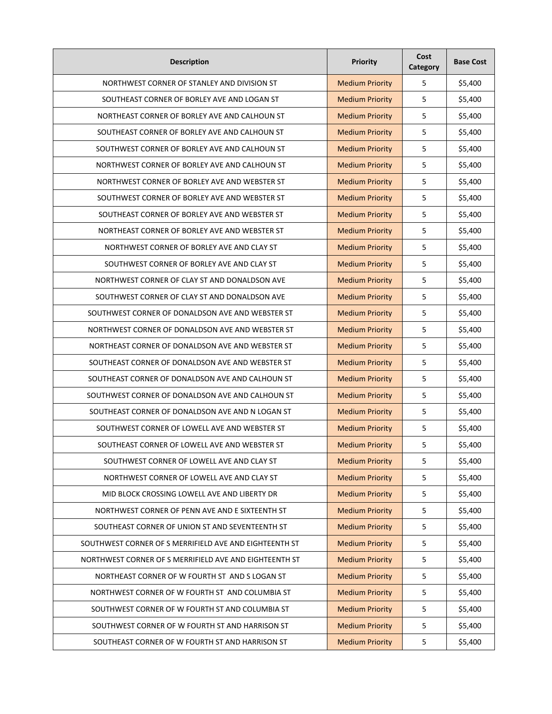| <b>Description</b>                                     | Priority               | Cost<br>Category | <b>Base Cost</b> |
|--------------------------------------------------------|------------------------|------------------|------------------|
| NORTHWEST CORNER OF STANLEY AND DIVISION ST            | <b>Medium Priority</b> | 5                | \$5,400          |
| SOUTHEAST CORNER OF BORLEY AVE AND LOGAN ST            | <b>Medium Priority</b> | 5                | \$5,400          |
| NORTHEAST CORNER OF BORLEY AVE AND CALHOUN ST          | <b>Medium Priority</b> | 5                | \$5,400          |
| SOUTHEAST CORNER OF BORLEY AVE AND CALHOUN ST          | <b>Medium Priority</b> | 5                | \$5,400          |
| SOUTHWEST CORNER OF BORLEY AVE AND CALHOUN ST          | <b>Medium Priority</b> | 5                | \$5,400          |
| NORTHWEST CORNER OF BORLEY AVE AND CALHOUN ST          | <b>Medium Priority</b> | 5                | \$5,400          |
| NORTHWEST CORNER OF BORLEY AVE AND WEBSTER ST          | <b>Medium Priority</b> | 5                | \$5,400          |
| SOUTHWEST CORNER OF BORLEY AVE AND WEBSTER ST          | <b>Medium Priority</b> | 5                | \$5,400          |
| SOUTHEAST CORNER OF BORLEY AVE AND WEBSTER ST          | <b>Medium Priority</b> | 5                | \$5,400          |
| NORTHEAST CORNER OF BORLEY AVE AND WEBSTER ST          | <b>Medium Priority</b> | 5                | \$5,400          |
| NORTHWEST CORNER OF BORLEY AVE AND CLAY ST             | <b>Medium Priority</b> | 5                | \$5,400          |
| SOUTHWEST CORNER OF BORLEY AVE AND CLAY ST             | <b>Medium Priority</b> | 5                | \$5,400          |
| NORTHWEST CORNER OF CLAY ST AND DONALDSON AVE          | <b>Medium Priority</b> | 5                | \$5,400          |
| SOUTHWEST CORNER OF CLAY ST AND DONALDSON AVE          | <b>Medium Priority</b> | 5                | \$5,400          |
| SOUTHWEST CORNER OF DONALDSON AVE AND WEBSTER ST       | <b>Medium Priority</b> | 5                | \$5,400          |
| NORTHWEST CORNER OF DONALDSON AVE AND WEBSTER ST       | <b>Medium Priority</b> | 5                | \$5,400          |
| NORTHEAST CORNER OF DONALDSON AVE AND WEBSTER ST       | <b>Medium Priority</b> | 5                | \$5,400          |
| SOUTHEAST CORNER OF DONALDSON AVE AND WEBSTER ST       | <b>Medium Priority</b> | 5                | \$5,400          |
| SOUTHEAST CORNER OF DONALDSON AVE AND CALHOUN ST       | <b>Medium Priority</b> | 5                | \$5,400          |
| SOUTHWEST CORNER OF DONALDSON AVE AND CALHOUN ST       | <b>Medium Priority</b> | 5                | \$5,400          |
| SOUTHEAST CORNER OF DONALDSON AVE AND N LOGAN ST       | <b>Medium Priority</b> | 5                | \$5,400          |
| SOUTHWEST CORNER OF LOWELL AVE AND WEBSTER ST          | <b>Medium Priority</b> | 5                | \$5,400          |
| SOUTHEAST CORNER OF LOWELL AVE AND WEBSTER ST          | <b>Medium Priority</b> | 5                | \$5,400          |
| SOUTHWEST CORNER OF LOWELL AVE AND CLAY ST             | <b>Medium Priority</b> | 5                | \$5,400          |
| NORTHWEST CORNER OF LOWELL AVE AND CLAY ST             | <b>Medium Priority</b> | 5                | \$5,400          |
| MID BLOCK CROSSING LOWELL AVE AND LIBERTY DR           | <b>Medium Priority</b> | 5                | \$5,400          |
| NORTHWEST CORNER OF PENN AVE AND E SIXTEENTH ST        | <b>Medium Priority</b> | 5                | \$5,400          |
| SOUTHEAST CORNER OF UNION ST AND SEVENTEENTH ST        | <b>Medium Priority</b> | 5                | \$5,400          |
| SOUTHWEST CORNER OF S MERRIFIELD AVE AND EIGHTEENTH ST | <b>Medium Priority</b> | 5                | \$5,400          |
| NORTHWEST CORNER OF S MERRIFIELD AVE AND EIGHTEENTH ST | <b>Medium Priority</b> | 5                | \$5,400          |
| NORTHEAST CORNER OF W FOURTH ST AND S LOGAN ST         | <b>Medium Priority</b> | 5                | \$5,400          |
| NORTHWEST CORNER OF W FOURTH ST AND COLUMBIA ST        | <b>Medium Priority</b> | 5                | \$5,400          |
| SOUTHWEST CORNER OF W FOURTH ST AND COLUMBIA ST        | <b>Medium Priority</b> | 5                | \$5,400          |
| SOUTHWEST CORNER OF W FOURTH ST AND HARRISON ST        | <b>Medium Priority</b> | 5                | \$5,400          |
| SOUTHEAST CORNER OF W FOURTH ST AND HARRISON ST        | <b>Medium Priority</b> | 5                | \$5,400          |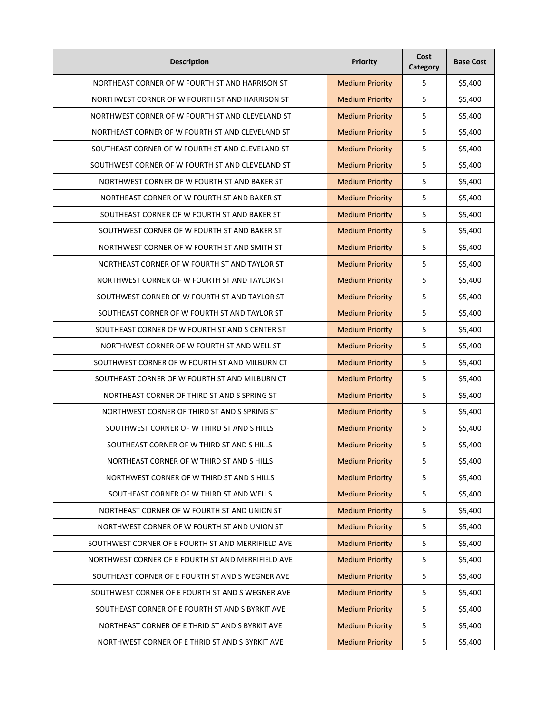| <b>Description</b>                                 | Priority               | Cost<br>Category | <b>Base Cost</b> |
|----------------------------------------------------|------------------------|------------------|------------------|
| NORTHEAST CORNER OF W FOURTH ST AND HARRISON ST    | <b>Medium Priority</b> | 5                | \$5,400          |
| NORTHWEST CORNER OF W FOURTH ST AND HARRISON ST    | <b>Medium Priority</b> | 5                | \$5,400          |
| NORTHWEST CORNER OF W FOURTH ST AND CLEVELAND ST   | <b>Medium Priority</b> | 5                | \$5,400          |
| NORTHEAST CORNER OF W FOURTH ST AND CLEVELAND ST   | <b>Medium Priority</b> | 5                | \$5,400          |
| SOUTHEAST CORNER OF W FOURTH ST AND CLEVELAND ST   | <b>Medium Priority</b> | 5                | \$5,400          |
| SOUTHWEST CORNER OF W FOURTH ST AND CLEVELAND ST   | <b>Medium Priority</b> | 5                | \$5,400          |
| NORTHWEST CORNER OF W FOURTH ST AND BAKER ST       | <b>Medium Priority</b> | 5                | \$5,400          |
| NORTHEAST CORNER OF W FOURTH ST AND BAKER ST       | <b>Medium Priority</b> | 5                | \$5,400          |
| SOUTHEAST CORNER OF W FOURTH ST AND BAKER ST       | <b>Medium Priority</b> | 5                | \$5,400          |
| SOUTHWEST CORNER OF W FOURTH ST AND BAKER ST       | <b>Medium Priority</b> | 5                | \$5,400          |
| NORTHWEST CORNER OF W FOURTH ST AND SMITH ST       | <b>Medium Priority</b> | 5                | \$5,400          |
| NORTHEAST CORNER OF W FOURTH ST AND TAYLOR ST      | <b>Medium Priority</b> | 5                | \$5,400          |
| NORTHWEST CORNER OF W FOURTH ST AND TAYLOR ST      | <b>Medium Priority</b> | 5                | \$5,400          |
| SOUTHWEST CORNER OF W FOURTH ST AND TAYLOR ST      | <b>Medium Priority</b> | 5                | \$5,400          |
| SOUTHEAST CORNER OF W FOURTH ST AND TAYLOR ST      | <b>Medium Priority</b> | 5                | \$5,400          |
| SOUTHEAST CORNER OF W FOURTH ST AND S CENTER ST    | <b>Medium Priority</b> | 5                | \$5,400          |
| NORTHWEST CORNER OF W FOURTH ST AND WELL ST        | <b>Medium Priority</b> | 5                | \$5,400          |
| SOUTHWEST CORNER OF W FOURTH ST AND MILBURN CT     | <b>Medium Priority</b> | 5                | \$5,400          |
| SOUTHEAST CORNER OF W FOURTH ST AND MILBURN CT     | <b>Medium Priority</b> | 5                | \$5,400          |
| NORTHEAST CORNER OF THIRD ST AND S SPRING ST       | <b>Medium Priority</b> | 5                | \$5,400          |
| NORTHWEST CORNER OF THIRD ST AND S SPRING ST       | <b>Medium Priority</b> | 5                | \$5,400          |
| SOUTHWEST CORNER OF W THIRD ST AND S HILLS         | <b>Medium Priority</b> | 5                | \$5,400          |
| SOUTHEAST CORNER OF W THIRD ST AND S HILLS         | <b>Medium Priority</b> | 5                | \$5,400          |
| NORTHEAST CORNER OF W THIRD ST AND S HILLS         | <b>Medium Priority</b> | 5                | \$5,400          |
| NORTHWEST CORNER OF W THIRD ST AND S HILLS         | <b>Medium Priority</b> | 5                | \$5,400          |
| SOUTHEAST CORNER OF W THIRD ST AND WELLS           | <b>Medium Priority</b> | 5                | \$5,400          |
| NORTHEAST CORNER OF W FOURTH ST AND UNION ST       | <b>Medium Priority</b> | 5                | \$5,400          |
| NORTHWEST CORNER OF W FOURTH ST AND UNION ST       | <b>Medium Priority</b> | 5                | \$5,400          |
| SOUTHWEST CORNER OF E FOURTH ST AND MERRIFIELD AVE | <b>Medium Priority</b> | 5                | \$5,400          |
| NORTHWEST CORNER OF E FOURTH ST AND MERRIFIELD AVE | <b>Medium Priority</b> | 5                | \$5,400          |
| SOUTHEAST CORNER OF E FOURTH ST AND S WEGNER AVE   | <b>Medium Priority</b> | 5                | \$5,400          |
| SOUTHWEST CORNER OF E FOURTH ST AND S WEGNER AVE   | <b>Medium Priority</b> | 5                | \$5,400          |
| SOUTHEAST CORNER OF E FOURTH ST AND S BYRKIT AVE   | <b>Medium Priority</b> | 5                | \$5,400          |
| NORTHEAST CORNER OF E THRID ST AND S BYRKIT AVE    | <b>Medium Priority</b> | 5                | \$5,400          |
| NORTHWEST CORNER OF E THRID ST AND S BYRKIT AVE    | <b>Medium Priority</b> | 5                | \$5,400          |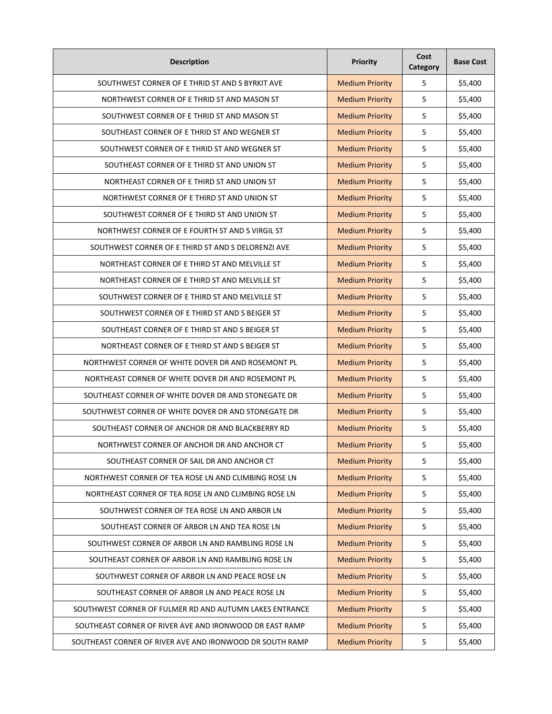| <b>Description</b>                                       | Priority               | Cost<br>Category | <b>Base Cost</b> |
|----------------------------------------------------------|------------------------|------------------|------------------|
| SOUTHWEST CORNER OF E THRID ST AND S BYRKIT AVE          | <b>Medium Priority</b> | 5                | \$5,400          |
| NORTHWEST CORNER OF E THRID ST AND MASON ST              | <b>Medium Priority</b> | 5                | \$5,400          |
| SOUTHWEST CORNER OF E THRID ST AND MASON ST              | <b>Medium Priority</b> | 5                | \$5,400          |
| SOUTHEAST CORNER OF E THRID ST AND WEGNER ST             | <b>Medium Priority</b> | 5                | \$5,400          |
| SOUTHWEST CORNER OF E THRID ST AND WEGNER ST             | <b>Medium Priority</b> | 5                | \$5,400          |
| SOUTHEAST CORNER OF E THIRD ST AND UNION ST              | <b>Medium Priority</b> | 5                | \$5,400          |
| NORTHEAST CORNER OF E THIRD ST AND UNION ST              | <b>Medium Priority</b> | 5                | \$5,400          |
| NORTHWEST CORNER OF E THIRD ST AND UNION ST              | <b>Medium Priority</b> | 5                | \$5,400          |
| SOUTHWEST CORNER OF E THIRD ST AND UNION ST              | <b>Medium Priority</b> | 5                | \$5,400          |
| NORTHWEST CORNER OF E FOURTH ST AND S VIRGIL ST          | <b>Medium Priority</b> | 5                | \$5,400          |
| SOUTHWEST CORNER OF E THIRD ST AND S DELORENZI AVE       | <b>Medium Priority</b> | 5                | \$5,400          |
| NORTHEAST CORNER OF E THIRD ST AND MELVILLE ST           | <b>Medium Priority</b> | 5                | \$5,400          |
| NORTHEAST CORNER OF E THIRD ST AND MELVILLE ST           | <b>Medium Priority</b> | 5                | \$5,400          |
| SOUTHWEST CORNER OF E THIRD ST AND MELVILLE ST           | <b>Medium Priority</b> | 5                | \$5,400          |
| SOUTHWEST CORNER OF E THIRD ST AND S BEIGER ST           | <b>Medium Priority</b> | 5                | \$5,400          |
| SOUTHEAST CORNER OF E THIRD ST AND S BEIGER ST           | <b>Medium Priority</b> | 5                | \$5,400          |
| NORTHEAST CORNER OF E THIRD ST AND S BEIGER ST           | <b>Medium Priority</b> | 5                | \$5,400          |
| NORTHWEST CORNER OF WHITE DOVER DR AND ROSEMONT PL       | <b>Medium Priority</b> | 5                | \$5,400          |
| NORTHEAST CORNER OF WHITE DOVER DR AND ROSEMONT PL       | <b>Medium Priority</b> | 5                | \$5,400          |
| SOUTHEAST CORNER OF WHITE DOVER DR AND STONEGATE DR      | <b>Medium Priority</b> | 5                | \$5,400          |
| SOUTHWEST CORNER OF WHITE DOVER DR AND STONEGATE DR      | <b>Medium Priority</b> | 5                | \$5,400          |
| SOUTHEAST CORNER OF ANCHOR DR AND BLACKBERRY RD          | <b>Medium Priority</b> | 5                | \$5,400          |
| NORTHWEST CORNER OF ANCHOR DR AND ANCHOR CT              | <b>Medium Priority</b> | 5                | \$5,400          |
| SOUTHEAST CORNER OF SAIL DR AND ANCHOR CT                | <b>Medium Priority</b> | 5                | \$5,400          |
| NORTHWEST CORNER OF TEA ROSE LN AND CLIMBING ROSE LN     | <b>Medium Priority</b> | 5                | \$5,400          |
| NORTHEAST CORNER OF TEA ROSE LN AND CLIMBING ROSE LN     | <b>Medium Priority</b> | 5                | \$5,400          |
| SOUTHWEST CORNER OF TEA ROSE LN AND ARBOR LN             | <b>Medium Priority</b> | 5                | \$5,400          |
| SOUTHEAST CORNER OF ARBOR LN AND TEA ROSE LN             | <b>Medium Priority</b> | 5                | \$5,400          |
| SOUTHWEST CORNER OF ARBOR LN AND RAMBLING ROSE LN        | <b>Medium Priority</b> | 5                | \$5,400          |
| SOUTHEAST CORNER OF ARBOR LN AND RAMBLING ROSE LN        | <b>Medium Priority</b> | 5                | \$5,400          |
| SOUTHWEST CORNER OF ARBOR LN AND PEACE ROSE LN           | <b>Medium Priority</b> | 5                | \$5,400          |
| SOUTHEAST CORNER OF ARBOR LN AND PEACE ROSE LN           | <b>Medium Priority</b> | 5                | \$5,400          |
| SOUTHWEST CORNER OF FULMER RD AND AUTUMN LAKES ENTRANCE  | <b>Medium Priority</b> | 5                | \$5,400          |
| SOUTHEAST CORNER OF RIVER AVE AND IRONWOOD DR EAST RAMP  | <b>Medium Priority</b> | 5                | \$5,400          |
| SOUTHEAST CORNER OF RIVER AVE AND IRONWOOD DR SOUTH RAMP | <b>Medium Priority</b> | 5                | \$5,400          |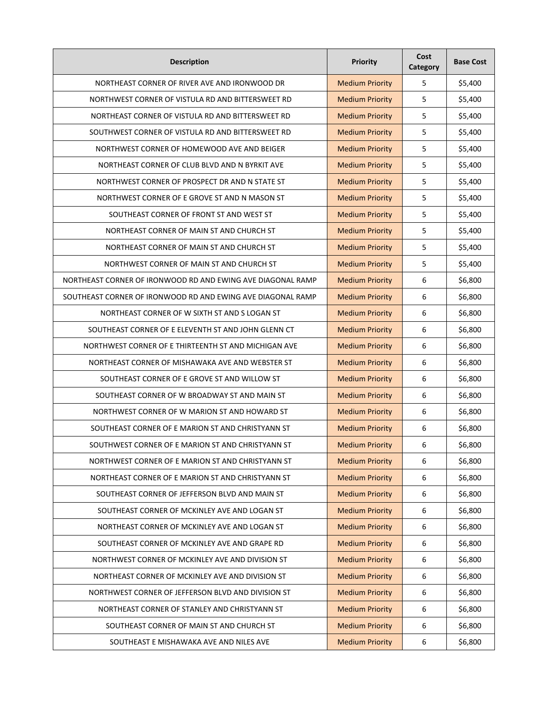| <b>Description</b>                                          | <b>Priority</b>        | Cost<br>Category | <b>Base Cost</b> |
|-------------------------------------------------------------|------------------------|------------------|------------------|
| NORTHEAST CORNER OF RIVER AVE AND IRONWOOD DR               | <b>Medium Priority</b> | 5                | \$5,400          |
| NORTHWEST CORNER OF VISTULA RD AND BITTERSWEET RD           | <b>Medium Priority</b> | 5                | \$5,400          |
| NORTHEAST CORNER OF VISTULA RD AND BITTERSWEET RD           | <b>Medium Priority</b> | 5                | \$5,400          |
| SOUTHWEST CORNER OF VISTULA RD AND BITTERSWEET RD           | <b>Medium Priority</b> | 5                | \$5,400          |
| NORTHWEST CORNER OF HOMEWOOD AVE AND BEIGER                 | <b>Medium Priority</b> | 5                | \$5,400          |
| NORTHEAST CORNER OF CLUB BLVD AND N BYRKIT AVE              | <b>Medium Priority</b> | 5                | \$5,400          |
| NORTHWEST CORNER OF PROSPECT DR AND N STATE ST              | <b>Medium Priority</b> | 5                | \$5,400          |
| NORTHWEST CORNER OF E GROVE ST AND N MASON ST               | <b>Medium Priority</b> | 5                | \$5,400          |
| SOUTHEAST CORNER OF FRONT ST AND WEST ST                    | <b>Medium Priority</b> | 5                | \$5,400          |
| NORTHEAST CORNER OF MAIN ST AND CHURCH ST                   | <b>Medium Priority</b> | 5                | \$5,400          |
| NORTHEAST CORNER OF MAIN ST AND CHURCH ST                   | <b>Medium Priority</b> | 5                | \$5,400          |
| NORTHWEST CORNER OF MAIN ST AND CHURCH ST                   | <b>Medium Priority</b> | 5                | \$5,400          |
| NORTHEAST CORNER OF IRONWOOD RD AND EWING AVE DIAGONAL RAMP | <b>Medium Priority</b> | 6                | \$6,800          |
| SOUTHEAST CORNER OF IRONWOOD RD AND EWING AVE DIAGONAL RAMP | <b>Medium Priority</b> | 6                | \$6,800          |
| NORTHEAST CORNER OF W SIXTH ST AND S LOGAN ST               | <b>Medium Priority</b> | 6                | \$6,800          |
| SOUTHEAST CORNER OF E ELEVENTH ST AND JOHN GLENN CT         | <b>Medium Priority</b> | 6                | \$6,800          |
| NORTHWEST CORNER OF E THIRTEENTH ST AND MICHIGAN AVE        | <b>Medium Priority</b> | 6                | \$6,800          |
| NORTHEAST CORNER OF MISHAWAKA AVE AND WEBSTER ST            | <b>Medium Priority</b> | 6                | \$6,800          |
| SOUTHEAST CORNER OF E GROVE ST AND WILLOW ST                | <b>Medium Priority</b> | 6                | \$6,800          |
| SOUTHEAST CORNER OF W BROADWAY ST AND MAIN ST               | <b>Medium Priority</b> | 6                | \$6,800          |
| NORTHWEST CORNER OF W MARION ST AND HOWARD ST               | <b>Medium Priority</b> | 6                | \$6,800          |
| SOUTHEAST CORNER OF E MARION ST AND CHRISTYANN ST           | <b>Medium Priority</b> | 6                | \$6,800          |
| SOUTHWEST CORNER OF E MARION ST AND CHRISTYANN ST           | <b>Medium Priority</b> | 6                | \$6,800          |
| NORTHWEST CORNER OF E MARION ST AND CHRISTYANN ST           | <b>Medium Priority</b> | 6                | \$6,800          |
| NORTHEAST CORNER OF E MARION ST AND CHRISTYANN ST           | <b>Medium Priority</b> | 6                | \$6,800          |
| SOUTHEAST CORNER OF JEFFERSON BLVD AND MAIN ST              | <b>Medium Priority</b> | 6                | \$6,800          |
| SOUTHEAST CORNER OF MCKINLEY AVE AND LOGAN ST               | <b>Medium Priority</b> | 6                | \$6,800          |
| NORTHEAST CORNER OF MCKINLEY AVE AND LOGAN ST               | <b>Medium Priority</b> | 6                | \$6,800          |
| SOUTHEAST CORNER OF MCKINLEY AVE AND GRAPE RD               | <b>Medium Priority</b> | 6                | \$6,800          |
| NORTHWEST CORNER OF MCKINLEY AVE AND DIVISION ST            | <b>Medium Priority</b> | 6                | \$6,800          |
| NORTHEAST CORNER OF MCKINLEY AVE AND DIVISION ST            | <b>Medium Priority</b> | 6                | \$6,800          |
| NORTHWEST CORNER OF JEFFERSON BLVD AND DIVISION ST          | <b>Medium Priority</b> | 6                | \$6,800          |
| NORTHEAST CORNER OF STANLEY AND CHRISTYANN ST               | <b>Medium Priority</b> | 6                | \$6,800          |
| SOUTHEAST CORNER OF MAIN ST AND CHURCH ST                   | <b>Medium Priority</b> | 6                | \$6,800          |
| SOUTHEAST E MISHAWAKA AVE AND NILES AVE                     | <b>Medium Priority</b> | 6                | \$6,800          |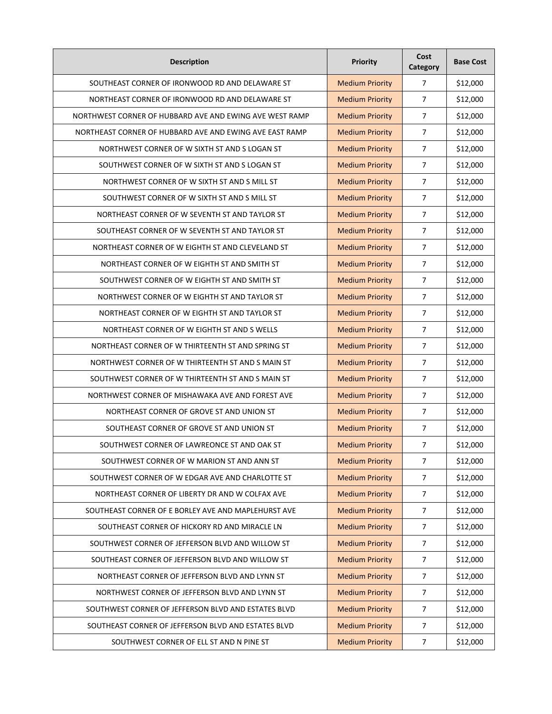| <b>Description</b>                                      | Priority               | Cost<br>Category | <b>Base Cost</b> |
|---------------------------------------------------------|------------------------|------------------|------------------|
| SOUTHEAST CORNER OF IRONWOOD RD AND DELAWARE ST         | <b>Medium Priority</b> | 7                | \$12,000         |
| NORTHEAST CORNER OF IRONWOOD RD AND DELAWARE ST         | <b>Medium Priority</b> | 7                | \$12,000         |
| NORTHWEST CORNER OF HUBBARD AVE AND EWING AVE WEST RAMP | <b>Medium Priority</b> | $\overline{7}$   | \$12,000         |
| NORTHEAST CORNER OF HUBBARD AVE AND EWING AVE EAST RAMP | <b>Medium Priority</b> | $\overline{7}$   | \$12,000         |
| NORTHWEST CORNER OF W SIXTH ST AND S LOGAN ST           | <b>Medium Priority</b> | $\overline{7}$   | \$12,000         |
| SOUTHWEST CORNER OF W SIXTH ST AND S LOGAN ST           | <b>Medium Priority</b> | $\overline{7}$   | \$12,000         |
| NORTHWEST CORNER OF W SIXTH ST AND S MILL ST            | <b>Medium Priority</b> | $\overline{7}$   | \$12,000         |
| SOUTHWEST CORNER OF W SIXTH ST AND S MILL ST            | <b>Medium Priority</b> | $\overline{7}$   | \$12,000         |
| NORTHEAST CORNER OF W SEVENTH ST AND TAYLOR ST          | <b>Medium Priority</b> | $\overline{7}$   | \$12,000         |
| SOUTHEAST CORNER OF W SEVENTH ST AND TAYLOR ST          | <b>Medium Priority</b> | $\overline{7}$   | \$12,000         |
| NORTHEAST CORNER OF W EIGHTH ST AND CLEVELAND ST        | <b>Medium Priority</b> | $\overline{7}$   | \$12,000         |
| NORTHEAST CORNER OF W EIGHTH ST AND SMITH ST            | <b>Medium Priority</b> | $\overline{7}$   | \$12,000         |
| SOUTHWEST CORNER OF W EIGHTH ST AND SMITH ST            | <b>Medium Priority</b> | $\overline{7}$   | \$12,000         |
| NORTHWEST CORNER OF W EIGHTH ST AND TAYLOR ST           | <b>Medium Priority</b> | $\overline{7}$   | \$12,000         |
| NORTHEAST CORNER OF W EIGHTH ST AND TAYLOR ST           | <b>Medium Priority</b> | 7                | \$12,000         |
| NORTHEAST CORNER OF W EIGHTH ST AND S WELLS             | <b>Medium Priority</b> | $\overline{7}$   | \$12,000         |
| NORTHEAST CORNER OF W THIRTEENTH ST AND SPRING ST       | <b>Medium Priority</b> | $\overline{7}$   | \$12,000         |
| NORTHWEST CORNER OF W THIRTEENTH ST AND S MAIN ST       | <b>Medium Priority</b> | $\overline{7}$   | \$12,000         |
| SOUTHWEST CORNER OF W THIRTEENTH ST AND S MAIN ST       | <b>Medium Priority</b> | $\overline{7}$   | \$12,000         |
| NORTHWEST CORNER OF MISHAWAKA AVE AND FOREST AVE        | <b>Medium Priority</b> | $\overline{7}$   | \$12,000         |
| NORTHEAST CORNER OF GROVE ST AND UNION ST               | <b>Medium Priority</b> | $\overline{7}$   | \$12,000         |
| SOUTHEAST CORNER OF GROVE ST AND UNION ST               | <b>Medium Priority</b> | $\overline{7}$   | \$12,000         |
| SOUTHWEST CORNER OF LAWREONCE ST AND OAK ST             | <b>Medium Priority</b> | $\overline{7}$   | \$12,000         |
| SOUTHWEST CORNER OF W MARION ST AND ANN ST              | <b>Medium Priority</b> | $\overline{7}$   | \$12,000         |
| SOUTHWEST CORNER OF W EDGAR AVE AND CHARLOTTE ST        | <b>Medium Priority</b> | $\overline{7}$   | \$12,000         |
| NORTHEAST CORNER OF LIBERTY DR AND W COLFAX AVE         | <b>Medium Priority</b> | $\overline{7}$   | \$12,000         |
| SOUTHEAST CORNER OF E BORLEY AVE AND MAPLEHURST AVE     | <b>Medium Priority</b> | $\overline{7}$   | \$12,000         |
| SOUTHEAST CORNER OF HICKORY RD AND MIRACLE LN           | <b>Medium Priority</b> | $\overline{7}$   | \$12,000         |
| SOUTHWEST CORNER OF JEFFERSON BLVD AND WILLOW ST        | <b>Medium Priority</b> | $\overline{7}$   | \$12,000         |
| SOUTHEAST CORNER OF JEFFERSON BLVD AND WILLOW ST        | <b>Medium Priority</b> | $\overline{7}$   | \$12,000         |
| NORTHEAST CORNER OF JEFFERSON BLVD AND LYNN ST          | <b>Medium Priority</b> | $\boldsymbol{7}$ | \$12,000         |
| NORTHWEST CORNER OF JEFFERSON BLVD AND LYNN ST          | <b>Medium Priority</b> | $\overline{7}$   | \$12,000         |
| SOUTHWEST CORNER OF JEFFERSON BLVD AND ESTATES BLVD     | <b>Medium Priority</b> | $\overline{7}$   | \$12,000         |
| SOUTHEAST CORNER OF JEFFERSON BLVD AND ESTATES BLVD     | <b>Medium Priority</b> | 7                | \$12,000         |
| SOUTHWEST CORNER OF ELL ST AND N PINE ST                | <b>Medium Priority</b> | $\overline{7}$   | \$12,000         |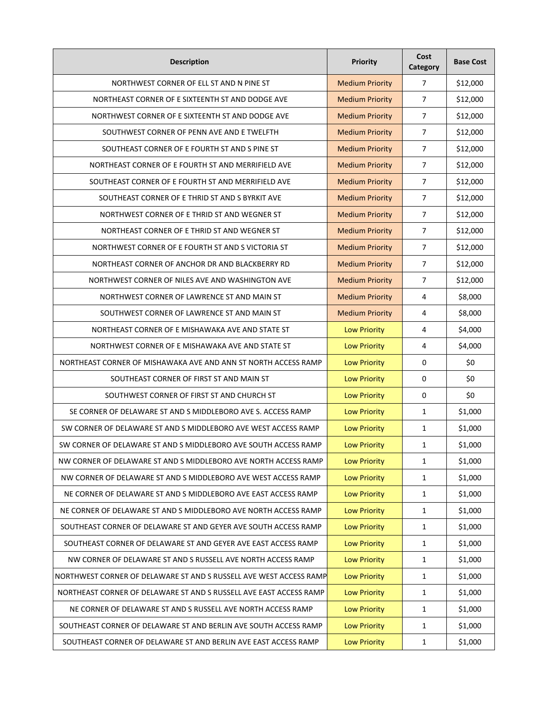| <b>Description</b>                                                 | Priority               | Cost<br>Category | <b>Base Cost</b> |
|--------------------------------------------------------------------|------------------------|------------------|------------------|
| NORTHWEST CORNER OF ELL ST AND N PINE ST                           | <b>Medium Priority</b> | $\overline{7}$   | \$12,000         |
| NORTHEAST CORNER OF E SIXTEENTH ST AND DODGE AVE                   | <b>Medium Priority</b> | 7                | \$12,000         |
| NORTHWEST CORNER OF E SIXTEENTH ST AND DODGE AVE                   | <b>Medium Priority</b> | $\overline{7}$   | \$12,000         |
| SOUTHWEST CORNER OF PENN AVE AND E TWELFTH                         | <b>Medium Priority</b> | $\overline{7}$   | \$12,000         |
| SOUTHEAST CORNER OF E FOURTH ST AND S PINE ST                      | <b>Medium Priority</b> | $\overline{7}$   | \$12,000         |
| NORTHEAST CORNER OF E FOURTH ST AND MERRIFIELD AVE                 | <b>Medium Priority</b> | $\overline{7}$   | \$12,000         |
| SOUTHEAST CORNER OF E FOURTH ST AND MERRIFIELD AVE                 | <b>Medium Priority</b> | $\overline{7}$   | \$12,000         |
| SOUTHEAST CORNER OF E THRID ST AND S BYRKIT AVE                    | <b>Medium Priority</b> | $\overline{7}$   | \$12,000         |
| NORTHWEST CORNER OF E THRID ST AND WEGNER ST                       | <b>Medium Priority</b> | $\overline{7}$   | \$12,000         |
| NORTHEAST CORNER OF E THRID ST AND WEGNER ST                       | <b>Medium Priority</b> | $\overline{7}$   | \$12,000         |
| NORTHWEST CORNER OF E FOURTH ST AND S VICTORIA ST                  | <b>Medium Priority</b> | $\overline{7}$   | \$12,000         |
| NORTHEAST CORNER OF ANCHOR DR AND BLACKBERRY RD                    | <b>Medium Priority</b> | $\overline{7}$   | \$12,000         |
| NORTHWEST CORNER OF NILES AVE AND WASHINGTON AVE                   | <b>Medium Priority</b> | $\overline{7}$   | \$12,000         |
| NORTHWEST CORNER OF LAWRENCE ST AND MAIN ST                        | <b>Medium Priority</b> | 4                | \$8,000          |
| SOUTHWEST CORNER OF LAWRENCE ST AND MAIN ST                        | <b>Medium Priority</b> | 4                | \$8,000          |
| NORTHEAST CORNER OF E MISHAWAKA AVE AND STATE ST                   | <b>Low Priority</b>    | 4                | \$4,000          |
| NORTHWEST CORNER OF E MISHAWAKA AVE AND STATE ST                   | <b>Low Priority</b>    | 4                | \$4,000          |
| NORTHEAST CORNER OF MISHAWAKA AVE AND ANN ST NORTH ACCESS RAMP     | <b>Low Priority</b>    | 0                | \$0              |
| SOUTHEAST CORNER OF FIRST ST AND MAIN ST                           | <b>Low Priority</b>    | 0                | \$0              |
| SOUTHWEST CORNER OF FIRST ST AND CHURCH ST                         | <b>Low Priority</b>    | 0                | \$0              |
| SE CORNER OF DELAWARE ST AND S MIDDLEBORO AVE S. ACCESS RAMP       | <b>Low Priority</b>    | $\mathbf{1}$     | \$1,000          |
| SW CORNER OF DELAWARE ST AND S MIDDLEBORO AVE WEST ACCESS RAMP     | <b>Low Priority</b>    | $\mathbf{1}$     | \$1,000          |
| SW CORNER OF DELAWARE ST AND S MIDDLEBORO AVE SOUTH ACCESS RAMP    | <b>Low Priority</b>    | 1                | \$1,000          |
| NW CORNER OF DELAWARE ST AND S MIDDLEBORO AVE NORTH ACCESS RAMP    | <b>Low Priority</b>    | $\mathbf{1}$     | \$1,000          |
| NW CORNER OF DELAWARE ST AND S MIDDLEBORO AVE WEST ACCESS RAMP     | <b>Low Priority</b>    | 1                | \$1,000          |
| NE CORNER OF DELAWARE ST AND S MIDDLEBORO AVE EAST ACCESS RAMP     | <b>Low Priority</b>    | 1                | \$1,000          |
| NE CORNER OF DELAWARE ST AND S MIDDLEBORO AVE NORTH ACCESS RAMP    | <b>Low Priority</b>    | 1                | \$1,000          |
| SOUTHEAST CORNER OF DELAWARE ST AND GEYER AVE SOUTH ACCESS RAMP    | <b>Low Priority</b>    | 1                | \$1,000          |
| SOUTHEAST CORNER OF DELAWARE ST AND GEYER AVE EAST ACCESS RAMP     | <b>Low Priority</b>    | 1                | \$1,000          |
| NW CORNER OF DELAWARE ST AND S RUSSELL AVE NORTH ACCESS RAMP       | <b>Low Priority</b>    | $\mathbf{1}$     | \$1,000          |
| NORTHWEST CORNER OF DELAWARE ST AND S RUSSELL AVE WEST ACCESS RAMP | <b>Low Priority</b>    | $\mathbf 1$      | \$1,000          |
| NORTHEAST CORNER OF DELAWARE ST AND S RUSSELL AVE EAST ACCESS RAMP | <b>Low Priority</b>    | $\mathbf{1}$     | \$1,000          |
| NE CORNER OF DELAWARE ST AND S RUSSELL AVE NORTH ACCESS RAMP       | <b>Low Priority</b>    | $\mathbf{1}$     | \$1,000          |
| SOUTHEAST CORNER OF DELAWARE ST AND BERLIN AVE SOUTH ACCESS RAMP   | <b>Low Priority</b>    | $\mathbf{1}$     | \$1,000          |
| SOUTHEAST CORNER OF DELAWARE ST AND BERLIN AVE EAST ACCESS RAMP    | <b>Low Priority</b>    | $\mathbf{1}$     | \$1,000          |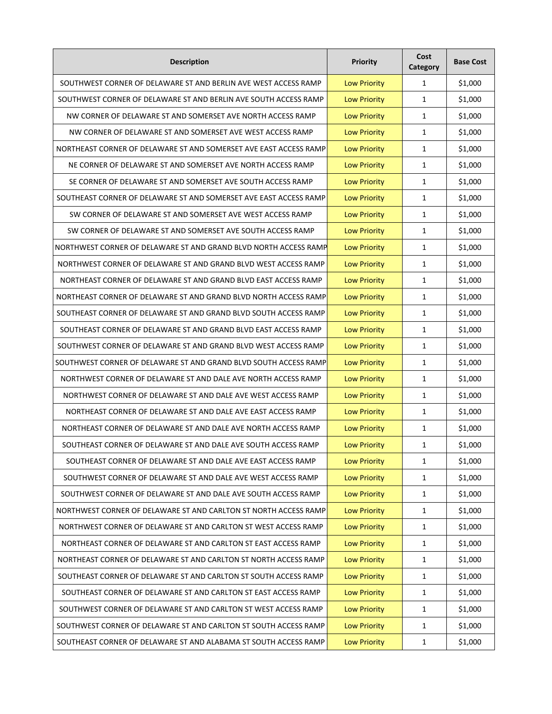| <b>Description</b>                                                | Priority            | Cost<br>Category | <b>Base Cost</b> |
|-------------------------------------------------------------------|---------------------|------------------|------------------|
| SOUTHWEST CORNER OF DELAWARE ST AND BERLIN AVE WEST ACCESS RAMP   | <b>Low Priority</b> | 1                | \$1,000          |
| SOUTHWEST CORNER OF DELAWARE ST AND BERLIN AVE SOUTH ACCESS RAMP  | <b>Low Priority</b> | 1                | \$1,000          |
| NW CORNER OF DELAWARE ST AND SOMERSET AVE NORTH ACCESS RAMP       | <b>Low Priority</b> | 1                | \$1,000          |
| NW CORNER OF DELAWARE ST AND SOMERSET AVE WEST ACCESS RAMP        | <b>Low Priority</b> | 1                | \$1,000          |
| NORTHEAST CORNER OF DELAWARE ST AND SOMERSET AVE EAST ACCESS RAMP | <b>Low Priority</b> | 1                | \$1,000          |
| NE CORNER OF DELAWARE ST AND SOMERSET AVE NORTH ACCESS RAMP       | <b>Low Priority</b> | $\mathbf{1}$     | \$1,000          |
| SE CORNER OF DELAWARE ST AND SOMERSET AVE SOUTH ACCESS RAMP       | <b>Low Priority</b> | $\mathbf{1}$     | \$1,000          |
| SOUTHEAST CORNER OF DELAWARE ST AND SOMERSET AVE EAST ACCESS RAMP | <b>Low Priority</b> | $\mathbf{1}$     | \$1,000          |
| SW CORNER OF DELAWARE ST AND SOMERSET AVE WEST ACCESS RAMP        | <b>Low Priority</b> | $\mathbf{1}$     | \$1,000          |
| SW CORNER OF DELAWARE ST AND SOMERSET AVE SOUTH ACCESS RAMP       | <b>Low Priority</b> | $\mathbf{1}$     | \$1,000          |
| NORTHWEST CORNER OF DELAWARE ST AND GRAND BLVD NORTH ACCESS RAMP  | <b>Low Priority</b> | 1                | \$1,000          |
| NORTHWEST CORNER OF DELAWARE ST AND GRAND BLVD WEST ACCESS RAMP   | <b>Low Priority</b> | 1                | \$1,000          |
| NORTHEAST CORNER OF DELAWARE ST AND GRAND BLVD EAST ACCESS RAMP   | <b>Low Priority</b> | 1                | \$1,000          |
| NORTHEAST CORNER OF DELAWARE ST AND GRAND BLVD NORTH ACCESS RAMP  | <b>Low Priority</b> | $\mathbf{1}$     | \$1,000          |
| SOUTHEAST CORNER OF DELAWARE ST AND GRAND BLVD SOUTH ACCESS RAMP  | <b>Low Priority</b> | 1                | \$1,000          |
| SOUTHEAST CORNER OF DELAWARE ST AND GRAND BLVD EAST ACCESS RAMP   | <b>Low Priority</b> | 1                | \$1,000          |
| SOUTHWEST CORNER OF DELAWARE ST AND GRAND BLVD WEST ACCESS RAMP   | <b>Low Priority</b> | 1                | \$1,000          |
| SOUTHWEST CORNER OF DELAWARE ST AND GRAND BLVD SOUTH ACCESS RAMP  | <b>Low Priority</b> | $\mathbf{1}$     | \$1,000          |
| NORTHWEST CORNER OF DELAWARE ST AND DALE AVE NORTH ACCESS RAMP    | <b>Low Priority</b> | 1                | \$1,000          |
| NORTHWEST CORNER OF DELAWARE ST AND DALE AVE WEST ACCESS RAMP     | <b>Low Priority</b> | 1                | \$1,000          |
| NORTHEAST CORNER OF DELAWARE ST AND DALE AVE EAST ACCESS RAMP     | <b>Low Priority</b> | $\mathbf{1}$     | \$1,000          |
| NORTHEAST CORNER OF DELAWARE ST AND DALE AVE NORTH ACCESS RAMP    | <b>Low Priority</b> | 1                | \$1,000          |
| SOUTHEAST CORNER OF DELAWARE ST AND DALE AVE SOUTH ACCESS RAMP    | <b>Low Priority</b> | 1                | \$1,000          |
| SOUTHEAST CORNER OF DELAWARE ST AND DALE AVE EAST ACCESS RAMP     | <b>Low Priority</b> | $\mathbf{1}$     | \$1,000          |
| SOUTHWEST CORNER OF DELAWARE ST AND DALE AVE WEST ACCESS RAMP     | <b>Low Priority</b> | 1                | \$1,000          |
| SOUTHWEST CORNER OF DELAWARE ST AND DALE AVE SOUTH ACCESS RAMP    | <b>Low Priority</b> | 1                | \$1,000          |
| NORTHWEST CORNER OF DELAWARE ST AND CARLTON ST NORTH ACCESS RAMP  | <b>Low Priority</b> | 1                | \$1,000          |
| NORTHWEST CORNER OF DELAWARE ST AND CARLTON ST WEST ACCESS RAMP   | <b>Low Priority</b> | $\mathbf{1}$     | \$1,000          |
| NORTHEAST CORNER OF DELAWARE ST AND CARLTON ST EAST ACCESS RAMP   | <b>Low Priority</b> | 1                | \$1,000          |
| NORTHEAST CORNER OF DELAWARE ST AND CARLTON ST NORTH ACCESS RAMP  | <b>Low Priority</b> | $\mathbf{1}$     | \$1,000          |
| SOUTHEAST CORNER OF DELAWARE ST AND CARLTON ST SOUTH ACCESS RAMP  | <b>Low Priority</b> | $\mathbf 1$      | \$1,000          |
| SOUTHEAST CORNER OF DELAWARE ST AND CARLTON ST EAST ACCESS RAMP   | <b>Low Priority</b> | $\mathbf{1}$     | \$1,000          |
| SOUTHWEST CORNER OF DELAWARE ST AND CARLTON ST WEST ACCESS RAMP   | <b>Low Priority</b> | $\mathbf{1}$     | \$1,000          |
| SOUTHWEST CORNER OF DELAWARE ST AND CARLTON ST SOUTH ACCESS RAMP  | <b>Low Priority</b> | $\mathbf{1}$     | \$1,000          |
| SOUTHEAST CORNER OF DELAWARE ST AND ALABAMA ST SOUTH ACCESS RAMP  | <b>Low Priority</b> | $\mathbf{1}$     | \$1,000          |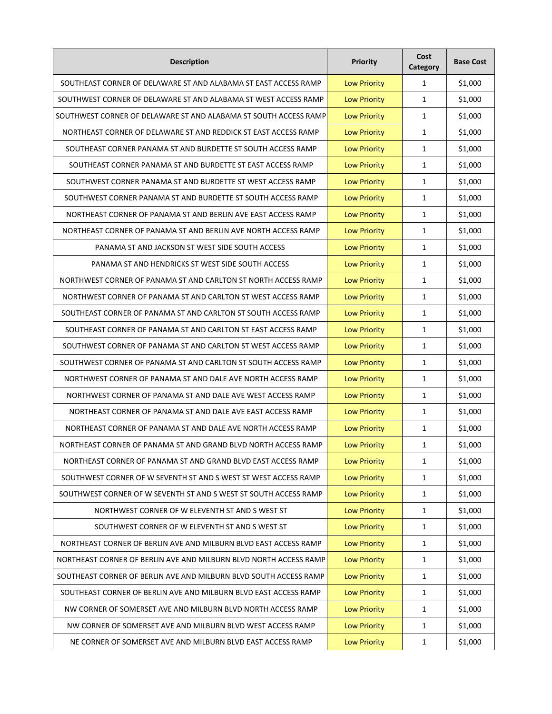| <b>Description</b>                                                | Priority            | Cost<br>Category | <b>Base Cost</b> |
|-------------------------------------------------------------------|---------------------|------------------|------------------|
| SOUTHEAST CORNER OF DELAWARE ST AND ALABAMA ST EAST ACCESS RAMP   | <b>Low Priority</b> | $\mathbf{1}$     | \$1,000          |
| SOUTHWEST CORNER OF DELAWARE ST AND ALABAMA ST WEST ACCESS RAMP   | <b>Low Priority</b> | 1                | \$1,000          |
| SOUTHWEST CORNER OF DELAWARE ST AND ALABAMA ST SOUTH ACCESS RAMP  | <b>Low Priority</b> | $\mathbf{1}$     | \$1,000          |
| NORTHEAST CORNER OF DELAWARE ST AND REDDICK ST EAST ACCESS RAMP   | <b>Low Priority</b> | 1                | \$1,000          |
| SOUTHEAST CORNER PANAMA ST AND BURDETTE ST SOUTH ACCESS RAMP      | <b>Low Priority</b> | $\mathbf{1}$     | \$1,000          |
| SOUTHEAST CORNER PANAMA ST AND BURDETTE ST EAST ACCESS RAMP       | <b>Low Priority</b> | $\mathbf{1}$     | \$1,000          |
| SOUTHWEST CORNER PANAMA ST AND BURDETTE ST WEST ACCESS RAMP       | <b>Low Priority</b> | $\mathbf{1}$     | \$1,000          |
| SOUTHWEST CORNER PANAMA ST AND BURDETTE ST SOUTH ACCESS RAMP      | <b>Low Priority</b> | $\mathbf{1}$     | \$1,000          |
| NORTHEAST CORNER OF PANAMA ST AND BERLIN AVE EAST ACCESS RAMP     | <b>Low Priority</b> | $\mathbf{1}$     | \$1,000          |
| NORTHEAST CORNER OF PANAMA ST AND BERLIN AVE NORTH ACCESS RAMP    | <b>Low Priority</b> | $\mathbf{1}$     | \$1,000          |
| PANAMA ST AND JACKSON ST WEST SIDE SOUTH ACCESS                   | <b>Low Priority</b> | $\mathbf{1}$     | \$1,000          |
| PANAMA ST AND HENDRICKS ST WEST SIDE SOUTH ACCESS                 | <b>Low Priority</b> | $\mathbf{1}$     | \$1,000          |
| NORTHWEST CORNER OF PANAMA ST AND CARLTON ST NORTH ACCESS RAMP    | <b>Low Priority</b> | 1                | \$1,000          |
| NORTHWEST CORNER OF PANAMA ST AND CARLTON ST WEST ACCESS RAMP     | <b>Low Priority</b> | 1                | \$1,000          |
| SOUTHEAST CORNER OF PANAMA ST AND CARLTON ST SOUTH ACCESS RAMP    | <b>Low Priority</b> | 1                | \$1,000          |
| SOUTHEAST CORNER OF PANAMA ST AND CARLTON ST EAST ACCESS RAMP     | <b>Low Priority</b> | 1                | \$1,000          |
| SOUTHWEST CORNER OF PANAMA ST AND CARLTON ST WEST ACCESS RAMP     | <b>Low Priority</b> | 1                | \$1,000          |
| SOUTHWEST CORNER OF PANAMA ST AND CARLTON ST SOUTH ACCESS RAMP    | <b>Low Priority</b> | 1                | \$1,000          |
| NORTHWEST CORNER OF PANAMA ST AND DALE AVE NORTH ACCESS RAMP      | <b>Low Priority</b> | 1                | \$1,000          |
| NORTHWEST CORNER OF PANAMA ST AND DALE AVE WEST ACCESS RAMP       | <b>Low Priority</b> | $\mathbf{1}$     | \$1,000          |
| NORTHEAST CORNER OF PANAMA ST AND DALE AVE EAST ACCESS RAMP       | <b>Low Priority</b> | $\mathbf{1}$     | \$1,000          |
| NORTHEAST CORNER OF PANAMA ST AND DALE AVE NORTH ACCESS RAMP      | <b>Low Priority</b> | $\mathbf{1}$     | \$1,000          |
| NORTHEAST CORNER OF PANAMA ST AND GRAND BLVD NORTH ACCESS RAMP    | <b>Low Priority</b> | 1                | \$1,000          |
| NORTHEAST CORNER OF PANAMA ST AND GRAND BLVD EAST ACCESS RAMP     | <b>Low Priority</b> | $\mathbf{1}$     | \$1,000          |
| SOUTHWEST CORNER OF W SEVENTH ST AND S WEST ST WEST ACCESS RAMP   | <b>Low Priority</b> | 1                | \$1,000          |
| SOUTHWEST CORNER OF W SEVENTH ST AND S WEST ST SOUTH ACCESS RAMP  | <b>Low Priority</b> | 1                | \$1,000          |
| NORTHWEST CORNER OF W ELEVENTH ST AND S WEST ST                   | <b>Low Priority</b> | $\mathbf{1}$     | \$1,000          |
| SOUTHWEST CORNER OF W ELEVENTH ST AND S WEST ST                   | <b>Low Priority</b> | 1                | \$1,000          |
| NORTHEAST CORNER OF BERLIN AVE AND MILBURN BLVD EAST ACCESS RAMP  | <b>Low Priority</b> | $\mathbf{1}$     | \$1,000          |
| NORTHEAST CORNER OF BERLIN AVE AND MILBURN BLVD NORTH ACCESS RAMP | <b>Low Priority</b> | $\mathbf{1}$     | \$1,000          |
| SOUTHEAST CORNER OF BERLIN AVE AND MILBURN BLVD SOUTH ACCESS RAMP | <b>Low Priority</b> | $\mathbf 1$      | \$1,000          |
| SOUTHEAST CORNER OF BERLIN AVE AND MILBURN BLVD EAST ACCESS RAMP  | <b>Low Priority</b> | $\mathbf{1}$     | \$1,000          |
| NW CORNER OF SOMERSET AVE AND MILBURN BLVD NORTH ACCESS RAMP      | <b>Low Priority</b> | $\mathbf{1}$     | \$1,000          |
| NW CORNER OF SOMERSET AVE AND MILBURN BLVD WEST ACCESS RAMP       | <b>Low Priority</b> | $\mathbf{1}$     | \$1,000          |
| NE CORNER OF SOMERSET AVE AND MILBURN BLVD EAST ACCESS RAMP       | <b>Low Priority</b> | $\mathbf{1}$     | \$1,000          |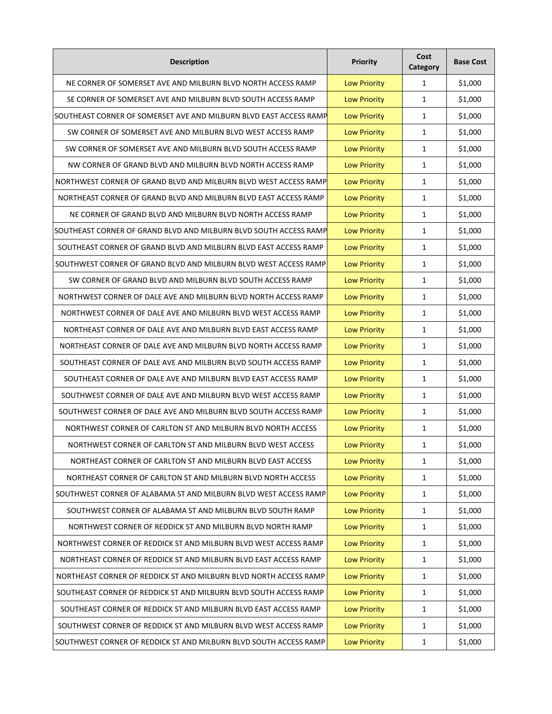| <b>Description</b>                                                 | Priority            | Cost<br>Category | <b>Base Cost</b> |
|--------------------------------------------------------------------|---------------------|------------------|------------------|
| NE CORNER OF SOMERSET AVE AND MILBURN BLVD NORTH ACCESS RAMP       | <b>Low Priority</b> | $\mathbf{1}$     | \$1,000          |
| SE CORNER OF SOMERSET AVE AND MILBURN BLVD SOUTH ACCESS RAMP       | <b>Low Priority</b> | 1                | \$1,000          |
| SOUTHEAST CORNER OF SOMERSET AVE AND MILBURN BLVD EAST ACCESS RAMP | <b>Low Priority</b> | $\mathbf{1}$     | \$1,000          |
| SW CORNER OF SOMERSET AVE AND MILBURN BLVD WEST ACCESS RAMP        | <b>Low Priority</b> | 1                | \$1,000          |
| SW CORNER OF SOMERSET AVE AND MILBURN BLVD SOUTH ACCESS RAMP       | <b>Low Priority</b> | 1                | \$1,000          |
| NW CORNER OF GRAND BLVD AND MILBURN BLVD NORTH ACCESS RAMP         | <b>Low Priority</b> | $\mathbf{1}$     | \$1,000          |
| NORTHWEST CORNER OF GRAND BLVD AND MILBURN BLVD WEST ACCESS RAMP   | <b>Low Priority</b> | $\mathbf{1}$     | \$1,000          |
| NORTHEAST CORNER OF GRAND BLVD AND MILBURN BLVD EAST ACCESS RAMP   | <b>Low Priority</b> | $\mathbf{1}$     | \$1,000          |
| NE CORNER OF GRAND BLVD AND MILBURN BLVD NORTH ACCESS RAMP         | <b>Low Priority</b> | $\mathbf{1}$     | \$1,000          |
| SOUTHEAST CORNER OF GRAND BLVD AND MILBURN BLVD SOUTH ACCESS RAMP  | <b>Low Priority</b> | $\mathbf{1}$     | \$1,000          |
| SOUTHEAST CORNER OF GRAND BLVD AND MILBURN BLVD EAST ACCESS RAMP   | <b>Low Priority</b> | $\mathbf{1}$     | \$1,000          |
| SOUTHWEST CORNER OF GRAND BLVD AND MILBURN BLVD WEST ACCESS RAMP   | <b>Low Priority</b> | $\mathbf{1}$     | \$1,000          |
| SW CORNER OF GRAND BLVD AND MILBURN BLVD SOUTH ACCESS RAMP         | <b>Low Priority</b> | 1                | \$1,000          |
| NORTHWEST CORNER OF DALE AVE AND MILBURN BLVD NORTH ACCESS RAMP    | <b>Low Priority</b> | 1                | \$1,000          |
| NORTHWEST CORNER OF DALE AVE AND MILBURN BLVD WEST ACCESS RAMP     | <b>Low Priority</b> | 1                | \$1,000          |
| NORTHEAST CORNER OF DALE AVE AND MILBURN BLVD EAST ACCESS RAMP     | <b>Low Priority</b> | 1                | \$1,000          |
| NORTHEAST CORNER OF DALE AVE AND MILBURN BLVD NORTH ACCESS RAMP    | <b>Low Priority</b> | 1                | \$1,000          |
| SOUTHEAST CORNER OF DALE AVE AND MILBURN BLVD SOUTH ACCESS RAMP    | <b>Low Priority</b> | 1                | \$1,000          |
| SOUTHEAST CORNER OF DALE AVE AND MILBURN BLVD EAST ACCESS RAMP     | <b>Low Priority</b> | 1                | \$1,000          |
| SOUTHWEST CORNER OF DALE AVE AND MILBURN BLVD WEST ACCESS RAMP     | <b>Low Priority</b> | 1                | \$1,000          |
| SOUTHWEST CORNER OF DALE AVE AND MILBURN BLVD SOUTH ACCESS RAMP    | <b>Low Priority</b> | $\mathbf{1}$     | \$1,000          |
| NORTHWEST CORNER OF CARLTON ST AND MILBURN BLVD NORTH ACCESS       | <b>Low Priority</b> | 1                | \$1,000          |
| NORTHWEST CORNER OF CARLTON ST AND MILBURN BLVD WEST ACCESS        | <b>Low Priority</b> | 1                | \$1,000          |
| NORTHEAST CORNER OF CARLTON ST AND MILBURN BLVD EAST ACCESS        | <b>Low Priority</b> | 1                | \$1,000          |
| NORTHEAST CORNER OF CARLTON ST AND MILBURN BLVD NORTH ACCESS       | <b>Low Priority</b> | 1                | \$1,000          |
| SOUTHWEST CORNER OF ALABAMA ST AND MILBURN BLVD WEST ACCESS RAMP   | <b>Low Priority</b> | 1                | \$1,000          |
| SOUTHWEST CORNER OF ALABAMA ST AND MILBURN BLVD SOUTH RAMP         | <b>Low Priority</b> | 1                | \$1,000          |
| NORTHWEST CORNER OF REDDICK ST AND MILBURN BLVD NORTH RAMP         | <b>Low Priority</b> | 1                | \$1,000          |
| NORTHWEST CORNER OF REDDICK ST AND MILBURN BLVD WEST ACCESS RAMP   | <b>Low Priority</b> | $\mathbf{1}$     | \$1,000          |
| NORTHEAST CORNER OF REDDICK ST AND MILBURN BLVD EAST ACCESS RAMP   | <b>Low Priority</b> | $\mathbf{1}$     | \$1,000          |
| NORTHEAST CORNER OF REDDICK ST AND MILBURN BLVD NORTH ACCESS RAMP  | <b>Low Priority</b> | $\mathbf 1$      | \$1,000          |
| SOUTHEAST CORNER OF REDDICK ST AND MILBURN BLVD SOUTH ACCESS RAMP  | <b>Low Priority</b> | $\mathbf{1}$     | \$1,000          |
| SOUTHEAST CORNER OF REDDICK ST AND MILBURN BLVD EAST ACCESS RAMP   | <b>Low Priority</b> | $\mathbf{1}$     | \$1,000          |
| SOUTHWEST CORNER OF REDDICK ST AND MILBURN BLVD WEST ACCESS RAMP   | <b>Low Priority</b> | $\mathbf{1}$     | \$1,000          |
| SOUTHWEST CORNER OF REDDICK ST AND MILBURN BLVD SOUTH ACCESS RAMP  | <b>Low Priority</b> | $\mathbf{1}$     | \$1,000          |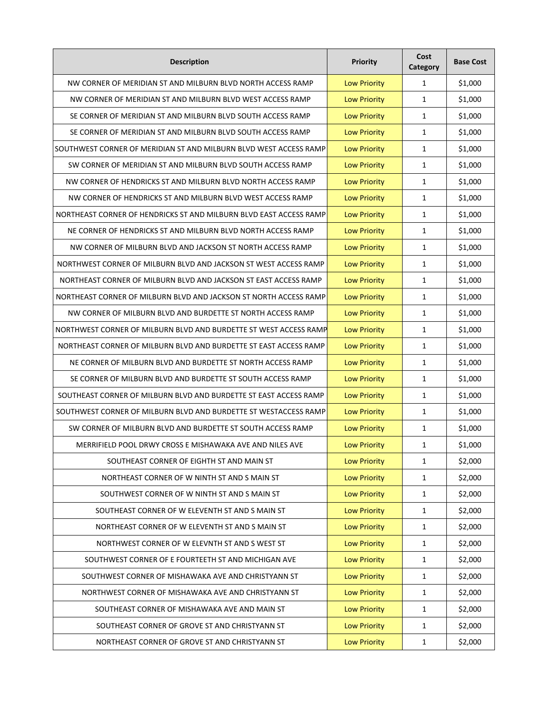| <b>Description</b>                                                 | <b>Priority</b>     | Cost<br>Category | <b>Base Cost</b> |
|--------------------------------------------------------------------|---------------------|------------------|------------------|
| NW CORNER OF MERIDIAN ST AND MILBURN BLVD NORTH ACCESS RAMP        | <b>Low Priority</b> | $\mathbf{1}$     | \$1,000          |
| NW CORNER OF MERIDIAN ST AND MILBURN BLVD WEST ACCESS RAMP         | <b>Low Priority</b> | $\mathbf{1}$     | \$1,000          |
| SE CORNER OF MERIDIAN ST AND MILBURN BLVD SOUTH ACCESS RAMP        | <b>Low Priority</b> | 1                | \$1,000          |
| SE CORNER OF MERIDIAN ST AND MILBURN BLVD SOUTH ACCESS RAMP        | <b>Low Priority</b> | 1                | \$1,000          |
| SOUTHWEST CORNER OF MERIDIAN ST AND MILBURN BLVD WEST ACCESS RAMP  | <b>Low Priority</b> | $\mathbf{1}$     | \$1,000          |
| SW CORNER OF MERIDIAN ST AND MILBURN BLVD SOUTH ACCESS RAMP        | <b>Low Priority</b> | $\mathbf{1}$     | \$1,000          |
| NW CORNER OF HENDRICKS ST AND MILBURN BLVD NORTH ACCESS RAMP       | <b>Low Priority</b> | $\mathbf{1}$     | \$1,000          |
| NW CORNER OF HENDRICKS ST AND MILBURN BLVD WEST ACCESS RAMP        | <b>Low Priority</b> | $\mathbf{1}$     | \$1,000          |
| NORTHEAST CORNER OF HENDRICKS ST AND MILBURN BLVD EAST ACCESS RAMP | <b>Low Priority</b> | 1                | \$1,000          |
| NE CORNER OF HENDRICKS ST AND MILBURN BLVD NORTH ACCESS RAMP       | <b>Low Priority</b> | 1                | \$1,000          |
| NW CORNER OF MILBURN BLVD AND JACKSON ST NORTH ACCESS RAMP         | <b>Low Priority</b> | 1                | \$1,000          |
| NORTHWEST CORNER OF MILBURN BLVD AND JACKSON ST WEST ACCESS RAMP   | <b>Low Priority</b> | 1                | \$1,000          |
| NORTHEAST CORNER OF MILBURN BLVD AND JACKSON ST EAST ACCESS RAMP   | <b>Low Priority</b> | 1                | \$1,000          |
| NORTHEAST CORNER OF MILBURN BLVD AND JACKSON ST NORTH ACCESS RAMP  | <b>Low Priority</b> | $\mathbf{1}$     | \$1,000          |
| NW CORNER OF MILBURN BLVD AND BURDETTE ST NORTH ACCESS RAMP        | <b>Low Priority</b> | 1                | \$1,000          |
| NORTHWEST CORNER OF MILBURN BLVD AND BURDETTE ST WEST ACCESS RAMP  | <b>Low Priority</b> | 1                | \$1,000          |
| NORTHEAST CORNER OF MILBURN BLVD AND BURDETTE ST EAST ACCESS RAMP  | <b>Low Priority</b> | 1                | \$1,000          |
| NE CORNER OF MILBURN BLVD AND BURDETTE ST NORTH ACCESS RAMP        | <b>Low Priority</b> | 1                | \$1,000          |
| SE CORNER OF MILBURN BLVD AND BURDETTE ST SOUTH ACCESS RAMP        | <b>Low Priority</b> | 1                | \$1,000          |
| SOUTHEAST CORNER OF MILBURN BLVD AND BURDETTE ST EAST ACCESS RAMP  | <b>Low Priority</b> | 1                | \$1,000          |
| SOUTHWEST CORNER OF MILBURN BLVD AND BURDETTE ST WESTACCESS RAMP   | <b>Low Priority</b> | 1                | \$1,000          |
| SW CORNER OF MILBURN BLVD AND BURDETTE ST SOUTH ACCESS RAMP        | <b>Low Priority</b> | 1                | \$1,000          |
| MERRIFIELD POOL DRWY CROSS E MISHAWAKA AVE AND NILES AVE           | <b>Low Priority</b> | 1                | \$1,000          |
| SOUTHEAST CORNER OF EIGHTH ST AND MAIN ST                          | <b>Low Priority</b> | $\mathbf{1}$     | \$2,000          |
| NORTHEAST CORNER OF W NINTH ST AND S MAIN ST                       | <b>Low Priority</b> | 1                | \$2,000          |
| SOUTHWEST CORNER OF W NINTH ST AND S MAIN ST                       | <b>Low Priority</b> | $\mathbf{1}$     | \$2,000          |
| SOUTHEAST CORNER OF W ELEVENTH ST AND S MAIN ST                    | <b>Low Priority</b> | $\mathbf{1}$     | \$2,000          |
| NORTHEAST CORNER OF W ELEVENTH ST AND S MAIN ST                    | <b>Low Priority</b> | 1                | \$2,000          |
| NORTHWEST CORNER OF W ELEVNTH ST AND S WEST ST                     | <b>Low Priority</b> | $\mathbf{1}$     | \$2,000          |
| SOUTHWEST CORNER OF E FOURTEETH ST AND MICHIGAN AVE                | <b>Low Priority</b> | $\mathbf{1}$     | \$2,000          |
| SOUTHWEST CORNER OF MISHAWAKA AVE AND CHRISTYANN ST                | <b>Low Priority</b> | $\mathbf 1$      | \$2,000          |
| NORTHWEST CORNER OF MISHAWAKA AVE AND CHRISTYANN ST                | <b>Low Priority</b> | $\mathbf{1}$     | \$2,000          |
| SOUTHEAST CORNER OF MISHAWAKA AVE AND MAIN ST                      | <b>Low Priority</b> | $\mathbf 1$      | \$2,000          |
| SOUTHEAST CORNER OF GROVE ST AND CHRISTYANN ST                     | <b>Low Priority</b> | 1                | \$2,000          |
| NORTHEAST CORNER OF GROVE ST AND CHRISTYANN ST                     | <b>Low Priority</b> | $\mathbf{1}$     | \$2,000          |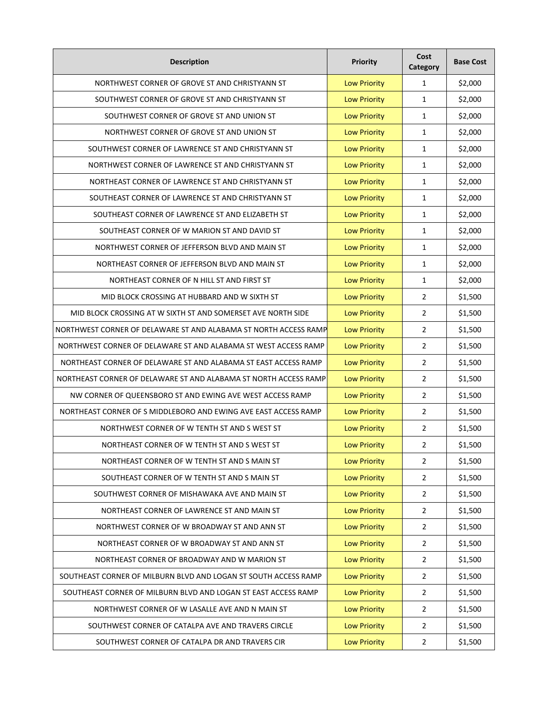| <b>Description</b>                                               | <b>Priority</b>     | Cost<br>Category | <b>Base Cost</b> |
|------------------------------------------------------------------|---------------------|------------------|------------------|
| NORTHWEST CORNER OF GROVE ST AND CHRISTYANN ST                   | <b>Low Priority</b> | $\mathbf{1}$     | \$2,000          |
| SOUTHWEST CORNER OF GROVE ST AND CHRISTYANN ST                   | <b>Low Priority</b> | 1                | \$2,000          |
| SOUTHWEST CORNER OF GROVE ST AND UNION ST                        | <b>Low Priority</b> | 1                | \$2,000          |
| NORTHWEST CORNER OF GROVE ST AND UNION ST                        | <b>Low Priority</b> | $\mathbf{1}$     | \$2,000          |
| SOUTHWEST CORNER OF LAWRENCE ST AND CHRISTYANN ST                | <b>Low Priority</b> | $\mathbf{1}$     | \$2,000          |
| NORTHWEST CORNER OF LAWRENCE ST AND CHRISTYANN ST                | <b>Low Priority</b> | $\mathbf{1}$     | \$2,000          |
| NORTHEAST CORNER OF LAWRENCE ST AND CHRISTYANN ST                | <b>Low Priority</b> | $\mathbf{1}$     | \$2,000          |
| SOUTHEAST CORNER OF LAWRENCE ST AND CHRISTYANN ST                | <b>Low Priority</b> | $\mathbf{1}$     | \$2,000          |
| SOUTHEAST CORNER OF LAWRENCE ST AND ELIZABETH ST                 | <b>Low Priority</b> | $\mathbf{1}$     | \$2,000          |
| SOUTHEAST CORNER OF W MARION ST AND DAVID ST                     | <b>Low Priority</b> | $\mathbf{1}$     | \$2,000          |
| NORTHWEST CORNER OF JEFFERSON BLVD AND MAIN ST                   | <b>Low Priority</b> | 1                | \$2,000          |
| NORTHEAST CORNER OF JEFFERSON BLVD AND MAIN ST                   | <b>Low Priority</b> | 1                | \$2,000          |
| NORTHEAST CORNER OF N HILL ST AND FIRST ST                       | <b>Low Priority</b> | 1                | \$2,000          |
| MID BLOCK CROSSING AT HUBBARD AND W SIXTH ST                     | <b>Low Priority</b> | 2                | \$1,500          |
| MID BLOCK CROSSING AT W SIXTH ST AND SOMERSET AVE NORTH SIDE     | <b>Low Priority</b> | 2                | \$1,500          |
| NORTHWEST CORNER OF DELAWARE ST AND ALABAMA ST NORTH ACCESS RAMP | <b>Low Priority</b> | 2                | \$1,500          |
| NORTHWEST CORNER OF DELAWARE ST AND ALABAMA ST WEST ACCESS RAMP  | <b>Low Priority</b> | $\overline{2}$   | \$1,500          |
| NORTHEAST CORNER OF DELAWARE ST AND ALABAMA ST EAST ACCESS RAMP  | <b>Low Priority</b> | $\overline{2}$   | \$1,500          |
| NORTHEAST CORNER OF DELAWARE ST AND ALABAMA ST NORTH ACCESS RAMP | <b>Low Priority</b> | 2                | \$1,500          |
| NW CORNER OF QUEENSBORO ST AND EWING AVE WEST ACCESS RAMP        | <b>Low Priority</b> | $\overline{2}$   | \$1,500          |
| NORTHEAST CORNER OF S MIDDLEBORO AND EWING AVE EAST ACCESS RAMP  | <b>Low Priority</b> | $\overline{2}$   | \$1,500          |
| NORTHWEST CORNER OF W TENTH ST AND S WEST ST                     | <b>Low Priority</b> | 2                | \$1,500          |
| NORTHEAST CORNER OF W TENTH ST AND S WEST ST                     | <b>Low Priority</b> | $\overline{2}$   | \$1,500          |
| NORTHEAST CORNER OF W TENTH ST AND S MAIN ST                     | <b>Low Priority</b> | $\overline{2}$   | \$1,500          |
| SOUTHEAST CORNER OF W TENTH ST AND S MAIN ST                     | <b>Low Priority</b> | $\overline{2}$   | \$1,500          |
| SOUTHWEST CORNER OF MISHAWAKA AVE AND MAIN ST                    | <b>Low Priority</b> | $\overline{2}$   | \$1,500          |
| NORTHEAST CORNER OF LAWRENCE ST AND MAIN ST                      | <b>Low Priority</b> | $\overline{2}$   | \$1,500          |
| NORTHWEST CORNER OF W BROADWAY ST AND ANN ST                     | <b>Low Priority</b> | $\overline{2}$   | \$1,500          |
| NORTHEAST CORNER OF W BROADWAY ST AND ANN ST                     | <b>Low Priority</b> | $\overline{2}$   | \$1,500          |
| NORTHEAST CORNER OF BROADWAY AND W MARION ST                     | <b>Low Priority</b> | $\overline{2}$   | \$1,500          |
| SOUTHEAST CORNER OF MILBURN BLVD AND LOGAN ST SOUTH ACCESS RAMP  | <b>Low Priority</b> | $\overline{2}$   | \$1,500          |
| SOUTHEAST CORNER OF MILBURN BLVD AND LOGAN ST EAST ACCESS RAMP   | <b>Low Priority</b> | $\overline{2}$   | \$1,500          |
| NORTHWEST CORNER OF W LASALLE AVE AND N MAIN ST                  | <b>Low Priority</b> | $\overline{2}$   | \$1,500          |
| SOUTHWEST CORNER OF CATALPA AVE AND TRAVERS CIRCLE               | <b>Low Priority</b> | $\overline{2}$   | \$1,500          |
| SOUTHWEST CORNER OF CATALPA DR AND TRAVERS CIR                   | <b>Low Priority</b> | $\overline{2}$   | \$1,500          |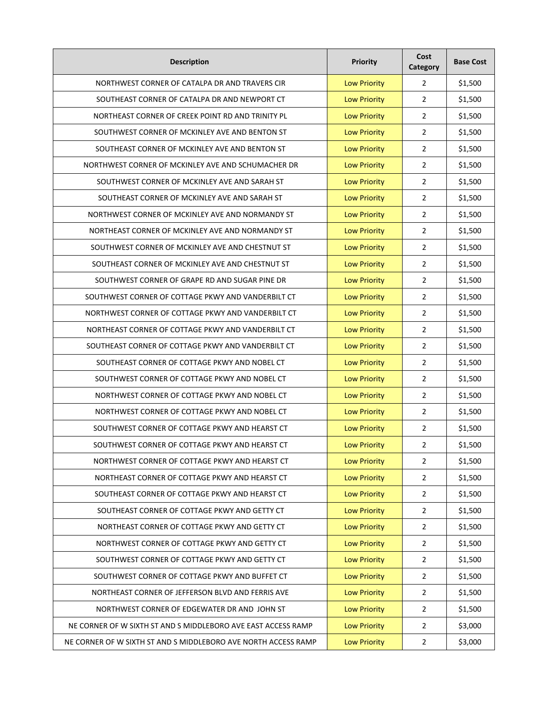| <b>Description</b>                                             | Priority            | Cost<br>Category | <b>Base Cost</b> |
|----------------------------------------------------------------|---------------------|------------------|------------------|
| NORTHWEST CORNER OF CATALPA DR AND TRAVERS CIR                 | <b>Low Priority</b> | $\overline{2}$   | \$1,500          |
| SOUTHEAST CORNER OF CATALPA DR AND NEWPORT CT                  | <b>Low Priority</b> | $\overline{2}$   | \$1,500          |
| NORTHEAST CORNER OF CREEK POINT RD AND TRINITY PL              | <b>Low Priority</b> | $\overline{2}$   | \$1,500          |
| SOUTHWEST CORNER OF MCKINLEY AVE AND BENTON ST                 | <b>Low Priority</b> | $\overline{2}$   | \$1,500          |
| SOUTHEAST CORNER OF MCKINLEY AVE AND BENTON ST                 | <b>Low Priority</b> | $\overline{2}$   | \$1,500          |
| NORTHWEST CORNER OF MCKINLEY AVE AND SCHUMACHER DR             | <b>Low Priority</b> | $\overline{2}$   | \$1,500          |
| SOUTHWEST CORNER OF MCKINLEY AVE AND SARAH ST                  | <b>Low Priority</b> | $\overline{2}$   | \$1,500          |
| SOUTHEAST CORNER OF MCKINLEY AVE AND SARAH ST                  | <b>Low Priority</b> | $\overline{2}$   | \$1,500          |
| NORTHWEST CORNER OF MCKINLEY AVE AND NORMANDY ST               | <b>Low Priority</b> | $\overline{2}$   | \$1,500          |
| NORTHEAST CORNER OF MCKINLEY AVE AND NORMANDY ST               | <b>Low Priority</b> | $\overline{2}$   | \$1,500          |
| SOUTHWEST CORNER OF MCKINLEY AVE AND CHESTNUT ST               | <b>Low Priority</b> | $\overline{2}$   | \$1,500          |
| SOUTHEAST CORNER OF MCKINLEY AVE AND CHESTNUT ST               | <b>Low Priority</b> | $\overline{2}$   | \$1,500          |
| SOUTHWEST CORNER OF GRAPE RD AND SUGAR PINE DR                 | <b>Low Priority</b> | 2                | \$1,500          |
| SOUTHWEST CORNER OF COTTAGE PKWY AND VANDERBILT CT             | <b>Low Priority</b> | $\overline{2}$   | \$1,500          |
| NORTHWEST CORNER OF COTTAGE PKWY AND VANDERBILT CT             | <b>Low Priority</b> | $\overline{2}$   | \$1,500          |
| NORTHEAST CORNER OF COTTAGE PKWY AND VANDERBILT CT             | <b>Low Priority</b> | $\overline{2}$   | \$1,500          |
| SOUTHEAST CORNER OF COTTAGE PKWY AND VANDERBILT CT             | <b>Low Priority</b> | $\overline{2}$   | \$1,500          |
| SOUTHEAST CORNER OF COTTAGE PKWY AND NOBEL CT                  | <b>Low Priority</b> | $\overline{2}$   | \$1,500          |
| SOUTHWEST CORNER OF COTTAGE PKWY AND NOBEL CT                  | <b>Low Priority</b> | 2                | \$1,500          |
| NORTHWEST CORNER OF COTTAGE PKWY AND NOBEL CT                  | <b>Low Priority</b> | $\overline{2}$   | \$1,500          |
| NORTHWEST CORNER OF COTTAGE PKWY AND NOBEL CT                  | <b>Low Priority</b> | $\overline{2}$   | \$1,500          |
| SOUTHWEST CORNER OF COTTAGE PKWY AND HEARST CT                 | <b>Low Priority</b> | 2                | \$1,500          |
| SOUTHWEST CORNER OF COTTAGE PKWY AND HEARST CT                 | <b>Low Priority</b> | 2                | \$1,500          |
| NORTHWEST CORNER OF COTTAGE PKWY AND HEARST CT                 | <b>Low Priority</b> | $\overline{2}$   | \$1,500          |
| NORTHEAST CORNER OF COTTAGE PKWY AND HEARST CT                 | <b>Low Priority</b> | $\overline{2}$   | \$1,500          |
| SOUTHEAST CORNER OF COTTAGE PKWY AND HEARST CT                 | <b>Low Priority</b> | $\overline{2}$   | \$1,500          |
| SOUTHEAST CORNER OF COTTAGE PKWY AND GETTY CT                  | <b>Low Priority</b> | $\overline{2}$   | \$1,500          |
| NORTHEAST CORNER OF COTTAGE PKWY AND GETTY CT                  | <b>Low Priority</b> | $\overline{2}$   | \$1,500          |
| NORTHWEST CORNER OF COTTAGE PKWY AND GETTY CT                  | <b>Low Priority</b> | $\overline{2}$   | \$1,500          |
| SOUTHWEST CORNER OF COTTAGE PKWY AND GETTY CT                  | <b>Low Priority</b> | $\overline{2}$   | \$1,500          |
| SOUTHWEST CORNER OF COTTAGE PKWY AND BUFFET CT                 | <b>Low Priority</b> | $\overline{2}$   | \$1,500          |
| NORTHEAST CORNER OF JEFFERSON BLVD AND FERRIS AVE              | <b>Low Priority</b> | $\overline{2}$   | \$1,500          |
| NORTHWEST CORNER OF EDGEWATER DR AND JOHN ST                   | <b>Low Priority</b> | $\overline{2}$   | \$1,500          |
| NE CORNER OF W SIXTH ST AND S MIDDLEBORO AVE EAST ACCESS RAMP  | <b>Low Priority</b> | $\overline{2}$   | \$3,000          |
| NE CORNER OF W SIXTH ST AND S MIDDLEBORO AVE NORTH ACCESS RAMP | <b>Low Priority</b> | $\overline{2}$   | \$3,000          |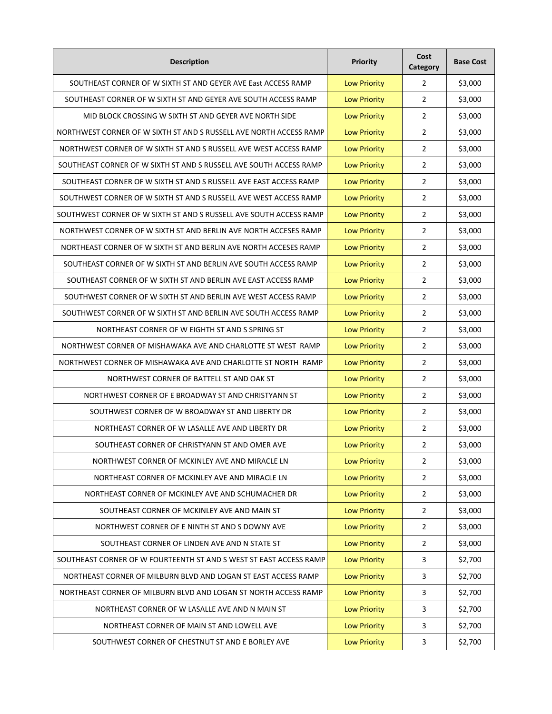| <b>Description</b>                                                 | <b>Priority</b>     | Cost<br>Category        | <b>Base Cost</b> |
|--------------------------------------------------------------------|---------------------|-------------------------|------------------|
| SOUTHEAST CORNER OF W SIXTH ST AND GEYER AVE East ACCESS RAMP      | <b>Low Priority</b> | $\overline{2}$          | \$3,000          |
| SOUTHEAST CORNER OF W SIXTH ST AND GEYER AVE SOUTH ACCESS RAMP     | <b>Low Priority</b> | $\overline{2}$          | \$3,000          |
| MID BLOCK CROSSING W SIXTH ST AND GEYER AVE NORTH SIDE             | <b>Low Priority</b> | $\overline{2}$          | \$3,000          |
| NORTHWEST CORNER OF W SIXTH ST AND S RUSSELL AVE NORTH ACCESS RAMP | <b>Low Priority</b> | $\overline{2}$          | \$3,000          |
| NORTHWEST CORNER OF W SIXTH ST AND S RUSSELL AVE WEST ACCESS RAMP  | <b>Low Priority</b> | 2                       | \$3,000          |
| SOUTHEAST CORNER OF W SIXTH ST AND S RUSSELL AVE SOUTH ACCESS RAMP | <b>Low Priority</b> | $\overline{2}$          | \$3,000          |
| SOUTHEAST CORNER OF W SIXTH ST AND S RUSSELL AVE EAST ACCESS RAMP  | <b>Low Priority</b> | 2                       | \$3,000          |
| SOUTHWEST CORNER OF W SIXTH ST AND S RUSSELL AVE WEST ACCESS RAMP  | <b>Low Priority</b> | $\overline{2}$          | \$3,000          |
| SOUTHWEST CORNER OF W SIXTH ST AND S RUSSELL AVE SOUTH ACCESS RAMP | <b>Low Priority</b> | $\overline{2}$          | \$3,000          |
| NORTHWEST CORNER OF W SIXTH ST AND BERLIN AVE NORTH ACCESES RAMP   | <b>Low Priority</b> | $\overline{2}$          | \$3,000          |
| NORTHEAST CORNER OF W SIXTH ST AND BERLIN AVE NORTH ACCESES RAMP   | <b>Low Priority</b> | $\overline{2}$          | \$3,000          |
| SOUTHEAST CORNER OF W SIXTH ST AND BERLIN AVE SOUTH ACCESS RAMP    | <b>Low Priority</b> | $\overline{2}$          | \$3,000          |
| SOUTHEAST CORNER OF W SIXTH ST AND BERLIN AVE EAST ACCESS RAMP     | <b>Low Priority</b> | $\overline{2}$          | \$3,000          |
| SOUTHWEST CORNER OF W SIXTH ST AND BERLIN AVE WEST ACCESS RAMP     | <b>Low Priority</b> | 2                       | \$3,000          |
| SOUTHWEST CORNER OF W SIXTH ST AND BERLIN AVE SOUTH ACCESS RAMP    | <b>Low Priority</b> | 2                       | \$3,000          |
| NORTHEAST CORNER OF W EIGHTH ST AND S SPRING ST                    | <b>Low Priority</b> | $\overline{2}$          | \$3,000          |
| NORTHWEST CORNER OF MISHAWAKA AVE AND CHARLOTTE ST WEST RAMP       | <b>Low Priority</b> | 2                       | \$3,000          |
| NORTHWEST CORNER OF MISHAWAKA AVE AND CHARLOTTE ST NORTH RAMP      | <b>Low Priority</b> | $\overline{2}$          | \$3,000          |
| NORTHWEST CORNER OF BATTELL ST AND OAK ST                          | <b>Low Priority</b> | $\overline{2}$          | \$3,000          |
| NORTHWEST CORNER OF E BROADWAY ST AND CHRISTYANN ST                | <b>Low Priority</b> | 2                       | \$3,000          |
| SOUTHWEST CORNER OF W BROADWAY ST AND LIBERTY DR                   | <b>Low Priority</b> | 2                       | \$3,000          |
| NORTHEAST CORNER OF W LASALLE AVE AND LIBERTY DR                   | <b>Low Priority</b> | $\overline{2}$          | \$3,000          |
| SOUTHEAST CORNER OF CHRISTYANN ST AND OMER AVE                     | <b>Low Priority</b> | $\overline{2}$          | \$3,000          |
| NORTHWEST CORNER OF MCKINLEY AVE AND MIRACLE LN                    | <b>Low Priority</b> | $\overline{2}$          | \$3,000          |
| NORTHEAST CORNER OF MCKINLEY AVE AND MIRACLE LN                    | <b>Low Priority</b> | $\overline{2}$          | \$3,000          |
| NORTHEAST CORNER OF MCKINLEY AVE AND SCHUMACHER DR                 | <b>Low Priority</b> | $\overline{2}$          | \$3,000          |
| SOUTHEAST CORNER OF MCKINLEY AVE AND MAIN ST                       | <b>Low Priority</b> | $\overline{2}$          | \$3,000          |
| NORTHWEST CORNER OF E NINTH ST AND S DOWNY AVE                     | <b>Low Priority</b> | $\overline{2}$          | \$3,000          |
| SOUTHEAST CORNER OF LINDEN AVE AND N STATE ST                      | <b>Low Priority</b> | $\overline{2}$          | \$3,000          |
| SOUTHEAST CORNER OF W FOURTEENTH ST AND S WEST ST EAST ACCESS RAMP | <b>Low Priority</b> | $\overline{\mathbf{3}}$ | \$2,700          |
| NORTHEAST CORNER OF MILBURN BLVD AND LOGAN ST EAST ACCESS RAMP     | <b>Low Priority</b> | $\overline{\mathbf{3}}$ | \$2,700          |
| NORTHEAST CORNER OF MILBURN BLVD AND LOGAN ST NORTH ACCESS RAMP    | <b>Low Priority</b> | 3                       | \$2,700          |
| NORTHEAST CORNER OF W LASALLE AVE AND N MAIN ST                    | <b>Low Priority</b> | 3                       | \$2,700          |
| NORTHEAST CORNER OF MAIN ST AND LOWELL AVE                         | <b>Low Priority</b> | 3                       | \$2,700          |
| SOUTHWEST CORNER OF CHESTNUT ST AND E BORLEY AVE                   | <b>Low Priority</b> | 3                       | \$2,700          |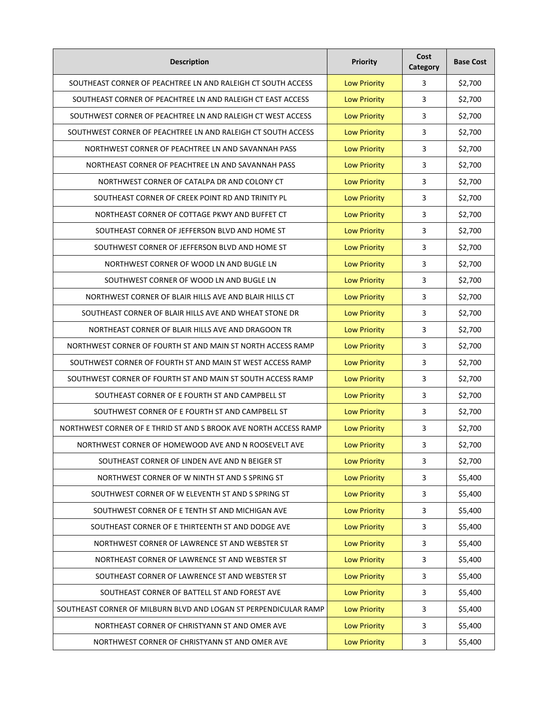| <b>Description</b>                                               | Priority            | Cost<br>Category | <b>Base Cost</b> |
|------------------------------------------------------------------|---------------------|------------------|------------------|
| SOUTHEAST CORNER OF PEACHTREE LN AND RALEIGH CT SOUTH ACCESS     | <b>Low Priority</b> | 3                | \$2,700          |
| SOUTHEAST CORNER OF PEACHTREE LN AND RALEIGH CT EAST ACCESS      | <b>Low Priority</b> | 3                | \$2,700          |
| SOUTHWEST CORNER OF PEACHTREE LN AND RALEIGH CT WEST ACCESS      | <b>Low Priority</b> | 3                | \$2,700          |
| SOUTHWEST CORNER OF PEACHTREE LN AND RALEIGH CT SOUTH ACCESS     | <b>Low Priority</b> | 3                | \$2,700          |
| NORTHWEST CORNER OF PEACHTREE LN AND SAVANNAH PASS               | <b>Low Priority</b> | 3                | \$2,700          |
| NORTHEAST CORNER OF PEACHTREE LN AND SAVANNAH PASS               | <b>Low Priority</b> | 3                | \$2,700          |
| NORTHWEST CORNER OF CATALPA DR AND COLONY CT                     | <b>Low Priority</b> | 3                | \$2,700          |
| SOUTHEAST CORNER OF CREEK POINT RD AND TRINITY PL                | <b>Low Priority</b> | 3                | \$2,700          |
| NORTHEAST CORNER OF COTTAGE PKWY AND BUFFET CT                   | <b>Low Priority</b> | 3                | \$2,700          |
| SOUTHEAST CORNER OF JEFFERSON BLVD AND HOME ST                   | <b>Low Priority</b> | 3                | \$2,700          |
| SOUTHWEST CORNER OF JEFFERSON BLVD AND HOME ST                   | <b>Low Priority</b> | 3                | \$2,700          |
| NORTHWEST CORNER OF WOOD LN AND BUGLE LN                         | <b>Low Priority</b> | 3                | \$2,700          |
| SOUTHWEST CORNER OF WOOD LN AND BUGLE LN                         | <b>Low Priority</b> | 3                | \$2,700          |
| NORTHWEST CORNER OF BLAIR HILLS AVE AND BLAIR HILLS CT           | <b>Low Priority</b> | 3                | \$2,700          |
| SOUTHEAST CORNER OF BLAIR HILLS AVE AND WHEAT STONE DR           | <b>Low Priority</b> | 3                | \$2,700          |
| NORTHEAST CORNER OF BLAIR HILLS AVE AND DRAGOON TR               | <b>Low Priority</b> | 3                | \$2,700          |
| NORTHWEST CORNER OF FOURTH ST AND MAIN ST NORTH ACCESS RAMP      | <b>Low Priority</b> | 3                | \$2,700          |
| SOUTHWEST CORNER OF FOURTH ST AND MAIN ST WEST ACCESS RAMP       | <b>Low Priority</b> | 3                | \$2,700          |
| SOUTHWEST CORNER OF FOURTH ST AND MAIN ST SOUTH ACCESS RAMP      | <b>Low Priority</b> | 3                | \$2,700          |
| SOUTHEAST CORNER OF E FOURTH ST AND CAMPBELL ST                  | <b>Low Priority</b> | 3                | \$2,700          |
| SOUTHWEST CORNER OF E FOURTH ST AND CAMPBELL ST                  | <b>Low Priority</b> | 3                | \$2,700          |
| NORTHWEST CORNER OF E THRID ST AND S BROOK AVE NORTH ACCESS RAMP | <b>Low Priority</b> | 3                | \$2,700          |
| NORTHWEST CORNER OF HOMEWOOD AVE AND N ROOSEVELT AVE             | <b>Low Priority</b> | 3                | \$2,700          |
| SOUTHEAST CORNER OF LINDEN AVE AND N BEIGER ST                   | <b>Low Priority</b> | 3                | \$2,700          |
| NORTHWEST CORNER OF W NINTH ST AND S SPRING ST                   | <b>Low Priority</b> | 3                | \$5,400          |
| SOUTHWEST CORNER OF W ELEVENTH ST AND S SPRING ST                | <b>Low Priority</b> | 3                | \$5,400          |
| SOUTHWEST CORNER OF E TENTH ST AND MICHIGAN AVE                  | <b>Low Priority</b> | 3                | \$5,400          |
| SOUTHEAST CORNER OF E THIRTEENTH ST AND DODGE AVE                | <b>Low Priority</b> | 3                | \$5,400          |
| NORTHWEST CORNER OF LAWRENCE ST AND WEBSTER ST                   | <b>Low Priority</b> | 3                | \$5,400          |
| NORTHEAST CORNER OF LAWRENCE ST AND WEBSTER ST                   | <b>Low Priority</b> | 3                | \$5,400          |
| SOUTHEAST CORNER OF LAWRENCE ST AND WEBSTER ST                   | <b>Low Priority</b> | 3                | \$5,400          |
| SOUTHEAST CORNER OF BATTELL ST AND FOREST AVE                    | <b>Low Priority</b> | 3                | \$5,400          |
| SOUTHEAST CORNER OF MILBURN BLVD AND LOGAN ST PERPENDICULAR RAMP | <b>Low Priority</b> | 3                | \$5,400          |
| NORTHEAST CORNER OF CHRISTYANN ST AND OMER AVE                   | <b>Low Priority</b> | 3                | \$5,400          |
| NORTHWEST CORNER OF CHRISTYANN ST AND OMER AVE                   | <b>Low Priority</b> | 3                | \$5,400          |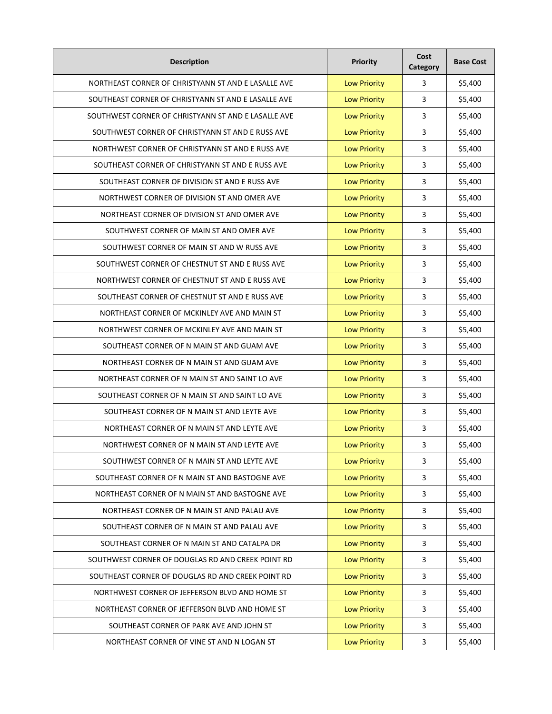| <b>Description</b>                                  | Priority            | Cost<br>Category | <b>Base Cost</b> |
|-----------------------------------------------------|---------------------|------------------|------------------|
| NORTHEAST CORNER OF CHRISTYANN ST AND E LASALLE AVE | <b>Low Priority</b> | 3                | \$5,400          |
| SOUTHEAST CORNER OF CHRISTYANN ST AND E LASALLE AVE | <b>Low Priority</b> | 3                | \$5,400          |
| SOUTHWEST CORNER OF CHRISTYANN ST AND E LASALLE AVE | <b>Low Priority</b> | 3                | \$5,400          |
| SOUTHWEST CORNER OF CHRISTYANN ST AND E RUSS AVE    | <b>Low Priority</b> | 3                | \$5,400          |
| NORTHWEST CORNER OF CHRISTYANN ST AND E RUSS AVE    | <b>Low Priority</b> | 3                | \$5,400          |
| SOUTHEAST CORNER OF CHRISTYANN ST AND E RUSS AVE    | <b>Low Priority</b> | 3                | \$5,400          |
| SOUTHEAST CORNER OF DIVISION ST AND E RUSS AVE      | <b>Low Priority</b> | 3                | \$5,400          |
| NORTHWEST CORNER OF DIVISION ST AND OMER AVE        | <b>Low Priority</b> | 3                | \$5,400          |
| NORTHEAST CORNER OF DIVISION ST AND OMER AVE        | <b>Low Priority</b> | 3                | \$5,400          |
| SOUTHWEST CORNER OF MAIN ST AND OMER AVE            | <b>Low Priority</b> | 3                | \$5,400          |
| SOUTHWEST CORNER OF MAIN ST AND W RUSS AVE          | <b>Low Priority</b> | 3                | \$5,400          |
| SOUTHWEST CORNER OF CHESTNUT ST AND E RUSS AVE      | <b>Low Priority</b> | 3                | \$5,400          |
| NORTHWEST CORNER OF CHESTNUT ST AND E RUSS AVE      | <b>Low Priority</b> | 3                | \$5,400          |
| SOUTHEAST CORNER OF CHESTNUT ST AND E RUSS AVE      | <b>Low Priority</b> | 3                | \$5,400          |
| NORTHEAST CORNER OF MCKINLEY AVE AND MAIN ST        | <b>Low Priority</b> | 3                | \$5,400          |
| NORTHWEST CORNER OF MCKINLEY AVE AND MAIN ST        | <b>Low Priority</b> | 3                | \$5,400          |
| SOUTHEAST CORNER OF N MAIN ST AND GUAM AVE          | <b>Low Priority</b> | 3                | \$5,400          |
| NORTHEAST CORNER OF N MAIN ST AND GUAM AVE          | <b>Low Priority</b> | 3                | \$5,400          |
| NORTHEAST CORNER OF N MAIN ST AND SAINT LO AVE      | <b>Low Priority</b> | 3                | \$5,400          |
| SOUTHEAST CORNER OF N MAIN ST AND SAINT LO AVE      | <b>Low Priority</b> | 3                | \$5,400          |
| SOUTHEAST CORNER OF N MAIN ST AND LEYTE AVE         | <b>Low Priority</b> | 3                | \$5,400          |
| NORTHEAST CORNER OF N MAIN ST AND LEYTE AVE         | <b>Low Priority</b> | 3                | \$5,400          |
| NORTHWEST CORNER OF N MAIN ST AND LEYTE AVE         | <b>Low Priority</b> | 3                | \$5,400          |
| SOUTHWEST CORNER OF N MAIN ST AND LEYTE AVE         | <b>Low Priority</b> | 3                | \$5,400          |
| SOUTHEAST CORNER OF N MAIN ST AND BASTOGNE AVE      | <b>Low Priority</b> | 3                | \$5,400          |
| NORTHEAST CORNER OF N MAIN ST AND BASTOGNE AVE      | <b>Low Priority</b> | 3                | \$5,400          |
| NORTHEAST CORNER OF N MAIN ST AND PALAU AVE         | <b>Low Priority</b> | 3                | \$5,400          |
| SOUTHEAST CORNER OF N MAIN ST AND PALAU AVE         | <b>Low Priority</b> | 3                | \$5,400          |
| SOUTHEAST CORNER OF N MAIN ST AND CATALPA DR        | <b>Low Priority</b> | 3                | \$5,400          |
| SOUTHWEST CORNER OF DOUGLAS RD AND CREEK POINT RD   | <b>Low Priority</b> | 3                | \$5,400          |
| SOUTHEAST CORNER OF DOUGLAS RD AND CREEK POINT RD   | <b>Low Priority</b> | 3                | \$5,400          |
| NORTHWEST CORNER OF JEFFERSON BLVD AND HOME ST      | <b>Low Priority</b> | 3                | \$5,400          |
| NORTHEAST CORNER OF JEFFERSON BLVD AND HOME ST      | <b>Low Priority</b> | 3                | \$5,400          |
| SOUTHEAST CORNER OF PARK AVE AND JOHN ST            | <b>Low Priority</b> | 3                | \$5,400          |
| NORTHEAST CORNER OF VINE ST AND N LOGAN ST          | <b>Low Priority</b> | 3                | \$5,400          |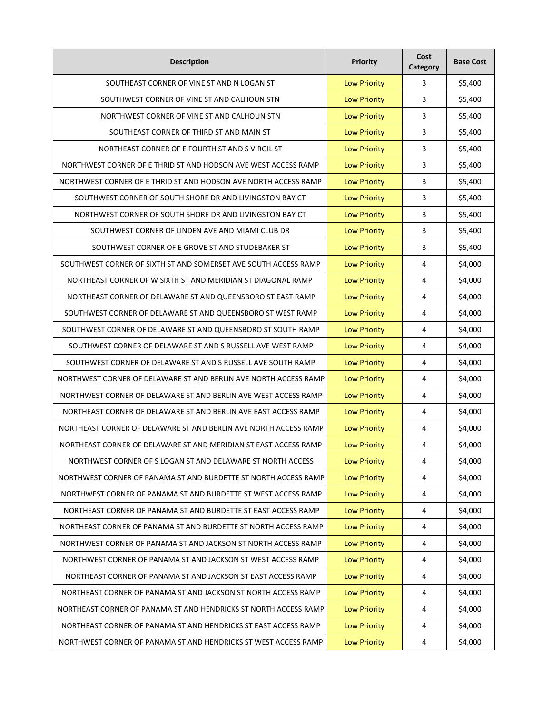| <b>Description</b>                                               | <b>Priority</b>     | Cost<br>Category | <b>Base Cost</b> |
|------------------------------------------------------------------|---------------------|------------------|------------------|
| SOUTHEAST CORNER OF VINE ST AND N LOGAN ST                       | <b>Low Priority</b> | 3                | \$5,400          |
| SOUTHWEST CORNER OF VINE ST AND CALHOUN STN                      | <b>Low Priority</b> | 3                | \$5,400          |
| NORTHWEST CORNER OF VINE ST AND CALHOUN STN                      | <b>Low Priority</b> | 3                | \$5,400          |
| SOUTHEAST CORNER OF THIRD ST AND MAIN ST                         | <b>Low Priority</b> | 3                | \$5,400          |
| NORTHEAST CORNER OF E FOURTH ST AND S VIRGIL ST                  | <b>Low Priority</b> | 3                | \$5,400          |
| NORTHWEST CORNER OF E THRID ST AND HODSON AVE WEST ACCESS RAMP   | <b>Low Priority</b> | 3                | \$5,400          |
| NORTHWEST CORNER OF E THRID ST AND HODSON AVE NORTH ACCESS RAMP  | <b>Low Priority</b> | 3                | \$5,400          |
| SOUTHWEST CORNER OF SOUTH SHORE DR AND LIVINGSTON BAY CT         | <b>Low Priority</b> | 3                | \$5,400          |
| NORTHWEST CORNER OF SOUTH SHORE DR AND LIVINGSTON BAY CT         | <b>Low Priority</b> | 3                | \$5,400          |
| SOUTHWEST CORNER OF LINDEN AVE AND MIAMI CLUB DR                 | <b>Low Priority</b> | 3                | \$5,400          |
| SOUTHWEST CORNER OF E GROVE ST AND STUDEBAKER ST                 | <b>Low Priority</b> | 3                | \$5,400          |
| SOUTHWEST CORNER OF SIXTH ST AND SOMERSET AVE SOUTH ACCESS RAMP  | <b>Low Priority</b> | 4                | \$4,000          |
| NORTHEAST CORNER OF W SIXTH ST AND MERIDIAN ST DIAGONAL RAMP     | <b>Low Priority</b> | 4                | \$4,000          |
| NORTHEAST CORNER OF DELAWARE ST AND QUEENSBORO ST EAST RAMP      | <b>Low Priority</b> | 4                | \$4,000          |
| SOUTHWEST CORNER OF DELAWARE ST AND QUEENSBORO ST WEST RAMP      | <b>Low Priority</b> | 4                | \$4,000          |
| SOUTHWEST CORNER OF DELAWARE ST AND QUEENSBORO ST SOUTH RAMP     | <b>Low Priority</b> | 4                | \$4,000          |
| SOUTHWEST CORNER OF DELAWARE ST AND S RUSSELL AVE WEST RAMP      | <b>Low Priority</b> | 4                | \$4,000          |
| SOUTHWEST CORNER OF DELAWARE ST AND S RUSSELL AVE SOUTH RAMP     | <b>Low Priority</b> | 4                | \$4,000          |
| NORTHWEST CORNER OF DELAWARE ST AND BERLIN AVE NORTH ACCESS RAMP | <b>Low Priority</b> | 4                | \$4,000          |
| NORTHWEST CORNER OF DELAWARE ST AND BERLIN AVE WEST ACCESS RAMP  | <b>Low Priority</b> | 4                | \$4,000          |
| NORTHEAST CORNER OF DELAWARE ST AND BERLIN AVE EAST ACCESS RAMP  | <b>Low Priority</b> | 4                | \$4,000          |
| NORTHEAST CORNER OF DELAWARE ST AND BERLIN AVE NORTH ACCESS RAMP | <b>Low Priority</b> | 4                | \$4,000          |
| NORTHEAST CORNER OF DELAWARE ST AND MERIDIAN ST EAST ACCESS RAMP | <b>Low Priority</b> | 4                | \$4,000          |
| NORTHWEST CORNER OF S LOGAN ST AND DELAWARE ST NORTH ACCESS      | <b>Low Priority</b> | 4                | \$4,000          |
| NORTHWEST CORNER OF PANAMA ST AND BURDETTE ST NORTH ACCESS RAMP  | <b>Low Priority</b> | 4                | \$4,000          |
| NORTHWEST CORNER OF PANAMA ST AND BURDETTE ST WEST ACCESS RAMP   | <b>Low Priority</b> | 4                | \$4,000          |
| NORTHEAST CORNER OF PANAMA ST AND BURDETTE ST EAST ACCESS RAMP   | <b>Low Priority</b> | 4                | \$4,000          |
| NORTHEAST CORNER OF PANAMA ST AND BURDETTE ST NORTH ACCESS RAMP  | <b>Low Priority</b> | 4                | \$4,000          |
| NORTHWEST CORNER OF PANAMA ST AND JACKSON ST NORTH ACCESS RAMP   | <b>Low Priority</b> | 4                | \$4,000          |
| NORTHWEST CORNER OF PANAMA ST AND JACKSON ST WEST ACCESS RAMP    | <b>Low Priority</b> | 4                | \$4,000          |
| NORTHEAST CORNER OF PANAMA ST AND JACKSON ST EAST ACCESS RAMP    | <b>Low Priority</b> | $\overline{4}$   | \$4,000          |
| NORTHEAST CORNER OF PANAMA ST AND JACKSON ST NORTH ACCESS RAMP   | <b>Low Priority</b> | 4                | \$4,000          |
| NORTHEAST CORNER OF PANAMA ST AND HENDRICKS ST NORTH ACCESS RAMP | <b>Low Priority</b> | 4                | \$4,000          |
| NORTHEAST CORNER OF PANAMA ST AND HENDRICKS ST EAST ACCESS RAMP  | <b>Low Priority</b> | 4                | \$4,000          |
| NORTHWEST CORNER OF PANAMA ST AND HENDRICKS ST WEST ACCESS RAMP  | <b>Low Priority</b> | 4                | \$4,000          |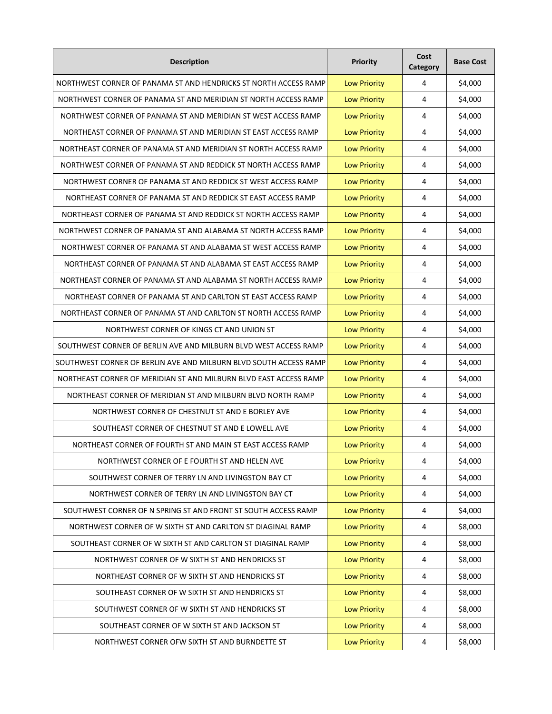| <b>Description</b>                                                | Priority            | Cost<br>Category | <b>Base Cost</b> |
|-------------------------------------------------------------------|---------------------|------------------|------------------|
| NORTHWEST CORNER OF PANAMA ST AND HENDRICKS ST NORTH ACCESS RAMP  | <b>Low Priority</b> | 4                | \$4,000          |
| NORTHWEST CORNER OF PANAMA ST AND MERIDIAN ST NORTH ACCESS RAMP   | <b>Low Priority</b> | 4                | \$4,000          |
| NORTHWEST CORNER OF PANAMA ST AND MERIDIAN ST WEST ACCESS RAMP    | <b>Low Priority</b> | 4                | \$4,000          |
| NORTHEAST CORNER OF PANAMA ST AND MERIDIAN ST EAST ACCESS RAMP    | <b>Low Priority</b> | 4                | \$4,000          |
| NORTHEAST CORNER OF PANAMA ST AND MERIDIAN ST NORTH ACCESS RAMP   | <b>Low Priority</b> | 4                | \$4,000          |
| NORTHWEST CORNER OF PANAMA ST AND REDDICK ST NORTH ACCESS RAMP    | <b>Low Priority</b> | 4                | \$4,000          |
| NORTHWEST CORNER OF PANAMA ST AND REDDICK ST WEST ACCESS RAMP     | <b>Low Priority</b> | 4                | \$4,000          |
| NORTHEAST CORNER OF PANAMA ST AND REDDICK ST EAST ACCESS RAMP     | <b>Low Priority</b> | 4                | \$4,000          |
| NORTHEAST CORNER OF PANAMA ST AND REDDICK ST NORTH ACCESS RAMP    | <b>Low Priority</b> | 4                | \$4,000          |
| NORTHWEST CORNER OF PANAMA ST AND ALABAMA ST NORTH ACCESS RAMP    | <b>Low Priority</b> | 4                | \$4,000          |
| NORTHWEST CORNER OF PANAMA ST AND ALABAMA ST WEST ACCESS RAMP     | <b>Low Priority</b> | 4                | \$4,000          |
| NORTHEAST CORNER OF PANAMA ST AND ALABAMA ST EAST ACCESS RAMP     | <b>Low Priority</b> | 4                | \$4,000          |
| NORTHEAST CORNER OF PANAMA ST AND ALABAMA ST NORTH ACCESS RAMP    | <b>Low Priority</b> | 4                | \$4,000          |
| NORTHEAST CORNER OF PANAMA ST AND CARLTON ST EAST ACCESS RAMP     | <b>Low Priority</b> | 4                | \$4,000          |
| NORTHEAST CORNER OF PANAMA ST AND CARLTON ST NORTH ACCESS RAMP    | <b>Low Priority</b> | 4                | \$4,000          |
| NORTHWEST CORNER OF KINGS CT AND UNION ST                         | <b>Low Priority</b> | 4                | \$4,000          |
| SOUTHWEST CORNER OF BERLIN AVE AND MILBURN BLVD WEST ACCESS RAMP  | <b>Low Priority</b> | 4                | \$4,000          |
| SOUTHWEST CORNER OF BERLIN AVE AND MILBURN BLVD SOUTH ACCESS RAMP | <b>Low Priority</b> | 4                | \$4,000          |
| NORTHEAST CORNER OF MERIDIAN ST AND MILBURN BLVD EAST ACCESS RAMP | <b>Low Priority</b> | 4                | \$4,000          |
| NORTHEAST CORNER OF MERIDIAN ST AND MILBURN BLVD NORTH RAMP       | <b>Low Priority</b> | 4                | \$4,000          |
| NORTHWEST CORNER OF CHESTNUT ST AND E BORLEY AVE                  | <b>Low Priority</b> | 4                | \$4,000          |
| SOUTHEAST CORNER OF CHESTNUT ST AND E LOWELL AVE                  | <b>Low Priority</b> | 4                | \$4,000          |
| NORTHEAST CORNER OF FOURTH ST AND MAIN ST EAST ACCESS RAMP        | <b>Low Priority</b> | 4                | \$4,000          |
| NORTHWEST CORNER OF E FOURTH ST AND HELEN AVE                     | <b>Low Priority</b> | 4                | \$4,000          |
| SOUTHWEST CORNER OF TERRY LN AND LIVINGSTON BAY CT                | <b>Low Priority</b> | 4                | \$4,000          |
| NORTHWEST CORNER OF TERRY LN AND LIVINGSTON BAY CT                | <b>Low Priority</b> | 4                | \$4,000          |
| SOUTHWEST CORNER OF N SPRING ST AND FRONT ST SOUTH ACCESS RAMP    | <b>Low Priority</b> | 4                | \$4,000          |
| NORTHWEST CORNER OF W SIXTH ST AND CARLTON ST DIAGINAL RAMP       | <b>Low Priority</b> | 4                | \$8,000          |
| SOUTHEAST CORNER OF W SIXTH ST AND CARLTON ST DIAGINAL RAMP       | <b>Low Priority</b> | 4                | \$8,000          |
| NORTHWEST CORNER OF W SIXTH ST AND HENDRICKS ST                   | <b>Low Priority</b> | 4                | \$8,000          |
| NORTHEAST CORNER OF W SIXTH ST AND HENDRICKS ST                   | <b>Low Priority</b> | 4                | \$8,000          |
| SOUTHEAST CORNER OF W SIXTH ST AND HENDRICKS ST                   | <b>Low Priority</b> | 4                | \$8,000          |
| SOUTHWEST CORNER OF W SIXTH ST AND HENDRICKS ST                   | <b>Low Priority</b> | 4                | \$8,000          |
| SOUTHEAST CORNER OF W SIXTH ST AND JACKSON ST                     | <b>Low Priority</b> | 4                | \$8,000          |
| NORTHWEST CORNER OFW SIXTH ST AND BURNDETTE ST                    | <b>Low Priority</b> | 4                | \$8,000          |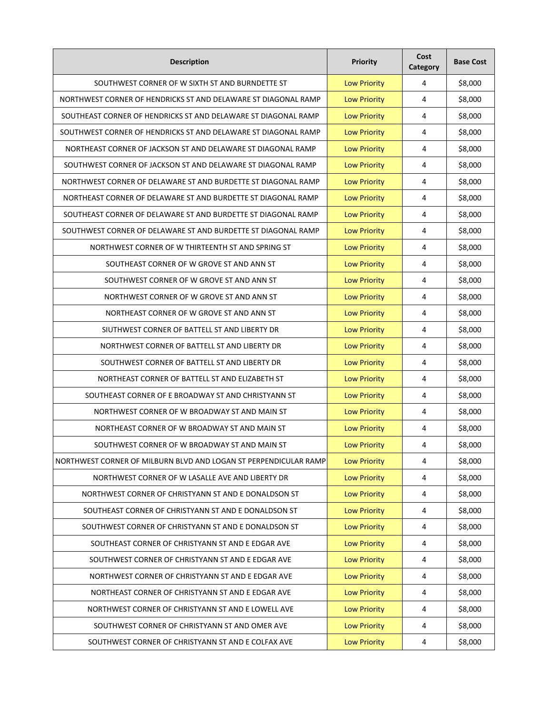| <b>Description</b>                                               | Priority            | Cost<br>Category | <b>Base Cost</b> |
|------------------------------------------------------------------|---------------------|------------------|------------------|
| SOUTHWEST CORNER OF W SIXTH ST AND BURNDETTE ST                  | <b>Low Priority</b> | 4                | \$8,000          |
| NORTHWEST CORNER OF HENDRICKS ST AND DELAWARE ST DIAGONAL RAMP   | <b>Low Priority</b> | 4                | \$8,000          |
| SOUTHEAST CORNER OF HENDRICKS ST AND DELAWARE ST DIAGONAL RAMP   | <b>Low Priority</b> | 4                | \$8,000          |
| SOUTHWEST CORNER OF HENDRICKS ST AND DELAWARE ST DIAGONAL RAMP   | <b>Low Priority</b> | 4                | \$8,000          |
| NORTHEAST CORNER OF JACKSON ST AND DELAWARE ST DIAGONAL RAMP     | <b>Low Priority</b> | 4                | \$8,000          |
| SOUTHWEST CORNER OF JACKSON ST AND DELAWARE ST DIAGONAL RAMP     | <b>Low Priority</b> | 4                | \$8,000          |
| NORTHWEST CORNER OF DELAWARE ST AND BURDETTE ST DIAGONAL RAMP    | <b>Low Priority</b> | 4                | \$8,000          |
| NORTHEAST CORNER OF DELAWARE ST AND BURDETTE ST DIAGONAL RAMP    | <b>Low Priority</b> | 4                | \$8,000          |
| SOUTHEAST CORNER OF DELAWARE ST AND BURDETTE ST DIAGONAL RAMP    | <b>Low Priority</b> | 4                | \$8,000          |
| SOUTHWEST CORNER OF DELAWARE ST AND BURDETTE ST DIAGONAL RAMP    | <b>Low Priority</b> | 4                | \$8,000          |
| NORTHWEST CORNER OF W THIRTEENTH ST AND SPRING ST                | <b>Low Priority</b> | 4                | \$8,000          |
| SOUTHEAST CORNER OF W GROVE ST AND ANN ST                        | <b>Low Priority</b> | 4                | \$8,000          |
| SOUTHWEST CORNER OF W GROVE ST AND ANN ST                        | <b>Low Priority</b> | 4                | \$8,000          |
| NORTHWEST CORNER OF W GROVE ST AND ANN ST                        | <b>Low Priority</b> | 4                | \$8,000          |
| NORTHEAST CORNER OF W GROVE ST AND ANN ST                        | <b>Low Priority</b> | 4                | \$8,000          |
| SIUTHWEST CORNER OF BATTELL ST AND LIBERTY DR                    | <b>Low Priority</b> | 4                | \$8,000          |
| NORTHWEST CORNER OF BATTELL ST AND LIBERTY DR                    | <b>Low Priority</b> | 4                | \$8,000          |
| SOUTHWEST CORNER OF BATTELL ST AND LIBERTY DR                    | <b>Low Priority</b> | 4                | \$8,000          |
| NORTHEAST CORNER OF BATTELL ST AND ELIZABETH ST                  | <b>Low Priority</b> | 4                | \$8,000          |
| SOUTHEAST CORNER OF E BROADWAY ST AND CHRISTYANN ST              | <b>Low Priority</b> | 4                | \$8,000          |
| NORTHWEST CORNER OF W BROADWAY ST AND MAIN ST                    | <b>Low Priority</b> | 4                | \$8,000          |
| NORTHEAST CORNER OF W BROADWAY ST AND MAIN ST                    | <b>Low Priority</b> | 4                | \$8,000          |
| SOUTHWEST CORNER OF W BROADWAY ST AND MAIN ST                    | <b>Low Priority</b> | 4                | \$8,000          |
| NORTHWEST CORNER OF MILBURN BLVD AND LOGAN ST PERPENDICULAR RAMP | <b>Low Priority</b> | 4                | \$8,000          |
| NORTHWEST CORNER OF W LASALLE AVE AND LIBERTY DR                 | <b>Low Priority</b> | 4                | \$8,000          |
| NORTHWEST CORNER OF CHRISTYANN ST AND E DONALDSON ST             | <b>Low Priority</b> | 4                | \$8,000          |
| SOUTHEAST CORNER OF CHRISTYANN ST AND E DONALDSON ST             | <b>Low Priority</b> | 4                | \$8,000          |
| SOUTHWEST CORNER OF CHRISTYANN ST AND E DONALDSON ST             | <b>Low Priority</b> | 4                | \$8,000          |
| SOUTHEAST CORNER OF CHRISTYANN ST AND E EDGAR AVE                | <b>Low Priority</b> | 4                | \$8,000          |
| SOUTHWEST CORNER OF CHRISTYANN ST AND E EDGAR AVE                | <b>Low Priority</b> | 4                | \$8,000          |
| NORTHWEST CORNER OF CHRISTYANN ST AND E EDGAR AVE                | <b>Low Priority</b> | 4                | \$8,000          |
| NORTHEAST CORNER OF CHRISTYANN ST AND E EDGAR AVE                | <b>Low Priority</b> | 4                | \$8,000          |
| NORTHWEST CORNER OF CHRISTYANN ST AND E LOWELL AVE               | <b>Low Priority</b> | 4                | \$8,000          |
| SOUTHWEST CORNER OF CHRISTYANN ST AND OMER AVE                   | <b>Low Priority</b> | 4                | \$8,000          |
| SOUTHWEST CORNER OF CHRISTYANN ST AND E COLFAX AVE               | <b>Low Priority</b> | 4                | \$8,000          |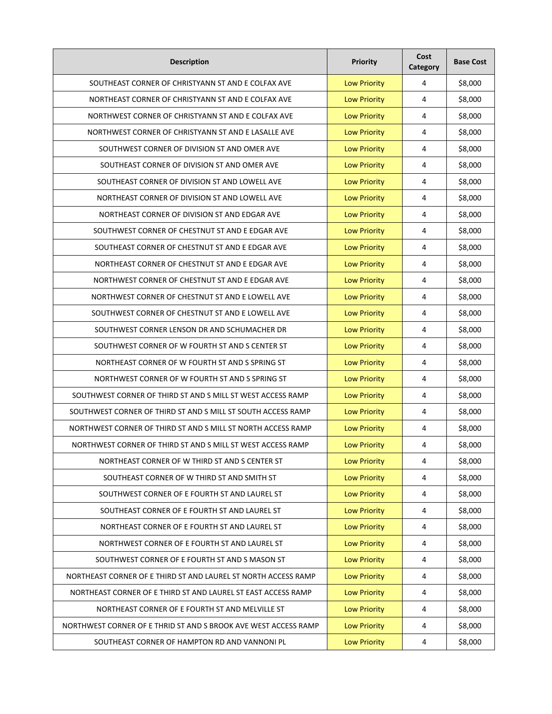| <b>Description</b>                                              | <b>Priority</b>     | Cost<br>Category        | <b>Base Cost</b> |
|-----------------------------------------------------------------|---------------------|-------------------------|------------------|
| SOUTHEAST CORNER OF CHRISTYANN ST AND E COLFAX AVE              | <b>Low Priority</b> | 4                       | \$8,000          |
| NORTHEAST CORNER OF CHRISTYANN ST AND E COLFAX AVE              | <b>Low Priority</b> | 4                       | \$8,000          |
| NORTHWEST CORNER OF CHRISTYANN ST AND E COLFAX AVE              | <b>Low Priority</b> | 4                       | \$8,000          |
| NORTHWEST CORNER OF CHRISTYANN ST AND E LASALLE AVE             | <b>Low Priority</b> | 4                       | \$8,000          |
| SOUTHWEST CORNER OF DIVISION ST AND OMER AVE                    | <b>Low Priority</b> | 4                       | \$8,000          |
| SOUTHEAST CORNER OF DIVISION ST AND OMER AVE                    | <b>Low Priority</b> | 4                       | \$8,000          |
| SOUTHEAST CORNER OF DIVISION ST AND LOWELL AVE                  | <b>Low Priority</b> | 4                       | \$8,000          |
| NORTHEAST CORNER OF DIVISION ST AND LOWELL AVE                  | <b>Low Priority</b> | 4                       | \$8,000          |
| NORTHEAST CORNER OF DIVISION ST AND EDGAR AVE                   | <b>Low Priority</b> | 4                       | \$8,000          |
| SOUTHWEST CORNER OF CHESTNUT ST AND E EDGAR AVE                 | <b>Low Priority</b> | 4                       | \$8,000          |
| SOUTHEAST CORNER OF CHESTNUT ST AND E EDGAR AVE                 | <b>Low Priority</b> | 4                       | \$8,000          |
| NORTHEAST CORNER OF CHESTNUT ST AND E EDGAR AVE                 | <b>Low Priority</b> | 4                       | \$8,000          |
| NORTHWEST CORNER OF CHESTNUT ST AND E EDGAR AVE                 | <b>Low Priority</b> | 4                       | \$8,000          |
| NORTHWEST CORNER OF CHESTNUT ST AND E LOWELL AVE                | <b>Low Priority</b> | 4                       | \$8,000          |
| SOUTHWEST CORNER OF CHESTNUT ST AND E LOWELL AVE                | <b>Low Priority</b> | 4                       | \$8,000          |
| SOUTHWEST CORNER LENSON DR AND SCHUMACHER DR                    | <b>Low Priority</b> | 4                       | \$8,000          |
| SOUTHWEST CORNER OF W FOURTH ST AND S CENTER ST                 | <b>Low Priority</b> | 4                       | \$8,000          |
| NORTHEAST CORNER OF W FOURTH ST AND S SPRING ST                 | <b>Low Priority</b> | 4                       | \$8,000          |
| NORTHWEST CORNER OF W FOURTH ST AND S SPRING ST                 | <b>Low Priority</b> | 4                       | \$8,000          |
| SOUTHWEST CORNER OF THIRD ST AND S MILL ST WEST ACCESS RAMP     | <b>Low Priority</b> | 4                       | \$8,000          |
| SOUTHWEST CORNER OF THIRD ST AND S MILL ST SOUTH ACCESS RAMP    | <b>Low Priority</b> | 4                       | \$8,000          |
| NORTHWEST CORNER OF THIRD ST AND S MILL ST NORTH ACCESS RAMP    | <b>Low Priority</b> | 4                       | \$8,000          |
| NORTHWEST CORNER OF THIRD ST AND S MILL ST WEST ACCESS RAMP     | <b>Low Priority</b> | 4                       | \$8,000          |
| NORTHEAST CORNER OF W THIRD ST AND S CENTER ST                  | <b>Low Priority</b> | 4                       | \$8,000          |
| SOUTHEAST CORNER OF W THIRD ST AND SMITH ST                     | <b>Low Priority</b> | 4                       | \$8,000          |
| SOUTHWEST CORNER OF E FOURTH ST AND LAUREL ST                   | <b>Low Priority</b> | 4                       | \$8,000          |
| SOUTHEAST CORNER OF E FOURTH ST AND LAUREL ST                   | <b>Low Priority</b> | 4                       | \$8,000          |
| NORTHEAST CORNER OF E FOURTH ST AND LAUREL ST                   | <b>Low Priority</b> | 4                       | \$8,000          |
| NORTHWEST CORNER OF E FOURTH ST AND LAUREL ST                   | <b>Low Priority</b> | $\overline{\mathbf{4}}$ | \$8,000          |
| SOUTHWEST CORNER OF E FOURTH ST AND S MASON ST                  | <b>Low Priority</b> | 4                       | \$8,000          |
| NORTHEAST CORNER OF E THIRD ST AND LAUREL ST NORTH ACCESS RAMP  | <b>Low Priority</b> | 4                       | \$8,000          |
| NORTHEAST CORNER OF E THIRD ST AND LAUREL ST EAST ACCESS RAMP   | <b>Low Priority</b> | 4                       | \$8,000          |
| NORTHEAST CORNER OF E FOURTH ST AND MELVILLE ST                 | <b>Low Priority</b> | 4                       | \$8,000          |
| NORTHWEST CORNER OF E THRID ST AND S BROOK AVE WEST ACCESS RAMP | <b>Low Priority</b> | 4                       | \$8,000          |
| SOUTHEAST CORNER OF HAMPTON RD AND VANNONI PL                   | <b>Low Priority</b> | 4                       | \$8,000          |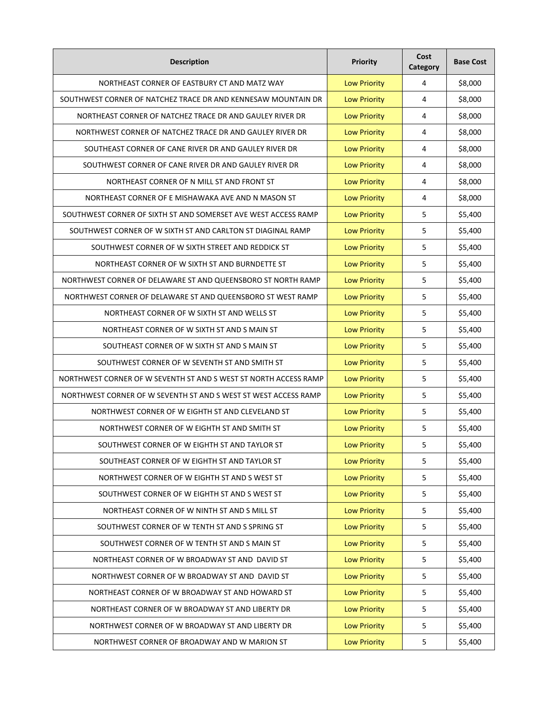| <b>Description</b>                                               | <b>Priority</b>     | Cost<br><b>Category</b> | <b>Base Cost</b> |
|------------------------------------------------------------------|---------------------|-------------------------|------------------|
| NORTHEAST CORNER OF EASTBURY CT AND MATZ WAY                     | <b>Low Priority</b> | 4                       | \$8,000          |
| SOUTHWEST CORNER OF NATCHEZ TRACE DR AND KENNESAW MOUNTAIN DR    | <b>Low Priority</b> | 4                       | \$8,000          |
| NORTHEAST CORNER OF NATCHEZ TRACE DR AND GAULEY RIVER DR         | <b>Low Priority</b> | $\overline{4}$          | \$8,000          |
| NORTHWEST CORNER OF NATCHEZ TRACE DR AND GAULEY RIVER DR         | <b>Low Priority</b> | 4                       | \$8,000          |
| SOUTHEAST CORNER OF CANE RIVER DR AND GAULEY RIVER DR            | <b>Low Priority</b> | 4                       | \$8,000          |
| SOUTHWEST CORNER OF CANE RIVER DR AND GAULEY RIVER DR            | <b>Low Priority</b> | 4                       | \$8,000          |
| NORTHEAST CORNER OF N MILL ST AND FRONT ST                       | <b>Low Priority</b> | 4                       | \$8,000          |
| NORTHEAST CORNER OF E MISHAWAKA AVE AND N MASON ST               | <b>Low Priority</b> | 4                       | \$8,000          |
| SOUTHWEST CORNER OF SIXTH ST AND SOMERSET AVE WEST ACCESS RAMP   | <b>Low Priority</b> | 5                       | \$5,400          |
| SOUTHWEST CORNER OF W SIXTH ST AND CARLTON ST DIAGINAL RAMP      | <b>Low Priority</b> | 5                       | \$5,400          |
| SOUTHWEST CORNER OF W SIXTH STREET AND REDDICK ST                | <b>Low Priority</b> | 5                       | \$5,400          |
| NORTHEAST CORNER OF W SIXTH ST AND BURNDETTE ST                  | <b>Low Priority</b> | 5                       | \$5,400          |
| NORTHWEST CORNER OF DELAWARE ST AND QUEENSBORO ST NORTH RAMP     | <b>Low Priority</b> | 5                       | \$5,400          |
| NORTHWEST CORNER OF DELAWARE ST AND QUEENSBORO ST WEST RAMP      | <b>Low Priority</b> | 5                       | \$5,400          |
| NORTHEAST CORNER OF W SIXTH ST AND WELLS ST                      | <b>Low Priority</b> | 5                       | \$5,400          |
| NORTHEAST CORNER OF W SIXTH ST AND S MAIN ST                     | <b>Low Priority</b> | 5                       | \$5,400          |
| SOUTHEAST CORNER OF W SIXTH ST AND S MAIN ST                     | <b>Low Priority</b> | 5                       | \$5,400          |
| SOUTHWEST CORNER OF W SEVENTH ST AND SMITH ST                    | <b>Low Priority</b> | 5                       | \$5,400          |
| NORTHWEST CORNER OF W SEVENTH ST AND S WEST ST NORTH ACCESS RAMP | <b>Low Priority</b> | 5                       | \$5,400          |
| NORTHWEST CORNER OF W SEVENTH ST AND S WEST ST WEST ACCESS RAMP  | <b>Low Priority</b> | 5                       | \$5,400          |
| NORTHWEST CORNER OF W EIGHTH ST AND CLEVELAND ST                 | <b>Low Priority</b> | 5                       | \$5,400          |
| NORTHWEST CORNER OF W EIGHTH ST AND SMITH ST                     | <b>Low Priority</b> | 5                       | \$5,400          |
| SOUTHWEST CORNER OF W EIGHTH ST AND TAYLOR ST                    | <b>Low Priority</b> | 5                       | \$5,400          |
| SOUTHEAST CORNER OF W EIGHTH ST AND TAYLOR ST                    | <b>Low Priority</b> | 5                       | \$5,400          |
| NORTHWEST CORNER OF W EIGHTH ST AND S WEST ST                    | <b>Low Priority</b> | 5                       | \$5,400          |
| SOUTHWEST CORNER OF W EIGHTH ST AND S WEST ST                    | <b>Low Priority</b> | 5                       | \$5,400          |
| NORTHEAST CORNER OF W NINTH ST AND S MILL ST                     | <b>Low Priority</b> | 5                       | \$5,400          |
| SOUTHWEST CORNER OF W TENTH ST AND S SPRING ST                   | <b>Low Priority</b> | 5                       | \$5,400          |
| SOUTHWEST CORNER OF W TENTH ST AND S MAIN ST                     | <b>Low Priority</b> | 5                       | \$5,400          |
| NORTHEAST CORNER OF W BROADWAY ST AND DAVID ST                   | <b>Low Priority</b> | 5                       | \$5,400          |
| NORTHWEST CORNER OF W BROADWAY ST AND DAVID ST                   | <b>Low Priority</b> | 5                       | \$5,400          |
| NORTHEAST CORNER OF W BROADWAY ST AND HOWARD ST                  | <b>Low Priority</b> | 5                       | \$5,400          |
| NORTHEAST CORNER OF W BROADWAY ST AND LIBERTY DR                 | <b>Low Priority</b> | 5                       | \$5,400          |
| NORTHWEST CORNER OF W BROADWAY ST AND LIBERTY DR                 | <b>Low Priority</b> | 5                       | \$5,400          |
| NORTHWEST CORNER OF BROADWAY AND W MARION ST                     | <b>Low Priority</b> | 5                       | \$5,400          |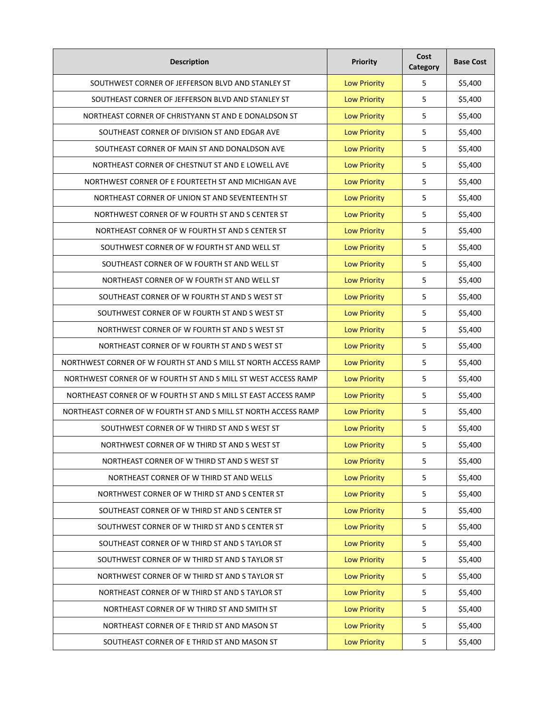| <b>Description</b>                                              | Priority            | Cost<br>Category | <b>Base Cost</b> |
|-----------------------------------------------------------------|---------------------|------------------|------------------|
| SOUTHWEST CORNER OF JEFFERSON BLVD AND STANLEY ST               | <b>Low Priority</b> | 5                | \$5,400          |
| SOUTHEAST CORNER OF JEFFERSON BLVD AND STANLEY ST               | <b>Low Priority</b> | 5                | \$5,400          |
| NORTHEAST CORNER OF CHRISTYANN ST AND E DONALDSON ST            | <b>Low Priority</b> | 5                | \$5,400          |
| SOUTHEAST CORNER OF DIVISION ST AND EDGAR AVE                   | <b>Low Priority</b> | 5                | \$5,400          |
| SOUTHEAST CORNER OF MAIN ST AND DONALDSON AVE                   | <b>Low Priority</b> | 5                | \$5,400          |
| NORTHEAST CORNER OF CHESTNUT ST AND E LOWELL AVE                | <b>Low Priority</b> | 5                | \$5,400          |
| NORTHWEST CORNER OF E FOURTEETH ST AND MICHIGAN AVE             | <b>Low Priority</b> | 5                | \$5,400          |
| NORTHEAST CORNER OF UNION ST AND SEVENTEENTH ST                 | <b>Low Priority</b> | 5                | \$5,400          |
| NORTHWEST CORNER OF W FOURTH ST AND S CENTER ST                 | <b>Low Priority</b> | 5                | \$5,400          |
| NORTHEAST CORNER OF W FOURTH ST AND S CENTER ST                 | <b>Low Priority</b> | 5                | \$5,400          |
| SOUTHWEST CORNER OF W FOURTH ST AND WELL ST                     | <b>Low Priority</b> | 5                | \$5,400          |
| SOUTHEAST CORNER OF W FOURTH ST AND WELL ST                     | <b>Low Priority</b> | 5                | \$5,400          |
| NORTHEAST CORNER OF W FOURTH ST AND WELL ST                     | <b>Low Priority</b> | 5                | \$5,400          |
| SOUTHEAST CORNER OF W FOURTH ST AND S WEST ST                   | <b>Low Priority</b> | 5                | \$5,400          |
| SOUTHWEST CORNER OF W FOURTH ST AND S WEST ST                   | <b>Low Priority</b> | 5                | \$5,400          |
| NORTHWEST CORNER OF W FOURTH ST AND S WEST ST                   | <b>Low Priority</b> | 5                | \$5,400          |
| NORTHEAST CORNER OF W FOURTH ST AND S WEST ST                   | <b>Low Priority</b> | 5                | \$5,400          |
| NORTHWEST CORNER OF W FOURTH ST AND S MILL ST NORTH ACCESS RAMP | <b>Low Priority</b> | 5                | \$5,400          |
| NORTHWEST CORNER OF W FOURTH ST AND S MILL ST WEST ACCESS RAMP  | <b>Low Priority</b> | 5                | \$5,400          |
| NORTHEAST CORNER OF W FOURTH ST AND S MILL ST EAST ACCESS RAMP  | <b>Low Priority</b> | 5                | \$5,400          |
| NORTHEAST CORNER OF W FOURTH ST AND S MILL ST NORTH ACCESS RAMP | <b>Low Priority</b> | 5                | \$5,400          |
| SOUTHWEST CORNER OF W THIRD ST AND S WEST ST                    | <b>Low Priority</b> | 5                | \$5,400          |
| NORTHWEST CORNER OF W THIRD ST AND S WEST ST                    | <b>Low Priority</b> | 5                | \$5,400          |
| NORTHEAST CORNER OF W THIRD ST AND S WEST ST                    | <b>Low Priority</b> | 5                | \$5,400          |
| NORTHEAST CORNER OF W THIRD ST AND WELLS                        | <b>Low Priority</b> | 5                | \$5,400          |
| NORTHWEST CORNER OF W THIRD ST AND S CENTER ST                  | <b>Low Priority</b> | 5                | \$5,400          |
| SOUTHEAST CORNER OF W THIRD ST AND S CENTER ST                  | <b>Low Priority</b> | 5                | \$5,400          |
| SOUTHWEST CORNER OF W THIRD ST AND S CENTER ST                  | <b>Low Priority</b> | 5                | \$5,400          |
| SOUTHEAST CORNER OF W THIRD ST AND S TAYLOR ST                  | <b>Low Priority</b> | 5                | \$5,400          |
| SOUTHWEST CORNER OF W THIRD ST AND S TAYLOR ST                  | <b>Low Priority</b> | 5                | \$5,400          |
| NORTHWEST CORNER OF W THIRD ST AND S TAYLOR ST                  | <b>Low Priority</b> | 5                | \$5,400          |
| NORTHEAST CORNER OF W THIRD ST AND S TAYLOR ST                  | <b>Low Priority</b> | 5                | \$5,400          |
| NORTHEAST CORNER OF W THIRD ST AND SMITH ST                     | <b>Low Priority</b> | 5                | \$5,400          |
| NORTHEAST CORNER OF E THRID ST AND MASON ST                     | <b>Low Priority</b> | 5                | \$5,400          |
| SOUTHEAST CORNER OF E THRID ST AND MASON ST                     | <b>Low Priority</b> | 5                | \$5,400          |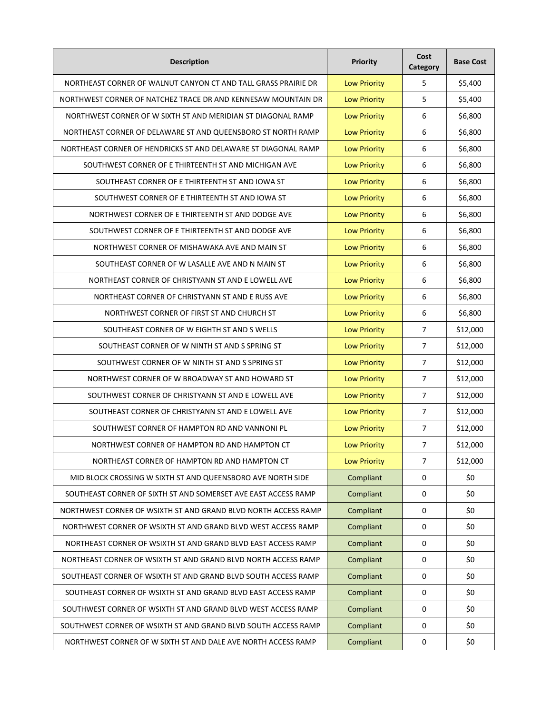| <b>Description</b>                                             | <b>Priority</b>     | Cost<br>Category | <b>Base Cost</b> |
|----------------------------------------------------------------|---------------------|------------------|------------------|
| NORTHEAST CORNER OF WALNUT CANYON CT AND TALL GRASS PRAIRIE DR | <b>Low Priority</b> | 5                | \$5,400          |
| NORTHWEST CORNER OF NATCHEZ TRACE DR AND KENNESAW MOUNTAIN DR  | <b>Low Priority</b> | 5                | \$5,400          |
| NORTHWEST CORNER OF W SIXTH ST AND MERIDIAN ST DIAGONAL RAMP   | <b>Low Priority</b> | 6                | \$6,800          |
| NORTHEAST CORNER OF DELAWARE ST AND QUEENSBORO ST NORTH RAMP   | <b>Low Priority</b> | 6                | \$6,800          |
| NORTHEAST CORNER OF HENDRICKS ST AND DELAWARE ST DIAGONAL RAMP | <b>Low Priority</b> | 6                | \$6,800          |
| SOUTHWEST CORNER OF E THIRTEENTH ST AND MICHIGAN AVE           | <b>Low Priority</b> | 6                | \$6,800          |
| SOUTHEAST CORNER OF E THIRTEENTH ST AND IOWA ST                | <b>Low Priority</b> | 6                | \$6,800          |
| SOUTHWEST CORNER OF E THIRTEENTH ST AND IOWA ST                | <b>Low Priority</b> | 6                | \$6,800          |
| NORTHWEST CORNER OF E THIRTEENTH ST AND DODGE AVE              | <b>Low Priority</b> | 6                | \$6,800          |
| SOUTHWEST CORNER OF E THIRTEENTH ST AND DODGE AVE              | <b>Low Priority</b> | 6                | \$6,800          |
| NORTHWEST CORNER OF MISHAWAKA AVE AND MAIN ST                  | <b>Low Priority</b> | 6                | \$6,800          |
| SOUTHEAST CORNER OF W LASALLE AVE AND N MAIN ST                | <b>Low Priority</b> | 6                | \$6,800          |
| NORTHEAST CORNER OF CHRISTYANN ST AND E LOWELL AVE             | <b>Low Priority</b> | 6                | \$6,800          |
| NORTHEAST CORNER OF CHRISTYANN ST AND E RUSS AVE               | <b>Low Priority</b> | 6                | \$6,800          |
| NORTHWEST CORNER OF FIRST ST AND CHURCH ST                     | <b>Low Priority</b> | 6                | \$6,800          |
| SOUTHEAST CORNER OF W EIGHTH ST AND S WELLS                    | <b>Low Priority</b> | $\overline{7}$   | \$12,000         |
| SOUTHEAST CORNER OF W NINTH ST AND S SPRING ST                 | <b>Low Priority</b> | $\overline{7}$   | \$12,000         |
| SOUTHWEST CORNER OF W NINTH ST AND S SPRING ST                 | <b>Low Priority</b> | $\overline{7}$   | \$12,000         |
| NORTHWEST CORNER OF W BROADWAY ST AND HOWARD ST                | <b>Low Priority</b> | 7                | \$12,000         |
| SOUTHWEST CORNER OF CHRISTYANN ST AND E LOWELL AVE             | <b>Low Priority</b> | $\overline{7}$   | \$12,000         |
| SOUTHEAST CORNER OF CHRISTYANN ST AND E LOWELL AVE             | <b>Low Priority</b> | $\overline{7}$   | \$12,000         |
| SOUTHWEST CORNER OF HAMPTON RD AND VANNONI PL                  | <b>Low Priority</b> | $\overline{7}$   | \$12,000         |
| NORTHWEST CORNER OF HAMPTON RD AND HAMPTON CT                  | <b>Low Priority</b> | $\overline{7}$   | \$12,000         |
| NORTHEAST CORNER OF HAMPTON RD AND HAMPTON CT                  | <b>Low Priority</b> | $\overline{7}$   | \$12,000         |
| MID BLOCK CROSSING W SIXTH ST AND QUEENSBORO AVE NORTH SIDE    | Compliant           | 0                | \$0              |
| SOUTHEAST CORNER OF SIXTH ST AND SOMERSET AVE EAST ACCESS RAMP | Compliant           | 0                | \$0              |
| NORTHWEST CORNER OF WSIXTH ST AND GRAND BLVD NORTH ACCESS RAMP | Compliant           | 0                | \$0              |
| NORTHWEST CORNER OF WSIXTH ST AND GRAND BLVD WEST ACCESS RAMP  | Compliant           | 0                | \$0              |
| NORTHEAST CORNER OF WSIXTH ST AND GRAND BLVD EAST ACCESS RAMP  | Compliant           | 0                | \$0              |
| NORTHEAST CORNER OF WSIXTH ST AND GRAND BLVD NORTH ACCESS RAMP | Compliant           | $\mathbf{0}$     | \$0              |
| SOUTHEAST CORNER OF WSIXTH ST AND GRAND BLVD SOUTH ACCESS RAMP | Compliant           | 0                | \$0              |
| SOUTHEAST CORNER OF WSIXTH ST AND GRAND BLVD EAST ACCESS RAMP  | Compliant           | $\mathbf{0}$     | \$0              |
| SOUTHWEST CORNER OF WSIXTH ST AND GRAND BLVD WEST ACCESS RAMP  | Compliant           | 0                | \$0              |
| SOUTHWEST CORNER OF WSIXTH ST AND GRAND BLVD SOUTH ACCESS RAMP | Compliant           | 0                | \$0              |
| NORTHWEST CORNER OF W SIXTH ST AND DALE AVE NORTH ACCESS RAMP  | Compliant           | 0                | \$0              |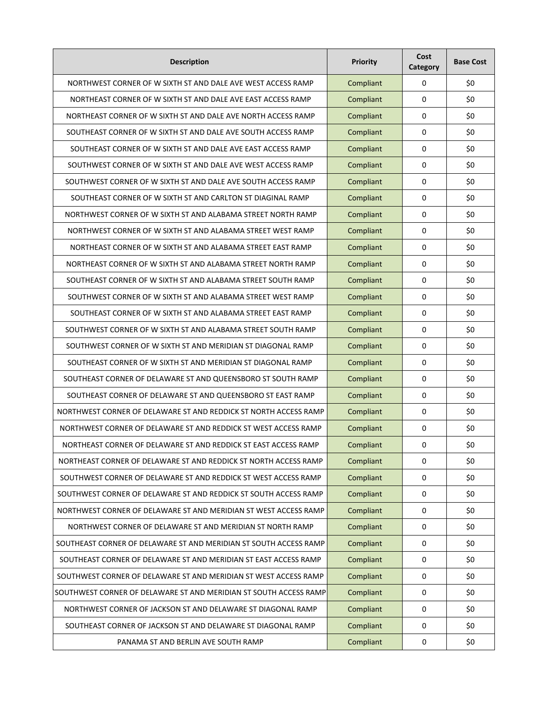| <b>Description</b>                                                | Priority  | Cost<br>Category | <b>Base Cost</b> |
|-------------------------------------------------------------------|-----------|------------------|------------------|
| NORTHWEST CORNER OF W SIXTH ST AND DALE AVE WEST ACCESS RAMP      | Compliant | 0                | \$0              |
| NORTHEAST CORNER OF W SIXTH ST AND DALE AVE EAST ACCESS RAMP      | Compliant | 0                | \$0              |
| NORTHEAST CORNER OF W SIXTH ST AND DALE AVE NORTH ACCESS RAMP     | Compliant | 0                | \$0              |
| SOUTHEAST CORNER OF W SIXTH ST AND DALE AVE SOUTH ACCESS RAMP     | Compliant | 0                | \$0              |
| SOUTHEAST CORNER OF W SIXTH ST AND DALE AVE EAST ACCESS RAMP      | Compliant | 0                | \$0              |
| SOUTHWEST CORNER OF W SIXTH ST AND DALE AVE WEST ACCESS RAMP      | Compliant | 0                | \$0              |
| SOUTHWEST CORNER OF W SIXTH ST AND DALE AVE SOUTH ACCESS RAMP     | Compliant | 0                | \$0              |
| SOUTHEAST CORNER OF W SIXTH ST AND CARLTON ST DIAGINAL RAMP       | Compliant | 0                | \$0              |
| NORTHWEST CORNER OF W SIXTH ST AND ALABAMA STREET NORTH RAMP      | Compliant | 0                | \$0              |
| NORTHWEST CORNER OF W SIXTH ST AND ALABAMA STREET WEST RAMP       | Compliant | 0                | \$0              |
| NORTHEAST CORNER OF W SIXTH ST AND ALABAMA STREET EAST RAMP       | Compliant | 0                | \$0              |
| NORTHEAST CORNER OF W SIXTH ST AND ALABAMA STREET NORTH RAMP      | Compliant | $\mathbf{0}$     | \$0              |
| SOUTHEAST CORNER OF W SIXTH ST AND ALABAMA STREET SOUTH RAMP      | Compliant | 0                | \$0              |
| SOUTHWEST CORNER OF W SIXTH ST AND ALABAMA STREET WEST RAMP       | Compliant | 0                | \$0              |
| SOUTHEAST CORNER OF W SIXTH ST AND ALABAMA STREET EAST RAMP       | Compliant | 0                | \$0              |
| SOUTHWEST CORNER OF W SIXTH ST AND ALABAMA STREET SOUTH RAMP      | Compliant | 0                | \$0              |
| SOUTHWEST CORNER OF W SIXTH ST AND MERIDIAN ST DIAGONAL RAMP      | Compliant | 0                | \$0              |
| SOUTHEAST CORNER OF W SIXTH ST AND MERIDIAN ST DIAGONAL RAMP      | Compliant | 0                | \$0              |
| SOUTHEAST CORNER OF DELAWARE ST AND QUEENSBORO ST SOUTH RAMP      | Compliant | 0                | \$0              |
| SOUTHEAST CORNER OF DELAWARE ST AND QUEENSBORO ST EAST RAMP       | Compliant | 0                | \$0              |
| NORTHWEST CORNER OF DELAWARE ST AND REDDICK ST NORTH ACCESS RAMP  | Compliant | 0                | \$0              |
| NORTHWEST CORNER OF DELAWARE ST AND REDDICK ST WEST ACCESS RAMP   | Compliant | 0                | \$0              |
| NORTHEAST CORNER OF DELAWARE ST AND REDDICK ST EAST ACCESS RAMP   | Compliant | 0                | \$0              |
| NORTHEAST CORNER OF DELAWARE ST AND REDDICK ST NORTH ACCESS RAMP  | Compliant | 0                | \$0              |
| SOUTHWEST CORNER OF DELAWARE ST AND REDDICK ST WEST ACCESS RAMP   | Compliant | 0                | \$0              |
| SOUTHWEST CORNER OF DELAWARE ST AND REDDICK ST SOUTH ACCESS RAMP  | Compliant | 0                | \$0              |
| NORTHWEST CORNER OF DELAWARE ST AND MERIDIAN ST WEST ACCESS RAMP  | Compliant | 0                | \$0              |
| NORTHWEST CORNER OF DELAWARE ST AND MERIDIAN ST NORTH RAMP        | Compliant | 0                | \$0              |
| SOUTHEAST CORNER OF DELAWARE ST AND MERIDIAN ST SOUTH ACCESS RAMP | Compliant | 0                | \$0              |
| SOUTHEAST CORNER OF DELAWARE ST AND MERIDIAN ST EAST ACCESS RAMP  | Compliant | 0                | \$0              |
| SOUTHWEST CORNER OF DELAWARE ST AND MERIDIAN ST WEST ACCESS RAMP  | Compliant | 0                | \$0              |
| SOUTHWEST CORNER OF DELAWARE ST AND MERIDIAN ST SOUTH ACCESS RAMP | Compliant | 0                | \$0              |
| NORTHWEST CORNER OF JACKSON ST AND DELAWARE ST DIAGONAL RAMP      | Compliant | 0                | \$0              |
| SOUTHEAST CORNER OF JACKSON ST AND DELAWARE ST DIAGONAL RAMP      | Compliant | $\mathbf{0}$     | \$0              |
| PANAMA ST AND BERLIN AVE SOUTH RAMP                               | Compliant | 0                | \$0              |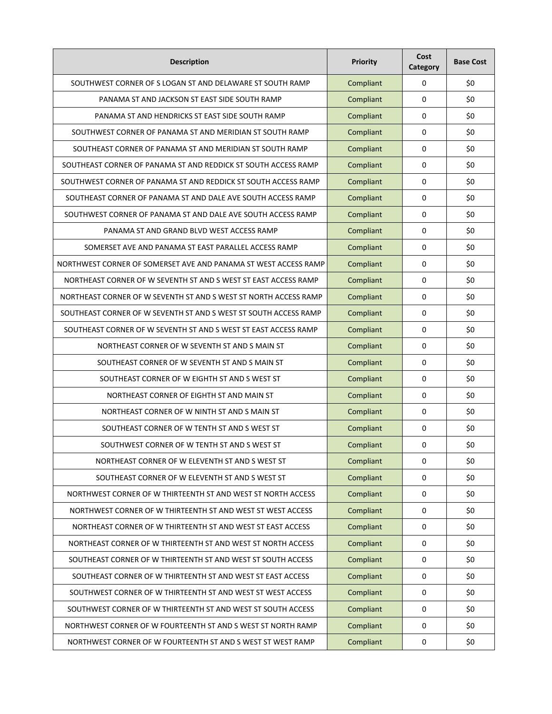| <b>Description</b>                                               | Priority  | Cost<br>Category | <b>Base Cost</b> |
|------------------------------------------------------------------|-----------|------------------|------------------|
| SOUTHWEST CORNER OF S LOGAN ST AND DELAWARE ST SOUTH RAMP        | Compliant | $\mathbf 0$      | \$0              |
| PANAMA ST AND JACKSON ST EAST SIDE SOUTH RAMP                    | Compliant | $\mathbf 0$      | \$0              |
| PANAMA ST AND HENDRICKS ST EAST SIDE SOUTH RAMP                  | Compliant | $\mathbf 0$      | \$0              |
| SOUTHWEST CORNER OF PANAMA ST AND MERIDIAN ST SOUTH RAMP         | Compliant | $\mathbf 0$      | \$0              |
| SOUTHEAST CORNER OF PANAMA ST AND MERIDIAN ST SOUTH RAMP         | Compliant | $\mathbf 0$      | \$0              |
| SOUTHEAST CORNER OF PANAMA ST AND REDDICK ST SOUTH ACCESS RAMP   | Compliant | $\mathbf 0$      | \$0              |
| SOUTHWEST CORNER OF PANAMA ST AND REDDICK ST SOUTH ACCESS RAMP   | Compliant | 0                | \$0              |
| SOUTHEAST CORNER OF PANAMA ST AND DALE AVE SOUTH ACCESS RAMP     | Compliant | $\mathbf 0$      | \$0              |
| SOUTHWEST CORNER OF PANAMA ST AND DALE AVE SOUTH ACCESS RAMP     | Compliant | $\mathbf 0$      | \$0              |
| PANAMA ST AND GRAND BLVD WEST ACCESS RAMP                        | Compliant | $\mathbf 0$      | \$0              |
| SOMERSET AVE AND PANAMA ST EAST PARALLEL ACCESS RAMP             | Compliant | $\mathbf 0$      | \$0              |
| NORTHWEST CORNER OF SOMERSET AVE AND PANAMA ST WEST ACCESS RAMP  | Compliant | $\mathbf 0$      | \$0              |
| NORTHEAST CORNER OF W SEVENTH ST AND S WEST ST EAST ACCESS RAMP  | Compliant | $\mathbf 0$      | \$0              |
| NORTHEAST CORNER OF W SEVENTH ST AND S WEST ST NORTH ACCESS RAMP | Compliant | $\mathbf 0$      | \$0              |
| SOUTHEAST CORNER OF W SEVENTH ST AND S WEST ST SOUTH ACCESS RAMP | Compliant | $\Omega$         | \$0              |
| SOUTHEAST CORNER OF W SEVENTH ST AND S WEST ST EAST ACCESS RAMP  | Compliant | $\mathbf 0$      | \$0              |
| NORTHEAST CORNER OF W SEVENTH ST AND S MAIN ST                   | Compliant | 0                | \$0              |
| SOUTHEAST CORNER OF W SEVENTH ST AND S MAIN ST                   | Compliant | $\mathbf 0$      | \$0              |
| SOUTHEAST CORNER OF W EIGHTH ST AND S WEST ST                    | Compliant | 0                | \$0              |
| NORTHEAST CORNER OF EIGHTH ST AND MAIN ST                        | Compliant | 0                | \$0              |
| NORTHEAST CORNER OF W NINTH ST AND S MAIN ST                     | Compliant | $\mathbf 0$      | \$0              |
| SOUTHEAST CORNER OF W TENTH ST AND S WEST ST                     | Compliant | $\mathbf 0$      | \$0              |
| SOUTHWEST CORNER OF W TENTH ST AND S WEST ST                     | Compliant | 0                | \$0              |
| NORTHEAST CORNER OF W ELEVENTH ST AND S WEST ST                  | Compliant | $\mathbf 0$      | \$0              |
| SOUTHEAST CORNER OF W ELEVENTH ST AND S WEST ST                  | Compliant | $\mathbf 0$      | \$0              |
| NORTHWEST CORNER OF W THIRTEENTH ST AND WEST ST NORTH ACCESS     | Compliant | $\mathbf 0$      | \$0              |
| NORTHWEST CORNER OF W THIRTEENTH ST AND WEST ST WEST ACCESS      | Compliant | $\mathbf 0$      | \$0              |
| NORTHEAST CORNER OF W THIRTEENTH ST AND WEST ST EAST ACCESS      | Compliant | $\mathbf 0$      | \$0              |
| NORTHEAST CORNER OF W THIRTEENTH ST AND WEST ST NORTH ACCESS     | Compliant | $\pmb{0}$        | \$0              |
| SOUTHEAST CORNER OF W THIRTEENTH ST AND WEST ST SOUTH ACCESS     | Compliant | $\pmb{0}$        | \$0              |
| SOUTHEAST CORNER OF W THIRTEENTH ST AND WEST ST EAST ACCESS      | Compliant | $\mathbf 0$      | \$0              |
| SOUTHWEST CORNER OF W THIRTEENTH ST AND WEST ST WEST ACCESS      | Compliant | $\mathbf 0$      | \$0              |
| SOUTHWEST CORNER OF W THIRTEENTH ST AND WEST ST SOUTH ACCESS     | Compliant | $\pmb{0}$        | \$0              |
| NORTHWEST CORNER OF W FOURTEENTH ST AND S WEST ST NORTH RAMP     | Compliant | $\pmb{0}$        | \$0              |
| NORTHWEST CORNER OF W FOURTEENTH ST AND S WEST ST WEST RAMP      | Compliant | 0                | \$0              |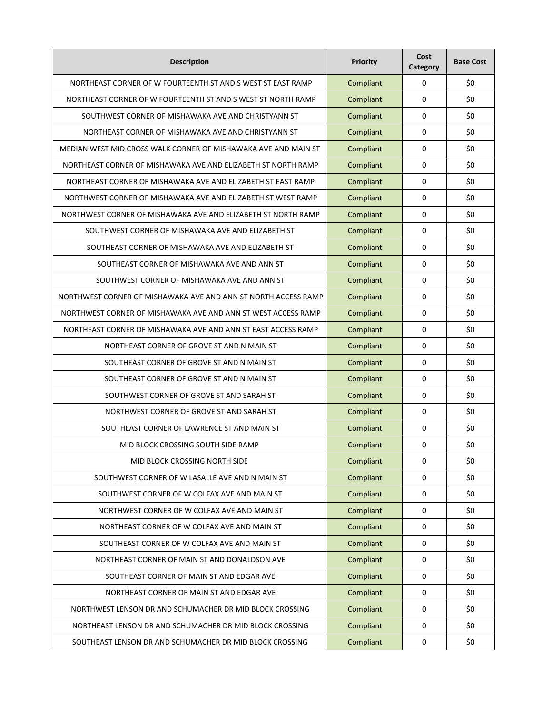| <b>Description</b>                                             | <b>Priority</b> | Cost<br>Category | <b>Base Cost</b> |
|----------------------------------------------------------------|-----------------|------------------|------------------|
| NORTHEAST CORNER OF W FOURTEENTH ST AND S WEST ST EAST RAMP    | Compliant       | 0                | \$0              |
| NORTHEAST CORNER OF W FOURTEENTH ST AND S WEST ST NORTH RAMP   | Compliant       | $\mathbf 0$      | \$0              |
| SOUTHWEST CORNER OF MISHAWAKA AVE AND CHRISTYANN ST            | Compliant       | $\mathbf 0$      | \$0              |
| NORTHEAST CORNER OF MISHAWAKA AVE AND CHRISTYANN ST            | Compliant       | $\mathbf 0$      | \$0              |
| MEDIAN WEST MID CROSS WALK CORNER OF MISHAWAKA AVE AND MAIN ST | Compliant       | $\mathbf 0$      | \$0              |
| NORTHEAST CORNER OF MISHAWAKA AVE AND ELIZABETH ST NORTH RAMP  | Compliant       | $\mathbf 0$      | \$0              |
| NORTHEAST CORNER OF MISHAWAKA AVE AND ELIZABETH ST EAST RAMP   | Compliant       | $\mathbf 0$      | \$0              |
| NORTHWEST CORNER OF MISHAWAKA AVE AND ELIZABETH ST WEST RAMP   | Compliant       | $\mathbf 0$      | \$0              |
| NORTHWEST CORNER OF MISHAWAKA AVE AND ELIZABETH ST NORTH RAMP  | Compliant       | $\mathbf 0$      | \$0              |
| SOUTHWEST CORNER OF MISHAWAKA AVE AND ELIZABETH ST             | Compliant       | $\mathbf 0$      | \$0              |
| SOUTHEAST CORNER OF MISHAWAKA AVE AND ELIZABETH ST             | Compliant       | $\mathbf 0$      | \$0              |
| SOUTHEAST CORNER OF MISHAWAKA AVE AND ANN ST                   | Compliant       | $\mathbf 0$      | \$0              |
| SOUTHWEST CORNER OF MISHAWAKA AVE AND ANN ST                   | Compliant       | $\mathbf 0$      | \$0              |
| NORTHWEST CORNER OF MISHAWAKA AVE AND ANN ST NORTH ACCESS RAMP | Compliant       | $\mathbf 0$      | \$0              |
| NORTHWEST CORNER OF MISHAWAKA AVE AND ANN ST WEST ACCESS RAMP  | Compliant       | $\mathbf 0$      | \$0              |
| NORTHEAST CORNER OF MISHAWAKA AVE AND ANN ST EAST ACCESS RAMP  | Compliant       | $\mathbf 0$      | \$0              |
| NORTHEAST CORNER OF GROVE ST AND N MAIN ST                     | Compliant       | 0                | \$0              |
| SOUTHEAST CORNER OF GROVE ST AND N MAIN ST                     | Compliant       | $\mathbf 0$      | \$0              |
| SOUTHEAST CORNER OF GROVE ST AND N MAIN ST                     | Compliant       | 0                | \$0              |
| SOUTHWEST CORNER OF GROVE ST AND SARAH ST                      | Compliant       | 0                | \$0              |
| NORTHWEST CORNER OF GROVE ST AND SARAH ST                      | Compliant       | $\mathbf 0$      | \$0              |
| SOUTHEAST CORNER OF LAWRENCE ST AND MAIN ST                    | Compliant       | $\mathbf 0$      | \$0              |
| MID BLOCK CROSSING SOUTH SIDE RAMP                             | Compliant       | 0                | \$0              |
| MID BLOCK CROSSING NORTH SIDE                                  | Compliant       | $\mathbf 0$      | \$0              |
| SOUTHWEST CORNER OF W LASALLE AVE AND N MAIN ST                | Compliant       | $\mathbf 0$      | \$0              |
| SOUTHWEST CORNER OF W COLFAX AVE AND MAIN ST                   | Compliant       | $\mathbf 0$      | \$0              |
| NORTHWEST CORNER OF W COLFAX AVE AND MAIN ST                   | Compliant       | $\mathbf 0$      | \$0              |
| NORTHEAST CORNER OF W COLFAX AVE AND MAIN ST                   | Compliant       | $\mathbf 0$      | \$0              |
| SOUTHEAST CORNER OF W COLFAX AVE AND MAIN ST                   | Compliant       | $\pmb{0}$        | \$0              |
| NORTHEAST CORNER OF MAIN ST AND DONALDSON AVE                  | Compliant       | $\pmb{0}$        | \$0              |
| SOUTHEAST CORNER OF MAIN ST AND EDGAR AVE                      | Compliant       | $\pmb{0}$        | \$0              |
| NORTHEAST CORNER OF MAIN ST AND EDGAR AVE                      | Compliant       | $\mathbf 0$      | \$0              |
| NORTHWEST LENSON DR AND SCHUMACHER DR MID BLOCK CROSSING       | Compliant       | $\pmb{0}$        | \$0              |
| NORTHEAST LENSON DR AND SCHUMACHER DR MID BLOCK CROSSING       | Compliant       | $\mathbf 0$      | \$0              |
| SOUTHEAST LENSON DR AND SCHUMACHER DR MID BLOCK CROSSING       | Compliant       | $\pmb{0}$        | \$0              |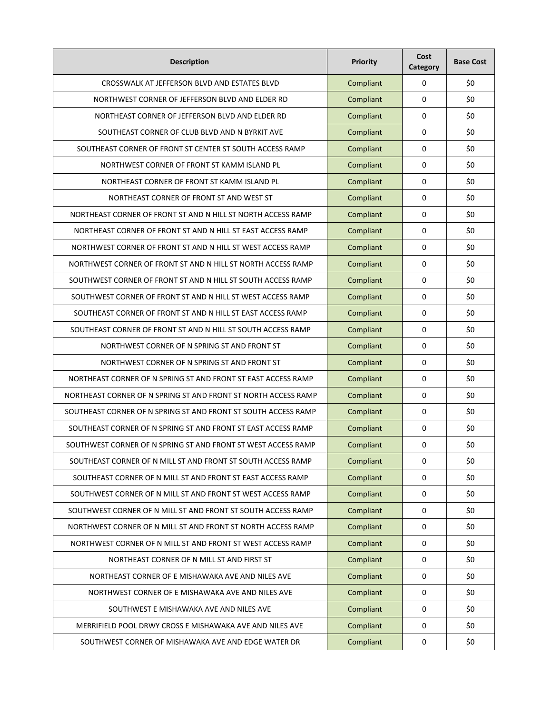| <b>Description</b>                                             | Priority  | Cost<br>Category | <b>Base Cost</b> |
|----------------------------------------------------------------|-----------|------------------|------------------|
| CROSSWALK AT JEFFERSON BLVD AND ESTATES BLVD                   | Compliant | 0                | \$0              |
| NORTHWEST CORNER OF JEFFERSON BLVD AND ELDER RD                | Compliant | 0                | \$0              |
| NORTHEAST CORNER OF JEFFERSON BLVD AND ELDER RD                | Compliant | 0                | \$0              |
| SOUTHEAST CORNER OF CLUB BLVD AND N BYRKIT AVE                 | Compliant | 0                | \$0              |
| SOUTHEAST CORNER OF FRONT ST CENTER ST SOUTH ACCESS RAMP       | Compliant | 0                | \$0              |
| NORTHWEST CORNER OF FRONT ST KAMM ISLAND PL                    | Compliant | 0                | \$0              |
| NORTHEAST CORNER OF FRONT ST KAMM ISLAND PL                    | Compliant | 0                | \$0              |
| NORTHEAST CORNER OF FRONT ST AND WEST ST                       | Compliant | 0                | \$0              |
| NORTHEAST CORNER OF FRONT ST AND N HILL ST NORTH ACCESS RAMP   | Compliant | 0                | \$0              |
| NORTHEAST CORNER OF FRONT ST AND N HILL ST EAST ACCESS RAMP    | Compliant | $\mathbf{0}$     | \$0              |
| NORTHWEST CORNER OF FRONT ST AND N HILL ST WEST ACCESS RAMP    | Compliant | 0                | \$0              |
| NORTHWEST CORNER OF FRONT ST AND N HILL ST NORTH ACCESS RAMP   | Compliant | 0                | \$0              |
| SOUTHWEST CORNER OF FRONT ST AND N HILL ST SOUTH ACCESS RAMP   | Compliant | 0                | \$0              |
| SOUTHWEST CORNER OF FRONT ST AND N HILL ST WEST ACCESS RAMP    | Compliant | 0                | \$0              |
| SOUTHEAST CORNER OF FRONT ST AND N HILL ST EAST ACCESS RAMP    | Compliant | 0                | \$0              |
| SOUTHEAST CORNER OF FRONT ST AND N HILL ST SOUTH ACCESS RAMP   | Compliant | 0                | \$0              |
| NORTHWEST CORNER OF N SPRING ST AND FRONT ST                   | Compliant | 0                | \$0              |
| NORTHWEST CORNER OF N SPRING ST AND FRONT ST                   | Compliant | 0                | \$0              |
| NORTHEAST CORNER OF N SPRING ST AND FRONT ST EAST ACCESS RAMP  | Compliant | 0                | \$0              |
| NORTHEAST CORNER OF N SPRING ST AND FRONT ST NORTH ACCESS RAMP | Compliant | 0                | \$0              |
| SOUTHEAST CORNER OF N SPRING ST AND FRONT ST SOUTH ACCESS RAMP | Compliant | 0                | \$0              |
| SOUTHEAST CORNER OF N SPRING ST AND FRONT ST EAST ACCESS RAMP  | Compliant | 0                | \$0              |
| SOUTHWEST CORNER OF N SPRING ST AND FRONT ST WEST ACCESS RAMP  | Compliant | 0                | \$0              |
| SOUTHEAST CORNER OF N MILL ST AND FRONT ST SOUTH ACCESS RAMP   | Compliant | 0                | \$0              |
| SOUTHEAST CORNER OF N MILL ST AND FRONT ST EAST ACCESS RAMP    | Compliant | 0                | \$0              |
| SOUTHWEST CORNER OF N MILL ST AND FRONT ST WEST ACCESS RAMP    | Compliant | 0                | \$0              |
| SOUTHWEST CORNER OF N MILL ST AND FRONT ST SOUTH ACCESS RAMP   | Compliant | 0                | \$0              |
| NORTHWEST CORNER OF N MILL ST AND FRONT ST NORTH ACCESS RAMP   | Compliant | 0                | \$0              |
| NORTHWEST CORNER OF N MILL ST AND FRONT ST WEST ACCESS RAMP    | Compliant | 0                | \$0              |
| NORTHEAST CORNER OF N MILL ST AND FIRST ST                     | Compliant | $\mathbf{0}$     | \$0              |
| NORTHEAST CORNER OF E MISHAWAKA AVE AND NILES AVE              | Compliant | 0                | \$0              |
| NORTHWEST CORNER OF E MISHAWAKA AVE AND NILES AVE              | Compliant | 0                | \$0              |
| SOUTHWEST E MISHAWAKA AVE AND NILES AVE                        | Compliant | 0                | \$0              |
| MERRIFIELD POOL DRWY CROSS E MISHAWAKA AVE AND NILES AVE       | Compliant | 0                | \$0              |
| SOUTHWEST CORNER OF MISHAWAKA AVE AND EDGE WATER DR            | Compliant | $\pmb{0}$        | \$0              |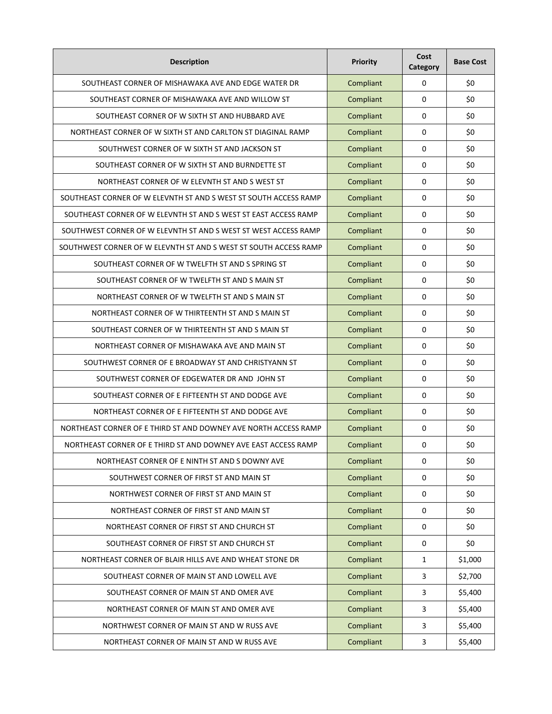| <b>Description</b>                                               | Priority  | Cost<br>Category | <b>Base Cost</b> |
|------------------------------------------------------------------|-----------|------------------|------------------|
| SOUTHEAST CORNER OF MISHAWAKA AVE AND EDGE WATER DR              | Compliant | 0                | \$0              |
| SOUTHEAST CORNER OF MISHAWAKA AVE AND WILLOW ST                  | Compliant | 0                | \$0              |
| SOUTHEAST CORNER OF W SIXTH ST AND HUBBARD AVE                   | Compliant | 0                | \$0              |
| NORTHEAST CORNER OF W SIXTH ST AND CARLTON ST DIAGINAL RAMP      | Compliant | 0                | \$0              |
| SOUTHWEST CORNER OF W SIXTH ST AND JACKSON ST                    | Compliant | 0                | \$0              |
| SOUTHEAST CORNER OF W SIXTH ST AND BURNDETTE ST                  | Compliant | 0                | \$0              |
| NORTHEAST CORNER OF W ELEVNTH ST AND S WEST ST                   | Compliant | 0                | \$0              |
| SOUTHEAST CORNER OF W ELEVNTH ST AND S WEST ST SOUTH ACCESS RAMP | Compliant | 0                | \$0              |
| SOUTHEAST CORNER OF W ELEVNTH ST AND S WEST ST EAST ACCESS RAMP  | Compliant | 0                | \$0              |
| SOUTHWEST CORNER OF W ELEVNTH ST AND S WEST ST WEST ACCESS RAMP  | Compliant | $\mathbf{0}$     | \$0              |
| SOUTHWEST CORNER OF W ELEVNTH ST AND S WEST ST SOUTH ACCESS RAMP | Compliant | 0                | \$0              |
| SOUTHEAST CORNER OF W TWELFTH ST AND S SPRING ST                 | Compliant | 0                | \$0              |
| SOUTHEAST CORNER OF W TWELFTH ST AND S MAIN ST                   | Compliant | 0                | \$0              |
| NORTHEAST CORNER OF W TWELFTH ST AND S MAIN ST                   | Compliant | 0                | \$0              |
| NORTHEAST CORNER OF W THIRTEENTH ST AND S MAIN ST                | Compliant | 0                | \$0              |
| SOUTHEAST CORNER OF W THIRTEENTH ST AND S MAIN ST                | Compliant | 0                | \$0              |
| NORTHEAST CORNER OF MISHAWAKA AVE AND MAIN ST                    | Compliant | 0                | \$0              |
| SOUTHWEST CORNER OF E BROADWAY ST AND CHRISTYANN ST              | Compliant | 0                | \$0              |
| SOUTHWEST CORNER OF EDGEWATER DR AND JOHN ST                     | Compliant | 0                | \$0              |
| SOUTHEAST CORNER OF E FIFTEENTH ST AND DODGE AVE                 | Compliant | 0                | \$0              |
| NORTHEAST CORNER OF E FIFTEENTH ST AND DODGE AVE                 | Compliant | 0                | \$0              |
| NORTHEAST CORNER OF E THIRD ST AND DOWNEY AVE NORTH ACCESS RAMP  | Compliant | 0                | \$0              |
| NORTHEAST CORNER OF E THIRD ST AND DOWNEY AVE EAST ACCESS RAMP   | Compliant | 0                | \$0              |
| NORTHEAST CORNER OF E NINTH ST AND S DOWNY AVE                   | Compliant | 0                | \$0              |
| SOUTHWEST CORNER OF FIRST ST AND MAIN ST                         | Compliant | 0                | \$0              |
| NORTHWEST CORNER OF FIRST ST AND MAIN ST                         | Compliant | 0                | \$0              |
| NORTHEAST CORNER OF FIRST ST AND MAIN ST                         | Compliant | 0                | \$0              |
| NORTHEAST CORNER OF FIRST ST AND CHURCH ST                       | Compliant | 0                | \$0              |
| SOUTHEAST CORNER OF FIRST ST AND CHURCH ST                       | Compliant | 0                | \$0              |
| NORTHEAST CORNER OF BLAIR HILLS AVE AND WHEAT STONE DR           | Compliant | $\mathbf{1}$     | \$1,000          |
| SOUTHEAST CORNER OF MAIN ST AND LOWELL AVE                       | Compliant | $\overline{3}$   | \$2,700          |
| SOUTHEAST CORNER OF MAIN ST AND OMER AVE                         | Compliant | $\overline{3}$   | \$5,400          |
| NORTHEAST CORNER OF MAIN ST AND OMER AVE                         | Compliant | $\overline{3}$   | \$5,400          |
| NORTHWEST CORNER OF MAIN ST AND W RUSS AVE                       | Compliant | 3                | \$5,400          |
| NORTHEAST CORNER OF MAIN ST AND W RUSS AVE                       | Compliant | $\overline{3}$   | \$5,400          |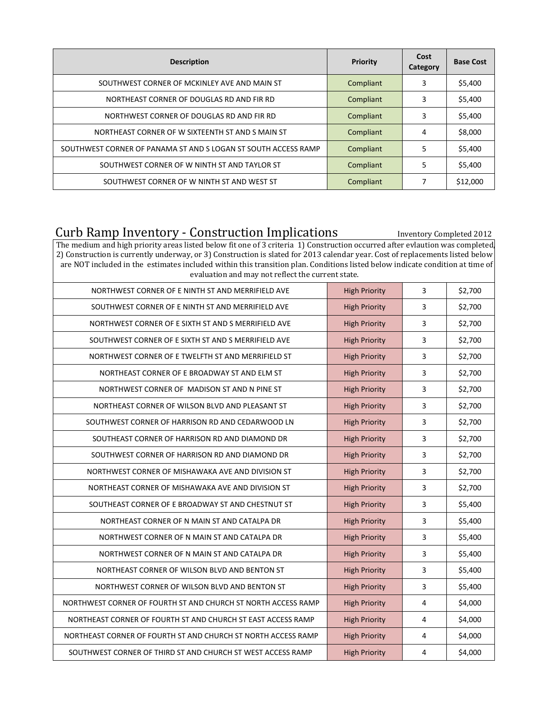| <b>Description</b>                                             | Priority  | Cost<br>Category | <b>Base Cost</b> |
|----------------------------------------------------------------|-----------|------------------|------------------|
| SOUTHWEST CORNER OF MCKINLEY AVE AND MAIN ST                   | Compliant | 3                | \$5,400          |
| NORTHEAST CORNER OF DOUGLAS RD AND FIR RD                      | Compliant | 3                | \$5,400          |
| NORTHWEST CORNER OF DOUGLAS RD AND FIR RD                      | Compliant | 3                | \$5,400          |
| NORTHEAST CORNER OF W SIXTEENTH ST AND S MAIN ST               | Compliant | 4                | \$8,000          |
| SOUTHWEST CORNER OF PANAMA ST AND S LOGAN ST SOUTH ACCESS RAMP | Compliant | 5                | \$5,400          |
| SOUTHWEST CORNER OF W NINTH ST AND TAYLOR ST                   | Compliant | 5                | \$5,400          |
| SOUTHWEST CORNER OF W NINTH ST AND WEST ST                     | Compliant | 7                | \$12,000         |

## Curb Ramp Inventory - Construction Implications **Inventory Completed 2012**

The medium and high priority areas listed below fit one of 3 criteria 1) Construction occurred after evlaution was completed, 2) Construction is currently underway, or 3) Construction is slated for 2013 calendar year. Cost of replacements listed below are NOT included in the estimates included within this transition plan. Conditions listed below indicate condition at time of evaluation and may not reflect the current state.

| <b>High Priority</b> | 3              | \$2,700 |
|----------------------|----------------|---------|
| <b>High Priority</b> | 3              | \$2,700 |
| <b>High Priority</b> | 3              | \$2,700 |
| <b>High Priority</b> | 3              | \$2,700 |
| <b>High Priority</b> | 3              | \$2,700 |
| <b>High Priority</b> | 3              | \$2,700 |
| <b>High Priority</b> | 3              | \$2,700 |
| <b>High Priority</b> | 3              | \$2,700 |
| <b>High Priority</b> | 3              | \$2,700 |
| <b>High Priority</b> | 3              | \$2,700 |
| <b>High Priority</b> | 3              | \$2,700 |
| <b>High Priority</b> | 3              | \$2,700 |
| <b>High Priority</b> | 3              | \$2,700 |
| <b>High Priority</b> | 3              | \$5,400 |
| <b>High Priority</b> | 3              | \$5,400 |
| <b>High Priority</b> | 3              | \$5,400 |
| <b>High Priority</b> | 3              | \$5,400 |
| <b>High Priority</b> | 3              | \$5,400 |
| <b>High Priority</b> | 3              | \$5,400 |
| <b>High Priority</b> | 4              | \$4,000 |
| <b>High Priority</b> | $\overline{4}$ | \$4,000 |
| <b>High Priority</b> | 4              | \$4,000 |
| <b>High Priority</b> | 4              | \$4,000 |
|                      |                |         |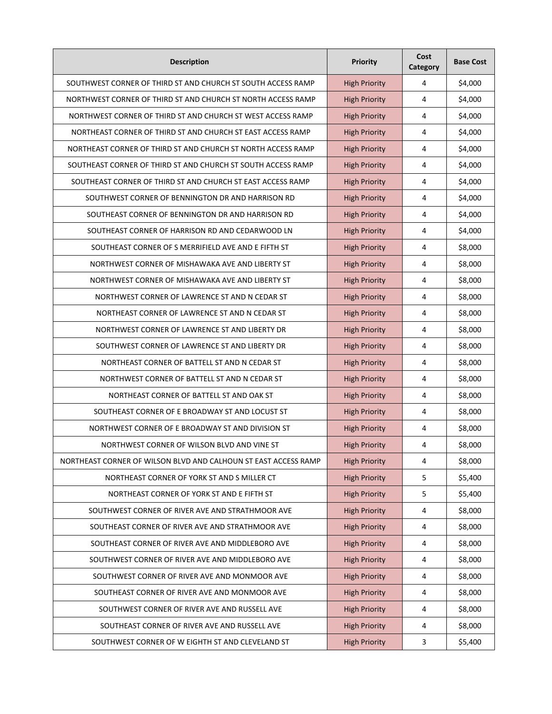| <b>Description</b>                                              | Priority             | Cost<br>Category | <b>Base Cost</b> |
|-----------------------------------------------------------------|----------------------|------------------|------------------|
| SOUTHWEST CORNER OF THIRD ST AND CHURCH ST SOUTH ACCESS RAMP    | <b>High Priority</b> | 4                | \$4,000          |
| NORTHWEST CORNER OF THIRD ST AND CHURCH ST NORTH ACCESS RAMP    | <b>High Priority</b> | 4                | \$4,000          |
| NORTHWEST CORNER OF THIRD ST AND CHURCH ST WEST ACCESS RAMP     | <b>High Priority</b> | 4                | \$4,000          |
| NORTHEAST CORNER OF THIRD ST AND CHURCH ST EAST ACCESS RAMP     | <b>High Priority</b> | 4                | \$4,000          |
| NORTHEAST CORNER OF THIRD ST AND CHURCH ST NORTH ACCESS RAMP    | <b>High Priority</b> | 4                | \$4,000          |
| SOUTHEAST CORNER OF THIRD ST AND CHURCH ST SOUTH ACCESS RAMP    | <b>High Priority</b> | 4                | \$4,000          |
| SOUTHEAST CORNER OF THIRD ST AND CHURCH ST EAST ACCESS RAMP     | <b>High Priority</b> | 4                | \$4,000          |
| SOUTHWEST CORNER OF BENNINGTON DR AND HARRISON RD               | <b>High Priority</b> | 4                | \$4,000          |
| SOUTHEAST CORNER OF BENNINGTON DR AND HARRISON RD               | <b>High Priority</b> | 4                | \$4,000          |
| SOUTHEAST CORNER OF HARRISON RD AND CEDARWOOD LN                | <b>High Priority</b> | 4                | \$4,000          |
| SOUTHEAST CORNER OF S MERRIFIELD AVE AND E FIFTH ST             | <b>High Priority</b> | 4                | \$8,000          |
| NORTHWEST CORNER OF MISHAWAKA AVE AND LIBERTY ST                | <b>High Priority</b> | 4                | \$8,000          |
| NORTHWEST CORNER OF MISHAWAKA AVE AND LIBERTY ST                | <b>High Priority</b> | 4                | \$8,000          |
| NORTHWEST CORNER OF LAWRENCE ST AND N CEDAR ST                  | <b>High Priority</b> | 4                | \$8,000          |
| NORTHEAST CORNER OF LAWRENCE ST AND N CEDAR ST                  | <b>High Priority</b> | 4                | \$8,000          |
| NORTHWEST CORNER OF LAWRENCE ST AND LIBERTY DR                  | <b>High Priority</b> | 4                | \$8,000          |
| SOUTHWEST CORNER OF LAWRENCE ST AND LIBERTY DR                  | <b>High Priority</b> | 4                | \$8,000          |
| NORTHEAST CORNER OF BATTELL ST AND N CEDAR ST                   | <b>High Priority</b> | 4                | \$8,000          |
| NORTHWEST CORNER OF BATTELL ST AND N CEDAR ST                   | <b>High Priority</b> | 4                | \$8,000          |
| NORTHEAST CORNER OF BATTELL ST AND OAK ST                       | <b>High Priority</b> | 4                | \$8,000          |
| SOUTHEAST CORNER OF E BROADWAY ST AND LOCUST ST                 | <b>High Priority</b> | 4                | \$8,000          |
| NORTHWEST CORNER OF E BROADWAY ST AND DIVISION ST               | <b>High Priority</b> | 4                | \$8,000          |
| NORTHWEST CORNER OF WILSON BLVD AND VINE ST                     | <b>High Priority</b> | 4                | \$8,000          |
| NORTHEAST CORNER OF WILSON BLVD AND CALHOUN ST EAST ACCESS RAMP | <b>High Priority</b> | 4                | \$8,000          |
| NORTHEAST CORNER OF YORK ST AND S MILLER CT                     | <b>High Priority</b> | 5                | \$5,400          |
| NORTHEAST CORNER OF YORK ST AND E FIFTH ST                      | <b>High Priority</b> | 5                | \$5,400          |
| SOUTHWEST CORNER OF RIVER AVE AND STRATHMOOR AVE                | <b>High Priority</b> | 4                | \$8,000          |
| SOUTHEAST CORNER OF RIVER AVE AND STRATHMOOR AVE                | <b>High Priority</b> | 4                | \$8,000          |
| SOUTHEAST CORNER OF RIVER AVE AND MIDDLEBORO AVE                | <b>High Priority</b> | 4                | \$8,000          |
| SOUTHWEST CORNER OF RIVER AVE AND MIDDLEBORO AVE                | <b>High Priority</b> | 4                | \$8,000          |
| SOUTHWEST CORNER OF RIVER AVE AND MONMOOR AVE                   | <b>High Priority</b> | 4                | \$8,000          |
| SOUTHEAST CORNER OF RIVER AVE AND MONMOOR AVE                   | <b>High Priority</b> | 4                | \$8,000          |
| SOUTHWEST CORNER OF RIVER AVE AND RUSSELL AVE                   | <b>High Priority</b> | 4                | \$8,000          |
| SOUTHEAST CORNER OF RIVER AVE AND RUSSELL AVE                   | <b>High Priority</b> | 4                | \$8,000          |
| SOUTHWEST CORNER OF W EIGHTH ST AND CLEVELAND ST                | <b>High Priority</b> | $\mathbf{3}$     | \$5,400          |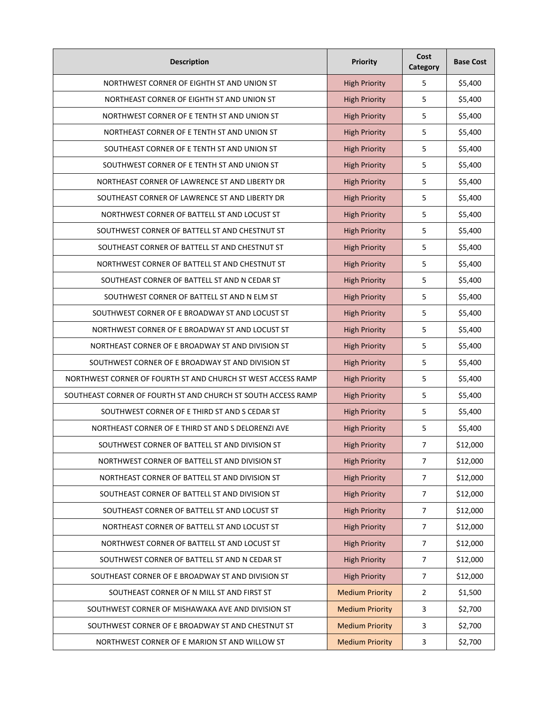| <b>Description</b>                                            | Priority               | Cost<br>Category | <b>Base Cost</b> |
|---------------------------------------------------------------|------------------------|------------------|------------------|
| NORTHWEST CORNER OF EIGHTH ST AND UNION ST                    | <b>High Priority</b>   | 5                | \$5,400          |
| NORTHEAST CORNER OF EIGHTH ST AND UNION ST                    | <b>High Priority</b>   | 5                | \$5,400          |
| NORTHWEST CORNER OF E TENTH ST AND UNION ST                   | <b>High Priority</b>   | 5                | \$5,400          |
| NORTHEAST CORNER OF E TENTH ST AND UNION ST                   | <b>High Priority</b>   | 5                | \$5,400          |
| SOUTHEAST CORNER OF E TENTH ST AND UNION ST                   | <b>High Priority</b>   | 5                | \$5,400          |
| SOUTHWEST CORNER OF E TENTH ST AND UNION ST                   | <b>High Priority</b>   | 5                | \$5,400          |
| NORTHEAST CORNER OF LAWRENCE ST AND LIBERTY DR                | <b>High Priority</b>   | 5                | \$5,400          |
| SOUTHEAST CORNER OF LAWRENCE ST AND LIBERTY DR                | <b>High Priority</b>   | 5                | \$5,400          |
| NORTHWEST CORNER OF BATTELL ST AND LOCUST ST                  | <b>High Priority</b>   | 5                | \$5,400          |
| SOUTHWEST CORNER OF BATTELL ST AND CHESTNUT ST                | <b>High Priority</b>   | 5                | \$5,400          |
| SOUTHEAST CORNER OF BATTELL ST AND CHESTNUT ST                | <b>High Priority</b>   | 5                | \$5,400          |
| NORTHWEST CORNER OF BATTELL ST AND CHESTNUT ST                | <b>High Priority</b>   | 5                | \$5,400          |
| SOUTHEAST CORNER OF BATTELL ST AND N CEDAR ST                 | <b>High Priority</b>   | 5                | \$5,400          |
| SOUTHWEST CORNER OF BATTELL ST AND N ELM ST                   | <b>High Priority</b>   | 5                | \$5,400          |
| SOUTHWEST CORNER OF E BROADWAY ST AND LOCUST ST               | <b>High Priority</b>   | 5                | \$5,400          |
| NORTHWEST CORNER OF E BROADWAY ST AND LOCUST ST               | <b>High Priority</b>   | 5                | \$5,400          |
| NORTHEAST CORNER OF E BROADWAY ST AND DIVISION ST             | <b>High Priority</b>   | 5                | \$5,400          |
| SOUTHWEST CORNER OF E BROADWAY ST AND DIVISION ST             | <b>High Priority</b>   | 5                | \$5,400          |
| NORTHWEST CORNER OF FOURTH ST AND CHURCH ST WEST ACCESS RAMP  | <b>High Priority</b>   | 5                | \$5,400          |
| SOUTHEAST CORNER OF FOURTH ST AND CHURCH ST SOUTH ACCESS RAMP | <b>High Priority</b>   | 5                | \$5,400          |
| SOUTHWEST CORNER OF E THIRD ST AND S CEDAR ST                 | <b>High Priority</b>   | 5                | \$5,400          |
| NORTHEAST CORNER OF E THIRD ST AND S DELORENZI AVE            | <b>High Priority</b>   | 5                | \$5,400          |
| SOUTHWEST CORNER OF BATTELL ST AND DIVISION ST                | <b>High Priority</b>   | 7                | \$12,000         |
| NORTHWEST CORNER OF BATTELL ST AND DIVISION ST                | <b>High Priority</b>   | $\overline{7}$   | \$12,000         |
| NORTHEAST CORNER OF BATTELL ST AND DIVISION ST                | <b>High Priority</b>   | $\overline{7}$   | \$12,000         |
| SOUTHEAST CORNER OF BATTELL ST AND DIVISION ST                | <b>High Priority</b>   | $\overline{7}$   | \$12,000         |
| SOUTHEAST CORNER OF BATTELL ST AND LOCUST ST                  | <b>High Priority</b>   | $\overline{7}$   | \$12,000         |
| NORTHEAST CORNER OF BATTELL ST AND LOCUST ST                  | <b>High Priority</b>   | $\overline{7}$   | \$12,000         |
| NORTHWEST CORNER OF BATTELL ST AND LOCUST ST                  | <b>High Priority</b>   | $\overline{7}$   | \$12,000         |
| SOUTHWEST CORNER OF BATTELL ST AND N CEDAR ST                 | <b>High Priority</b>   | $\overline{7}$   | \$12,000         |
| SOUTHEAST CORNER OF E BROADWAY ST AND DIVISION ST             | <b>High Priority</b>   | $\overline{7}$   | \$12,000         |
| SOUTHEAST CORNER OF N MILL ST AND FIRST ST                    | <b>Medium Priority</b> | $\overline{2}$   | \$1,500          |
| SOUTHWEST CORNER OF MISHAWAKA AVE AND DIVISION ST             | <b>Medium Priority</b> | 3                | \$2,700          |
| SOUTHWEST CORNER OF E BROADWAY ST AND CHESTNUT ST             | <b>Medium Priority</b> | 3                | \$2,700          |
| NORTHWEST CORNER OF E MARION ST AND WILLOW ST                 | <b>Medium Priority</b> | 3                | \$2,700          |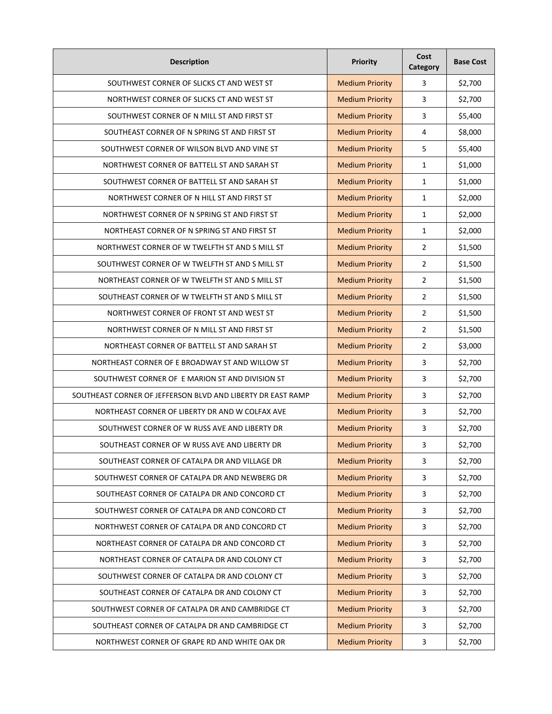| <b>Description</b>                                          | Priority               | Cost<br>Category        | <b>Base Cost</b> |
|-------------------------------------------------------------|------------------------|-------------------------|------------------|
| SOUTHWEST CORNER OF SLICKS CT AND WEST ST                   | <b>Medium Priority</b> | 3                       | \$2,700          |
| NORTHWEST CORNER OF SLICKS CT AND WEST ST                   | <b>Medium Priority</b> | 3                       | \$2,700          |
| SOUTHWEST CORNER OF N MILL ST AND FIRST ST                  | <b>Medium Priority</b> | 3                       | \$5,400          |
| SOUTHEAST CORNER OF N SPRING ST AND FIRST ST                | <b>Medium Priority</b> | 4                       | \$8,000          |
| SOUTHWEST CORNER OF WILSON BLVD AND VINE ST                 | <b>Medium Priority</b> | 5                       | \$5,400          |
| NORTHWEST CORNER OF BATTELL ST AND SARAH ST                 | <b>Medium Priority</b> | 1                       | \$1,000          |
| SOUTHWEST CORNER OF BATTELL ST AND SARAH ST                 | <b>Medium Priority</b> | $\mathbf{1}$            | \$1,000          |
| NORTHWEST CORNER OF N HILL ST AND FIRST ST                  | <b>Medium Priority</b> | $\mathbf{1}$            | \$2,000          |
| NORTHWEST CORNER OF N SPRING ST AND FIRST ST                | <b>Medium Priority</b> | $\mathbf{1}$            | \$2,000          |
| NORTHEAST CORNER OF N SPRING ST AND FIRST ST                | <b>Medium Priority</b> | $\mathbf{1}$            | \$2,000          |
| NORTHWEST CORNER OF W TWELFTH ST AND S MILL ST              | <b>Medium Priority</b> | $\overline{2}$          | \$1,500          |
| SOUTHWEST CORNER OF W TWELFTH ST AND S MILL ST              | <b>Medium Priority</b> | $\overline{2}$          | \$1,500          |
| NORTHEAST CORNER OF W TWELFTH ST AND S MILL ST              | <b>Medium Priority</b> | $\overline{2}$          | \$1,500          |
| SOUTHEAST CORNER OF W TWELFTH ST AND S MILL ST              | <b>Medium Priority</b> | $\overline{2}$          | \$1,500          |
| NORTHWEST CORNER OF FRONT ST AND WEST ST                    | <b>Medium Priority</b> | $\overline{2}$          | \$1,500          |
| NORTHWEST CORNER OF N MILL ST AND FIRST ST                  | <b>Medium Priority</b> | $\overline{2}$          | \$1,500          |
| NORTHEAST CORNER OF BATTELL ST AND SARAH ST                 | <b>Medium Priority</b> | $\overline{2}$          | \$3,000          |
| NORTHEAST CORNER OF E BROADWAY ST AND WILLOW ST             | <b>Medium Priority</b> | 3                       | \$2,700          |
| SOUTHWEST CORNER OF E MARION ST AND DIVISION ST             | <b>Medium Priority</b> | 3                       | \$2,700          |
| SOUTHEAST CORNER OF JEFFERSON BLVD AND LIBERTY DR EAST RAMP | <b>Medium Priority</b> | 3                       | \$2,700          |
| NORTHEAST CORNER OF LIBERTY DR AND W COLFAX AVE             | <b>Medium Priority</b> | 3                       | \$2,700          |
| SOUTHWEST CORNER OF W RUSS AVE AND LIBERTY DR               | <b>Medium Priority</b> | 3                       | \$2,700          |
| SOUTHEAST CORNER OF W RUSS AVE AND LIBERTY DR               | <b>Medium Priority</b> | 3                       | \$2,700          |
| SOUTHEAST CORNER OF CATALPA DR AND VILLAGE DR               | <b>Medium Priority</b> | 3                       | \$2,700          |
| SOUTHWEST CORNER OF CATALPA DR AND NEWBERG DR               | <b>Medium Priority</b> | 3                       | \$2,700          |
| SOUTHEAST CORNER OF CATALPA DR AND CONCORD CT               | <b>Medium Priority</b> | 3                       | \$2,700          |
| SOUTHWEST CORNER OF CATALPA DR AND CONCORD CT               | <b>Medium Priority</b> | 3                       | \$2,700          |
| NORTHWEST CORNER OF CATALPA DR AND CONCORD CT               | <b>Medium Priority</b> | 3                       | \$2,700          |
| NORTHEAST CORNER OF CATALPA DR AND CONCORD CT               | <b>Medium Priority</b> | $\overline{\mathbf{3}}$ | \$2,700          |
| NORTHEAST CORNER OF CATALPA DR AND COLONY CT                | <b>Medium Priority</b> | 3                       | \$2,700          |
| SOUTHWEST CORNER OF CATALPA DR AND COLONY CT                | <b>Medium Priority</b> | 3                       | \$2,700          |
| SOUTHEAST CORNER OF CATALPA DR AND COLONY CT                | <b>Medium Priority</b> | 3                       | \$2,700          |
| SOUTHWEST CORNER OF CATALPA DR AND CAMBRIDGE CT             | <b>Medium Priority</b> | 3                       | \$2,700          |
| SOUTHEAST CORNER OF CATALPA DR AND CAMBRIDGE CT             | <b>Medium Priority</b> | 3                       | \$2,700          |
| NORTHWEST CORNER OF GRAPE RD AND WHITE OAK DR               | <b>Medium Priority</b> | $\mathbf{3}$            | \$2,700          |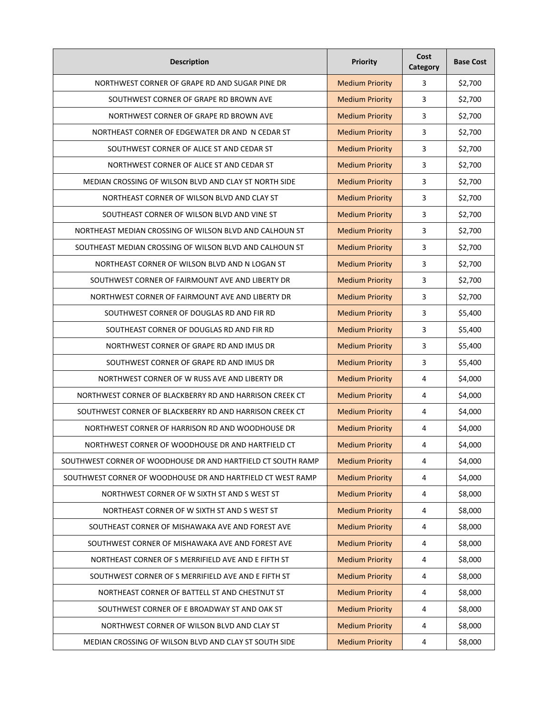| <b>Description</b>                                           | <b>Priority</b>        | Cost<br>Category | <b>Base Cost</b> |
|--------------------------------------------------------------|------------------------|------------------|------------------|
| NORTHWEST CORNER OF GRAPE RD AND SUGAR PINE DR               | <b>Medium Priority</b> | 3                | \$2,700          |
| SOUTHWEST CORNER OF GRAPE RD BROWN AVE                       | <b>Medium Priority</b> | 3                | \$2,700          |
| NORTHWEST CORNER OF GRAPE RD BROWN AVE                       | <b>Medium Priority</b> | $\overline{3}$   | \$2,700          |
| NORTHEAST CORNER OF EDGEWATER DR AND N CEDAR ST              | <b>Medium Priority</b> | 3                | \$2,700          |
| SOUTHWEST CORNER OF ALICE ST AND CEDAR ST                    | <b>Medium Priority</b> | 3                | \$2,700          |
| NORTHWEST CORNER OF ALICE ST AND CEDAR ST                    | <b>Medium Priority</b> | 3                | \$2,700          |
| MEDIAN CROSSING OF WILSON BLVD AND CLAY ST NORTH SIDE        | <b>Medium Priority</b> | 3                | \$2,700          |
| NORTHEAST CORNER OF WILSON BLVD AND CLAY ST                  | <b>Medium Priority</b> | 3                | \$2,700          |
| SOUTHEAST CORNER OF WILSON BLVD AND VINE ST                  | <b>Medium Priority</b> | 3                | \$2,700          |
| NORTHEAST MEDIAN CROSSING OF WILSON BLVD AND CALHOUN ST      | <b>Medium Priority</b> | 3                | \$2,700          |
| SOUTHEAST MEDIAN CROSSING OF WILSON BLVD AND CALHOUN ST      | <b>Medium Priority</b> | 3                | \$2,700          |
| NORTHEAST CORNER OF WILSON BLVD AND N LOGAN ST               | <b>Medium Priority</b> | 3                | \$2,700          |
| SOUTHWEST CORNER OF FAIRMOUNT AVE AND LIBERTY DR             | <b>Medium Priority</b> | 3                | \$2,700          |
| NORTHWEST CORNER OF FAIRMOUNT AVE AND LIBERTY DR             | <b>Medium Priority</b> | 3                | \$2,700          |
| SOUTHWEST CORNER OF DOUGLAS RD AND FIR RD                    | <b>Medium Priority</b> | 3                | \$5,400          |
| SOUTHEAST CORNER OF DOUGLAS RD AND FIR RD                    | <b>Medium Priority</b> | 3                | \$5,400          |
| NORTHWEST CORNER OF GRAPE RD AND IMUS DR                     | <b>Medium Priority</b> | 3                | \$5,400          |
| SOUTHWEST CORNER OF GRAPE RD AND IMUS DR                     | <b>Medium Priority</b> | 3                | \$5,400          |
| NORTHWEST CORNER OF W RUSS AVE AND LIBERTY DR                | <b>Medium Priority</b> | 4                | \$4,000          |
| NORTHWEST CORNER OF BLACKBERRY RD AND HARRISON CREEK CT      | <b>Medium Priority</b> | 4                | \$4,000          |
| SOUTHWEST CORNER OF BLACKBERRY RD AND HARRISON CREEK CT      | <b>Medium Priority</b> | 4                | \$4,000          |
| NORTHWEST CORNER OF HARRISON RD AND WOODHOUSE DR             | <b>Medium Priority</b> | 4                | \$4,000          |
| NORTHWEST CORNER OF WOODHOUSE DR AND HARTFIELD CT            | <b>Medium Priority</b> | 4                | \$4,000          |
| SOUTHWEST CORNER OF WOODHOUSE DR AND HARTFIELD CT SOUTH RAMP | <b>Medium Priority</b> | 4                | \$4,000          |
| SOUTHWEST CORNER OF WOODHOUSE DR AND HARTFIELD CT WEST RAMP  | <b>Medium Priority</b> | 4                | \$4,000          |
| NORTHWEST CORNER OF W SIXTH ST AND S WEST ST                 | <b>Medium Priority</b> | 4                | \$8,000          |
| NORTHEAST CORNER OF W SIXTH ST AND S WEST ST                 | <b>Medium Priority</b> | 4                | \$8,000          |
| SOUTHEAST CORNER OF MISHAWAKA AVE AND FOREST AVE             | <b>Medium Priority</b> | 4                | \$8,000          |
| SOUTHWEST CORNER OF MISHAWAKA AVE AND FOREST AVE             | <b>Medium Priority</b> | $\pmb{4}$        | \$8,000          |
| NORTHEAST CORNER OF S MERRIFIELD AVE AND E FIFTH ST          | <b>Medium Priority</b> | 4                | \$8,000          |
| SOUTHWEST CORNER OF S MERRIFIELD AVE AND E FIFTH ST          | <b>Medium Priority</b> | 4                | \$8,000          |
| NORTHEAST CORNER OF BATTELL ST AND CHESTNUT ST               | <b>Medium Priority</b> | 4                | \$8,000          |
| SOUTHWEST CORNER OF E BROADWAY ST AND OAK ST                 | <b>Medium Priority</b> | 4                | \$8,000          |
| NORTHWEST CORNER OF WILSON BLVD AND CLAY ST                  | <b>Medium Priority</b> | 4                | \$8,000          |
| MEDIAN CROSSING OF WILSON BLVD AND CLAY ST SOUTH SIDE        | <b>Medium Priority</b> | 4                | \$8,000          |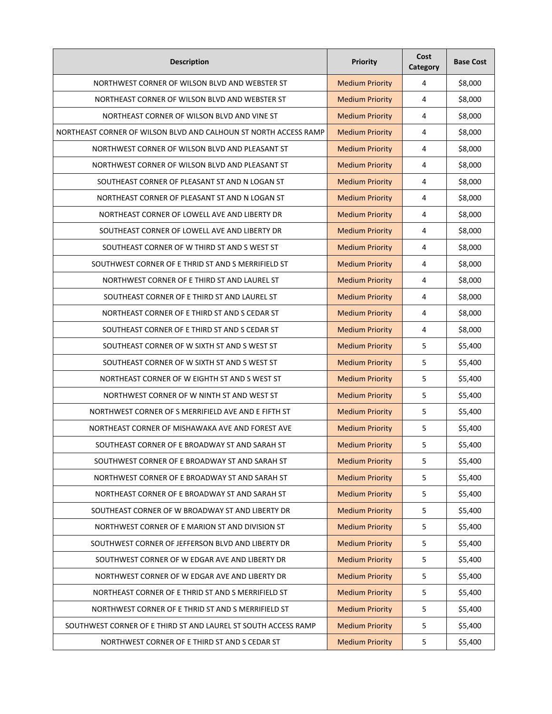| <b>Description</b>                                               | Priority               | Cost<br>Category | <b>Base Cost</b> |
|------------------------------------------------------------------|------------------------|------------------|------------------|
| NORTHWEST CORNER OF WILSON BLVD AND WEBSTER ST                   | <b>Medium Priority</b> | 4                | \$8,000          |
| NORTHEAST CORNER OF WILSON BLVD AND WEBSTER ST                   | <b>Medium Priority</b> | 4                | \$8,000          |
| NORTHEAST CORNER OF WILSON BLVD AND VINE ST                      | <b>Medium Priority</b> | $\overline{4}$   | \$8,000          |
| NORTHEAST CORNER OF WILSON BLVD AND CALHOUN ST NORTH ACCESS RAMP | <b>Medium Priority</b> | 4                | \$8,000          |
| NORTHWEST CORNER OF WILSON BLVD AND PLEASANT ST                  | <b>Medium Priority</b> | 4                | \$8,000          |
| NORTHWEST CORNER OF WILSON BLVD AND PLEASANT ST                  | <b>Medium Priority</b> | 4                | \$8,000          |
| SOUTHEAST CORNER OF PLEASANT ST AND N LOGAN ST                   | <b>Medium Priority</b> | 4                | \$8,000          |
| NORTHEAST CORNER OF PLEASANT ST AND N LOGAN ST                   | <b>Medium Priority</b> | 4                | \$8,000          |
| NORTHEAST CORNER OF LOWELL AVE AND LIBERTY DR                    | <b>Medium Priority</b> | 4                | \$8,000          |
| SOUTHEAST CORNER OF LOWELL AVE AND LIBERTY DR                    | <b>Medium Priority</b> | 4                | \$8,000          |
| SOUTHEAST CORNER OF W THIRD ST AND S WEST ST                     | <b>Medium Priority</b> | 4                | \$8,000          |
| SOUTHWEST CORNER OF E THRID ST AND S MERRIFIELD ST               | <b>Medium Priority</b> | 4                | \$8,000          |
| NORTHWEST CORNER OF E THIRD ST AND LAUREL ST                     | <b>Medium Priority</b> | 4                | \$8,000          |
| SOUTHEAST CORNER OF E THIRD ST AND LAUREL ST                     | <b>Medium Priority</b> | 4                | \$8,000          |
| NORTHEAST CORNER OF E THIRD ST AND S CEDAR ST                    | <b>Medium Priority</b> | 4                | \$8,000          |
| SOUTHEAST CORNER OF E THIRD ST AND S CEDAR ST                    | <b>Medium Priority</b> | 4                | \$8,000          |
| SOUTHEAST CORNER OF W SIXTH ST AND S WEST ST                     | <b>Medium Priority</b> | 5                | \$5,400          |
| SOUTHEAST CORNER OF W SIXTH ST AND S WEST ST                     | <b>Medium Priority</b> | 5                | \$5,400          |
| NORTHEAST CORNER OF W EIGHTH ST AND S WEST ST                    | <b>Medium Priority</b> | 5                | \$5,400          |
| NORTHWEST CORNER OF W NINTH ST AND WEST ST                       | <b>Medium Priority</b> | 5                | \$5,400          |
| NORTHWEST CORNER OF S MERRIFIELD AVE AND E FIFTH ST              | <b>Medium Priority</b> | 5                | \$5,400          |
| NORTHEAST CORNER OF MISHAWAKA AVE AND FOREST AVE                 | <b>Medium Priority</b> | 5                | \$5,400          |
| SOUTHEAST CORNER OF E BROADWAY ST AND SARAH ST                   | <b>Medium Priority</b> | 5                | \$5,400          |
| SOUTHWEST CORNER OF E BROADWAY ST AND SARAH ST                   | <b>Medium Priority</b> | 5                | \$5,400          |
| NORTHWEST CORNER OF E BROADWAY ST AND SARAH ST                   | <b>Medium Priority</b> | 5                | \$5,400          |
| NORTHEAST CORNER OF E BROADWAY ST AND SARAH ST                   | <b>Medium Priority</b> | 5                | \$5,400          |
| SOUTHEAST CORNER OF W BROADWAY ST AND LIBERTY DR                 | <b>Medium Priority</b> | 5                | \$5,400          |
| NORTHWEST CORNER OF E MARION ST AND DIVISION ST                  | <b>Medium Priority</b> | 5                | \$5,400          |
| SOUTHWEST CORNER OF JEFFERSON BLVD AND LIBERTY DR                | <b>Medium Priority</b> | 5                | \$5,400          |
| SOUTHWEST CORNER OF W EDGAR AVE AND LIBERTY DR                   | <b>Medium Priority</b> | 5                | \$5,400          |
| NORTHWEST CORNER OF W EDGAR AVE AND LIBERTY DR                   | <b>Medium Priority</b> | 5                | \$5,400          |
| NORTHEAST CORNER OF E THRID ST AND S MERRIFIELD ST               | <b>Medium Priority</b> | 5                | \$5,400          |
| NORTHWEST CORNER OF E THRID ST AND S MERRIFIELD ST               | <b>Medium Priority</b> | 5                | \$5,400          |
| SOUTHWEST CORNER OF E THIRD ST AND LAUREL ST SOUTH ACCESS RAMP   | <b>Medium Priority</b> | 5                | \$5,400          |
| NORTHWEST CORNER OF E THIRD ST AND S CEDAR ST                    | <b>Medium Priority</b> | 5                | \$5,400          |